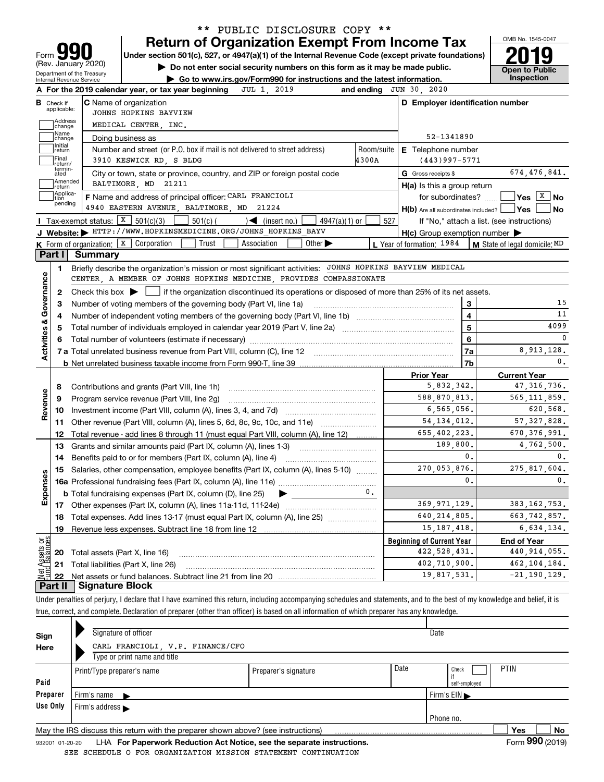|                                                    | Internal Revenue Service    | Department of the Treasury |                                                                                                                                                                                 |            | Go to www.irs.gov/Form990 for instructions and the latest information.<br>JUL 1, 2019 |                             |       |            | and ending $JUN$ 30, 2020                           |                                             |                         | <b>Open to Public</b><br><b>Inspection</b>       |
|----------------------------------------------------|-----------------------------|----------------------------|---------------------------------------------------------------------------------------------------------------------------------------------------------------------------------|------------|---------------------------------------------------------------------------------------|-----------------------------|-------|------------|-----------------------------------------------------|---------------------------------------------|-------------------------|--------------------------------------------------|
|                                                    | <b>B</b> Check if           |                            | A For the 2019 calendar year, or tax year beginning<br><b>C</b> Name of organization                                                                                            |            |                                                                                       |                             |       |            | D Employer identification number                    |                                             |                         |                                                  |
|                                                    | applicable:                 |                            | JOHNS HOPKINS BAYVIEW                                                                                                                                                           |            |                                                                                       |                             |       |            |                                                     |                                             |                         |                                                  |
|                                                    | Address<br>change           |                            | MEDICAL CENTER, INC.                                                                                                                                                            |            |                                                                                       |                             |       |            |                                                     |                                             |                         |                                                  |
|                                                    | Name<br>change              |                            | Doing business as                                                                                                                                                               |            |                                                                                       |                             |       |            |                                                     | 52-1341890                                  |                         |                                                  |
|                                                    | Initial<br>return           |                            | Number and street (or P.O. box if mail is not delivered to street address)                                                                                                      |            |                                                                                       |                             |       | Room/suite | <b>E</b> Telephone number                           |                                             |                         |                                                  |
|                                                    | Final<br>return/            |                            | 3910 KESWICK RD, S BLDG                                                                                                                                                         |            |                                                                                       |                             | 4300A |            |                                                     | $(443)997 - 5771$                           |                         |                                                  |
|                                                    | termin-<br>ated             |                            | City or town, state or province, country, and ZIP or foreign postal code                                                                                                        |            |                                                                                       |                             |       |            | G Gross receipts \$                                 |                                             |                         | 674,476,841.                                     |
|                                                    | Amended<br>return           |                            | BALTIMORE, MD 21211                                                                                                                                                             |            |                                                                                       |                             |       |            | $H(a)$ is this a group return                       |                                             |                         |                                                  |
|                                                    | Applica-<br>tion<br>pending |                            | F Name and address of principal officer: CARL FRANCIOLI                                                                                                                         |            |                                                                                       |                             |       |            |                                                     | for subordinates?                           |                         | $\sqrt{}$ Yes $\sqrt{X}$ No                      |
|                                                    |                             |                            | 4940 EASTERN AVENUE, BALTIMORE, MD 21224                                                                                                                                        |            |                                                                                       |                             |       |            |                                                     |                                             |                         | $H(b)$ Are all subordinates included? $\Box$ Yes |
|                                                    |                             |                            | Tax-exempt status: $X \ 501(c)(3)$                                                                                                                                              | $501(c)$ ( | $\blacktriangleright$ (insert no.)                                                    | 4947(a)(1) or               |       | 527        |                                                     |                                             |                         | If "No," attach a list. (see instructions)       |
|                                                    |                             |                            | J Website: FITTP://WWW.HOPKINSMEDICINE.ORG/JOHNS HOPKINS BAYV                                                                                                                   |            |                                                                                       |                             |       |            | $H(c)$ Group exemption number $\blacktriangleright$ |                                             |                         |                                                  |
|                                                    | Part I                      | Summary                    | <b>K</b> Form of organization: $\boxed{\textbf{X}}$ Corporation                                                                                                                 | Trust      | Association                                                                           | Other $\blacktriangleright$ |       |            | L Year of formation: 1984                           |                                             |                         | <b>M</b> State of legal domicile: MD             |
|                                                    |                             |                            |                                                                                                                                                                                 |            |                                                                                       |                             |       |            |                                                     |                                             |                         |                                                  |
|                                                    | 1.                          |                            | Briefly describe the organization's mission or most significant activities: JOHNS HOPKINS BAYVIEW MEDICAL<br>CENTER, A MEMBER OF JOHNS HOPKINS MEDICINE, PROVIDES COMPASSIONATE |            |                                                                                       |                             |       |            |                                                     |                                             |                         |                                                  |
|                                                    |                             |                            |                                                                                                                                                                                 |            |                                                                                       |                             |       |            |                                                     |                                             |                         |                                                  |
|                                                    |                             |                            |                                                                                                                                                                                 |            |                                                                                       |                             |       |            |                                                     |                                             |                         |                                                  |
|                                                    | 2                           |                            | Check this box $\blacktriangleright$   if the organization discontinued its operations or disposed of more than 25% of its net assets.                                          |            |                                                                                       |                             |       |            |                                                     |                                             |                         |                                                  |
|                                                    | з                           |                            |                                                                                                                                                                                 |            |                                                                                       |                             |       |            |                                                     |                                             | 3                       |                                                  |
|                                                    | 4                           |                            |                                                                                                                                                                                 |            |                                                                                       |                             |       |            |                                                     |                                             | $\overline{\mathbf{4}}$ |                                                  |
|                                                    | 5                           |                            |                                                                                                                                                                                 |            |                                                                                       |                             |       |            |                                                     |                                             | 5                       | 4099                                             |
|                                                    |                             |                            |                                                                                                                                                                                 |            |                                                                                       |                             |       |            |                                                     |                                             | 6                       |                                                  |
|                                                    |                             |                            |                                                                                                                                                                                 |            |                                                                                       |                             |       |            |                                                     | 7a<br>7b                                    |                         | 8,913,128.                                       |
|                                                    |                             |                            |                                                                                                                                                                                 |            |                                                                                       |                             |       |            | <b>Prior Year</b>                                   |                                             |                         |                                                  |
|                                                    | 8                           |                            |                                                                                                                                                                                 |            |                                                                                       |                             |       |            |                                                     | 5,832,342.                                  |                         | <b>Current Year</b><br>47, 316, 736.             |
|                                                    | 9                           |                            | Program service revenue (Part VIII, line 2g)                                                                                                                                    |            |                                                                                       |                             |       |            |                                                     | 588,870,813.                                |                         | 565, 111, 859.                                   |
|                                                    | 10                          |                            |                                                                                                                                                                                 |            |                                                                                       |                             |       |            |                                                     | 6,565,056.                                  |                         | 620,568.                                         |
|                                                    | 11                          |                            |                                                                                                                                                                                 |            |                                                                                       |                             |       |            |                                                     | 54, 134, 012.                               |                         | 57, 327, 828.                                    |
|                                                    | 12                          |                            | Other revenue (Part VIII, column (A), lines 5, 6d, 8c, 9c, 10c, and 11e)<br>Total revenue - add lines 8 through 11 (must equal Part VIII, column (A), line 12)                  |            |                                                                                       |                             |       |            |                                                     | 655,402,223.                                |                         | 670, 376, 991.                                   |
|                                                    | 13                          |                            |                                                                                                                                                                                 |            |                                                                                       |                             |       |            |                                                     | 189,800.                                    |                         | 4,762,500.                                       |
|                                                    | 14                          |                            | Grants and similar amounts paid (Part IX, column (A), lines 1-3)<br>Benefits paid to or for members (Part IX, column (A), line 4)                                               |            |                                                                                       |                             |       |            |                                                     | 0.                                          |                         |                                                  |
|                                                    |                             |                            | 15 Salaries, other compensation, employee benefits (Part IX, column (A), lines 5-10)                                                                                            |            |                                                                                       |                             |       |            |                                                     | 270,053,876.                                |                         | 275,817,604.                                     |
|                                                    |                             |                            |                                                                                                                                                                                 |            |                                                                                       |                             |       |            |                                                     | 0.                                          |                         |                                                  |
|                                                    |                             |                            | <b>b</b> Total fundraising expenses (Part IX, column (D), line 25)                                                                                                              |            |                                                                                       |                             |       | 0.         |                                                     |                                             |                         |                                                  |
|                                                    | 17                          |                            | Other expenses (Part IX, column (A), lines 11a-11d, 11f-24e)                                                                                                                    |            |                                                                                       |                             |       |            |                                                     | 369, 971, 129.                              |                         | 383, 162, 753.                                   |
|                                                    | 18                          |                            |                                                                                                                                                                                 |            |                                                                                       |                             |       |            |                                                     | 640, 214, 805.                              |                         | 663, 742, 857.                                   |
|                                                    | 19                          |                            | Revenue less expenses. Subtract line 18 from line 12                                                                                                                            |            |                                                                                       |                             |       |            |                                                     | 15, 187, 418.                               |                         | 6,634,134.                                       |
|                                                    |                             |                            |                                                                                                                                                                                 |            |                                                                                       |                             |       |            | <b>Beginning of Current Year</b>                    |                                             |                         | <b>End of Year</b>                               |
| Activities & Governance<br>Revenue<br>w<br>Expense | 20                          |                            | Total assets (Part X, line 16)                                                                                                                                                  |            |                                                                                       |                             |       |            |                                                     | 422, 528, 431.                              |                         | 440, 914, 055.                                   |
| t Assets or<br>d Balances<br>혏                     | 21                          |                            | Total liabilities (Part X, line 26)                                                                                                                                             |            |                                                                                       |                             |       |            |                                                     | 402,710,900.<br>$\overline{19}$ , 817, 531. |                         | 462, 104, 184.                                   |

\*\* PUBLIC DISCLOSURE COPY \*\*

| Sign<br>Here |                                                                                                                        | Signature of officer<br>CARL FRANCIOLI, V.P. FINANCE/CFO<br>Type or print name and title |      |                                       | Date                             |  |  |  |  |  |  |
|--------------|------------------------------------------------------------------------------------------------------------------------|------------------------------------------------------------------------------------------|------|---------------------------------------|----------------------------------|--|--|--|--|--|--|
| Paid         |                                                                                                                        | Print/Type preparer's name                                                               | Date | <b>PTIN</b><br>Check<br>self-employed |                                  |  |  |  |  |  |  |
| Preparer     |                                                                                                                        | Firm's name $\blacksquare$                                                               |      |                                       | Firm's $EIN \blacktriangleright$ |  |  |  |  |  |  |
| Use Only     |                                                                                                                        | Firm's address                                                                           |      |                                       |                                  |  |  |  |  |  |  |
|              |                                                                                                                        |                                                                                          |      |                                       | Phone no.                        |  |  |  |  |  |  |
|              | No<br>Yes<br>May the IRS discuss this return with the preparer shown above? (see instructions)<br>$\sim$ $\sim$ $\sim$ |                                                                                          |      |                                       |                                  |  |  |  |  |  |  |

 $\mathbf{r}$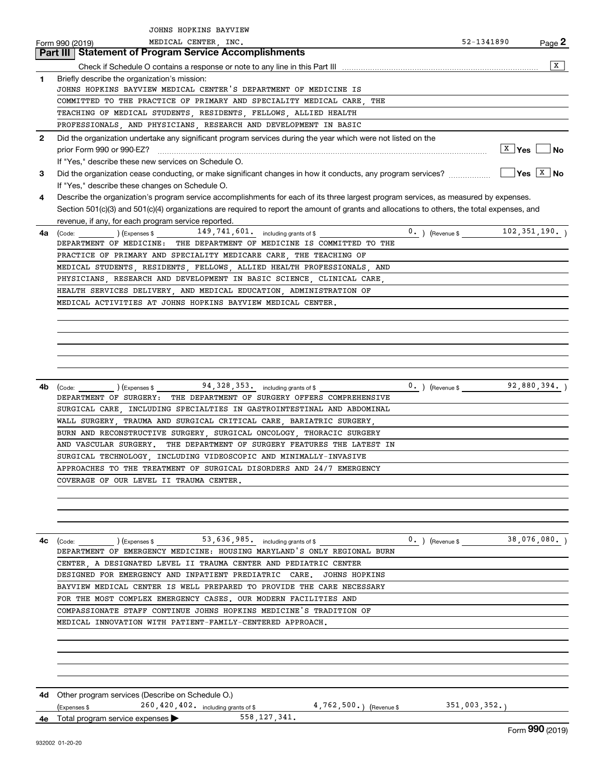|              | JOHNS HOPKINS BAYVIEW                                                                                                                                                      |                                               |              |                   |
|--------------|----------------------------------------------------------------------------------------------------------------------------------------------------------------------------|-----------------------------------------------|--------------|-------------------|
|              | MEDICAL CENTER, INC.<br>Form 990 (2019)                                                                                                                                    |                                               | 52-1341890   | Page $\mathbf{z}$ |
|              | <b>Part III   Statement of Program Service Accomplishments</b>                                                                                                             |                                               |              |                   |
|              |                                                                                                                                                                            |                                               |              | $\sqrt{x}$        |
| $\mathbf{1}$ | Briefly describe the organization's mission:                                                                                                                               |                                               |              |                   |
|              | JOHNS HOPKINS BAYVIEW MEDICAL CENTER'S DEPARTMENT OF MEDICINE IS                                                                                                           |                                               |              |                   |
|              | COMMITTED TO THE PRACTICE OF PRIMARY AND SPECIALITY MEDICAL CARE THE                                                                                                       |                                               |              |                   |
|              | TEACHING OF MEDICAL STUDENTS, RESIDENTS, FELLOWS, ALLIED HEALTH                                                                                                            |                                               |              |                   |
|              |                                                                                                                                                                            |                                               |              |                   |
|              | PROFESSIONALS, AND PHYSICIANS, RESEARCH AND DEVELOPMENT IN BASIC                                                                                                           |                                               |              |                   |
| $\mathbf{2}$ | Did the organization undertake any significant program services during the year which were not listed on the                                                               |                                               |              |                   |
|              |                                                                                                                                                                            |                                               |              | $ X $ Yes $ $ No  |
|              | If "Yes," describe these new services on Schedule O.                                                                                                                       |                                               |              |                   |
| 3            |                                                                                                                                                                            |                                               |              |                   |
|              | If "Yes," describe these changes on Schedule O.                                                                                                                            |                                               |              |                   |
| 4            | Describe the organization's program service accomplishments for each of its three largest program services, as measured by expenses.                                       |                                               |              |                   |
|              | Section 501(c)(3) and 501(c)(4) organizations are required to report the amount of grants and allocations to others, the total expenses, and                               |                                               |              |                   |
|              | revenue, if any, for each program service reported.                                                                                                                        |                                               |              |                   |
|              |                                                                                                                                                                            | $\frac{0}{102}$ , (Revenue \$ 102, 351, 190.) |              |                   |
|              | <b>4a</b> (Code:<br>DEPARTMENT OF MEDICINE: THE DEPARTMENT OF MEDICINE IS COMMITTED TO THE                                                                                 |                                               |              |                   |
|              | PRACTICE OF PRIMARY AND SPECIALITY MEDICARE CARE, THE TEACHING OF                                                                                                          |                                               |              |                   |
|              |                                                                                                                                                                            |                                               |              |                   |
|              | MEDICAL STUDENTS, RESIDENTS, FELLOWS, ALLIED HEALTH PROFESSIONALS, AND                                                                                                     |                                               |              |                   |
|              | PHYSICIANS, RESEARCH AND DEVELOPMENT IN BASIC SCIENCE, CLINICAL CARE,                                                                                                      |                                               |              |                   |
|              | HEALTH SERVICES DELIVERY, AND MEDICAL EDUCATION, ADMINISTRATION OF                                                                                                         |                                               |              |                   |
|              | MEDICAL ACTIVITIES AT JOHNS HOPKINS BAYVIEW MEDICAL CENTER.                                                                                                                |                                               |              |                   |
|              |                                                                                                                                                                            |                                               |              |                   |
|              |                                                                                                                                                                            |                                               |              |                   |
|              |                                                                                                                                                                            |                                               |              |                   |
|              |                                                                                                                                                                            |                                               |              |                   |
|              |                                                                                                                                                                            |                                               |              |                   |
|              |                                                                                                                                                                            |                                               |              |                   |
|              |                                                                                                                                                                            |                                               |              |                   |
| 4b           | $\left(\text{Code:}\begin{array}{c c} \text{Code:} & \text{I.}\end{array}\right)$ $\left(\text{Expenses $}\begin{array}{c} \text{Expenases} & \text{I.}\end{array}\right)$ |                                               |              |                   |
|              | DEPARTMENT OF SURGERY: THE DEPARTMENT OF SURGERY OFFERS COMPREHENSIVE                                                                                                      |                                               |              |                   |
|              | SURGICAL CARE  INCLUDING SPECIALTIES IN GASTROINTESTINAL AND ABDOMINAL                                                                                                     |                                               |              |                   |
|              | WALL SURGERY TRAUMA AND SURGICAL CRITICAL CARE BARIATRIC SURGERY                                                                                                           |                                               |              |                   |
|              | BURN AND RECONSTRUCTIVE SURGERY, SURGICAL ONCOLOGY, THORACIC SURGERY                                                                                                       |                                               |              |                   |
|              | AND VASCULAR SURGERY. THE DEPARTMENT OF SURGERY FEATURES THE LATEST IN                                                                                                     |                                               |              |                   |
|              | SURGICAL TECHNOLOGY . INCLUDING VIDEOSCOPIC AND MINIMALLY-INVASIVE                                                                                                         |                                               |              |                   |
|              | APPROACHES TO THE TREATMENT OF SURGICAL DISORDERS AND 24/7 EMERGENCY                                                                                                       |                                               |              |                   |
|              |                                                                                                                                                                            |                                               |              |                   |
|              | COVERAGE OF OUR LEVEL II TRAUMA CENTER.                                                                                                                                    |                                               |              |                   |
|              |                                                                                                                                                                            |                                               |              |                   |
|              |                                                                                                                                                                            |                                               |              |                   |
|              |                                                                                                                                                                            |                                               |              |                   |
|              |                                                                                                                                                                            |                                               |              |                   |
| 4c           |                                                                                                                                                                            | $\frac{0}{1000}$ (Revenue \$ 38,076,080.)     |              |                   |
|              | $\frac{\text{(Code:}}{\text{DEPARTMENT OF EMERGENCY MEDICINE: HOUSING MARKLAND'S ONLY REGIONAL BURN}\n$                                                                    |                                               |              |                   |
|              | CENTER, A DESIGNATED LEVEL II TRAUMA CENTER AND PEDIATRIC CENTER                                                                                                           |                                               |              |                   |
|              | DESIGNED FOR EMERGENCY AND INPATIENT PREDIATRIC CARE.<br><b>JOHNS HOPKINS</b>                                                                                              |                                               |              |                   |
|              | BAYVIEW MEDICAL CENTER IS WELL PREPARED TO PROVIDE THE CARE NECESSARY                                                                                                      |                                               |              |                   |
|              |                                                                                                                                                                            |                                               |              |                   |
|              | FOR THE MOST COMPLEX EMERGENCY CASES. OUR MODERN FACILITIES AND                                                                                                            |                                               |              |                   |
|              | COMPASSIONATE STAFF CONTINUE JOHNS HOPKINS MEDICINE'S TRADITION OF                                                                                                         |                                               |              |                   |
|              | MEDICAL INNOVATION WITH PATIENT-FAMILY-CENTERED APPROACH.                                                                                                                  |                                               |              |                   |
|              |                                                                                                                                                                            |                                               |              |                   |
|              |                                                                                                                                                                            |                                               |              |                   |
|              |                                                                                                                                                                            |                                               |              |                   |
|              |                                                                                                                                                                            |                                               |              |                   |
|              |                                                                                                                                                                            |                                               |              |                   |
|              |                                                                                                                                                                            |                                               |              |                   |
| 4d -         | Other program services (Describe on Schedule O.)                                                                                                                           |                                               |              |                   |
|              | 260, 420, 402. including grants of \$ 4, 762, 500. (Revenue \$<br>(Expenses \$                                                                                             |                                               | 351,003,352. |                   |
| 4е           | 558, 127, 341.<br>Total program service expenses                                                                                                                           |                                               |              |                   |
|              |                                                                                                                                                                            |                                               |              | Form 990 (2019)   |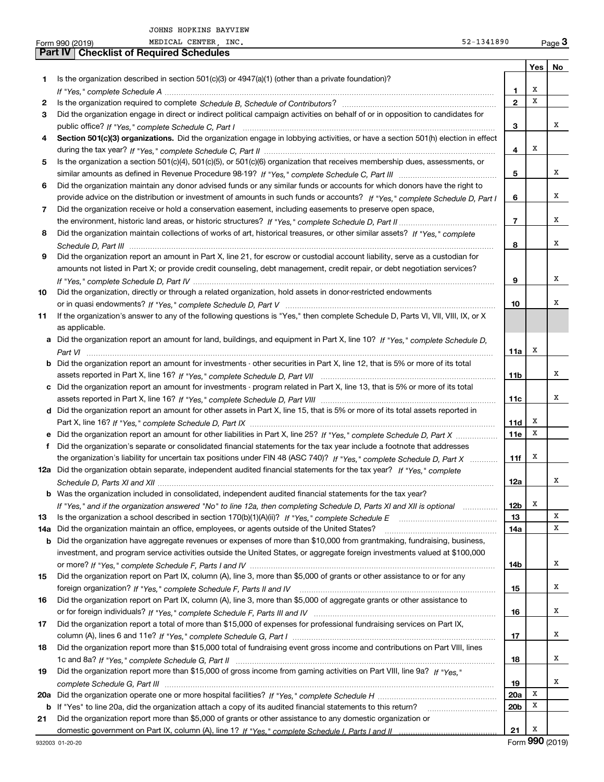|     | MEDICAL CENTER, INC.<br>52-1341890<br>Form 990 (2019)                                                                                 |                 |             | $Page$ 3 |
|-----|---------------------------------------------------------------------------------------------------------------------------------------|-----------------|-------------|----------|
|     | <b>Part IV   Checklist of Required Schedules</b>                                                                                      |                 |             |          |
|     |                                                                                                                                       |                 | Yes         | No       |
| 1.  | Is the organization described in section $501(c)(3)$ or $4947(a)(1)$ (other than a private foundation)?                               |                 |             |          |
|     |                                                                                                                                       | $\mathbf{1}$    | X           |          |
| 2   |                                                                                                                                       | $\mathbf{2}$    | x           |          |
| З   | Did the organization engage in direct or indirect political campaign activities on behalf of or in opposition to candidates for       |                 |             |          |
|     |                                                                                                                                       | 3               |             | X        |
| 4   | Section 501(c)(3) organizations. Did the organization engage in lobbying activities, or have a section 501(h) election in effect      |                 |             |          |
|     |                                                                                                                                       | 4               | х           |          |
| 5   | Is the organization a section 501(c)(4), 501(c)(5), or 501(c)(6) organization that receives membership dues, assessments, or          |                 |             |          |
|     |                                                                                                                                       | 5               |             | x        |
| 6   | Did the organization maintain any donor advised funds or any similar funds or accounts for which donors have the right to             |                 |             |          |
|     | provide advice on the distribution or investment of amounts in such funds or accounts? If "Yes," complete Schedule D, Part I          | 6               |             | x        |
|     |                                                                                                                                       |                 |             |          |
| 7   | Did the organization receive or hold a conservation easement, including easements to preserve open space,                             |                 |             | x        |
|     |                                                                                                                                       | $\overline{7}$  |             |          |
| 8   | Did the organization maintain collections of works of art, historical treasures, or other similar assets? If "Yes," complete          |                 |             |          |
|     |                                                                                                                                       | 8               |             | x        |
| 9   | Did the organization report an amount in Part X, line 21, for escrow or custodial account liability, serve as a custodian for         |                 |             |          |
|     | amounts not listed in Part X; or provide credit counseling, debt management, credit repair, or debt negotiation services?             |                 |             |          |
|     |                                                                                                                                       | 9               |             | x        |
| 10  | Did the organization, directly or through a related organization, hold assets in donor-restricted endowments                          |                 |             |          |
|     |                                                                                                                                       | 10              |             | X        |
| 11  | If the organization's answer to any of the following questions is "Yes," then complete Schedule D, Parts VI, VII, VIII, IX, or X      |                 |             |          |
|     | as applicable.                                                                                                                        |                 |             |          |
|     | a Did the organization report an amount for land, buildings, and equipment in Part X, line 10? If "Yes," complete Schedule D,         |                 |             |          |
|     |                                                                                                                                       | 11a             | х           |          |
|     | <b>b</b> Did the organization report an amount for investments - other securities in Part X, line 12, that is 5% or more of its total |                 |             |          |
|     |                                                                                                                                       | 11 <sub>b</sub> |             | x        |
|     | c Did the organization report an amount for investments - program related in Part X, line 13, that is 5% or more of its total         |                 |             |          |
|     |                                                                                                                                       | 11c             |             | x        |
|     | d Did the organization report an amount for other assets in Part X, line 15, that is 5% or more of its total assets reported in       |                 |             |          |
|     |                                                                                                                                       | 11d             | х           |          |
|     | e Did the organization report an amount for other liabilities in Part X, line 25? If "Yes," complete Schedule D, Part X               | 11e             | x           |          |
|     | f Did the organization's separate or consolidated financial statements for the tax year include a footnote that addresses             |                 |             |          |
|     | the organization's liability for uncertain tax positions under FIN 48 (ASC 740)? If "Yes," complete Schedule D, Part X                | 11f             | х           |          |
|     | 12a Did the organization obtain separate, independent audited financial statements for the tax year? If "Yes," complete               |                 |             |          |
|     |                                                                                                                                       | 12a             |             | x        |
|     | <b>b</b> Was the organization included in consolidated, independent audited financial statements for the tax year?                    |                 |             |          |
|     | If "Yes," and if the organization answered "No" to line 12a, then completing Schedule D, Parts XI and XII is optional                 | 12b             | х           |          |
| 13  |                                                                                                                                       | 13              |             | х        |
| 14a | Did the organization maintain an office, employees, or agents outside of the United States?                                           | 14a             |             | х        |
|     | <b>b</b> Did the organization have aggregate revenues or expenses of more than \$10,000 from grantmaking, fundraising, business,      |                 |             |          |
|     | investment, and program service activities outside the United States, or aggregate foreign investments valued at \$100,000            |                 |             |          |
|     |                                                                                                                                       | 14b             |             | x        |
| 15  | Did the organization report on Part IX, column (A), line 3, more than \$5,000 of grants or other assistance to or for any             |                 |             |          |
|     |                                                                                                                                       | 15              |             | x        |
| 16  | Did the organization report on Part IX, column (A), line 3, more than \$5,000 of aggregate grants or other assistance to              |                 |             |          |
|     |                                                                                                                                       |                 |             | х        |
|     |                                                                                                                                       | 16              |             |          |
| 17  | Did the organization report a total of more than \$15,000 of expenses for professional fundraising services on Part IX,               |                 |             | x        |
|     |                                                                                                                                       | 17              |             |          |
| 18  | Did the organization report more than \$15,000 total of fundraising event gross income and contributions on Part VIII, lines          |                 |             |          |
|     |                                                                                                                                       | 18              |             | x        |
| 19  | Did the organization report more than \$15,000 of gross income from gaming activities on Part VIII, line 9a? If "Yes."                |                 |             |          |
|     |                                                                                                                                       | 19              |             | х        |
| 20a |                                                                                                                                       | 20a             | Х           |          |
|     |                                                                                                                                       | 20 <sub>b</sub> | х           |          |
| 21  | Did the organization report more than \$5,000 of grants or other assistance to any domestic organization or                           |                 |             |          |
|     |                                                                                                                                       | 21              | х<br>$\sim$ |          |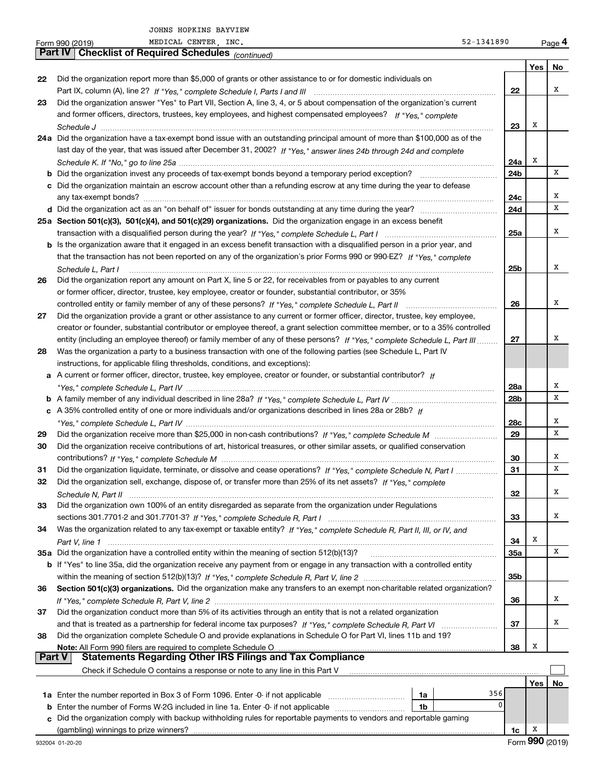|               | MEDICAL CENTER, INC.<br>52-1341890<br>Form 990 (2019)                                                                        |            |     | Page 4 |
|---------------|------------------------------------------------------------------------------------------------------------------------------|------------|-----|--------|
|               | <b>Checklist of Required Schedules (continued)</b><br>Part IV                                                                |            |     |        |
|               |                                                                                                                              |            | Yes | No     |
| 22            | Did the organization report more than \$5,000 of grants or other assistance to or for domestic individuals on                |            |     |        |
|               |                                                                                                                              | 22         |     | х      |
| 23            | Did the organization answer "Yes" to Part VII, Section A, line 3, 4, or 5 about compensation of the organization's current   |            |     |        |
|               | and former officers, directors, trustees, key employees, and highest compensated employees? If "Yes," complete               |            |     |        |
|               |                                                                                                                              | 23         | Х   |        |
|               | 24a Did the organization have a tax-exempt bond issue with an outstanding principal amount of more than \$100,000 as of the  |            |     |        |
|               | last day of the year, that was issued after December 31, 2002? If "Yes," answer lines 24b through 24d and complete           |            |     |        |
|               |                                                                                                                              | 24a        | х   | x      |
|               |                                                                                                                              | 24b        |     |        |
|               | c Did the organization maintain an escrow account other than a refunding escrow at any time during the year to defease       |            |     | х      |
|               |                                                                                                                              | 24c        |     | x      |
|               |                                                                                                                              | 24d        |     |        |
|               | 25a Section 501(c)(3), 501(c)(4), and 501(c)(29) organizations. Did the organization engage in an excess benefit             |            |     | х      |
|               |                                                                                                                              | 25a        |     |        |
|               | b Is the organization aware that it engaged in an excess benefit transaction with a disqualified person in a prior year, and |            |     |        |
|               | that the transaction has not been reported on any of the organization's prior Forms 990 or 990-EZ? If "Yes," complete        |            |     |        |
|               | Schedule L, Part I                                                                                                           | 25b        |     | x      |
| 26            | Did the organization report any amount on Part X, line 5 or 22, for receivables from or payables to any current              |            |     |        |
|               | or former officer, director, trustee, key employee, creator or founder, substantial contributor, or 35%                      |            |     |        |
|               |                                                                                                                              | 26         |     | х      |
| 27            | Did the organization provide a grant or other assistance to any current or former officer, director, trustee, key employee,  |            |     |        |
|               | creator or founder, substantial contributor or employee thereof, a grant selection committee member, or to a 35% controlled  |            |     |        |
|               | entity (including an employee thereof) or family member of any of these persons? If "Yes," complete Schedule L, Part III     | 27         |     | х      |
| 28            | Was the organization a party to a business transaction with one of the following parties (see Schedule L, Part IV            |            |     |        |
|               | instructions, for applicable filing thresholds, conditions, and exceptions):                                                 |            |     |        |
|               | a A current or former officer, director, trustee, key employee, creator or founder, or substantial contributor? If           |            |     |        |
|               |                                                                                                                              | 28a        |     | х      |
|               |                                                                                                                              | 28b        |     | х      |
|               | c A 35% controlled entity of one or more individuals and/or organizations described in lines 28a or 28b? If                  |            |     |        |
|               |                                                                                                                              | 28c        |     | х<br>x |
| 29            |                                                                                                                              | 29         |     |        |
| 30            | Did the organization receive contributions of art, historical treasures, or other similar assets, or qualified conservation  |            |     |        |
|               |                                                                                                                              | 30         |     | х<br>x |
| 31            | Did the organization liquidate, terminate, or dissolve and cease operations? If "Yes," complete Schedule N, Part I           | 31         |     |        |
|               | Did the organization sell, exchange, dispose of, or transfer more than 25% of its net assets? If "Yes," complete             |            |     |        |
|               |                                                                                                                              | 32         |     | х      |
| 33            | Did the organization own 100% of an entity disregarded as separate from the organization under Regulations                   |            |     | х      |
|               |                                                                                                                              | 33         |     |        |
| 34            | Was the organization related to any tax-exempt or taxable entity? If "Yes," complete Schedule R, Part II, III, or IV, and    |            | Х   |        |
|               |                                                                                                                              | 34         |     | x      |
|               | 35a Did the organization have a controlled entity within the meaning of section 512(b)(13)?                                  | <b>35a</b> |     |        |
|               | b If "Yes" to line 35a, did the organization receive any payment from or engage in any transaction with a controlled entity  |            |     |        |
|               |                                                                                                                              | 35b        |     |        |
| 36            | Section 501(c)(3) organizations. Did the organization make any transfers to an exempt non-charitable related organization?   |            |     |        |
|               |                                                                                                                              | 36         |     | x      |
| 37            | Did the organization conduct more than 5% of its activities through an entity that is not a related organization             |            |     |        |
|               |                                                                                                                              | 37         |     | х      |
| 38            | Did the organization complete Schedule O and provide explanations in Schedule O for Part VI, lines 11b and 19?               |            |     |        |
| <b>Part V</b> | Note: All Form 990 filers are required to complete Schedule O                                                                | 38         | x   |        |
|               | <b>Statements Regarding Other IRS Filings and Tax Compliance</b>                                                             |            |     |        |
|               | Check if Schedule O contains a response or note to any line in this Part V                                                   |            |     |        |
|               | 356                                                                                                                          |            | Yes | No     |
|               | 1a                                                                                                                           | 0          |     |        |
|               | <b>b</b> Enter the number of Forms W-2G included in line 1a. Enter -0- if not applicable <i>manumumumum</i><br>1b            |            |     |        |
|               | c Did the organization comply with backup withholding rules for reportable payments to vendors and reportable gaming         |            |     |        |

(gambling) winnings to prize winners?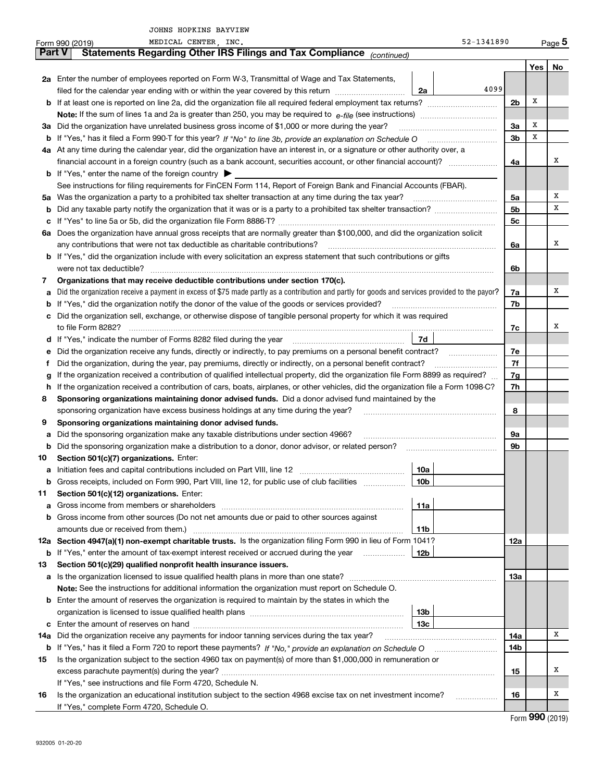|        | MEDICAL CENTER, INC.<br>Form 990 (2019)                                                                                                         | 52-1341890             |                |              | $_{\text{Page}}$ 5 |
|--------|-------------------------------------------------------------------------------------------------------------------------------------------------|------------------------|----------------|--------------|--------------------|
| Part V | Statements Regarding Other IRS Filings and Tax Compliance (continued)                                                                           |                        |                |              |                    |
|        |                                                                                                                                                 |                        |                | Yes          | No                 |
|        | 2a Enter the number of employees reported on Form W-3, Transmittal of Wage and Tax Statements,                                                  |                        |                |              |                    |
|        | filed for the calendar year ending with or within the year covered by this return                                                               | 4099<br>2a             |                |              |                    |
|        | <b>b</b> If at least one is reported on line 2a, did the organization file all required federal employment tax returns?                         |                        | 2 <sub>b</sub> | х            |                    |
|        | <b>Note:</b> If the sum of lines 1a and 2a is greater than 250, you may be required to $e$ -file (see instructions) <i>marrouum</i> manu-       |                        |                |              |                    |
|        | 3a Did the organization have unrelated business gross income of \$1,000 or more during the year?                                                |                        | 3a             | х            |                    |
| b      | If "Yes," has it filed a Form 990-T for this year? If "No" to line 3b, provide an explanation on Schedule O                                     |                        | 3b             | X            |                    |
|        | 4a At any time during the calendar year, did the organization have an interest in, or a signature or other authority over, a                    |                        |                |              |                    |
|        |                                                                                                                                                 |                        | 4a             |              | x                  |
|        | <b>b</b> If "Yes," enter the name of the foreign country $\blacktriangleright$                                                                  |                        |                |              |                    |
|        | See instructions for filing requirements for FinCEN Form 114, Report of Foreign Bank and Financial Accounts (FBAR).                             |                        |                |              |                    |
|        | 5a Was the organization a party to a prohibited tax shelter transaction at any time during the tax year?                                        |                        | 5a             |              | х                  |
| b      |                                                                                                                                                 |                        | 5 <sub>b</sub> |              | х                  |
| c      |                                                                                                                                                 |                        | 5c             |              |                    |
|        | 6a Does the organization have annual gross receipts that are normally greater than \$100,000, and did the organization solicit                  |                        |                |              |                    |
|        | any contributions that were not tax deductible as charitable contributions?                                                                     |                        | 6a             |              | x                  |
|        | <b>b</b> If "Yes," did the organization include with every solicitation an express statement that such contributions or gifts                   |                        |                |              |                    |
|        | were not tax deductible?                                                                                                                        |                        | 6b             |              |                    |
| 7      | Organizations that may receive deductible contributions under section 170(c).                                                                   |                        |                |              |                    |
| а      | Did the organization receive a payment in excess of \$75 made partly as a contribution and partly for goods and services provided to the payor? |                        | 7a             |              | х                  |
| b      | If "Yes," did the organization notify the donor of the value of the goods or services provided?                                                 |                        | 7b             |              |                    |
| c      | Did the organization sell, exchange, or otherwise dispose of tangible personal property for which it was required                               |                        |                |              |                    |
|        | to file Form 8282?                                                                                                                              |                        | 7c             |              | x                  |
|        | d If "Yes," indicate the number of Forms 8282 filed during the year                                                                             | 7d                     |                |              |                    |
| е      | Did the organization receive any funds, directly or indirectly, to pay premiums on a personal benefit contract?                                 |                        | 7е             |              |                    |
| f      | Did the organization, during the year, pay premiums, directly or indirectly, on a personal benefit contract?                                    |                        | 7f             |              |                    |
| g      | If the organization received a contribution of qualified intellectual property, did the organization file Form 8899 as required?                |                        | 7g             |              |                    |
|        | h If the organization received a contribution of cars, boats, airplanes, or other vehicles, did the organization file a Form 1098-C?            |                        | 7h             |              |                    |
| 8      | Sponsoring organizations maintaining donor advised funds. Did a donor advised fund maintained by the                                            |                        |                |              |                    |
|        | sponsoring organization have excess business holdings at any time during the year?                                                              |                        | 8              |              |                    |
| 9      | Sponsoring organizations maintaining donor advised funds.                                                                                       |                        |                |              |                    |
| а      | Did the sponsoring organization make any taxable distributions under section 4966?                                                              |                        | 9a             |              |                    |
| b      | Did the sponsoring organization make a distribution to a donor, donor advisor, or related person?                                               |                        | 9b             |              |                    |
| 10     | Section 501(c)(7) organizations. Enter:                                                                                                         |                        |                |              |                    |
|        | <b>a</b> Initiation fees and capital contributions included on Part VIII, line 12 <i>manuarrouus</i> manuations of                              | 10a                    |                |              |                    |
| b      | Gross receipts, included on Form 990, Part VIII, line 12, for public use of club facilities                                                     | 10b                    |                |              |                    |
| 11     | Section 501(c)(12) organizations. Enter:                                                                                                        |                        |                |              |                    |
| а      |                                                                                                                                                 | 11a                    |                |              |                    |
| b      | Gross income from other sources (Do not net amounts due or paid to other sources against                                                        |                        |                |              |                    |
|        |                                                                                                                                                 | 11b                    |                |              |                    |
|        | 12a Section 4947(a)(1) non-exempt charitable trusts. Is the organization filing Form 990 in lieu of Form 1041?                                  |                        | 12a            |              |                    |
| b      | If "Yes," enter the amount of tax-exempt interest received or accrued during the year                                                           | 12b                    |                |              |                    |
| 13     | Section 501(c)(29) qualified nonprofit health insurance issuers.                                                                                |                        |                |              |                    |
| а      |                                                                                                                                                 |                        | 13а            |              |                    |
|        | Note: See the instructions for additional information the organization must report on Schedule O.                                               |                        |                |              |                    |
|        | <b>b</b> Enter the amount of reserves the organization is required to maintain by the states in which the                                       |                        |                |              |                    |
|        |                                                                                                                                                 | 13 <sub>b</sub><br>13с |                |              |                    |
| c      |                                                                                                                                                 |                        |                |              | х                  |
| 14a    | Did the organization receive any payments for indoor tanning services during the tax year?                                                      |                        | 14a            |              |                    |
| b      |                                                                                                                                                 |                        | 14b            |              |                    |
| 15     | Is the organization subject to the section 4960 tax on payment(s) of more than \$1,000,000 in remuneration or                                   |                        |                |              | x                  |
|        |                                                                                                                                                 |                        | 15             |              |                    |
|        | If "Yes," see instructions and file Form 4720, Schedule N.                                                                                      |                        |                |              | x                  |
| 16     | Is the organization an educational institution subject to the section 4968 excise tax on net investment income?                                 | .                      | 16             |              |                    |
|        | If "Yes," complete Form 4720, Schedule O.                                                                                                       |                        |                | റററ <i>ം</i> |                    |

Form (2019) **990**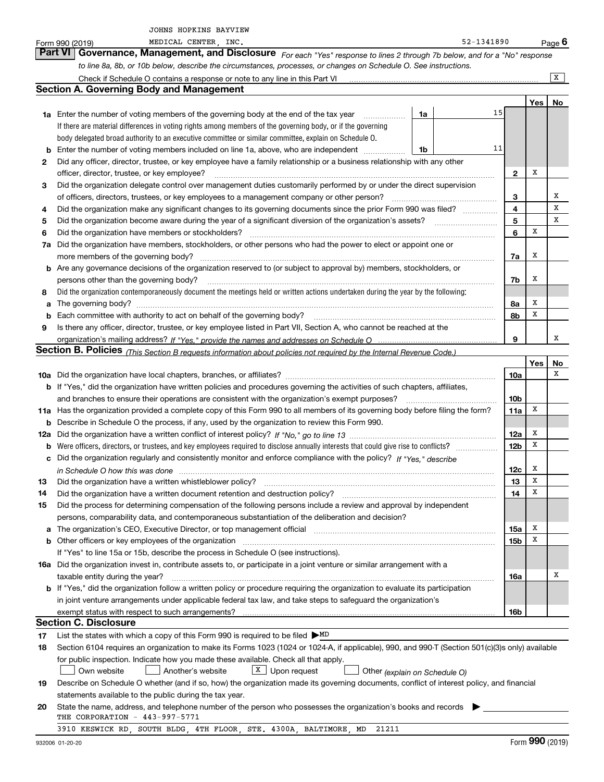|     | JOHNS HOPKINS BAYVIEW                                                                                                                                                                                                          |                 |     |                         |
|-----|--------------------------------------------------------------------------------------------------------------------------------------------------------------------------------------------------------------------------------|-----------------|-----|-------------------------|
|     | MEDICAL CENTER, INC.<br>52-1341890<br>Form 990 (2019)                                                                                                                                                                          |                 |     | <u>Page</u> 6           |
|     | Part VI   Governance, Management, and Disclosure For each "Yes" response to lines 2 through 7b below, and for a "No" response                                                                                                  |                 |     |                         |
|     | to line 8a, 8b, or 10b below, describe the circumstances, processes, or changes on Schedule O. See instructions.                                                                                                               |                 |     |                         |
|     |                                                                                                                                                                                                                                |                 |     | $\overline{\mathbf{x}}$ |
|     | <b>Section A. Governing Body and Management</b>                                                                                                                                                                                |                 |     |                         |
|     |                                                                                                                                                                                                                                |                 | Yes | No                      |
|     | 15<br>1a Enter the number of voting members of the governing body at the end of the tax year<br>1a                                                                                                                             |                 |     |                         |
|     | If there are material differences in voting rights among members of the governing body, or if the governing                                                                                                                    |                 |     |                         |
|     | body delegated broad authority to an executive committee or similar committee, explain on Schedule O.                                                                                                                          |                 |     |                         |
| b   | 11<br>Enter the number of voting members included on line 1a, above, who are independent<br>1b                                                                                                                                 |                 |     |                         |
| 2   | Did any officer, director, trustee, or key employee have a family relationship or a business relationship with any other                                                                                                       |                 |     |                         |
|     | officer, director, trustee, or key employee?                                                                                                                                                                                   | $\mathbf{2}$    | Х   |                         |
| 3   | Did the organization delegate control over management duties customarily performed by or under the direct supervision                                                                                                          |                 |     |                         |
|     |                                                                                                                                                                                                                                | 3               |     | Х                       |
| 4   | Did the organization make any significant changes to its governing documents since the prior Form 990 was filed?                                                                                                               | 4               |     | х                       |
| 5   |                                                                                                                                                                                                                                | 5               | х   | х                       |
| 6   |                                                                                                                                                                                                                                | 6               |     |                         |
| 7a  | Did the organization have members, stockholders, or other persons who had the power to elect or appoint one or                                                                                                                 |                 | Х   |                         |
|     | <b>b</b> Are any governance decisions of the organization reserved to (or subject to approval by) members, stockholders, or                                                                                                    | 7a              |     |                         |
|     | persons other than the governing body?                                                                                                                                                                                         | 7b              | Х   |                         |
| 8   | Did the organization contemporaneously document the meetings held or written actions undertaken during the year by the following:                                                                                              |                 |     |                         |
| а   |                                                                                                                                                                                                                                | 8a              | Х   |                         |
| b   |                                                                                                                                                                                                                                | 8b              | X   |                         |
| 9   | Is there any officer, director, trustee, or key employee listed in Part VII, Section A, who cannot be reached at the                                                                                                           |                 |     |                         |
|     |                                                                                                                                                                                                                                | 9               |     | x                       |
|     | <b>Section B. Policies</b> (This Section B requests information about policies not required by the Internal Revenue Code.)                                                                                                     |                 |     |                         |
|     |                                                                                                                                                                                                                                |                 | Yes | No                      |
|     |                                                                                                                                                                                                                                | 10a             |     | х                       |
|     | <b>b</b> If "Yes," did the organization have written policies and procedures governing the activities of such chapters, affiliates,                                                                                            |                 |     |                         |
|     |                                                                                                                                                                                                                                | 10 <sub>b</sub> |     |                         |
|     | 11a Has the organization provided a complete copy of this Form 990 to all members of its governing body before filing the form?                                                                                                | 11a             | х   |                         |
| b   | Describe in Schedule O the process, if any, used by the organization to review this Form 990.                                                                                                                                  |                 |     |                         |
| 12a |                                                                                                                                                                                                                                | 12a             | Х   |                         |
| b   |                                                                                                                                                                                                                                | 12 <sub>b</sub> | X   |                         |
| с   | Did the organization regularly and consistently monitor and enforce compliance with the policy? If "Yes," describe                                                                                                             |                 |     |                         |
|     | in Schedule O how this was done                                                                                                                                                                                                | 12c             | x   |                         |
| 13  |                                                                                                                                                                                                                                | 13              | х   |                         |
| 14  | Did the organization have a written document retention and destruction policy?                                                                                                                                                 | 14              | х   |                         |
| 15  | Did the process for determining compensation of the following persons include a review and approval by independent                                                                                                             |                 |     |                         |
|     | persons, comparability data, and contemporaneous substantiation of the deliberation and decision?                                                                                                                              |                 |     |                         |
| а   | The organization's CEO, Executive Director, or top management official manufactured contains and contained a manufactured with the organization's CEO, Executive Director, or top management official manufactured with the st | 15a             | X   |                         |
| b   | Other officers or key employees of the organization manufactured content to the organization of the organization manufactured content of the organization manufactured content of the organization manufactured content of the | 15b             | х   |                         |
|     | If "Yes" to line 15a or 15b, describe the process in Schedule O (see instructions).                                                                                                                                            |                 |     |                         |
|     | 16a Did the organization invest in, contribute assets to, or participate in a joint venture or similar arrangement with a                                                                                                      |                 |     |                         |
|     | taxable entity during the year?                                                                                                                                                                                                | 16a             |     | х                       |
|     | <b>b</b> If "Yes," did the organization follow a written policy or procedure requiring the organization to evaluate its participation                                                                                          |                 |     |                         |
|     | in joint venture arrangements under applicable federal tax law, and take steps to safeguard the organization's                                                                                                                 |                 |     |                         |
|     |                                                                                                                                                                                                                                | 16b             |     |                         |
|     | <b>Section C. Disclosure</b>                                                                                                                                                                                                   |                 |     |                         |
| 17  | List the states with which a copy of this Form 990 is required to be filed $\triangleright$ MD                                                                                                                                 |                 |     |                         |
| 18  | Section 6104 requires an organization to make its Forms 1023 (1024 or 1024-A, if applicable), 990, and 990-T (Section 501(c)(3)s only) available                                                                               |                 |     |                         |
|     | for public inspection. Indicate how you made these available. Check all that apply.                                                                                                                                            |                 |     |                         |
|     | Another's website<br>$X$ Upon request<br>Own website<br>Other (explain on Schedule O)                                                                                                                                          |                 |     |                         |
| 19  | Describe on Schedule O whether (and if so, how) the organization made its governing documents, conflict of interest policy, and financial                                                                                      |                 |     |                         |
|     | statements available to the public during the tax year.                                                                                                                                                                        |                 |     |                         |
| 20  | State the name, address, and telephone number of the person who possesses the organization's books and records<br>$THT$ CORPORATION - $112-997-5771$                                                                           |                 |     |                         |

| THE CORPORATION - 443-997-5771 |  |                                                                    |  |  |  |  |  |  |  |  |
|--------------------------------|--|--------------------------------------------------------------------|--|--|--|--|--|--|--|--|
|                                |  | 3910 KESWICK RD SOUTH BLDG 4TH FLOOR STE, 4300A BALTIMORE MD 21211 |  |  |  |  |  |  |  |  |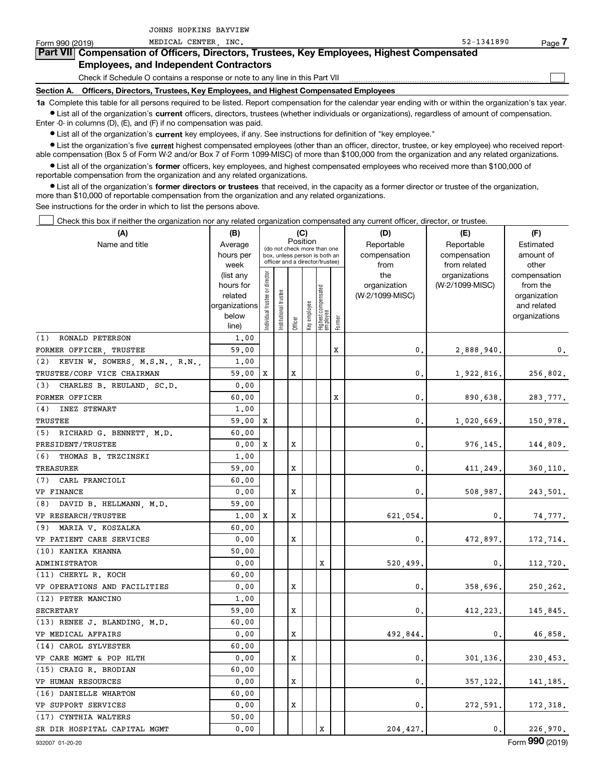| Form 990 (2019)                               | MEDICAL CENTER INC.                                                                                                                                        | $52 - 1341890$ | Page |  |  |  |  |  |  |  |
|-----------------------------------------------|------------------------------------------------------------------------------------------------------------------------------------------------------------|----------------|------|--|--|--|--|--|--|--|
|                                               | Part VII Compensation of Officers, Directors, Trustees, Key Employees, Highest Compensated                                                                 |                |      |  |  |  |  |  |  |  |
| <b>Employees, and Independent Contractors</b> |                                                                                                                                                            |                |      |  |  |  |  |  |  |  |
|                                               | Check if Schedule O contains a response or note to any line in this Part VII                                                                               |                |      |  |  |  |  |  |  |  |
| <b>Section A.</b>                             | Officers, Directors, Trustees, Key Employees, and Highest Compensated Employees                                                                            |                |      |  |  |  |  |  |  |  |
|                                               | 1a Complete this table for all persons required to be listed. Report compensation for the calendar year ending with or within the organization's tax year. |                |      |  |  |  |  |  |  |  |

**•** List all of the organization's current officers, directors, trustees (whether individuals or organizations), regardless of amount of compensation. Enter -0- in columns (D), (E), and (F) if no compensation was paid.

 $\bullet$  List all of the organization's  $\,$ current key employees, if any. See instructions for definition of "key employee."

JOHNS HOPKINS BAYVIEW

**•** List the organization's five current highest compensated employees (other than an officer, director, trustee, or key employee) who received reportable compensation (Box 5 of Form W-2 and/or Box 7 of Form 1099-MISC) of more than \$100,000 from the organization and any related organizations.

**•** List all of the organization's former officers, key employees, and highest compensated employees who received more than \$100,000 of reportable compensation from the organization and any related organizations.

**former directors or trustees**  ¥ List all of the organization's that received, in the capacity as a former director or trustee of the organization, more than \$10,000 of reportable compensation from the organization and any related organizations.

See instructions for the order in which to list the persons above.

Check this box if neither the organization nor any related organization compensated any current officer, director, or trustee.  $\mathcal{L}^{\text{max}}$ 

| (A)                                | (B)                      |                                         |                                                                  |         | (C)          |                                 |        | (D)             | (E)             | (F)                         |
|------------------------------------|--------------------------|-----------------------------------------|------------------------------------------------------------------|---------|--------------|---------------------------------|--------|-----------------|-----------------|-----------------------------|
| Name and title                     | Average                  | Position<br>(do not check more than one |                                                                  |         |              |                                 |        | Reportable      | Reportable      | Estimated                   |
|                                    | hours per                |                                         | box, unless person is both an<br>officer and a director/trustee) |         |              |                                 |        | compensation    | compensation    | amount of                   |
|                                    | week                     |                                         |                                                                  |         |              |                                 |        | from            | from related    | other                       |
|                                    | (list any                |                                         |                                                                  |         |              |                                 |        | the             | organizations   | compensation                |
|                                    | hours for                |                                         |                                                                  |         |              |                                 |        | organization    | (W-2/1099-MISC) | from the                    |
|                                    | related<br>organizations |                                         |                                                                  |         |              |                                 |        | (W-2/1099-MISC) |                 | organization<br>and related |
|                                    | below                    |                                         |                                                                  |         |              |                                 |        |                 |                 | organizations               |
|                                    | line)                    | ndividual trustee or director           | nstitutional trustee                                             | Officer | Key employee | Highest compensated<br>employee | Former |                 |                 |                             |
| RONALD PETERSON<br>(1)             | 1,00                     |                                         |                                                                  |         |              |                                 |        |                 |                 |                             |
| FORMER OFFICER, TRUSTEE            | 59.00                    |                                         |                                                                  |         |              |                                 | х      | 0.              | 2,888,940.      | 0.                          |
| (2) KEVIN W. SOWERS, M.S.N., R.N., | 1,00                     |                                         |                                                                  |         |              |                                 |        |                 |                 |                             |
| TRUSTEE/CORP VICE CHAIRMAN         | 59,00                    | X                                       |                                                                  | x       |              |                                 |        | 0.              | 1,922,816.      | 256,802.                    |
| (3)<br>CHARLES B. REULAND, SC.D.   | 0.00                     |                                         |                                                                  |         |              |                                 |        |                 |                 |                             |
| FORMER OFFICER                     | 60.00                    |                                         |                                                                  |         |              |                                 | х      | $\mathbf{0}$ .  | 890,638.        | 283,777.                    |
| (4)<br><b>INEZ STEWART</b>         | 1,00                     |                                         |                                                                  |         |              |                                 |        |                 |                 |                             |
| TRUSTEE                            | 59.00                    | X                                       |                                                                  |         |              |                                 |        | $\mathbf 0$ .   | 1,020,669.      | 150,978.                    |
| (5) RICHARD G. BENNETT, M.D.       | 60.00                    |                                         |                                                                  |         |              |                                 |        |                 |                 |                             |
| PRESIDENT/TRUSTEE                  | 0.00                     | X                                       |                                                                  | X       |              |                                 |        | 0.              | 976,145.        | 144,809.                    |
| (6)<br>THOMAS B. TRZCINSKI         | 1,00                     |                                         |                                                                  |         |              |                                 |        |                 |                 |                             |
| TREASURER                          | 59.00                    |                                         |                                                                  | X       |              |                                 |        | 0.              | 411,249.        | 360,110.                    |
| (7) CARL FRANCIOLI                 | 60.00                    |                                         |                                                                  |         |              |                                 |        |                 |                 |                             |
| VP FINANCE                         | 0.00                     |                                         |                                                                  | X       |              |                                 |        | 0.              | 508,987.        | 243,501.                    |
| (8) DAVID B. HELLMANN, M.D.        | 59.00                    |                                         |                                                                  |         |              |                                 |        |                 |                 |                             |
| VP RESEARCH/TRUSTEE                | 1,00                     | X                                       |                                                                  | X       |              |                                 |        | 621,054.        | 0.              | 74,777.                     |
| (9) MARIA V. KOSZALKA              | 60.00                    |                                         |                                                                  |         |              |                                 |        |                 |                 |                             |
| VP PATIENT CARE SERVICES           | 0.00                     |                                         |                                                                  | X       |              |                                 |        | 0.              | 472,897.        | 172,714.                    |
| (10) KANIKA KHANNA                 | 50.00                    |                                         |                                                                  |         |              |                                 |        |                 |                 |                             |
| ADMINISTRATOR                      | 0.00                     |                                         |                                                                  |         |              | х                               |        | 520,499.        | 0.              | 112,720.                    |
| (11) CHERYL R. KOCH                | 60.00                    |                                         |                                                                  |         |              |                                 |        |                 |                 |                             |
| VP OPERATIONS AND FACILITIES       | 0.00                     |                                         |                                                                  | X       |              |                                 |        | 0.              | 358,696.        | 250, 262.                   |
| (12) PETER MANCINO                 | 1.00                     |                                         |                                                                  |         |              |                                 |        |                 |                 |                             |
| SECRETARY                          | 59.00                    |                                         |                                                                  | X       |              |                                 |        | 0.              | 412,223.        | 145,845.                    |
| (13) RENEE J. BLANDING, M.D.       | 60.00                    |                                         |                                                                  |         |              |                                 |        |                 |                 |                             |
| VP MEDICAL AFFAIRS                 | 0.00                     |                                         |                                                                  | X       |              |                                 |        | 492,844.        | 0.              | 46,858.                     |
| (14) CAROL SYLVESTER               | 60.00                    |                                         |                                                                  |         |              |                                 |        |                 |                 |                             |
| VP CARE MGMT & POP HLTH            | 0.00                     |                                         |                                                                  | x       |              |                                 |        | 0.              | 301,136.        | 230,453.                    |
| (15) CRAIG R. BRODIAN              | 60.00                    |                                         |                                                                  |         |              |                                 |        |                 |                 |                             |
| VP HUMAN RESOURCES                 | 0.00                     |                                         |                                                                  | X       |              |                                 |        | 0.              | 357,122.        | 141,185.                    |
| (16) DANIELLE WHARTON              | 60.00                    |                                         |                                                                  |         |              |                                 |        |                 |                 |                             |
| VP SUPPORT SERVICES                | 0.00                     |                                         |                                                                  | x       |              |                                 |        | 0.              | 272,591.        | 172,318.                    |
| (17) CYNTHIA WALTERS               | 50.00                    |                                         |                                                                  |         |              |                                 |        |                 |                 |                             |
| SR DIR HOSPITAL CAPITAL MGMT       | 0.00                     |                                         |                                                                  |         |              | X                               |        | 204,427.        | $\mathbf{0}$ .  | 226,970.                    |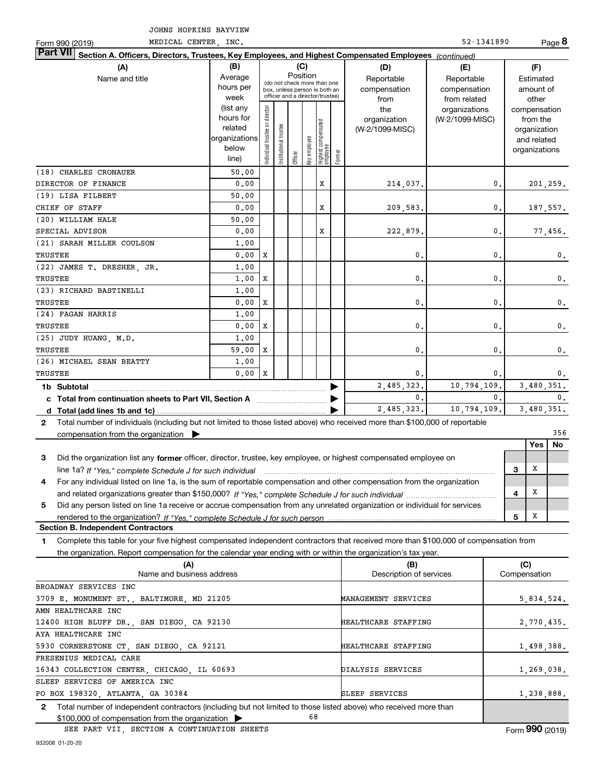| MEDICAL CENTER, INC.<br>Form 990 (2019)                                                                                                      |                      |                                         |                                                                  |         |              |                                   |            |                         | 52-1341890      |              |                             | Page 8         |
|----------------------------------------------------------------------------------------------------------------------------------------------|----------------------|-----------------------------------------|------------------------------------------------------------------|---------|--------------|-----------------------------------|------------|-------------------------|-----------------|--------------|-----------------------------|----------------|
| <b>Part VII</b><br>Section A. Officers, Directors, Trustees, Key Employees, and Highest Compensated Employees (continued)                    |                      |                                         |                                                                  |         |              |                                   |            |                         |                 |              |                             |                |
| (A)                                                                                                                                          | (B)<br>(C)           |                                         |                                                                  |         |              |                                   |            | (D)                     | (E)             |              | (F)                         |                |
| Name and title                                                                                                                               | Average              | Position<br>(do not check more than one |                                                                  |         |              | Reportable                        | Reportable |                         | Estimated       |              |                             |                |
|                                                                                                                                              | hours per            |                                         | box, unless person is both an<br>officer and a director/trustee) |         |              |                                   |            | compensation            | compensation    |              | amount of                   |                |
|                                                                                                                                              | week                 |                                         |                                                                  |         |              |                                   |            | from                    | from related    |              | other                       |                |
|                                                                                                                                              | (list any            |                                         |                                                                  |         |              |                                   |            | the                     | organizations   |              | compensation                |                |
|                                                                                                                                              | hours for<br>related |                                         |                                                                  |         |              |                                   |            | organization            | (W-2/1099-MISC) |              | from the                    |                |
|                                                                                                                                              | organizations        |                                         |                                                                  |         |              |                                   |            | (W-2/1099-MISC)         |                 |              | organization<br>and related |                |
|                                                                                                                                              | below                |                                         |                                                                  |         |              |                                   |            |                         |                 |              | organizations               |                |
|                                                                                                                                              | line)                | Individual trustee or director          | Institutional trustee                                            | Officer | key employee | Highest compensated<br>  employee | Former     |                         |                 |              |                             |                |
| (18) CHARLES CRONAUER                                                                                                                        | 50.00                |                                         |                                                                  |         |              |                                   |            |                         |                 |              |                             |                |
| DIRECTOR OF FINANCE                                                                                                                          | 0.00                 |                                         |                                                                  |         |              | x                                 |            | 214,037.                | $\mathbf{0}$ .  |              |                             | 201, 259.      |
| (19) LISA FILBERT                                                                                                                            | 50.00                |                                         |                                                                  |         |              |                                   |            |                         |                 |              |                             |                |
| CHIEF OF STAFF                                                                                                                               | 0.00                 |                                         |                                                                  |         |              | x                                 |            | 209,583.                | $\mathbf{0}$ .  |              |                             | 187,557.       |
| (20) WILLIAM HALE                                                                                                                            | 50.00                |                                         |                                                                  |         |              |                                   |            |                         |                 |              |                             |                |
| SPECIAL ADVISOR                                                                                                                              | 0.00                 |                                         |                                                                  |         |              | x                                 |            | 222,879.                | $\mathbf{0}$ .  |              |                             | 77,456.        |
| (21) SARAH MILLER COULSON                                                                                                                    | 1,00                 |                                         |                                                                  |         |              |                                   |            |                         |                 |              |                             |                |
| <b>TRUSTEE</b>                                                                                                                               | 0.00                 | X                                       |                                                                  |         |              |                                   |            | 0.                      | 0.              |              |                             | $\mathbf 0$ .  |
| (22) JAMES T. DRESHER JR.                                                                                                                    |                      |                                         |                                                                  |         |              |                                   |            |                         |                 |              |                             |                |
|                                                                                                                                              | 1,00                 |                                         |                                                                  |         |              |                                   |            |                         |                 |              |                             |                |
| TRUSTEE                                                                                                                                      | 1,00                 | X                                       |                                                                  |         |              |                                   |            | 0.                      | 0.              |              |                             | $\mathbf 0$ .  |
| (23) RICHARD BASTINELLI                                                                                                                      | 1,00                 |                                         |                                                                  |         |              |                                   |            |                         |                 |              |                             |                |
| TRUSTEE                                                                                                                                      | 0.00                 | X                                       |                                                                  |         |              |                                   |            | 0.                      | 0.              |              |                             | $\mathbf 0$ .  |
| (24) FAGAN HARRIS                                                                                                                            | 1,00                 |                                         |                                                                  |         |              |                                   |            |                         |                 |              |                             |                |
| TRUSTEE                                                                                                                                      | 0.00                 | X                                       |                                                                  |         |              |                                   |            | 0.                      | 0.              |              |                             | $\mathbf 0$ .  |
| (25) JUDY HUANG, M.D.                                                                                                                        | 1,00                 |                                         |                                                                  |         |              |                                   |            |                         |                 |              |                             |                |
| TRUSTEE                                                                                                                                      | 59.00                | X                                       |                                                                  |         |              |                                   |            | 0.                      | 0.              |              |                             | $\mathbf 0$ .  |
| (26) MICHAEL SEAN BEATTY                                                                                                                     | 1,00                 |                                         |                                                                  |         |              |                                   |            |                         |                 |              |                             |                |
| TRUSTEE                                                                                                                                      | 0.00                 | X                                       |                                                                  |         |              |                                   |            | $\mathbf{0}$ .          | $\mathbf{0}$ .  |              |                             | 0.             |
|                                                                                                                                              |                      |                                         |                                                                  |         |              |                                   |            | 2,485,323.              | 10,794,109.     |              |                             | 3,480,351.     |
| c Total from continuation sheets to Part VII, Section A manufactured and response Total from extension                                       |                      |                                         |                                                                  |         |              |                                   |            | $\mathbf{0}$ .          | $\mathbf{0}$ .  |              |                             | $\mathbf{0}$ . |
|                                                                                                                                              |                      |                                         |                                                                  |         |              |                                   |            | 2,485,323.              | 10,794,109.     |              |                             | 3,480,351.     |
| Total number of individuals (including but not limited to those listed above) who received more than \$100,000 of reportable<br>$\mathbf{2}$ |                      |                                         |                                                                  |         |              |                                   |            |                         |                 |              |                             |                |
| compensation from the organization                                                                                                           |                      |                                         |                                                                  |         |              |                                   |            |                         |                 |              |                             | 356            |
|                                                                                                                                              |                      |                                         |                                                                  |         |              |                                   |            |                         |                 |              | Yes                         | No             |
| Did the organization list any former officer, director, trustee, key employee, or highest compensated employee on<br>3                       |                      |                                         |                                                                  |         |              |                                   |            |                         |                 |              |                             |                |
| line 1a? If "Yes," complete Schedule J for such individual manufactured contained and the Ves," complete Schedule J for such individual      |                      |                                         |                                                                  |         |              |                                   |            |                         |                 | 3            | Х                           |                |
| For any individual listed on line 1a, is the sum of reportable compensation and other compensation from the organization                     |                      |                                         |                                                                  |         |              |                                   |            |                         |                 |              |                             |                |
|                                                                                                                                              |                      |                                         |                                                                  |         |              |                                   |            |                         |                 | 4            | X                           |                |
| Did any person listed on line 1a receive or accrue compensation from any unrelated organization or individual for services<br>5              |                      |                                         |                                                                  |         |              |                                   |            |                         |                 |              |                             |                |
|                                                                                                                                              |                      |                                         |                                                                  |         |              |                                   |            |                         |                 | 5            | x                           |                |
| <b>Section B. Independent Contractors</b>                                                                                                    |                      |                                         |                                                                  |         |              |                                   |            |                         |                 |              |                             |                |
| Complete this table for your five highest compensated independent contractors that received more than \$100,000 of compensation from<br>1    |                      |                                         |                                                                  |         |              |                                   |            |                         |                 |              |                             |                |
| the organization. Report compensation for the calendar year ending with or within the organization's tax year.                               |                      |                                         |                                                                  |         |              |                                   |            |                         |                 |              |                             |                |
| (A)                                                                                                                                          |                      |                                         |                                                                  |         |              |                                   |            | (B)                     |                 | (C)          |                             |                |
| Name and business address                                                                                                                    |                      |                                         |                                                                  |         |              |                                   |            | Description of services |                 | Compensation |                             |                |
| BROADWAY SERVICES INC                                                                                                                        |                      |                                         |                                                                  |         |              |                                   |            |                         |                 |              |                             |                |
| 3709 E. MONUMENT ST., BALTIMORE, MD 21205                                                                                                    |                      |                                         |                                                                  |         |              |                                   |            | MANAGEMENT SERVICES     |                 |              |                             | 5,834,524.     |
| AMN HEALTHCARE INC                                                                                                                           |                      |                                         |                                                                  |         |              |                                   |            |                         |                 |              |                             |                |
| 12400 HIGH BLUFF DR., SAN DIEGO, CA 92130                                                                                                    |                      |                                         |                                                                  |         |              |                                   |            | HEALTHCARE STAFFING     |                 |              |                             | 2,770,435.     |
| AYA HEALTHCARE INC                                                                                                                           |                      |                                         |                                                                  |         |              |                                   |            |                         |                 |              |                             |                |
| 5930 CORNERSTONE CT, SAN DIEGO, CA 92121<br>HEALTHCARE STAFFING<br>1,498,388.                                                                |                      |                                         |                                                                  |         |              |                                   |            |                         |                 |              |                             |                |
| FRESENIUS MEDICAL CARE                                                                                                                       |                      |                                         |                                                                  |         |              |                                   |            |                         |                 |              |                             |                |
| 16343 COLLECTION CENTER, CHICAGO, IL 60693                                                                                                   |                      |                                         |                                                                  |         |              |                                   |            | DIALYSIS SERVICES       |                 |              |                             | 1,269,038.     |
| SLEEP SERVICES OF AMERICA INC                                                                                                                |                      |                                         |                                                                  |         |              |                                   |            |                         |                 |              |                             |                |

**2**Total number of independent contractors (including but not limited to those listed above) who received more than \$100,000 of compensation from the organization  $\blacktriangleright$ PO BOX 198320, ATLANTA, GA 30384 68

SLEEP SERVICES

SEE PART VII, SECTION A CONTINUATION SHEETS

1,238,888.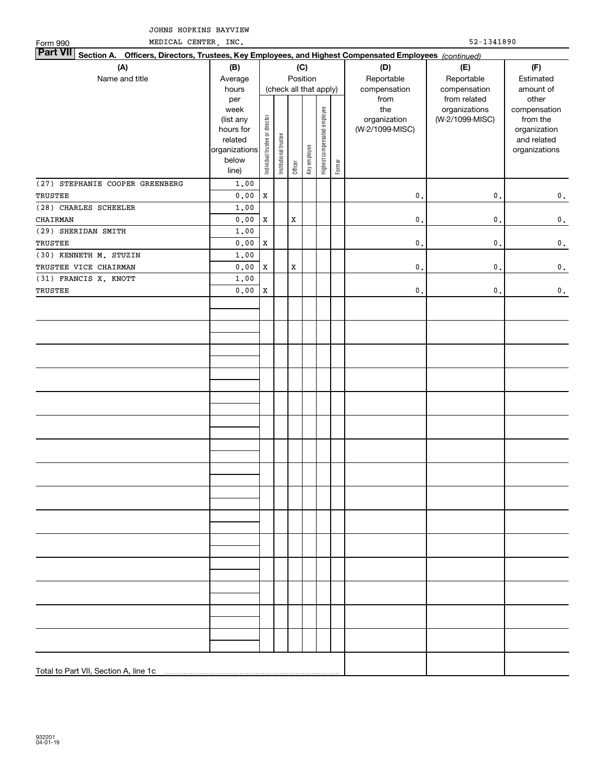MEDICAL CENTER, INC. 52-1341890

| Form 990                                                                                                        | MEDICAL CENTER, INC.                                                                |                                |                       |                                           |              |                              |        |                                                | $52 - 1341890$                                   |                                                                                   |  |  |  |  |
|-----------------------------------------------------------------------------------------------------------------|-------------------------------------------------------------------------------------|--------------------------------|-----------------------|-------------------------------------------|--------------|------------------------------|--------|------------------------------------------------|--------------------------------------------------|-----------------------------------------------------------------------------------|--|--|--|--|
| Part VII Section A. Officers, Directors, Trustees, Key Employees, and Highest Compensated Employees (continued) |                                                                                     |                                |                       |                                           |              |                              |        |                                                |                                                  |                                                                                   |  |  |  |  |
| (A)<br>Name and title                                                                                           | (B)<br>Average<br>hours                                                             |                                |                       | (C)<br>Position<br>(check all that apply) |              |                              |        | (D)<br>Reportable<br>compensation              | (E)<br>Reportable<br>compensation                | (F)<br>Estimated<br>amount of                                                     |  |  |  |  |
|                                                                                                                 | per<br>week<br>(list any<br>hours for<br>related<br>organizations<br>below<br>line) | Individual trustee or director | Institutional trustee | Officer                                   | Key employee | Highest compensated employee | Former | from<br>the<br>organization<br>(W-2/1099-MISC) | from related<br>organizations<br>(W-2/1099-MISC) | other<br>compensation<br>from the<br>organization<br>and related<br>organizations |  |  |  |  |
| (27) STEPHANIE COOPER GREENBERG<br>TRUSTEE                                                                      | 1,00<br>${\bf 0}$ , ${\bf 0}$ ${\bf 0}$                                             | $\mathbf X$                    |                       |                                           |              |                              |        | $\mathbf{0}$ .                                 | $\mathfrak o$ .                                  | $\mathbf 0$ .                                                                     |  |  |  |  |
| (28) CHARLES SCHEELER                                                                                           | 1.00                                                                                |                                |                       |                                           |              |                              |        |                                                |                                                  |                                                                                   |  |  |  |  |
| CHAIRMAN                                                                                                        | ${\bf 0}$ , ${\bf 0}$ ${\bf 0}$                                                     | $\mathbf X$                    |                       | $\mathbf X$                               |              |                              |        | $\mathbf{0}$ .                                 | $\mathsf{o}\,$ .                                 | $\mathbf 0$ .                                                                     |  |  |  |  |
| (29) SHERIDAN SMITH                                                                                             | 1.00                                                                                |                                |                       |                                           |              |                              |        |                                                |                                                  |                                                                                   |  |  |  |  |
| TRUSTEE                                                                                                         | ${\bf 0}$ , ${\bf 0}$ ${\bf 0}$                                                     | $\mathbf X$                    |                       |                                           |              |                              |        | $\mathbf{0}$ .                                 | $\mathsf{o}\,$ .                                 | $\mathbf 0$ .                                                                     |  |  |  |  |
| $(30)$ KENNETH M. STUZIN                                                                                        | 1.00                                                                                |                                |                       |                                           |              |                              |        |                                                |                                                  |                                                                                   |  |  |  |  |
| TRUSTEE VICE CHAIRMAN                                                                                           | ${\bf 0}$ , ${\bf 0}$ ${\bf 0}$                                                     | $\mathbf X$                    |                       | $\mathbf x$                               |              |                              |        | $\mathbf{0}$ .                                 | $\mathbf{0}$ .                                   | $\mathbf 0$ .                                                                     |  |  |  |  |
| (31) FRANCIS X. KNOTT                                                                                           | 1.00                                                                                |                                |                       |                                           |              |                              |        |                                                |                                                  |                                                                                   |  |  |  |  |
| TRUSTEE                                                                                                         | 0.00                                                                                | $\mathbf X$                    |                       |                                           |              |                              |        | $\mathbf{0}$ .                                 | $\mathfrak o$ .                                  | $\mathbf 0$ .                                                                     |  |  |  |  |
|                                                                                                                 |                                                                                     |                                |                       |                                           |              |                              |        |                                                |                                                  |                                                                                   |  |  |  |  |
|                                                                                                                 |                                                                                     |                                |                       |                                           |              |                              |        |                                                |                                                  |                                                                                   |  |  |  |  |
|                                                                                                                 |                                                                                     |                                |                       |                                           |              |                              |        |                                                |                                                  |                                                                                   |  |  |  |  |
|                                                                                                                 |                                                                                     |                                |                       |                                           |              |                              |        |                                                |                                                  |                                                                                   |  |  |  |  |
|                                                                                                                 |                                                                                     |                                |                       |                                           |              |                              |        |                                                |                                                  |                                                                                   |  |  |  |  |
|                                                                                                                 |                                                                                     |                                |                       |                                           |              |                              |        |                                                |                                                  |                                                                                   |  |  |  |  |
|                                                                                                                 |                                                                                     |                                |                       |                                           |              |                              |        |                                                |                                                  |                                                                                   |  |  |  |  |
|                                                                                                                 |                                                                                     |                                |                       |                                           |              |                              |        |                                                |                                                  |                                                                                   |  |  |  |  |
|                                                                                                                 |                                                                                     |                                |                       |                                           |              |                              |        |                                                |                                                  |                                                                                   |  |  |  |  |
|                                                                                                                 |                                                                                     |                                |                       |                                           |              |                              |        |                                                |                                                  |                                                                                   |  |  |  |  |
|                                                                                                                 |                                                                                     |                                |                       |                                           |              |                              |        |                                                |                                                  |                                                                                   |  |  |  |  |
|                                                                                                                 |                                                                                     |                                |                       |                                           |              |                              |        |                                                |                                                  |                                                                                   |  |  |  |  |
|                                                                                                                 |                                                                                     |                                |                       |                                           |              |                              |        |                                                |                                                  |                                                                                   |  |  |  |  |
|                                                                                                                 |                                                                                     |                                |                       |                                           |              |                              |        |                                                |                                                  |                                                                                   |  |  |  |  |
|                                                                                                                 |                                                                                     |                                |                       |                                           |              |                              |        |                                                |                                                  |                                                                                   |  |  |  |  |
|                                                                                                                 |                                                                                     |                                |                       |                                           |              |                              |        |                                                |                                                  |                                                                                   |  |  |  |  |
|                                                                                                                 |                                                                                     |                                |                       |                                           |              |                              |        |                                                |                                                  |                                                                                   |  |  |  |  |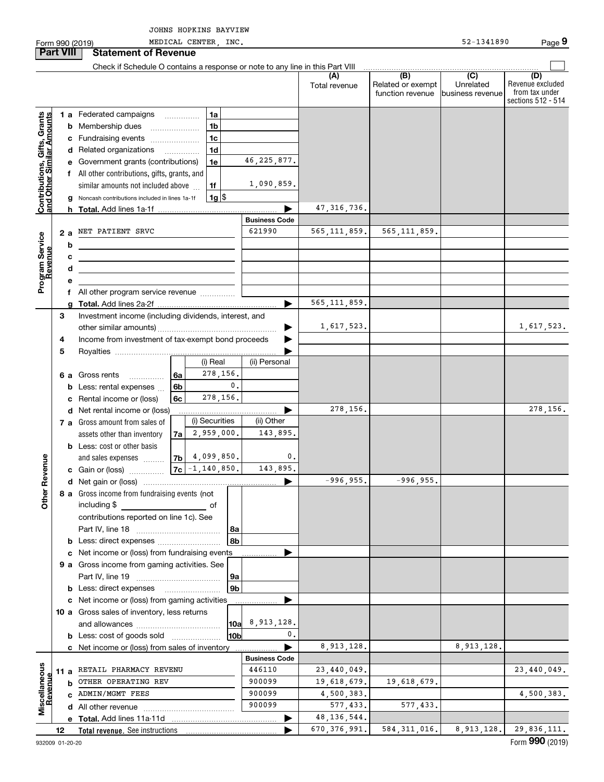|                                                                     |        |    | Form 990 (2019)                                                                                                                                                |    | MEDICAL CENTER, INC. |                 |                      |                           |                                              | 52-1341890                                      | Page 9                                                          |
|---------------------------------------------------------------------|--------|----|----------------------------------------------------------------------------------------------------------------------------------------------------------------|----|----------------------|-----------------|----------------------|---------------------------|----------------------------------------------|-------------------------------------------------|-----------------------------------------------------------------|
| <b>Part VIII</b>                                                    |        |    | <b>Statement of Revenue</b>                                                                                                                                    |    |                      |                 |                      |                           |                                              |                                                 |                                                                 |
|                                                                     |        |    | Check if Schedule O contains a response or note to any line in this Part VIII                                                                                  |    |                      |                 |                      |                           |                                              |                                                 |                                                                 |
|                                                                     |        |    |                                                                                                                                                                |    |                      |                 |                      | (A)<br>Total revenue      | (B)<br>Related or exempt<br>function revenue | $\overline{C}$<br>Unrelated<br>business revenue | (D)<br>Revenue excluded<br>from tax under<br>sections 512 - 514 |
|                                                                     |        |    | 1 a Federated campaigns                                                                                                                                        |    | 1a                   |                 |                      |                           |                                              |                                                 |                                                                 |
| Grants<br>Contributions, Gifts, Grants<br>and Other Similar Amounts |        |    | <b>b</b> Membership dues                                                                                                                                       |    | 1 <sub>b</sub>       |                 |                      |                           |                                              |                                                 |                                                                 |
|                                                                     |        |    | c Fundraising events                                                                                                                                           |    | 1 <sub>c</sub>       |                 |                      |                           |                                              |                                                 |                                                                 |
|                                                                     |        |    | d Related organizations                                                                                                                                        |    | 1 <sub>d</sub>       |                 |                      |                           |                                              |                                                 |                                                                 |
|                                                                     |        |    | e Government grants (contributions)                                                                                                                            |    | 1e                   |                 | 46, 225, 877.        |                           |                                              |                                                 |                                                                 |
|                                                                     |        |    | f All other contributions, gifts, grants, and                                                                                                                  |    |                      |                 |                      |                           |                                              |                                                 |                                                                 |
|                                                                     |        |    | similar amounts not included above                                                                                                                             |    | 1f                   |                 | 1,090,859.           |                           |                                              |                                                 |                                                                 |
|                                                                     |        |    | g Noncash contributions included in lines 1a-1f                                                                                                                |    | $1g$ \$              |                 |                      |                           |                                              |                                                 |                                                                 |
|                                                                     |        |    |                                                                                                                                                                |    |                      |                 |                      | 47, 316, 736.             |                                              |                                                 |                                                                 |
|                                                                     |        |    |                                                                                                                                                                |    |                      |                 | <b>Business Code</b> |                           |                                              |                                                 |                                                                 |
| Program Service<br>Revenue                                          |        | 2a | NET PATIENT SRVC                                                                                                                                               |    |                      |                 | 621990               | 565, 111, 859.            | 565, 111, 859.                               |                                                 |                                                                 |
|                                                                     |        | b  |                                                                                                                                                                |    |                      |                 |                      |                           |                                              |                                                 |                                                                 |
|                                                                     |        | с  |                                                                                                                                                                |    |                      |                 |                      |                           |                                              |                                                 |                                                                 |
|                                                                     |        | d  |                                                                                                                                                                |    |                      |                 |                      |                           |                                              |                                                 |                                                                 |
|                                                                     |        |    |                                                                                                                                                                |    |                      |                 |                      |                           |                                              |                                                 |                                                                 |
|                                                                     |        |    | All other program service revenue                                                                                                                              |    |                      |                 |                      | 565, 111, 859.            |                                              |                                                 |                                                                 |
|                                                                     |        |    |                                                                                                                                                                |    |                      |                 |                      |                           |                                              |                                                 |                                                                 |
|                                                                     | 3      |    | Investment income (including dividends, interest, and                                                                                                          |    |                      |                 | ▶                    | 1,617,523.                |                                              |                                                 | 1,617,523.                                                      |
|                                                                     | 4      |    | Income from investment of tax-exempt bond proceeds                                                                                                             |    |                      |                 |                      |                           |                                              |                                                 |                                                                 |
|                                                                     | 5      |    |                                                                                                                                                                |    |                      |                 |                      |                           |                                              |                                                 |                                                                 |
|                                                                     |        |    |                                                                                                                                                                |    | (i) Real             |                 | (ii) Personal        |                           |                                              |                                                 |                                                                 |
|                                                                     |        | 6а | Gross rents                                                                                                                                                    | 6a | 278,156.             |                 |                      |                           |                                              |                                                 |                                                                 |
|                                                                     |        |    | Less: rental expenses                                                                                                                                          | 6b |                      | $\mathbf{0}$ .  |                      |                           |                                              |                                                 |                                                                 |
|                                                                     |        |    | Rental income or (loss)                                                                                                                                        | 6c | 278,156.             |                 |                      |                           |                                              |                                                 |                                                                 |
|                                                                     |        |    | d Net rental income or (loss)                                                                                                                                  |    |                      |                 |                      | 278,156.                  |                                              |                                                 | 278,156.                                                        |
|                                                                     |        |    | 7 a Gross amount from sales of                                                                                                                                 |    | (i) Securities       |                 | (ii) Other           |                           |                                              |                                                 |                                                                 |
|                                                                     |        |    | assets other than inventory                                                                                                                                    | 7a | 2,959,000.           |                 | 143,895.             |                           |                                              |                                                 |                                                                 |
|                                                                     |        |    | <b>b</b> Less: cost or other basis                                                                                                                             |    |                      |                 |                      |                           |                                              |                                                 |                                                                 |
| venue                                                               |        |    | and sales expenses                                                                                                                                             | 7b | 4,099,850.           |                 | 0.                   |                           |                                              |                                                 |                                                                 |
|                                                                     |        |    | c Gain or (loss)                                                                                                                                               | 7c | $-1, 140, 850.$      |                 | 143,895.             |                           |                                              |                                                 |                                                                 |
|                                                                     |        |    |                                                                                                                                                                |    |                      |                 |                      | -996,955.1                | -996,955.                                    |                                                 |                                                                 |
| Other R                                                             |        |    | 8 a Gross income from fundraising events (not<br>including \$                                                                                                  |    |                      |                 |                      |                           |                                              |                                                 |                                                                 |
|                                                                     |        |    | and the contract of the contract of the contract of the contract of the contract of the contract of the contract of<br>contributions reported on line 1c). See |    |                      |                 |                      |                           |                                              |                                                 |                                                                 |
|                                                                     |        |    |                                                                                                                                                                |    |                      | 8a              |                      |                           |                                              |                                                 |                                                                 |
|                                                                     |        |    |                                                                                                                                                                |    |                      | 8b              |                      |                           |                                              |                                                 |                                                                 |
|                                                                     |        |    | c Net income or (loss) from fundraising events                                                                                                                 |    |                      |                 |                      |                           |                                              |                                                 |                                                                 |
|                                                                     |        |    | 9 a Gross income from gaming activities. See                                                                                                                   |    |                      |                 |                      |                           |                                              |                                                 |                                                                 |
|                                                                     |        |    |                                                                                                                                                                |    |                      | 9а              |                      |                           |                                              |                                                 |                                                                 |
|                                                                     |        |    | <b>b</b> Less: direct expenses <b>manually</b>                                                                                                                 |    |                      | 9b              |                      |                           |                                              |                                                 |                                                                 |
|                                                                     |        |    | c Net income or (loss) from gaming activities                                                                                                                  |    |                      |                 |                      |                           |                                              |                                                 |                                                                 |
|                                                                     |        |    | 10 a Gross sales of inventory, less returns                                                                                                                    |    |                      |                 |                      |                           |                                              |                                                 |                                                                 |
|                                                                     |        |    |                                                                                                                                                                |    |                      |                 | $10a$ 8, 913, 128.   |                           |                                              |                                                 |                                                                 |
|                                                                     |        |    | <b>b</b> Less: cost of goods sold                                                                                                                              |    |                      | 10 <sub>b</sub> | 0.                   |                           |                                              |                                                 |                                                                 |
|                                                                     |        |    | c Net income or (loss) from sales of inventory                                                                                                                 |    |                      |                 |                      | 8,913,128.                |                                              | 8,913,128.                                      |                                                                 |
|                                                                     |        |    |                                                                                                                                                                |    |                      |                 | <b>Business Code</b> |                           |                                              |                                                 |                                                                 |
| Miscellaneous<br>Revenue                                            | 11 $a$ |    | RETAIL PHARMACY REVENU<br>OTHER OPERATING REV                                                                                                                  |    |                      |                 | 446110<br>900099     | 23,440,049.               | 19,618,679.                                  |                                                 | 23,440,049.                                                     |
|                                                                     |        | b  | ADMIN/MGMT FEES                                                                                                                                                |    |                      |                 | 900099               | 19,618,679.<br>4,500,383. |                                              |                                                 | 4,500,383.                                                      |
|                                                                     |        |    |                                                                                                                                                                |    |                      |                 | 900099               | 577,433.                  | 577,433.                                     |                                                 |                                                                 |
|                                                                     |        |    |                                                                                                                                                                |    |                      |                 |                      | 48, 136, 544.             |                                              |                                                 |                                                                 |
|                                                                     | 12     |    | <b>Total revenue.</b> See instructions                                                                                                                         |    |                      |                 |                      | 670, 376, 991.            | 584, 311, 016.                               | 8,913,128.                                      | 29,836,111.                                                     |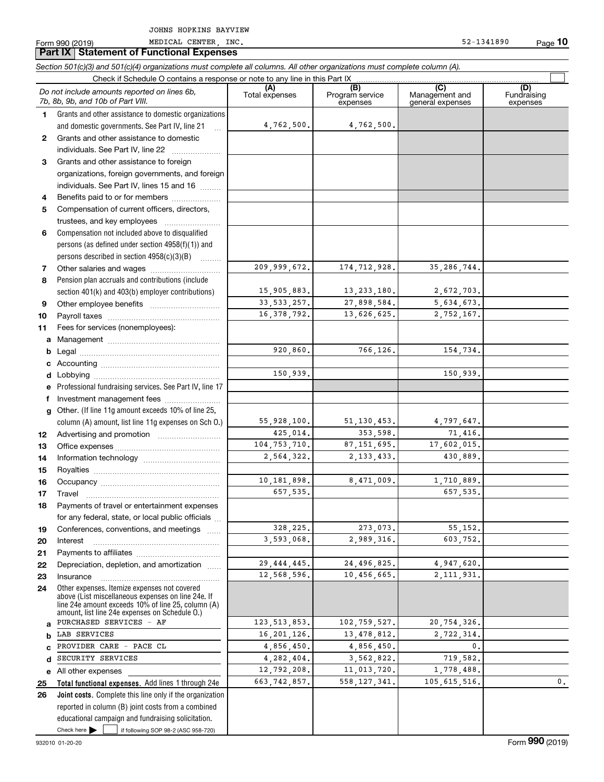Form 990 (2019) Page **Part IX Statement of Functional Expenses**

**10**

 $\overline{\phantom{1}}$ 

*Section 501(c)(3) and 501(c)(4) organizations must complete all columns. All other organizations must complete column (A).*

|              | Check if Schedule O contains a response or note to any line in this Part IX                        |                       |                                    |                                           |                                |
|--------------|----------------------------------------------------------------------------------------------------|-----------------------|------------------------------------|-------------------------------------------|--------------------------------|
|              | Do not include amounts reported on lines 6b,<br>7b, 8b, 9b, and 10b of Part VIII.                  | (A)<br>Total expenses | (B)<br>Program service<br>expenses | (C)<br>Management and<br>general expenses | (D)<br>Fundraising<br>expenses |
| 1            | Grants and other assistance to domestic organizations                                              |                       |                                    |                                           |                                |
|              | and domestic governments. See Part IV, line 21<br>$\mathbf{r}$                                     | 4,762,500.            | 4,762,500.                         |                                           |                                |
| $\mathbf{2}$ | Grants and other assistance to domestic                                                            |                       |                                    |                                           |                                |
|              | individuals. See Part IV, line 22                                                                  |                       |                                    |                                           |                                |
| 3            | Grants and other assistance to foreign                                                             |                       |                                    |                                           |                                |
|              | organizations, foreign governments, and foreign                                                    |                       |                                    |                                           |                                |
|              | individuals. See Part IV, lines 15 and 16                                                          |                       |                                    |                                           |                                |
| 4            | Benefits paid to or for members                                                                    |                       |                                    |                                           |                                |
| 5            | Compensation of current officers, directors,                                                       |                       |                                    |                                           |                                |
|              | trustees, and key employees                                                                        |                       |                                    |                                           |                                |
| 6            | Compensation not included above to disqualified                                                    |                       |                                    |                                           |                                |
|              | persons (as defined under section $4958(f)(1)$ ) and                                               |                       |                                    |                                           |                                |
|              | persons described in section $4958(c)(3)(B)$                                                       |                       |                                    |                                           |                                |
| 7            |                                                                                                    | 209,999,672.          | 174, 712, 928.                     | 35, 286, 744.                             |                                |
| 8            | Pension plan accruals and contributions (include                                                   |                       |                                    |                                           |                                |
|              | section 401(k) and 403(b) employer contributions)                                                  | 15,905,883.           | 13, 233, 180.                      | 2,672,703.                                |                                |
| 9            |                                                                                                    | 33, 533, 257.         | 27,898,584.                        | 5,634,673.                                |                                |
| 10           |                                                                                                    | 16.378.792.           | 13,626,625.                        | 2,752,167.                                |                                |
| 11           | Fees for services (nonemployees):                                                                  |                       |                                    |                                           |                                |
| a            |                                                                                                    |                       |                                    |                                           |                                |
| b            |                                                                                                    | 920,860.              | 766,126.                           | 154,734.                                  |                                |
| с            |                                                                                                    |                       |                                    |                                           |                                |
| d            |                                                                                                    | 150,939.              |                                    | 150,939.                                  |                                |
| е            | Professional fundraising services. See Part IV, line 17                                            |                       |                                    |                                           |                                |
| f            | Investment management fees                                                                         |                       |                                    |                                           |                                |
| g            | Other. (If line 11g amount exceeds 10% of line 25,                                                 |                       |                                    |                                           |                                |
|              | column (A) amount, list line 11g expenses on Sch O.)                                               | 55,928,100.           | 51, 130, 453.                      | 4,797,647.                                |                                |
| 12           |                                                                                                    | 425,014.              | 353,598.                           | 71,416.                                   |                                |
| 13           |                                                                                                    | 104, 753, 710.        | 87, 151, 695.                      | 17,602,015.                               |                                |
| 14           |                                                                                                    | 2,564,322.            | 2, 133, 433.                       | 430,889.                                  |                                |
| 15           |                                                                                                    |                       |                                    |                                           |                                |
| 16           |                                                                                                    | 10,181,898.           | 8,471,009.                         | 1,710,889.                                |                                |
| 17           |                                                                                                    | 657,535.              |                                    | 657,535.                                  |                                |
| 18           | Payments of travel or entertainment expenses                                                       |                       |                                    |                                           |                                |
|              | for any federal, state, or local public officials                                                  |                       |                                    |                                           |                                |
| 19           | Conferences, conventions, and meetings                                                             | 328, 225.             | 273,073.                           | 55, 152.                                  |                                |
| 20           | Interest                                                                                           | 3,593,068.            | 2,989,316.                         | 603,752.                                  |                                |
| 21           |                                                                                                    |                       |                                    |                                           |                                |
| 22           | Depreciation, depletion, and amortization                                                          | 29, 444, 445.         | 24,496,825.                        | 4,947,620.                                |                                |
| 23           | Insurance                                                                                          | 12,568,596.           | 10,456,665.                        | 2, 111, 931.                              |                                |
| 24           | Other expenses. Itemize expenses not covered<br>above (List miscellaneous expenses on line 24e. If |                       |                                    |                                           |                                |
|              | line 24e amount exceeds 10% of line 25, column (A)                                                 |                       |                                    |                                           |                                |
|              | amount, list line 24e expenses on Schedule 0.)                                                     |                       |                                    |                                           |                                |
| a            | PURCHASED SERVICES - AF                                                                            | 123, 513, 853.        | 102,759,527.                       | 20,754,326.                               |                                |
| b            | LAB SERVICES                                                                                       | 16, 201, 126.         | 13, 478, 812.                      | 2,722,314.                                |                                |
| C            | PROVIDER CARE - PACE CL                                                                            | 4,856,450.            | 4,856,450.                         | 0.                                        |                                |
| d            | SECURITY SERVICES                                                                                  | 4,282,404.            | 3,562,822.                         | 719,582.                                  |                                |
| е            | All other expenses                                                                                 | 12,792,208.           | 11,013,720.                        | 1,778,488.                                |                                |
| 25           | Total functional expenses. Add lines 1 through 24e                                                 | 663, 742, 857.        | 558, 127, 341.                     | 105, 615, 516.                            | 0.                             |
| 26           | Joint costs. Complete this line only if the organization                                           |                       |                                    |                                           |                                |
|              | reported in column (B) joint costs from a combined                                                 |                       |                                    |                                           |                                |
|              | educational campaign and fundraising solicitation.                                                 |                       |                                    |                                           |                                |
|              | Check here $\blacktriangleright$<br>if following SOP 98-2 (ASC 958-720)                            |                       |                                    |                                           |                                |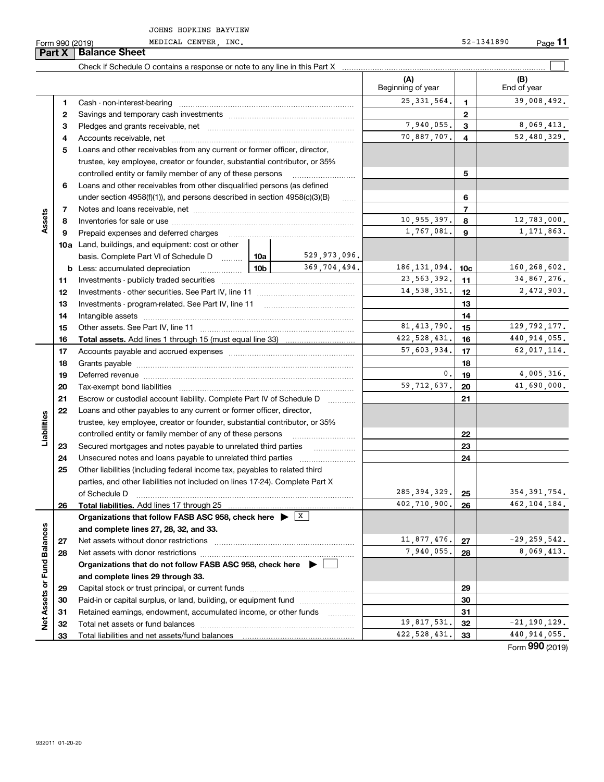**Part X Balance Sheet**

|                             |    | Check if Schedule O contains a response or note to any line in this Part X [11] manufacture in the schedule O contains a response or note to any line in this Part X [11] manufacture in the state of the state of the state o |               |               |                          |                 |                    |
|-----------------------------|----|--------------------------------------------------------------------------------------------------------------------------------------------------------------------------------------------------------------------------------|---------------|---------------|--------------------------|-----------------|--------------------|
|                             |    |                                                                                                                                                                                                                                |               |               | (A)<br>Beginning of year |                 | (B)<br>End of year |
|                             | 1  |                                                                                                                                                                                                                                |               |               | 25, 331, 564.            | $\mathbf{1}$    | 39,008,492.        |
|                             | 2  |                                                                                                                                                                                                                                |               | $\mathbf{2}$  |                          |                 |                    |
|                             | з  |                                                                                                                                                                                                                                | 7,940,055.    | 3             | 8,069,413.               |                 |                    |
|                             | 4  |                                                                                                                                                                                                                                |               |               | 70,887,707.              | $\overline{4}$  | 52,480,329.        |
|                             | 5  | Loans and other receivables from any current or former officer, director,                                                                                                                                                      |               |               |                          |                 |                    |
|                             |    | trustee, key employee, creator or founder, substantial contributor, or 35%                                                                                                                                                     |               |               |                          |                 |                    |
|                             |    | controlled entity or family member of any of these persons                                                                                                                                                                     |               |               |                          | 5               |                    |
|                             | 6  | Loans and other receivables from other disqualified persons (as defined                                                                                                                                                        |               |               |                          |                 |                    |
|                             |    | under section 4958(f)(1)), and persons described in section 4958(c)(3)(B)                                                                                                                                                      |               | <b>Secure</b> |                          | 6               |                    |
|                             | 7  |                                                                                                                                                                                                                                |               |               |                          | $\overline{7}$  |                    |
| Assets                      | 8  |                                                                                                                                                                                                                                |               |               | 10,955,397.              | 8               | 12,783,000.        |
|                             | 9  | Prepaid expenses and deferred charges                                                                                                                                                                                          |               |               | 1,767,081.               | 9               | 1, 171, 863.       |
|                             |    | 10a Land, buildings, and equipment: cost or other                                                                                                                                                                              |               |               |                          |                 |                    |
|                             |    | basis. Complete Part VI of Schedule D  10a                                                                                                                                                                                     |               | 529,973,096.  |                          |                 |                    |
|                             |    | <b>b</b> Less: accumulated depreciation                                                                                                                                                                                        | 10b           | 369,704,494.  | 186, 131, 094.           | 10 <sub>c</sub> | 160,268,602.       |
|                             | 11 |                                                                                                                                                                                                                                |               |               | 23, 563, 392.            | 11              | 34,867,276.        |
|                             | 12 |                                                                                                                                                                                                                                |               |               | 14,538,351.              | 12              | 2,472,903.         |
|                             | 13 |                                                                                                                                                                                                                                |               |               | 13                       |                 |                    |
|                             | 14 |                                                                                                                                                                                                                                |               |               | 14                       |                 |                    |
|                             | 15 |                                                                                                                                                                                                                                | 81, 413, 790. | 15            | 129, 792, 177.           |                 |                    |
|                             | 16 |                                                                                                                                                                                                                                |               |               | 422, 528, 431.           | 16              | 440, 914, 055.     |
|                             | 17 |                                                                                                                                                                                                                                | 57,603,934.   | 17            | 62,017,114.              |                 |                    |
|                             | 18 |                                                                                                                                                                                                                                |               |               | 18                       |                 |                    |
|                             | 19 |                                                                                                                                                                                                                                |               |               | 0.                       | 19              | 4,005,316.         |
|                             | 20 |                                                                                                                                                                                                                                |               |               | 59,712,637.              | 20              | 41,690,000.        |
|                             | 21 | Escrow or custodial account liability. Complete Part IV of Schedule D                                                                                                                                                          |               |               |                          | 21              |                    |
|                             | 22 | Loans and other payables to any current or former officer, director,                                                                                                                                                           |               |               |                          |                 |                    |
| Liabilities                 |    | trustee, key employee, creator or founder, substantial contributor, or 35%                                                                                                                                                     |               |               |                          |                 |                    |
|                             |    | controlled entity or family member of any of these persons                                                                                                                                                                     |               |               |                          | 22              |                    |
|                             | 23 | Secured mortgages and notes payable to unrelated third parties                                                                                                                                                                 |               |               |                          | 23              |                    |
|                             | 24 |                                                                                                                                                                                                                                |               |               |                          | 24              |                    |
|                             | 25 | Other liabilities (including federal income tax, payables to related third                                                                                                                                                     |               |               |                          |                 |                    |
|                             |    | parties, and other liabilities not included on lines 17-24). Complete Part X                                                                                                                                                   |               |               |                          |                 |                    |
|                             |    | of Schedule D                                                                                                                                                                                                                  |               |               | 285, 394, 329.           | 25              | 354, 391, 754.     |
|                             | 26 | Total liabilities. Add lines 17 through 25                                                                                                                                                                                     |               |               | 402,710,900.             | 26              | 462, 104, 184.     |
|                             |    | Organizations that follow FASB ASC 958, check here $\blacktriangleright \lfloor X \rfloor$                                                                                                                                     |               |               |                          |                 |                    |
|                             |    | and complete lines 27, 28, 32, and 33.                                                                                                                                                                                         |               |               |                          |                 |                    |
|                             | 27 |                                                                                                                                                                                                                                |               |               | 11,877,476.              | 27              | $-29, 259, 542.$   |
|                             | 28 |                                                                                                                                                                                                                                |               |               | 7,940,055.               | 28              | 8,069,413.         |
|                             |    | Organizations that do not follow FASB ASC 958, check here $\blacktriangleright$                                                                                                                                                |               |               |                          |                 |                    |
| Net Assets or Fund Balances |    | and complete lines 29 through 33.                                                                                                                                                                                              |               |               |                          |                 |                    |
|                             | 29 |                                                                                                                                                                                                                                |               |               |                          | 29              |                    |
|                             | 30 | Paid-in or capital surplus, or land, building, or equipment fund                                                                                                                                                               |               |               |                          | 30              |                    |
|                             | 31 | Retained earnings, endowment, accumulated income, or other funds                                                                                                                                                               |               |               |                          | 31              |                    |
|                             | 32 |                                                                                                                                                                                                                                |               |               | 19,817,531.              | 32              | $-21, 190, 129.$   |
|                             | 33 |                                                                                                                                                                                                                                |               |               | 422, 528, 431.           | 33              | 440, 914, 055.     |

Form (2019) **990**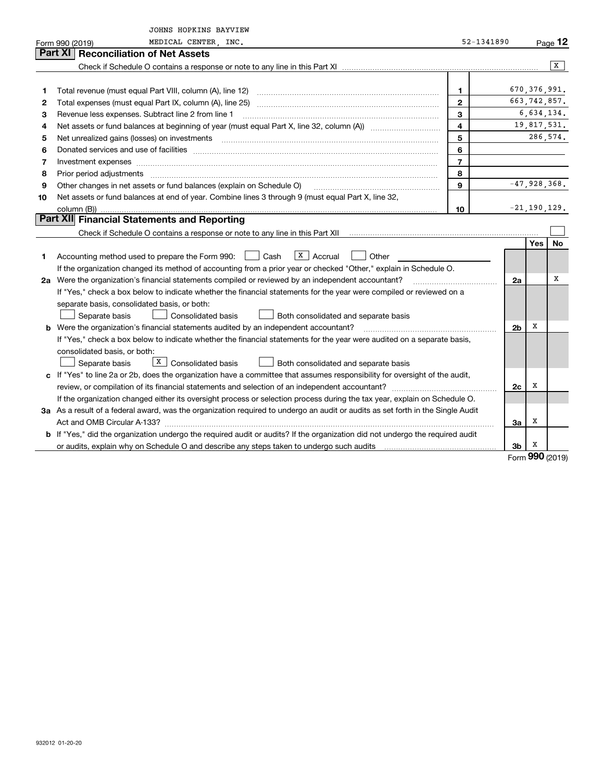|    | JOHNS HOPKINS BAYVIEW                                                                                                                                                                                                               |                |                |                                  |           |  |  |  |
|----|-------------------------------------------------------------------------------------------------------------------------------------------------------------------------------------------------------------------------------------|----------------|----------------|----------------------------------|-----------|--|--|--|
|    | MEDICAL CENTER, INC.<br>Form 990 (2019)                                                                                                                                                                                             | 52-1341890     |                |                                  | $Page$ 12 |  |  |  |
|    | Part XI<br><b>Reconciliation of Net Assets</b>                                                                                                                                                                                      |                |                |                                  |           |  |  |  |
|    |                                                                                                                                                                                                                                     |                |                |                                  | X         |  |  |  |
|    |                                                                                                                                                                                                                                     |                |                |                                  |           |  |  |  |
| 1  | Total revenue (must equal Part VIII, column (A), line 12)                                                                                                                                                                           | 1              |                | 670, 376, 991.<br>663, 742, 857. |           |  |  |  |
| 2  | $\overline{2}$                                                                                                                                                                                                                      |                |                |                                  |           |  |  |  |
| 3  | $\mathbf{3}$<br>Revenue less expenses. Subtract line 2 from line 1                                                                                                                                                                  |                |                |                                  |           |  |  |  |
| 4  | $\overline{\mathbf{4}}$                                                                                                                                                                                                             |                |                |                                  |           |  |  |  |
| 5  | 5<br>Net unrealized gains (losses) on investments [11] matter contracts and the state of the state of the state of the state of the state of the state of the state of the state of the state of the state of the state of the stat |                |                |                                  |           |  |  |  |
| 6  | 6                                                                                                                                                                                                                                   |                |                |                                  |           |  |  |  |
| 7  | Investment expenses                                                                                                                                                                                                                 | $\overline{7}$ |                |                                  |           |  |  |  |
| 8  | Prior period adjustments                                                                                                                                                                                                            | 8              |                |                                  |           |  |  |  |
| 9  | Other changes in net assets or fund balances (explain on Schedule O)                                                                                                                                                                | 9              |                | $-47,928,368.$                   |           |  |  |  |
| 10 | Net assets or fund balances at end of year. Combine lines 3 through 9 (must equal Part X, line 32,                                                                                                                                  |                |                |                                  |           |  |  |  |
|    | column (B))                                                                                                                                                                                                                         | 10             |                | $-21, 190, 129.$                 |           |  |  |  |
|    | Part XII Financial Statements and Reporting                                                                                                                                                                                         |                |                |                                  |           |  |  |  |
|    |                                                                                                                                                                                                                                     |                |                |                                  |           |  |  |  |
|    |                                                                                                                                                                                                                                     |                |                | Yes                              | No        |  |  |  |
| 1  | $\overline{X}$   Accrual<br>Accounting method used to prepare the Form 990: <u>June</u> Cash<br>Other                                                                                                                               |                |                |                                  |           |  |  |  |
|    | If the organization changed its method of accounting from a prior year or checked "Other," explain in Schedule O.                                                                                                                   |                |                |                                  |           |  |  |  |
|    | 2a Were the organization's financial statements compiled or reviewed by an independent accountant?                                                                                                                                  |                | 2a             |                                  | х         |  |  |  |
|    | If "Yes," check a box below to indicate whether the financial statements for the year were compiled or reviewed on a                                                                                                                |                |                |                                  |           |  |  |  |
|    | separate basis, consolidated basis, or both:                                                                                                                                                                                        |                |                |                                  |           |  |  |  |
|    | Separate basis<br>Consolidated basis<br>Both consolidated and separate basis                                                                                                                                                        |                |                |                                  |           |  |  |  |
|    | <b>b</b> Were the organization's financial statements audited by an independent accountant?                                                                                                                                         |                | 2 <sub>b</sub> | х                                |           |  |  |  |
|    | If "Yes," check a box below to indicate whether the financial statements for the year were audited on a separate basis,                                                                                                             |                |                |                                  |           |  |  |  |
|    | consolidated basis, or both:                                                                                                                                                                                                        |                |                |                                  |           |  |  |  |
|    | $\boxed{\text{X}}$ Consolidated basis<br>Separate basis<br>Both consolidated and separate basis                                                                                                                                     |                |                |                                  |           |  |  |  |
|    | c If "Yes" to line 2a or 2b, does the organization have a committee that assumes responsibility for oversight of the audit,                                                                                                         |                |                |                                  |           |  |  |  |
|    |                                                                                                                                                                                                                                     |                | 2c             | х                                |           |  |  |  |
|    | If the organization changed either its oversight process or selection process during the tax year, explain on Schedule O.                                                                                                           |                |                |                                  |           |  |  |  |
|    | 3a As a result of a federal award, was the organization required to undergo an audit or audits as set forth in the Single Audit                                                                                                     |                |                |                                  |           |  |  |  |
|    |                                                                                                                                                                                                                                     |                | За             | х                                |           |  |  |  |
|    | b If "Yes," did the organization undergo the required audit or audits? If the organization did not undergo the required audit                                                                                                       |                |                |                                  |           |  |  |  |
|    | or audits, explain why on Schedule O and describe any steps taken to undergo such audits [11] contains the school of audits [11] or audits [11] or audits [11] or audits [11] or audits [11] or audits [11] or audits [11] or       |                | 3b             | х                                |           |  |  |  |

Form (2019) **990**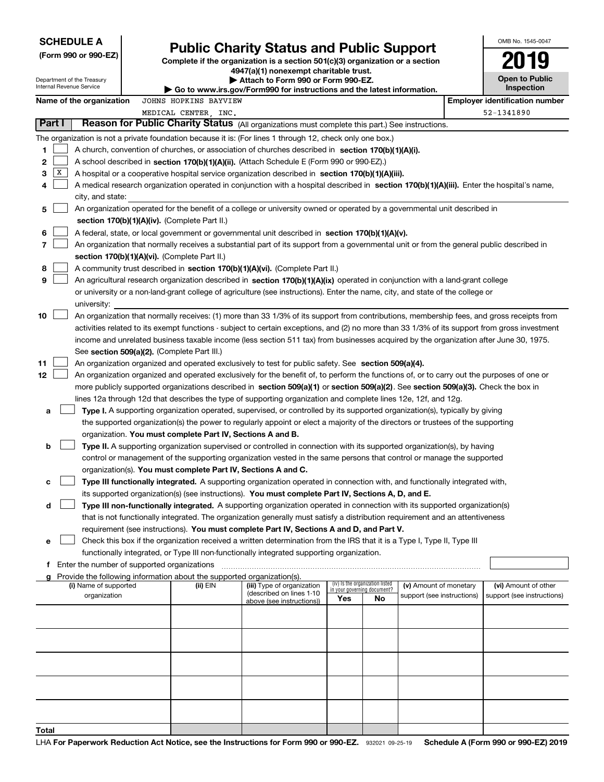| <b>SCHEDULE A</b><br>(Form 990 or 990-EZ) |                                               | <b>Public Charity Status and Public Support</b><br>Complete if the organization is a section 501(c)(3) organization or a section | OMB No. 1545-0047                                                                                              |                                                                                                                                                                                                                                                                 |                                                                |    |                            |  |                                                     |
|-------------------------------------------|-----------------------------------------------|----------------------------------------------------------------------------------------------------------------------------------|----------------------------------------------------------------------------------------------------------------|-----------------------------------------------------------------------------------------------------------------------------------------------------------------------------------------------------------------------------------------------------------------|----------------------------------------------------------------|----|----------------------------|--|-----------------------------------------------------|
| Internal Revenue Service                  | Department of the Treasury                    |                                                                                                                                  | Attach to Form 990 or Form 990-EZ.<br>▶ Go to www.irs.gov/Form990 for instructions and the latest information. |                                                                                                                                                                                                                                                                 | <b>Open to Public</b><br>Inspection                            |    |                            |  |                                                     |
|                                           | Name of the organization                      |                                                                                                                                  | JOHNS HOPKINS BAYVIEW<br>MEDICAL CENTER INC.                                                                   |                                                                                                                                                                                                                                                                 |                                                                |    |                            |  | <b>Employer identification number</b><br>52-1341890 |
| Part I                                    |                                               |                                                                                                                                  |                                                                                                                | Reason for Public Charity Status (All organizations must complete this part.) See instructions.                                                                                                                                                                 |                                                                |    |                            |  |                                                     |
|                                           |                                               |                                                                                                                                  |                                                                                                                | The organization is not a private foundation because it is: (For lines 1 through 12, check only one box.)                                                                                                                                                       |                                                                |    |                            |  |                                                     |
| 1                                         |                                               |                                                                                                                                  |                                                                                                                | A church, convention of churches, or association of churches described in section 170(b)(1)(A)(i).                                                                                                                                                              |                                                                |    |                            |  |                                                     |
| 2                                         |                                               |                                                                                                                                  |                                                                                                                | A school described in section 170(b)(1)(A)(ii). (Attach Schedule E (Form 990 or 990-EZ).)                                                                                                                                                                       |                                                                |    |                            |  |                                                     |
| x<br>3                                    |                                               |                                                                                                                                  |                                                                                                                | A hospital or a cooperative hospital service organization described in section $170(b)(1)(A)(iii)$ .                                                                                                                                                            |                                                                |    |                            |  |                                                     |
| 4                                         |                                               |                                                                                                                                  |                                                                                                                | A medical research organization operated in conjunction with a hospital described in section 170(b)(1)(A)(iii). Enter the hospital's name,                                                                                                                      |                                                                |    |                            |  |                                                     |
|                                           | city, and state:                              |                                                                                                                                  |                                                                                                                |                                                                                                                                                                                                                                                                 |                                                                |    |                            |  |                                                     |
| 5                                         |                                               |                                                                                                                                  |                                                                                                                | An organization operated for the benefit of a college or university owned or operated by a governmental unit described in                                                                                                                                       |                                                                |    |                            |  |                                                     |
|                                           |                                               |                                                                                                                                  | section 170(b)(1)(A)(iv). (Complete Part II.)                                                                  |                                                                                                                                                                                                                                                                 |                                                                |    |                            |  |                                                     |
| 6                                         |                                               |                                                                                                                                  |                                                                                                                | A federal, state, or local government or governmental unit described in section 170(b)(1)(A)(v).                                                                                                                                                                |                                                                |    |                            |  |                                                     |
| 7                                         |                                               |                                                                                                                                  |                                                                                                                | An organization that normally receives a substantial part of its support from a governmental unit or from the general public described in                                                                                                                       |                                                                |    |                            |  |                                                     |
|                                           |                                               |                                                                                                                                  | section 170(b)(1)(A)(vi). (Complete Part II.)                                                                  |                                                                                                                                                                                                                                                                 |                                                                |    |                            |  |                                                     |
| 8                                         |                                               |                                                                                                                                  |                                                                                                                | A community trust described in section 170(b)(1)(A)(vi). (Complete Part II.)                                                                                                                                                                                    |                                                                |    |                            |  |                                                     |
| 9                                         |                                               |                                                                                                                                  |                                                                                                                | An agricultural research organization described in section 170(b)(1)(A)(ix) operated in conjunction with a land-grant college<br>or university or a non-land-grant college of agriculture (see instructions). Enter the name, city, and state of the college or |                                                                |    |                            |  |                                                     |
|                                           |                                               |                                                                                                                                  |                                                                                                                |                                                                                                                                                                                                                                                                 |                                                                |    |                            |  |                                                     |
| 10                                        | university:                                   |                                                                                                                                  |                                                                                                                | An organization that normally receives: (1) more than 33 1/3% of its support from contributions, membership fees, and gross receipts from                                                                                                                       |                                                                |    |                            |  |                                                     |
|                                           |                                               |                                                                                                                                  |                                                                                                                | activities related to its exempt functions - subject to certain exceptions, and (2) no more than 33 1/3% of its support from gross investment                                                                                                                   |                                                                |    |                            |  |                                                     |
|                                           |                                               |                                                                                                                                  |                                                                                                                | income and unrelated business taxable income (less section 511 tax) from businesses acquired by the organization after June 30, 1975.                                                                                                                           |                                                                |    |                            |  |                                                     |
|                                           |                                               |                                                                                                                                  | See section 509(a)(2). (Complete Part III.)                                                                    |                                                                                                                                                                                                                                                                 |                                                                |    |                            |  |                                                     |
| 11                                        |                                               |                                                                                                                                  |                                                                                                                | An organization organized and operated exclusively to test for public safety. See section 509(a)(4).                                                                                                                                                            |                                                                |    |                            |  |                                                     |
| 12                                        |                                               |                                                                                                                                  |                                                                                                                | An organization organized and operated exclusively for the benefit of, to perform the functions of, or to carry out the purposes of one or                                                                                                                      |                                                                |    |                            |  |                                                     |
|                                           |                                               |                                                                                                                                  |                                                                                                                | more publicly supported organizations described in section 509(a)(1) or section 509(a)(2). See section 509(a)(3). Check the box in                                                                                                                              |                                                                |    |                            |  |                                                     |
|                                           |                                               |                                                                                                                                  |                                                                                                                | lines 12a through 12d that describes the type of supporting organization and complete lines 12e, 12f, and 12g.                                                                                                                                                  |                                                                |    |                            |  |                                                     |
| a                                         |                                               |                                                                                                                                  |                                                                                                                | Type I. A supporting organization operated, supervised, or controlled by its supported organization(s), typically by giving                                                                                                                                     |                                                                |    |                            |  |                                                     |
|                                           |                                               |                                                                                                                                  |                                                                                                                | the supported organization(s) the power to regularly appoint or elect a majority of the directors or trustees of the supporting                                                                                                                                 |                                                                |    |                            |  |                                                     |
|                                           |                                               |                                                                                                                                  | organization. You must complete Part IV, Sections A and B.                                                     |                                                                                                                                                                                                                                                                 |                                                                |    |                            |  |                                                     |
| b                                         |                                               |                                                                                                                                  |                                                                                                                | Type II. A supporting organization supervised or controlled in connection with its supported organization(s), by having                                                                                                                                         |                                                                |    |                            |  |                                                     |
|                                           |                                               |                                                                                                                                  |                                                                                                                | control or management of the supporting organization vested in the same persons that control or manage the supported                                                                                                                                            |                                                                |    |                            |  |                                                     |
|                                           |                                               |                                                                                                                                  | organization(s). You must complete Part IV, Sections A and C.                                                  |                                                                                                                                                                                                                                                                 |                                                                |    |                            |  |                                                     |
| c                                         |                                               |                                                                                                                                  |                                                                                                                | Type III functionally integrated. A supporting organization operated in connection with, and functionally integrated with,                                                                                                                                      |                                                                |    |                            |  |                                                     |
|                                           |                                               |                                                                                                                                  |                                                                                                                | its supported organization(s) (see instructions). You must complete Part IV, Sections A, D, and E.                                                                                                                                                              |                                                                |    |                            |  |                                                     |
| d                                         |                                               |                                                                                                                                  |                                                                                                                | Type III non-functionally integrated. A supporting organization operated in connection with its supported organization(s)                                                                                                                                       |                                                                |    |                            |  |                                                     |
|                                           |                                               |                                                                                                                                  |                                                                                                                | that is not functionally integrated. The organization generally must satisfy a distribution requirement and an attentiveness                                                                                                                                    |                                                                |    |                            |  |                                                     |
|                                           |                                               |                                                                                                                                  |                                                                                                                | requirement (see instructions). You must complete Part IV, Sections A and D, and Part V.                                                                                                                                                                        |                                                                |    |                            |  |                                                     |
| е                                         |                                               |                                                                                                                                  |                                                                                                                | Check this box if the organization received a written determination from the IRS that it is a Type I, Type II, Type III<br>functionally integrated, or Type III non-functionally integrated supporting organization.                                            |                                                                |    |                            |  |                                                     |
|                                           | f Enter the number of supported organizations |                                                                                                                                  |                                                                                                                |                                                                                                                                                                                                                                                                 |                                                                |    |                            |  |                                                     |
|                                           |                                               |                                                                                                                                  | g Provide the following information about the supported organization(s).                                       |                                                                                                                                                                                                                                                                 |                                                                |    |                            |  |                                                     |
|                                           | (i) Name of supported                         |                                                                                                                                  | (ii) EIN                                                                                                       | (iii) Type of organization                                                                                                                                                                                                                                      | (iv) Is the organization listed<br>in your governing document? |    | (v) Amount of monetary     |  | (vi) Amount of other                                |
|                                           | organization                                  |                                                                                                                                  |                                                                                                                | (described on lines 1-10<br>above (see instructions))                                                                                                                                                                                                           | Yes                                                            | No | support (see instructions) |  | support (see instructions)                          |
|                                           |                                               |                                                                                                                                  |                                                                                                                |                                                                                                                                                                                                                                                                 |                                                                |    |                            |  |                                                     |
|                                           |                                               |                                                                                                                                  |                                                                                                                |                                                                                                                                                                                                                                                                 |                                                                |    |                            |  |                                                     |
|                                           |                                               |                                                                                                                                  |                                                                                                                |                                                                                                                                                                                                                                                                 |                                                                |    |                            |  |                                                     |
|                                           |                                               |                                                                                                                                  |                                                                                                                |                                                                                                                                                                                                                                                                 |                                                                |    |                            |  |                                                     |
|                                           |                                               |                                                                                                                                  |                                                                                                                |                                                                                                                                                                                                                                                                 |                                                                |    |                            |  |                                                     |
|                                           |                                               |                                                                                                                                  |                                                                                                                |                                                                                                                                                                                                                                                                 |                                                                |    |                            |  |                                                     |
|                                           |                                               |                                                                                                                                  |                                                                                                                |                                                                                                                                                                                                                                                                 |                                                                |    |                            |  |                                                     |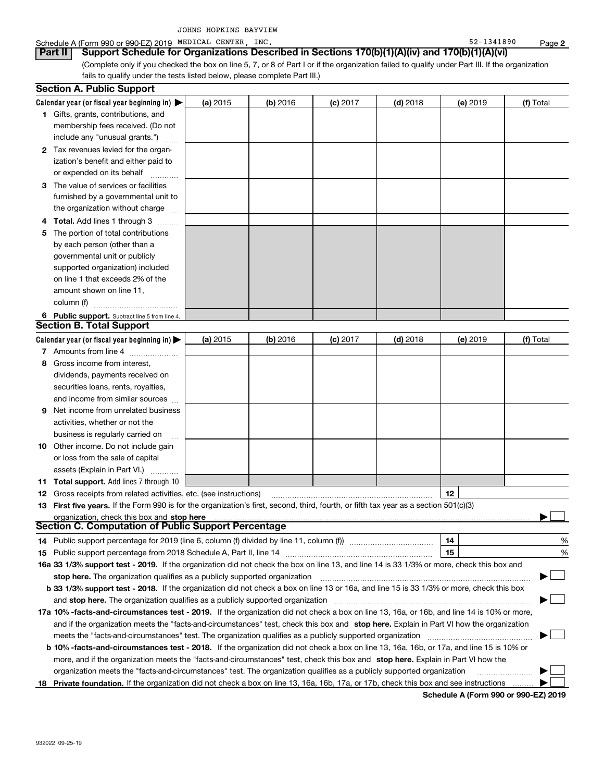|     | <b>Section A. Public Support</b>                                                                                                                                                                                               |          |            |            |            |          |           |
|-----|--------------------------------------------------------------------------------------------------------------------------------------------------------------------------------------------------------------------------------|----------|------------|------------|------------|----------|-----------|
|     | Calendar year (or fiscal year beginning in) $\blacktriangleright$                                                                                                                                                              | (a) 2015 | $(b)$ 2016 | $(c)$ 2017 | $(d)$ 2018 | (e) 2019 | (f) Total |
|     | 1 Gifts, grants, contributions, and                                                                                                                                                                                            |          |            |            |            |          |           |
|     | membership fees received. (Do not                                                                                                                                                                                              |          |            |            |            |          |           |
|     | include any "unusual grants.")                                                                                                                                                                                                 |          |            |            |            |          |           |
|     | 2 Tax revenues levied for the organ-                                                                                                                                                                                           |          |            |            |            |          |           |
|     | ization's benefit and either paid to                                                                                                                                                                                           |          |            |            |            |          |           |
|     | or expended on its behalf                                                                                                                                                                                                      |          |            |            |            |          |           |
|     | 3 The value of services or facilities                                                                                                                                                                                          |          |            |            |            |          |           |
|     | furnished by a governmental unit to                                                                                                                                                                                            |          |            |            |            |          |           |
|     | the organization without charge                                                                                                                                                                                                |          |            |            |            |          |           |
| 4   | <b>Total.</b> Add lines 1 through 3                                                                                                                                                                                            |          |            |            |            |          |           |
| 5   | The portion of total contributions                                                                                                                                                                                             |          |            |            |            |          |           |
|     | by each person (other than a                                                                                                                                                                                                   |          |            |            |            |          |           |
|     | governmental unit or publicly                                                                                                                                                                                                  |          |            |            |            |          |           |
|     | supported organization) included                                                                                                                                                                                               |          |            |            |            |          |           |
|     | on line 1 that exceeds 2% of the                                                                                                                                                                                               |          |            |            |            |          |           |
|     | amount shown on line 11,                                                                                                                                                                                                       |          |            |            |            |          |           |
|     | column (f)                                                                                                                                                                                                                     |          |            |            |            |          |           |
|     | 6 Public support. Subtract line 5 from line 4.                                                                                                                                                                                 |          |            |            |            |          |           |
|     | <b>Section B. Total Support</b>                                                                                                                                                                                                |          |            |            |            |          |           |
|     | Calendar year (or fiscal year beginning in) $\blacktriangleright$                                                                                                                                                              | (a) 2015 | (b) 2016   | $(c)$ 2017 | $(d)$ 2018 | (e) 2019 | (f) Total |
|     | 7 Amounts from line 4                                                                                                                                                                                                          |          |            |            |            |          |           |
| 8   | Gross income from interest,                                                                                                                                                                                                    |          |            |            |            |          |           |
|     | dividends, payments received on                                                                                                                                                                                                |          |            |            |            |          |           |
|     | securities loans, rents, royalties,                                                                                                                                                                                            |          |            |            |            |          |           |
|     | and income from similar sources                                                                                                                                                                                                |          |            |            |            |          |           |
| 9   | Net income from unrelated business                                                                                                                                                                                             |          |            |            |            |          |           |
|     | activities, whether or not the                                                                                                                                                                                                 |          |            |            |            |          |           |
|     | business is regularly carried on                                                                                                                                                                                               |          |            |            |            |          |           |
|     | <b>10</b> Other income. Do not include gain                                                                                                                                                                                    |          |            |            |            |          |           |
|     | or loss from the sale of capital                                                                                                                                                                                               |          |            |            |            |          |           |
|     | assets (Explain in Part VI.)                                                                                                                                                                                                   |          |            |            |            |          |           |
| 11. | <b>Total support.</b> Add lines 7 through 10                                                                                                                                                                                   |          |            |            |            |          |           |
| 12  | Gross receipts from related activities, etc. (see instructions)                                                                                                                                                                |          |            |            |            | 12       |           |
|     | 13 First five years. If the Form 990 is for the organization's first, second, third, fourth, or fifth tax year as a section 501(c)(3)                                                                                          |          |            |            |            |          |           |
|     | organization, check this box and stop here manufactured and according to the state of the state of the state of the state of the state of the state of the state of the state of the state of the state of the state of the st |          |            |            |            |          |           |
|     | Section C. Computation of Public Support Percentage                                                                                                                                                                            |          |            |            |            |          |           |
|     | 14 Public support percentage for 2019 (line 6, column (f) divided by line 11, column (f) <i>manumeronominimi</i> ng                                                                                                            |          |            |            |            | 14       | %         |
|     |                                                                                                                                                                                                                                |          |            |            |            | 15       | %         |
|     | 16a 33 1/3% support test - 2019. If the organization did not check the box on line 13, and line 14 is 33 1/3% or more, check this box and                                                                                      |          |            |            |            |          |           |
|     | stop here. The organization qualifies as a publicly supported organization                                                                                                                                                     |          |            |            |            |          | ▶         |
|     | b 33 1/3% support test - 2018. If the organization did not check a box on line 13 or 16a, and line 15 is 33 1/3% or more, check this box                                                                                       |          |            |            |            |          |           |
|     | and stop here. The organization qualifies as a publicly supported organization                                                                                                                                                 |          |            |            |            |          |           |
|     | 17a 10% -facts-and-circumstances test - 2019. If the organization did not check a box on line 13, 16a, or 16b, and line 14 is 10% or more,                                                                                     |          |            |            |            |          |           |
|     | and if the organization meets the "facts-and-circumstances" test, check this box and stop here. Explain in Part VI how the organization                                                                                        |          |            |            |            |          |           |
|     | meets the "facts-and-circumstances" test. The organization qualifies as a publicly supported organization                                                                                                                      |          |            |            |            |          |           |
|     | <b>b 10% -facts-and-circumstances test - 2018.</b> If the organization did not check a box on line 13, 16a, 16b, or 17a, and line 15 is 10% or                                                                                 |          |            |            |            |          |           |
|     | more, and if the organization meets the "facts-and-circumstances" test, check this box and stop here. Explain in Part VI how the                                                                                               |          |            |            |            |          |           |
|     | organization meets the "facts-and-circumstances" test. The organization qualifies as a publicly supported organization                                                                                                         |          |            |            |            |          |           |
| 18. | Private foundation. If the organization did not check a box on line 13, 16a, 16b, 17a, or 17b, check this box and see instructions                                                                                             |          |            |            |            |          |           |

**Schedule A (Form 990 or 990-EZ) 2019**

| Schedule A (Form 990 or 990-EZ) 2019 MEDICAL CENTER, |  | <b>INC</b> | $-1341890$<br>52-1 | Page |  |
|------------------------------------------------------|--|------------|--------------------|------|--|
|                                                      |  |            |                    |      |  |

| Part II | Support Schedule for Organizations Described in Sections 170(b)(1)(A)(iv) and 170(b)(1)(A)(vi)                                                  |  |
|---------|-------------------------------------------------------------------------------------------------------------------------------------------------|--|
|         | (Complete only if you checked the box on line 5, 7, or 8 of Part I or if the organization failed to qualify under Part III. If the organization |  |
|         | toile to qualify under the tests listed below, please complete Part III.                                                                        |  |

fails to qualify under the tests listed below, please complete Part III.)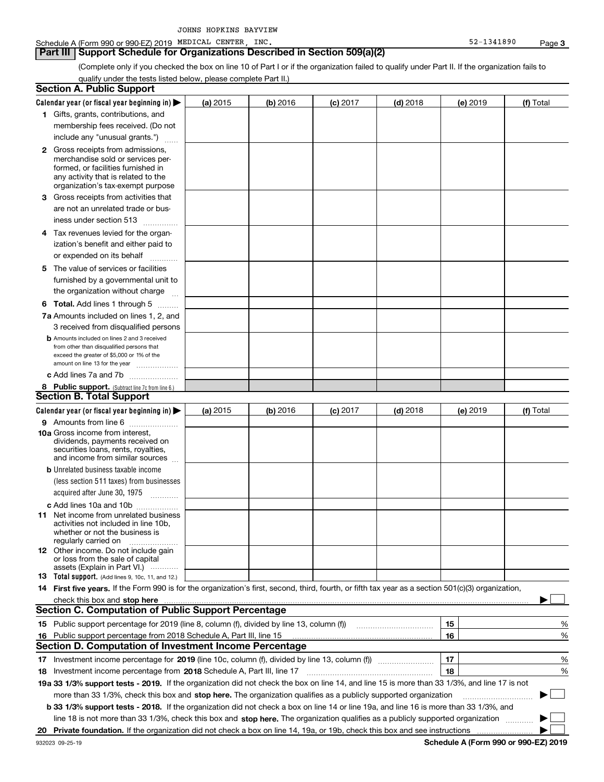(Complete only if you checked the box on line 10 of Part I or if the organization failed to qualify under Part II. If the organization fails to qualify under the tests listed below, please complete Part II.)

| <b>Section A. Public Support</b>                                                                                                                    |                                                                                                                                 |          |                 |            |                 |             |
|-----------------------------------------------------------------------------------------------------------------------------------------------------|---------------------------------------------------------------------------------------------------------------------------------|----------|-----------------|------------|-----------------|-------------|
| Calendar year (or fiscal year beginning in)                                                                                                         | (a) 2015                                                                                                                        | (b) 2016 | <b>(c)</b> 2017 | $(d)$ 2018 | <b>(e)</b> 2019 | (f) Total   |
| 1 Gifts, grants, contributions, and                                                                                                                 |                                                                                                                                 |          |                 |            |                 |             |
| membership fees received. (Do not                                                                                                                   |                                                                                                                                 |          |                 |            |                 |             |
| include any "unusual grants.")                                                                                                                      |                                                                                                                                 |          |                 |            |                 |             |
| 2 Gross receipts from admissions,                                                                                                                   |                                                                                                                                 |          |                 |            |                 |             |
| merchandise sold or services per-                                                                                                                   |                                                                                                                                 |          |                 |            |                 |             |
| formed, or facilities furnished in                                                                                                                  |                                                                                                                                 |          |                 |            |                 |             |
| any activity that is related to the<br>organization's tax-exempt purpose                                                                            |                                                                                                                                 |          |                 |            |                 |             |
| 3 Gross receipts from activities that                                                                                                               |                                                                                                                                 |          |                 |            |                 |             |
| are not an unrelated trade or bus-                                                                                                                  |                                                                                                                                 |          |                 |            |                 |             |
|                                                                                                                                                     |                                                                                                                                 |          |                 |            |                 |             |
| iness under section 513                                                                                                                             |                                                                                                                                 |          |                 |            |                 |             |
| 4 Tax revenues levied for the organ-                                                                                                                |                                                                                                                                 |          |                 |            |                 |             |
| ization's benefit and either paid to                                                                                                                |                                                                                                                                 |          |                 |            |                 |             |
| or expended on its behalf                                                                                                                           |                                                                                                                                 |          |                 |            |                 |             |
| 5 The value of services or facilities                                                                                                               |                                                                                                                                 |          |                 |            |                 |             |
| furnished by a governmental unit to                                                                                                                 |                                                                                                                                 |          |                 |            |                 |             |
| the organization without charge                                                                                                                     |                                                                                                                                 |          |                 |            |                 |             |
| <b>6 Total.</b> Add lines 1 through 5                                                                                                               |                                                                                                                                 |          |                 |            |                 |             |
| 7a Amounts included on lines 1, 2, and                                                                                                              |                                                                                                                                 |          |                 |            |                 |             |
| 3 received from disqualified persons                                                                                                                |                                                                                                                                 |          |                 |            |                 |             |
| <b>b</b> Amounts included on lines 2 and 3 received                                                                                                 |                                                                                                                                 |          |                 |            |                 |             |
| from other than disqualified persons that                                                                                                           |                                                                                                                                 |          |                 |            |                 |             |
| exceed the greater of \$5,000 or 1% of the<br>amount on line 13 for the year                                                                        |                                                                                                                                 |          |                 |            |                 |             |
| c Add lines 7a and 7b                                                                                                                               |                                                                                                                                 |          |                 |            |                 |             |
| 8 Public support. (Subtract line 7c from line 6.)                                                                                                   |                                                                                                                                 |          |                 |            |                 |             |
| <b>Section B. Total Support</b>                                                                                                                     |                                                                                                                                 |          |                 |            |                 |             |
| Calendar year (or fiscal year beginning in)                                                                                                         | (a) 2015                                                                                                                        | (b) 2016 | $(c)$ 2017      | $(d)$ 2018 | (e) 2019        | (f) Total   |
| 9 Amounts from line 6                                                                                                                               |                                                                                                                                 |          |                 |            |                 |             |
| 10a Gross income from interest,                                                                                                                     |                                                                                                                                 |          |                 |            |                 |             |
| dividends, payments received on                                                                                                                     |                                                                                                                                 |          |                 |            |                 |             |
| securities loans, rents, royalties,                                                                                                                 |                                                                                                                                 |          |                 |            |                 |             |
| and income from similar sources                                                                                                                     |                                                                                                                                 |          |                 |            |                 |             |
| <b>b</b> Unrelated business taxable income                                                                                                          |                                                                                                                                 |          |                 |            |                 |             |
| (less section 511 taxes) from businesses                                                                                                            |                                                                                                                                 |          |                 |            |                 |             |
| acquired after June 30, 1975                                                                                                                        |                                                                                                                                 |          |                 |            |                 |             |
| c Add lines 10a and 10b                                                                                                                             |                                                                                                                                 |          |                 |            |                 |             |
| <b>11</b> Net income from unrelated business<br>activities not included in line 10b,                                                                |                                                                                                                                 |          |                 |            |                 |             |
| whether or not the business is                                                                                                                      |                                                                                                                                 |          |                 |            |                 |             |
| regularly carried on                                                                                                                                |                                                                                                                                 |          |                 |            |                 |             |
| <b>12</b> Other income. Do not include gain<br>or loss from the sale of capital                                                                     |                                                                                                                                 |          |                 |            |                 |             |
| assets (Explain in Part VI.)                                                                                                                        |                                                                                                                                 |          |                 |            |                 |             |
| 13 Total support. (Add lines 9, 10c, 11, and 12.)                                                                                                   |                                                                                                                                 |          |                 |            |                 |             |
| 14 First five years. If the Form 990 is for the organization's first, second, third, fourth, or fifth tax year as a section 501(c)(3) organization, |                                                                                                                                 |          |                 |            |                 |             |
| check this box and stop here measurements are constructed to the state of the state of the state of the state o                                     |                                                                                                                                 |          |                 |            |                 |             |
| <b>Section C. Computation of Public Support Percentage</b>                                                                                          |                                                                                                                                 |          |                 |            |                 |             |
| 15 Public support percentage for 2019 (line 8, column (f), divided by line 13, column (f))                                                          |                                                                                                                                 |          |                 |            | 15              | %           |
| 16 Public support percentage from 2018 Schedule A, Part III, line 15                                                                                |                                                                                                                                 |          |                 |            | 16              | %           |
| <b>Section D. Computation of Investment Income Percentage</b>                                                                                       |                                                                                                                                 |          |                 |            |                 |             |
| 17 Investment income percentage for 2019 (line 10c, column (f), divided by line 13, column (f))                                                     |                                                                                                                                 |          |                 |            | 17              | %           |
| 18 Investment income percentage from 2018 Schedule A, Part III, line 17                                                                             |                                                                                                                                 |          |                 |            | 18              | %           |
| 19a 33 1/3% support tests - 2019. If the organization did not check the box on line 14, and line 15 is more than 33 1/3%, and line 17 is not        |                                                                                                                                 |          |                 |            |                 |             |
| more than 33 1/3%, check this box and stop here. The organization qualifies as a publicly supported organization                                    |                                                                                                                                 |          |                 |            |                 | $\sim$<br>▶ |
| <b>b 33 1/3% support tests - 2018.</b> If the organization did not check a box on line 14 or line 19a, and line 16 is more than 33 1/3%, and        |                                                                                                                                 |          |                 |            |                 |             |
|                                                                                                                                                     | line 18 is not more than 33 1/3%, check this box and stop here. The organization qualifies as a publicly supported organization |          |                 |            |                 |             |
|                                                                                                                                                     |                                                                                                                                 |          |                 |            |                 |             |
|                                                                                                                                                     |                                                                                                                                 |          |                 |            |                 |             |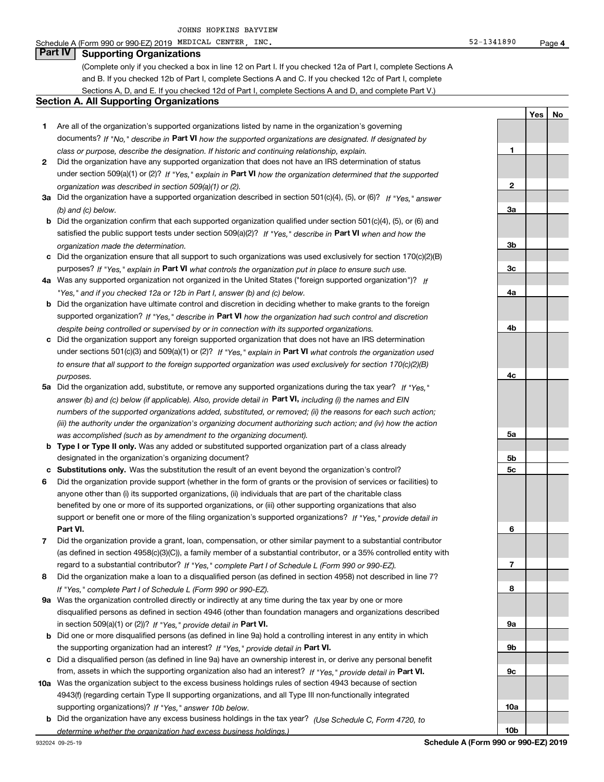#### Schedule A (Form 990 or 990-EZ) 2019 MEDICAL CENTER,INC. 52-1341890 Page

### **Part IV Supporting Organizations**

(Complete only if you checked a box in line 12 on Part I. If you checked 12a of Part I, complete Sections A and B. If you checked 12b of Part I, complete Sections A and C. If you checked 12c of Part I, complete Sections A, D, and E. If you checked 12d of Part I, complete Sections A and D, and complete Part V.)

#### **Section A. All Supporting Organizations**

- **1** Are all of the organization's supported organizations listed by name in the organization's governing documents? If "No," describe in **Part VI** how the supported organizations are designated. If designated by *class or purpose, describe the designation. If historic and continuing relationship, explain.*
- **2** Did the organization have any supported organization that does not have an IRS determination of status under section 509(a)(1) or (2)? If "Yes," explain in Part VI how the organization determined that the supported *organization was described in section 509(a)(1) or (2).*
- **3a** Did the organization have a supported organization described in section 501(c)(4), (5), or (6)? If "Yes," answer *(b) and (c) below.*
- **b** Did the organization confirm that each supported organization qualified under section 501(c)(4), (5), or (6) and satisfied the public support tests under section 509(a)(2)? If "Yes," describe in **Part VI** when and how the *organization made the determination.*
- **c**Did the organization ensure that all support to such organizations was used exclusively for section 170(c)(2)(B) purposes? If "Yes," explain in **Part VI** what controls the organization put in place to ensure such use.
- **4a***If* Was any supported organization not organized in the United States ("foreign supported organization")? *"Yes," and if you checked 12a or 12b in Part I, answer (b) and (c) below.*
- **b** Did the organization have ultimate control and discretion in deciding whether to make grants to the foreign supported organization? If "Yes," describe in **Part VI** how the organization had such control and discretion *despite being controlled or supervised by or in connection with its supported organizations.*
- **c** Did the organization support any foreign supported organization that does not have an IRS determination under sections 501(c)(3) and 509(a)(1) or (2)? If "Yes," explain in **Part VI** what controls the organization used *to ensure that all support to the foreign supported organization was used exclusively for section 170(c)(2)(B) purposes.*
- **5a***If "Yes,"* Did the organization add, substitute, or remove any supported organizations during the tax year? answer (b) and (c) below (if applicable). Also, provide detail in **Part VI,** including (i) the names and EIN *numbers of the supported organizations added, substituted, or removed; (ii) the reasons for each such action; (iii) the authority under the organization's organizing document authorizing such action; and (iv) how the action was accomplished (such as by amendment to the organizing document).*
- **b** Type I or Type II only. Was any added or substituted supported organization part of a class already designated in the organization's organizing document?
- **cSubstitutions only.**  Was the substitution the result of an event beyond the organization's control?
- **6** Did the organization provide support (whether in the form of grants or the provision of services or facilities) to **Part VI.** *If "Yes," provide detail in* support or benefit one or more of the filing organization's supported organizations? anyone other than (i) its supported organizations, (ii) individuals that are part of the charitable class benefited by one or more of its supported organizations, or (iii) other supporting organizations that also
- **7**Did the organization provide a grant, loan, compensation, or other similar payment to a substantial contributor *If "Yes," complete Part I of Schedule L (Form 990 or 990-EZ).* regard to a substantial contributor? (as defined in section 4958(c)(3)(C)), a family member of a substantial contributor, or a 35% controlled entity with
- **8** Did the organization make a loan to a disqualified person (as defined in section 4958) not described in line 7? *If "Yes," complete Part I of Schedule L (Form 990 or 990-EZ).*
- **9a** Was the organization controlled directly or indirectly at any time during the tax year by one or more in section 509(a)(1) or (2))? If "Yes," *provide detail in* <code>Part VI.</code> disqualified persons as defined in section 4946 (other than foundation managers and organizations described
- **b** Did one or more disqualified persons (as defined in line 9a) hold a controlling interest in any entity in which the supporting organization had an interest? If "Yes," provide detail in P**art VI**.
- **c**Did a disqualified person (as defined in line 9a) have an ownership interest in, or derive any personal benefit from, assets in which the supporting organization also had an interest? If "Yes," provide detail in P**art VI.**
- **10a** Was the organization subject to the excess business holdings rules of section 4943 because of section supporting organizations)? If "Yes," answer 10b below. 4943(f) (regarding certain Type II supporting organizations, and all Type III non-functionally integrated
- **b** Did the organization have any excess business holdings in the tax year? (Use Schedule C, Form 4720, to *determine whether the organization had excess business holdings.)*

**4**

**YesNo**

**1**

**2**

**3a**

**3b**

**3c**

**4a**

**4b**

**4c**

**5a**

**5b5c**

**6**

**7**

**8**

**9a**

**9b**

**9c**

**10a**

**10b**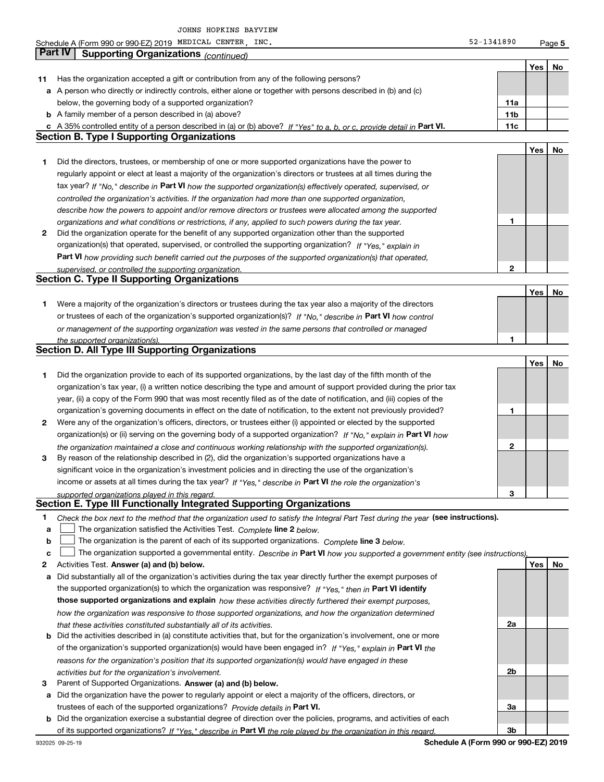Schedule A (Form 990 or 990-EZ) 2019 MEDICAL CENTER,INC. 52-1341890 Page MEDICAL CENTER, INC. 52-1341890

**5**

|              | Part IV<br><b>Supporting Organizations (continued)</b>                                                                            |                 |     |    |
|--------------|-----------------------------------------------------------------------------------------------------------------------------------|-----------------|-----|----|
|              |                                                                                                                                   |                 | Yes | No |
| 11           | Has the organization accepted a gift or contribution from any of the following persons?                                           |                 |     |    |
|              | a A person who directly or indirectly controls, either alone or together with persons described in (b) and (c)                    |                 |     |    |
|              | below, the governing body of a supported organization?                                                                            | 11a             |     |    |
|              | <b>b</b> A family member of a person described in (a) above?                                                                      | 11 <sub>b</sub> |     |    |
|              | c A 35% controlled entity of a person described in (a) or (b) above? If "Yes" to a, b, or c, provide detail in Part VI.           | 11c             |     |    |
|              | <b>Section B. Type I Supporting Organizations</b>                                                                                 |                 |     |    |
|              |                                                                                                                                   |                 | Yes | No |
| 1            | Did the directors, trustees, or membership of one or more supported organizations have the power to                               |                 |     |    |
|              | regularly appoint or elect at least a majority of the organization's directors or trustees at all times during the                |                 |     |    |
|              | tax year? If "No," describe in Part VI how the supported organization(s) effectively operated, supervised, or                     |                 |     |    |
|              | controlled the organization's activities. If the organization had more than one supported organization,                           |                 |     |    |
|              | describe how the powers to appoint and/or remove directors or trustees were allocated among the supported                         |                 |     |    |
|              | organizations and what conditions or restrictions, if any, applied to such powers during the tax year.                            | 1               |     |    |
| $\mathbf{2}$ | Did the organization operate for the benefit of any supported organization other than the supported                               |                 |     |    |
|              | organization(s) that operated, supervised, or controlled the supporting organization? If "Yes," explain in                        |                 |     |    |
|              | Part VI how providing such benefit carried out the purposes of the supported organization(s) that operated,                       |                 |     |    |
|              | supervised, or controlled the supporting organization.                                                                            | $\mathbf{2}$    |     |    |
|              | <b>Section C. Type II Supporting Organizations</b>                                                                                |                 |     |    |
|              |                                                                                                                                   |                 | Yes | No |
| 1.           | Were a majority of the organization's directors or trustees during the tax year also a majority of the directors                  |                 |     |    |
|              | or trustees of each of the organization's supported organization(s)? If "No." describe in Part VI how control                     |                 |     |    |
|              | or management of the supporting organization was vested in the same persons that controlled or managed                            | 1               |     |    |
|              | the supported organization(s).<br><b>Section D. All Type III Supporting Organizations</b>                                         |                 |     |    |
|              |                                                                                                                                   |                 | Yes | No |
| 1            | Did the organization provide to each of its supported organizations, by the last day of the fifth month of the                    |                 |     |    |
|              | organization's tax year, (i) a written notice describing the type and amount of support provided during the prior tax             |                 |     |    |
|              | year, (ii) a copy of the Form 990 that was most recently filed as of the date of notification, and (iii) copies of the            |                 |     |    |
|              | organization's governing documents in effect on the date of notification, to the extent not previously provided?                  | 1               |     |    |
| 2            | Were any of the organization's officers, directors, or trustees either (i) appointed or elected by the supported                  |                 |     |    |
|              | organization(s) or (ii) serving on the governing body of a supported organization? If "No," explain in Part VI how                |                 |     |    |
|              | the organization maintained a close and continuous working relationship with the supported organization(s).                       | $\mathbf{2}$    |     |    |
| 3            | By reason of the relationship described in (2), did the organization's supported organizations have a                             |                 |     |    |
|              | significant voice in the organization's investment policies and in directing the use of the organization's                        |                 |     |    |
|              | income or assets at all times during the tax year? If "Yes," describe in Part VI the role the organization's                      |                 |     |    |
|              | supported organizations played in this regard.                                                                                    | 3               |     |    |
|              | Section E. Type III Functionally Integrated Supporting Organizations                                                              |                 |     |    |
| 1            | Check the box next to the method that the organization used to satisfy the Integral Part Test during the year (see instructions). |                 |     |    |
| a            | The organization satisfied the Activities Test. Complete line 2 below.                                                            |                 |     |    |
| b            | The organization is the parent of each of its supported organizations. Complete line 3 below.                                     |                 |     |    |
| c            | The organization supported a governmental entity. Describe in Part VI how you supported a government entity (see instructions),   |                 |     |    |
| 2            | Activities Test. Answer (a) and (b) below.                                                                                        |                 | Yes | No |
| а            | Did substantially all of the organization's activities during the tax year directly further the exempt purposes of                |                 |     |    |
|              | the supported organization(s) to which the organization was responsive? If "Yes," then in Part VI identify                        |                 |     |    |
|              | those supported organizations and explain how these activities directly furthered their exempt purposes,                          |                 |     |    |
|              | how the organization was responsive to those supported organizations, and how the organization determined                         |                 |     |    |
|              | that these activities constituted substantially all of its activities.                                                            | 2a              |     |    |
| b            | Did the activities described in (a) constitute activities that, but for the organization's involvement, one or more               |                 |     |    |
|              | of the organization's supported organization(s) would have been engaged in? If "Yes," explain in Part VI the                      |                 |     |    |
|              | reasons for the organization's position that its supported organization(s) would have engaged in these                            | 2b              |     |    |
| з            | activities but for the organization's involvement.<br>Parent of Supported Organizations. Answer (a) and (b) below.                |                 |     |    |
| а            | Did the organization have the power to regularly appoint or elect a majority of the officers, directors, or                       |                 |     |    |
|              | trustees of each of the supported organizations? Provide details in Part VI.                                                      | За              |     |    |
|              | <b>b</b> Did the organization exercise a substantial degree of direction over the policies, programs, and activities of each      |                 |     |    |
|              | of its supported organizations? If "Yes." describe in Part VI the role played by the organization in this regard.                 | Зb              |     |    |

**Schedule A (Form 990 or 990-EZ) 2019**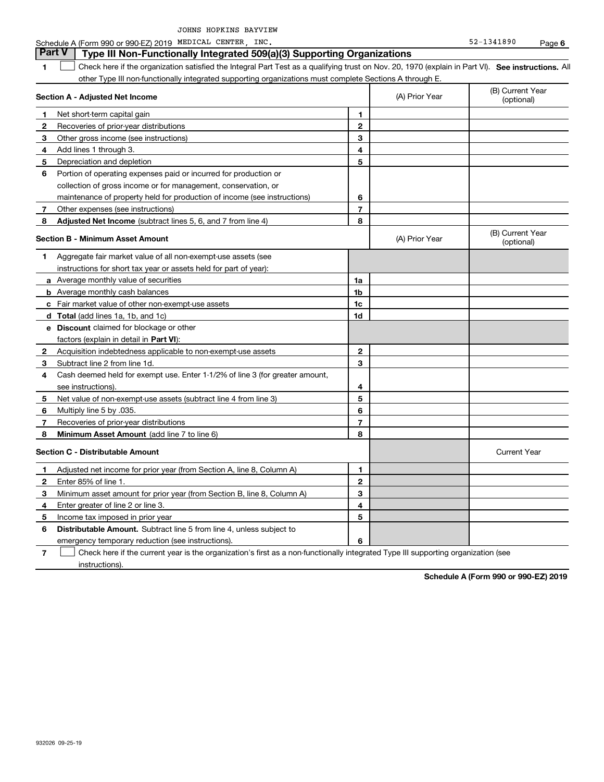**6**

#### **1SEP 10. See instructions.** All antegral Part Test as a qualifying trust on Nov. 20, 1970 (explain in Part VI). See instructions. All **Section A - Adjusted Net Income 12** Recoveries of prior-year distributions **3** Other gross income (see instructions) **4**Add lines 1 through 3. **56** Portion of operating expenses paid or incurred for production or **7** Other expenses (see instructions) **8** Adjusted Net Income (subtract lines 5, 6, and 7 from line 4) **8 8 1234567Section B - Minimum Asset Amount 1**Aggregate fair market value of all non-exempt-use assets (see **2**Acquisition indebtedness applicable to non-exempt-use assets **3** Subtract line 2 from line 1d. **4**Cash deemed held for exempt use. Enter 1-1/2% of line 3 (for greater amount, **5** Net value of non-exempt-use assets (subtract line 4 from line 3) **678a** Average monthly value of securities **b** Average monthly cash balances **c**Fair market value of other non-exempt-use assets **dTotal**  (add lines 1a, 1b, and 1c) **eDiscount** claimed for blockage or other **1a1b1c1d2345678**factors (explain in detail in **Part VI**): **Minimum Asset Amount**  (add line 7 to line 6) **Section C - Distributable Amount 123456123456Distributable Amount.** Subtract line 5 from line 4, unless subject to Schedule A (Form 990 or 990-EZ) 2019 MEDICAL CENTER,INC. 52-1341890 Page other Type III non-functionally integrated supporting organizations must complete Sections A through E. (B) Current Year (optional)(A) Prior Year Net short-term capital gain Depreciation and depletion collection of gross income or for management, conservation, or maintenance of property held for production of income (see instructions) (B) Current Year (optional)(A) Prior Year instructions for short tax year or assets held for part of year): see instructions). Multiply line 5 by .035. Recoveries of prior-year distributions Current Year Adjusted net income for prior year (from Section A, line 8, Column A) Enter 85% of line 1. Minimum asset amount for prior year (from Section B, line 8, Column A) Enter greater of line 2 or line 3. Income tax imposed in prior year emergency temporary reduction (see instructions). **Part V** Type III Non-Functionally Integrated 509(a)(3) Supporting Organizations  $\mathcal{L}^{\text{max}}$

**7**Check here if the current year is the organization's first as a non-functionally integrated Type III supporting organization (see instructions). $\mathcal{L}^{\text{max}}$ 

**Schedule A (Form 990 or 990-EZ) 2019**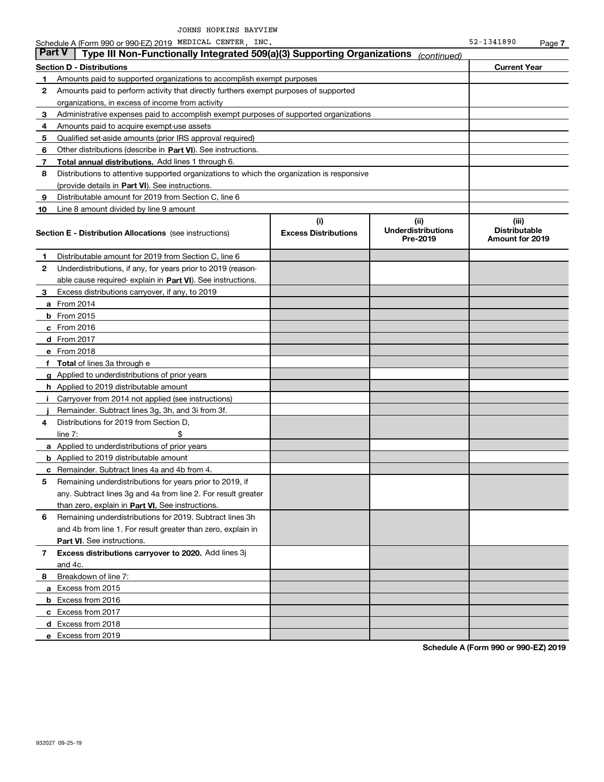| Part V | Type III Non-Functionally Integrated 509(a)(3) Supporting Organizations                    |                             | (continued)                           |                                                |
|--------|--------------------------------------------------------------------------------------------|-----------------------------|---------------------------------------|------------------------------------------------|
|        | Section D - Distributions                                                                  |                             |                                       | <b>Current Year</b>                            |
| 1      | Amounts paid to supported organizations to accomplish exempt purposes                      |                             |                                       |                                                |
| 2      | Amounts paid to perform activity that directly furthers exempt purposes of supported       |                             |                                       |                                                |
|        | organizations, in excess of income from activity                                           |                             |                                       |                                                |
| З      | Administrative expenses paid to accomplish exempt purposes of supported organizations      |                             |                                       |                                                |
| 4      | Amounts paid to acquire exempt-use assets                                                  |                             |                                       |                                                |
| 5      | Qualified set-aside amounts (prior IRS approval required)                                  |                             |                                       |                                                |
| 6      | Other distributions (describe in Part VI). See instructions.                               |                             |                                       |                                                |
| 7      | Total annual distributions. Add lines 1 through 6.                                         |                             |                                       |                                                |
| 8      | Distributions to attentive supported organizations to which the organization is responsive |                             |                                       |                                                |
|        | (provide details in Part VI). See instructions.                                            |                             |                                       |                                                |
| 9      | Distributable amount for 2019 from Section C, line 6                                       |                             |                                       |                                                |
| 10     | Line 8 amount divided by line 9 amount                                                     |                             |                                       |                                                |
|        |                                                                                            | (i)                         | (ii)                                  | (iii)                                          |
|        | <b>Section E - Distribution Allocations</b> (see instructions)                             | <b>Excess Distributions</b> | <b>Underdistributions</b><br>Pre-2019 | <b>Distributable</b><br><b>Amount for 2019</b> |
| 1.     | Distributable amount for 2019 from Section C, line 6                                       |                             |                                       |                                                |
| 2      | Underdistributions, if any, for years prior to 2019 (reason-                               |                             |                                       |                                                |
|        | able cause required-explain in Part VI). See instructions.                                 |                             |                                       |                                                |
| з      | Excess distributions carryover, if any, to 2019                                            |                             |                                       |                                                |
|        | <b>a</b> From 2014                                                                         |                             |                                       |                                                |
|        | <b>b</b> From 2015                                                                         |                             |                                       |                                                |
|        | $c$ From 2016                                                                              |                             |                                       |                                                |
|        | d From 2017                                                                                |                             |                                       |                                                |
|        | e From 2018                                                                                |                             |                                       |                                                |
| f      | <b>Total</b> of lines 3a through e                                                         |                             |                                       |                                                |
|        | <b>g</b> Applied to underdistributions of prior years                                      |                             |                                       |                                                |
|        | <b>h</b> Applied to 2019 distributable amount                                              |                             |                                       |                                                |
|        | Carryover from 2014 not applied (see instructions)                                         |                             |                                       |                                                |
|        | Remainder. Subtract lines 3g, 3h, and 3i from 3f.                                          |                             |                                       |                                                |
| 4      | Distributions for 2019 from Section D,                                                     |                             |                                       |                                                |
|        | line $7:$                                                                                  |                             |                                       |                                                |
|        | <b>a</b> Applied to underdistributions of prior years                                      |                             |                                       |                                                |
|        | <b>b</b> Applied to 2019 distributable amount                                              |                             |                                       |                                                |
| c      | Remainder. Subtract lines 4a and 4b from 4.                                                |                             |                                       |                                                |
| 5      | Remaining underdistributions for years prior to 2019, if                                   |                             |                                       |                                                |
|        | any. Subtract lines 3g and 4a from line 2. For result greater                              |                             |                                       |                                                |
|        | than zero, explain in Part VI. See instructions.                                           |                             |                                       |                                                |
| 6      | Remaining underdistributions for 2019. Subtract lines 3h                                   |                             |                                       |                                                |
|        | and 4b from line 1. For result greater than zero, explain in                               |                             |                                       |                                                |
|        | Part VI. See instructions.                                                                 |                             |                                       |                                                |
| 7      | Excess distributions carryover to 2020. Add lines 3j                                       |                             |                                       |                                                |
|        | and 4c.                                                                                    |                             |                                       |                                                |
| 8      | Breakdown of line 7:                                                                       |                             |                                       |                                                |
|        | a Excess from 2015                                                                         |                             |                                       |                                                |
|        | b Excess from 2016                                                                         |                             |                                       |                                                |
|        | c Excess from 2017                                                                         |                             |                                       |                                                |
|        | d Excess from 2018                                                                         |                             |                                       |                                                |
|        | e Excess from 2019                                                                         |                             |                                       |                                                |
|        |                                                                                            |                             |                                       |                                                |

**Schedule A (Form 990 or 990-EZ) 2019**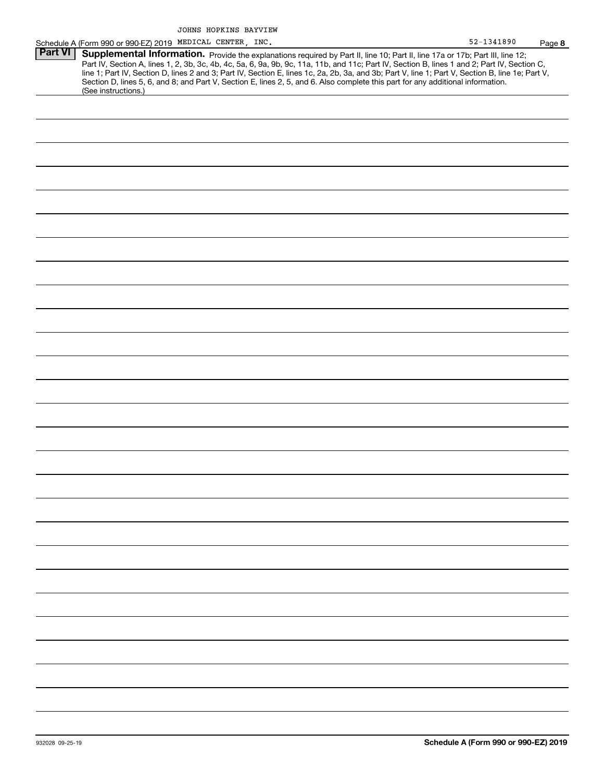|                | Schedule A (Form 990 or 990-EZ) 2019 MEDICAL CENTER, INC.                                                                                                                                                                                                                                                                                                                                                                                                                                                                                                                                   | 52-1341890 | Page 8 |
|----------------|---------------------------------------------------------------------------------------------------------------------------------------------------------------------------------------------------------------------------------------------------------------------------------------------------------------------------------------------------------------------------------------------------------------------------------------------------------------------------------------------------------------------------------------------------------------------------------------------|------------|--------|
| <b>Part VI</b> | Supplemental Information. Provide the explanations required by Part II, line 10; Part II, line 17a or 17b; Part III, line 12;<br>Part IV, Section A, lines 1, 2, 3b, 3c, 4b, 4c, 5a, 6, 9a, 9b, 9c, 11a, 11b, and 11c; Part IV, Section B, lines 1 and 2; Part IV, Section C,<br>line 1; Part IV, Section D, lines 2 and 3; Part IV, Section E, lines 1c, 2a, 2b, 3a, and 3b; Part V, line 1; Part V, Section B, line 1e; Part V,<br>Section D, lines 5, 6, and 8; and Part V, Section E, lines 2, 5, and 6. Also complete this part for any additional information.<br>(See instructions.) |            |        |
|                |                                                                                                                                                                                                                                                                                                                                                                                                                                                                                                                                                                                             |            |        |
|                |                                                                                                                                                                                                                                                                                                                                                                                                                                                                                                                                                                                             |            |        |
|                |                                                                                                                                                                                                                                                                                                                                                                                                                                                                                                                                                                                             |            |        |
|                |                                                                                                                                                                                                                                                                                                                                                                                                                                                                                                                                                                                             |            |        |
|                |                                                                                                                                                                                                                                                                                                                                                                                                                                                                                                                                                                                             |            |        |
|                |                                                                                                                                                                                                                                                                                                                                                                                                                                                                                                                                                                                             |            |        |
|                |                                                                                                                                                                                                                                                                                                                                                                                                                                                                                                                                                                                             |            |        |
|                |                                                                                                                                                                                                                                                                                                                                                                                                                                                                                                                                                                                             |            |        |
|                |                                                                                                                                                                                                                                                                                                                                                                                                                                                                                                                                                                                             |            |        |
|                |                                                                                                                                                                                                                                                                                                                                                                                                                                                                                                                                                                                             |            |        |
|                |                                                                                                                                                                                                                                                                                                                                                                                                                                                                                                                                                                                             |            |        |
|                |                                                                                                                                                                                                                                                                                                                                                                                                                                                                                                                                                                                             |            |        |
|                |                                                                                                                                                                                                                                                                                                                                                                                                                                                                                                                                                                                             |            |        |
|                |                                                                                                                                                                                                                                                                                                                                                                                                                                                                                                                                                                                             |            |        |
|                |                                                                                                                                                                                                                                                                                                                                                                                                                                                                                                                                                                                             |            |        |
|                |                                                                                                                                                                                                                                                                                                                                                                                                                                                                                                                                                                                             |            |        |
|                |                                                                                                                                                                                                                                                                                                                                                                                                                                                                                                                                                                                             |            |        |
|                |                                                                                                                                                                                                                                                                                                                                                                                                                                                                                                                                                                                             |            |        |
|                |                                                                                                                                                                                                                                                                                                                                                                                                                                                                                                                                                                                             |            |        |
|                |                                                                                                                                                                                                                                                                                                                                                                                                                                                                                                                                                                                             |            |        |
|                |                                                                                                                                                                                                                                                                                                                                                                                                                                                                                                                                                                                             |            |        |
|                |                                                                                                                                                                                                                                                                                                                                                                                                                                                                                                                                                                                             |            |        |
|                |                                                                                                                                                                                                                                                                                                                                                                                                                                                                                                                                                                                             |            |        |
|                |                                                                                                                                                                                                                                                                                                                                                                                                                                                                                                                                                                                             |            |        |
|                |                                                                                                                                                                                                                                                                                                                                                                                                                                                                                                                                                                                             |            |        |
|                |                                                                                                                                                                                                                                                                                                                                                                                                                                                                                                                                                                                             |            |        |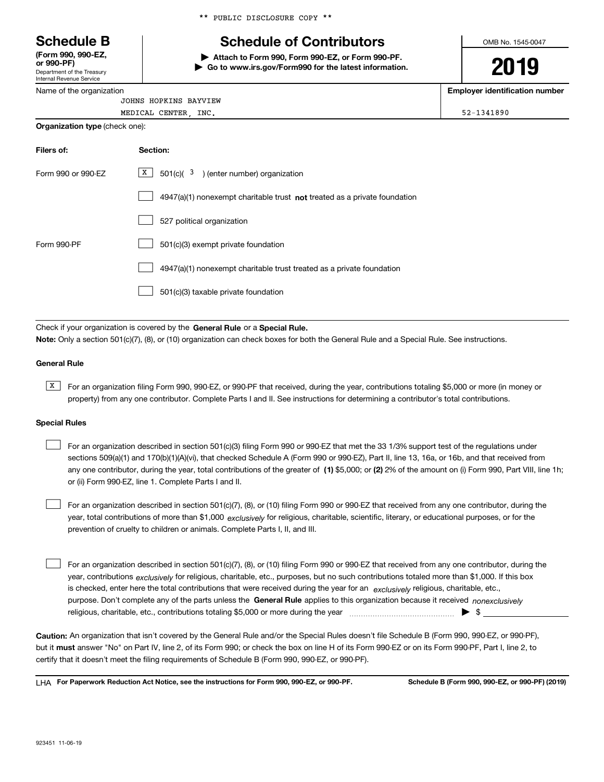Department of the Treasury **(Form 990, 990-EZ, or 990-PF)**

Internal Revenue Service Name of the organization \*\* PUBLIC DISCLOSURE COPY \*\*

## **Schedule B Schedule of Contributors**

**| Attach to Form 990, Form 990-EZ, or Form 990-PF. | Go to www.irs.gov/Form990 for the latest information.** OMB No. 1545-0047

# **2019**

**Employer identification number**

| JOHNS HOPKINS BAYVIEW          |            |
|--------------------------------|------------|
| MEDICAL CENTER<br>INC.         | 52-1341890 |
| Organization type (check one): |            |

| Filers of:         | Section:                                                                    |
|--------------------|-----------------------------------------------------------------------------|
| Form 990 or 990-EZ | X  <br>$501(c)$ ( $3$ ) (enter number) organization                         |
|                    | $4947(a)(1)$ nonexempt charitable trust not treated as a private foundation |
|                    | 527 political organization                                                  |
| Form 990-PF        | 501(c)(3) exempt private foundation                                         |
|                    | 4947(a)(1) nonexempt charitable trust treated as a private foundation       |
|                    | 501(c)(3) taxable private foundation                                        |

Check if your organization is covered by the **General Rule** or a **Special Rule. Note:**  Only a section 501(c)(7), (8), or (10) organization can check boxes for both the General Rule and a Special Rule. See instructions.

#### **General Rule**

 $\overline{X}$  For an organization filing Form 990, 990-EZ, or 990-PF that received, during the year, contributions totaling \$5,000 or more (in money or property) from any one contributor. Complete Parts I and II. See instructions for determining a contributor's total contributions.

#### **Special Rules**

any one contributor, during the year, total contributions of the greater of  $\,$  (1) \$5,000; or **(2)** 2% of the amount on (i) Form 990, Part VIII, line 1h; For an organization described in section 501(c)(3) filing Form 990 or 990-EZ that met the 33 1/3% support test of the regulations under sections 509(a)(1) and 170(b)(1)(A)(vi), that checked Schedule A (Form 990 or 990-EZ), Part II, line 13, 16a, or 16b, and that received from or (ii) Form 990-EZ, line 1. Complete Parts I and II.  $\mathcal{L}^{\text{max}}$ 

year, total contributions of more than \$1,000 *exclusively* for religious, charitable, scientific, literary, or educational purposes, or for the For an organization described in section 501(c)(7), (8), or (10) filing Form 990 or 990-EZ that received from any one contributor, during the prevention of cruelty to children or animals. Complete Parts I, II, and III.  $\mathcal{L}^{\text{max}}$ 

purpose. Don't complete any of the parts unless the **General Rule** applies to this organization because it received *nonexclusively* year, contributions <sub>exclusively</sub> for religious, charitable, etc., purposes, but no such contributions totaled more than \$1,000. If this box is checked, enter here the total contributions that were received during the year for an  $\;$ exclusively religious, charitable, etc., For an organization described in section 501(c)(7), (8), or (10) filing Form 990 or 990-EZ that received from any one contributor, during the religious, charitable, etc., contributions totaling \$5,000 or more during the year  $\Box$ — $\Box$  =  $\Box$  $\mathcal{L}^{\text{max}}$ 

**Caution:**  An organization that isn't covered by the General Rule and/or the Special Rules doesn't file Schedule B (Form 990, 990-EZ, or 990-PF),  **must** but it answer "No" on Part IV, line 2, of its Form 990; or check the box on line H of its Form 990-EZ or on its Form 990-PF, Part I, line 2, to certify that it doesn't meet the filing requirements of Schedule B (Form 990, 990-EZ, or 990-PF).

**For Paperwork Reduction Act Notice, see the instructions for Form 990, 990-EZ, or 990-PF. Schedule B (Form 990, 990-EZ, or 990-PF) (2019)** LHA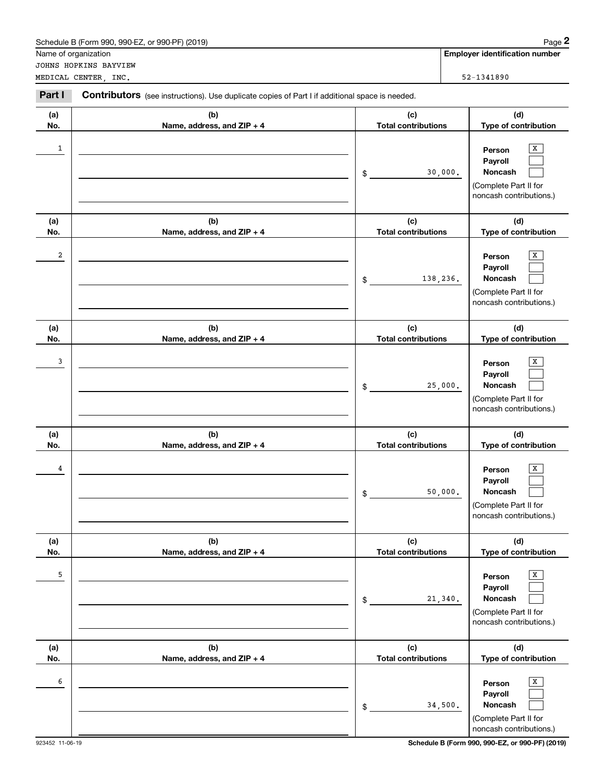|            | Schedule B (Form 990, 990-EZ, or 990-PF) (2019)                                                |                                   | Page 2                                                                                                  |
|------------|------------------------------------------------------------------------------------------------|-----------------------------------|---------------------------------------------------------------------------------------------------------|
|            | Name of organization                                                                           |                                   | <b>Employer identification number</b>                                                                   |
|            | JOHNS HOPKINS BAYVIEW<br>MEDICAL CENTER, INC.                                                  |                                   | 52-1341890                                                                                              |
| Part I     | Contributors (see instructions). Use duplicate copies of Part I if additional space is needed. |                                   |                                                                                                         |
| (a)<br>No. | (b)<br>Name, address, and ZIP + 4                                                              | (c)<br><b>Total contributions</b> | (d)<br>Type of contribution                                                                             |
| 1          |                                                                                                | \$                                | x<br>Person<br>Payroll<br>Noncash<br>30,000.<br>(Complete Part II for<br>noncash contributions.)        |
| (a)<br>No. | (b)<br>Name, address, and ZIP + 4                                                              | (c)<br><b>Total contributions</b> | (d)<br>Type of contribution                                                                             |
| 2          |                                                                                                | 138,236.<br>$\frac{1}{2}$         | x<br>Person<br>Payroll<br>Noncash<br>(Complete Part II for<br>noncash contributions.)                   |
| (a)<br>No. | (b)<br>Name, address, and ZIP + 4                                                              | (c)<br><b>Total contributions</b> | (d)<br>Type of contribution                                                                             |
| 3          |                                                                                                | \$                                | x<br>Person<br>Payroll<br>Noncash<br>25,000.<br>(Complete Part II for<br>noncash contributions.)        |
| (a)<br>No. | (b)<br>Name, address, and ZIP + 4                                                              | (c)<br><b>Total contributions</b> | (d)<br>Type of contribution                                                                             |
| 4          |                                                                                                | \$                                | X<br>Person<br>Payroll<br><b>Noncash</b><br>50,000.<br>(Complete Part II for<br>noncash contributions.) |
| (a)<br>No. | (b)<br>Name, address, and ZIP + 4                                                              | (c)<br><b>Total contributions</b> | (d)<br>Type of contribution                                                                             |
| 5          |                                                                                                | \$                                | X<br>Person<br>Payroll<br>Noncash<br>21,340.<br>(Complete Part II for<br>noncash contributions.)        |
| (a)<br>No. | (b)<br>Name, address, and ZIP + 4                                                              | (c)<br><b>Total contributions</b> | (d)<br>Type of contribution                                                                             |
| 6          |                                                                                                | \$                                | x<br>Person<br>Payroll<br>Noncash<br>34,500.<br>(Complete Part II for<br>noncash contributions.)        |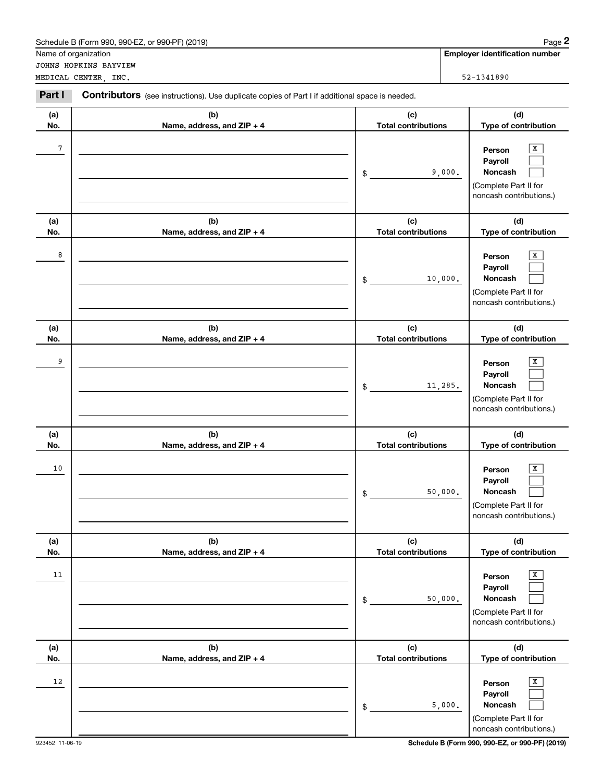|                | Schedule B (Form 990, 990-EZ, or 990-PF) (2019)                                                       |                                   | Page 2                                                                                          |
|----------------|-------------------------------------------------------------------------------------------------------|-----------------------------------|-------------------------------------------------------------------------------------------------|
|                | Name of organization                                                                                  |                                   | <b>Employer identification number</b>                                                           |
|                | JOHNS HOPKINS BAYVIEW<br>MEDICAL CENTER, INC.                                                         |                                   | 52-1341890                                                                                      |
|                |                                                                                                       |                                   |                                                                                                 |
| Part I         | <b>Contributors</b> (see instructions). Use duplicate copies of Part I if additional space is needed. |                                   |                                                                                                 |
| (a)            | (b)                                                                                                   | (c)                               | (d)                                                                                             |
| No.            | Name, address, and ZIP + 4                                                                            | <b>Total contributions</b>        | Type of contribution                                                                            |
| $\overline{7}$ |                                                                                                       | \$                                | x<br>Person<br>Payroll<br>Noncash<br>9,000.<br>(Complete Part II for<br>noncash contributions.) |
| (a)<br>No.     | (b)<br>Name, address, and ZIP + 4                                                                     | (c)<br><b>Total contributions</b> | (d)<br>Type of contribution                                                                     |
| 8              |                                                                                                       | 10,000.<br>\$                     | х<br>Person<br>Payroll<br>Noncash<br>(Complete Part II for<br>noncash contributions.)           |
| (a)<br>No.     | (b)<br>Name, address, and ZIP + 4                                                                     | (c)<br><b>Total contributions</b> | (d)<br>Type of contribution                                                                     |
| 9              |                                                                                                       | 11,285.<br>\$                     | х<br>Person<br>Payroll<br>Noncash<br>(Complete Part II for<br>noncash contributions.)           |
| (a)<br>No.     | (b)<br>Name, address, and ZIP + 4                                                                     | (c)<br><b>Total contributions</b> | (d)<br>Type of contribution                                                                     |
| 10             |                                                                                                       | 50,000.<br>\$                     | x<br>Person<br>Payroll<br>Noncash<br>(Complete Part II for<br>noncash contributions.)           |
| (a)<br>No.     | (b)<br>Name, address, and ZIP + 4                                                                     | (c)<br><b>Total contributions</b> | (d)<br>Type of contribution                                                                     |
| 11             |                                                                                                       | 50,000.<br>\$                     | x<br>Person<br>Payroll<br>Noncash<br>(Complete Part II for<br>noncash contributions.)           |
| (a)<br>No.     | (b)<br>Name, address, and ZIP + 4                                                                     | (c)<br><b>Total contributions</b> | (d)<br>Type of contribution                                                                     |
| 12             |                                                                                                       | \$                                | x<br>Person<br>Payroll<br>Noncash<br>5,000.<br>(Complete Part II for<br>noncash contributions.) |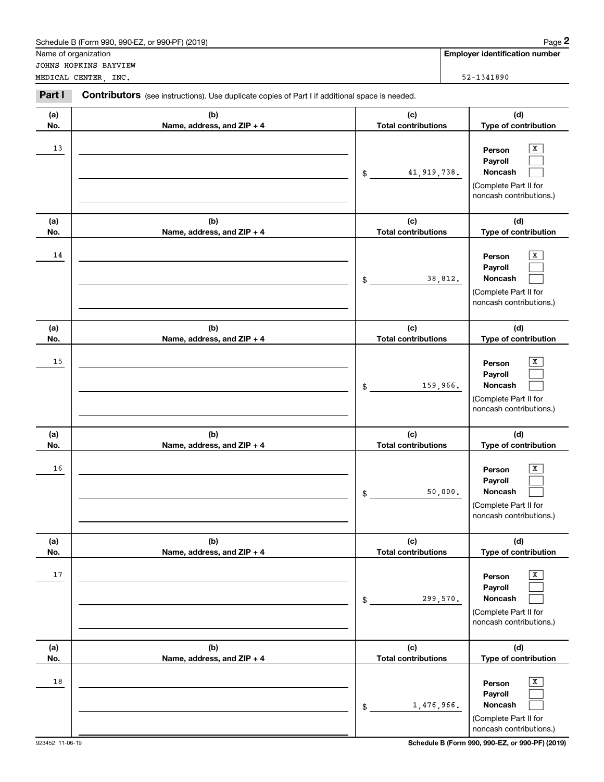|            | Schedule B (Form 990, 990-EZ, or 990-PF) (2019)                                                       |                                   | Page 2                                                                                |
|------------|-------------------------------------------------------------------------------------------------------|-----------------------------------|---------------------------------------------------------------------------------------|
|            | Name of organization                                                                                  |                                   | <b>Employer identification number</b>                                                 |
|            | JOHNS HOPKINS BAYVIEW<br>MEDICAL CENTER, INC.                                                         |                                   | 52-1341890                                                                            |
|            |                                                                                                       |                                   |                                                                                       |
| Part I     | <b>Contributors</b> (see instructions). Use duplicate copies of Part I if additional space is needed. |                                   |                                                                                       |
| (a)        | (b)                                                                                                   | (c)                               | (d)                                                                                   |
| No.        | Name, address, and ZIP + 4                                                                            | <b>Total contributions</b>        | Type of contribution                                                                  |
| 13         |                                                                                                       | 41, 919, 738.<br>\$               | x<br>Person<br>Payroll<br>Noncash<br>(Complete Part II for<br>noncash contributions.) |
| (a)<br>No. | (b)<br>Name, address, and ZIP + 4                                                                     | (c)<br><b>Total contributions</b> | (d)<br>Type of contribution                                                           |
| 14         |                                                                                                       | 38,812.<br>\$                     | х<br>Person<br>Payroll<br>Noncash<br>(Complete Part II for<br>noncash contributions.) |
| (a)<br>No. | (b)<br>Name, address, and ZIP + 4                                                                     | (c)<br><b>Total contributions</b> | (d)<br>Type of contribution                                                           |
| 15         |                                                                                                       | 159,966.<br>\$                    | х<br>Person<br>Payroll<br>Noncash<br>(Complete Part II for<br>noncash contributions.) |
| (a)<br>No. | (b)<br>Name, address, and ZIP + 4                                                                     | (c)<br><b>Total contributions</b> | (d)<br>Type of contribution                                                           |
| 16         |                                                                                                       | 50,000.<br>\$                     | x<br>Person<br>Payroll<br>Noncash<br>(Complete Part II for<br>noncash contributions.) |
| (a)<br>No. | (b)<br>Name, address, and ZIP + 4                                                                     | (c)<br><b>Total contributions</b> | (d)<br>Type of contribution                                                           |
| 17         |                                                                                                       | 299,570.<br>\$                    | x<br>Person<br>Payroll<br>Noncash<br>(Complete Part II for<br>noncash contributions.) |
| (a)<br>No. | (b)<br>Name, address, and ZIP + 4                                                                     | (c)<br><b>Total contributions</b> | (d)<br>Type of contribution                                                           |
| 18         |                                                                                                       | 1,476,966.<br>$\mathcal{L}$       | x<br>Person<br>Payroll<br>Noncash<br>(Complete Part II for<br>noncash contributions.) |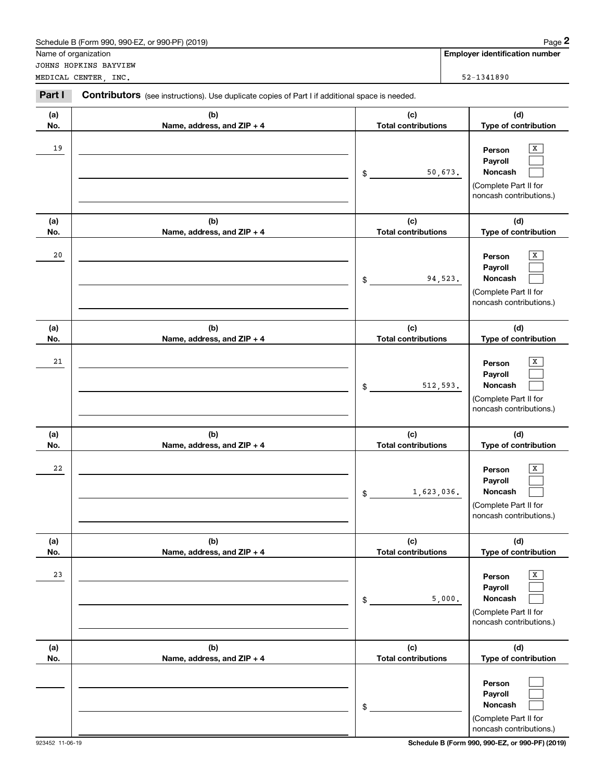|            | Schedule B (Form 990, 990-EZ, or 990-PF) (2019)                                                |                                   | Page 2                                                                                           |
|------------|------------------------------------------------------------------------------------------------|-----------------------------------|--------------------------------------------------------------------------------------------------|
|            | Name of organization                                                                           |                                   | <b>Employer identification number</b>                                                            |
|            | JOHNS HOPKINS BAYVIEW                                                                          |                                   | 52-1341890                                                                                       |
|            | MEDICAL CENTER, INC.                                                                           |                                   |                                                                                                  |
| Part I     | Contributors (see instructions). Use duplicate copies of Part I if additional space is needed. |                                   |                                                                                                  |
| (a)        | (b)                                                                                            | (c)                               | (d)                                                                                              |
| No.        | Name, address, and ZIP + 4                                                                     | <b>Total contributions</b>        | Type of contribution                                                                             |
| 19         |                                                                                                | \$                                | х<br>Person<br>Payroll<br>Noncash<br>50,673.<br>(Complete Part II for<br>noncash contributions.) |
| (a)        | (b)                                                                                            | (c)                               | (d)                                                                                              |
| No.        | Name, address, and ZIP + 4                                                                     | <b>Total contributions</b>        | Type of contribution                                                                             |
| 20         |                                                                                                | \$                                | X<br>Person<br>Payroll<br>Noncash<br>94,523.<br>(Complete Part II for<br>noncash contributions.) |
| (a)<br>No. | (b)<br>Name, address, and ZIP + 4                                                              | (c)<br><b>Total contributions</b> | (d)<br>Type of contribution                                                                      |
| 21         |                                                                                                | 512,593.<br>\$                    | x<br>Person<br>Payroll<br>Noncash<br>(Complete Part II for<br>noncash contributions.)            |
| (a)<br>No. | (b)<br>Name, address, and ZIP + 4                                                              | (c)<br><b>Total contributions</b> | (d)<br>Type of contribution                                                                      |
| 22         |                                                                                                | 1,623,036.<br>\$                  | X<br>Person<br>Payroll<br><b>Noncash</b><br>(Complete Part II for<br>noncash contributions.)     |
| (a)        | (b)<br>Name, address, and ZIP + 4                                                              | (c)<br><b>Total contributions</b> | (d)                                                                                              |
| No.<br>23  |                                                                                                |                                   | Type of contribution<br>x<br>Person                                                              |
|            |                                                                                                | \$                                | Payroll<br>Noncash<br>5,000.<br>(Complete Part II for<br>noncash contributions.)                 |
| (a)<br>No. | (b)<br>Name, address, and ZIP + 4                                                              | (c)<br><b>Total contributions</b> | (d)<br>Type of contribution                                                                      |
|            |                                                                                                | \$                                | Person<br>Payroll<br>Noncash<br>(Complete Part II for<br>noncash contributions.)                 |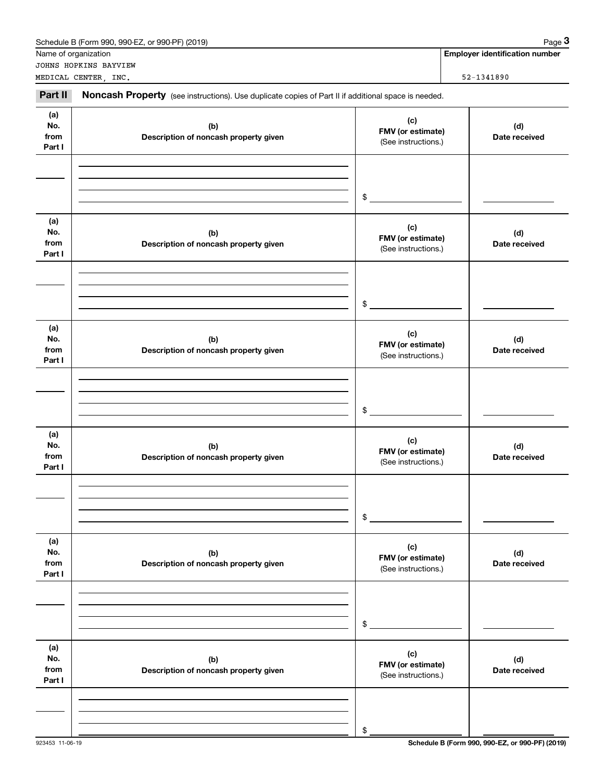|                              | Schedule B (Form 990, 990-EZ, or 990-PF) (2019)                                                     |                                                 | Page 3                                |
|------------------------------|-----------------------------------------------------------------------------------------------------|-------------------------------------------------|---------------------------------------|
|                              | Name of organization                                                                                |                                                 | <b>Employer identification number</b> |
|                              | JOHNS HOPKINS BAYVIEW<br>MEDICAL CENTER, INC.                                                       |                                                 | 52-1341890                            |
| Part II                      | Noncash Property (see instructions). Use duplicate copies of Part II if additional space is needed. |                                                 |                                       |
| (a)<br>No.<br>from<br>Part I | (b)<br>Description of noncash property given                                                        | (c)<br>FMV (or estimate)<br>(See instructions.) | (d)<br>Date received                  |
|                              |                                                                                                     | $\frac{1}{2}$                                   |                                       |
| (a)<br>No.<br>from<br>Part I | (b)<br>Description of noncash property given                                                        | (c)<br>FMV (or estimate)<br>(See instructions.) | (d)<br>Date received                  |
|                              |                                                                                                     | $\frac{1}{2}$                                   |                                       |
| (a)<br>No.<br>from<br>Part I | (b)<br>Description of noncash property given                                                        | (c)<br>FMV (or estimate)<br>(See instructions.) | (d)<br>Date received                  |
|                              |                                                                                                     | $$^{\circ}$                                     |                                       |
| (a)<br>No.<br>from<br>Part I | (b)<br>Description of noncash property given                                                        | (c)<br>FMV (or estimate)<br>(See instructions.) | (d)<br>Date received                  |
|                              |                                                                                                     | \$                                              |                                       |
| (a)<br>No.<br>from<br>Part I | (b)<br>Description of noncash property given                                                        | (c)<br>FMV (or estimate)<br>(See instructions.) | (d)<br>Date received                  |
|                              |                                                                                                     | \$                                              |                                       |
| (a)<br>No.<br>from<br>Part I | (b)<br>Description of noncash property given                                                        | (c)<br>FMV (or estimate)<br>(See instructions.) | (d)<br>Date received                  |
|                              |                                                                                                     | \$                                              |                                       |

923453 11-06-19 **Schedule B (Form 990, 990-EZ, or 990-PF) (2019)**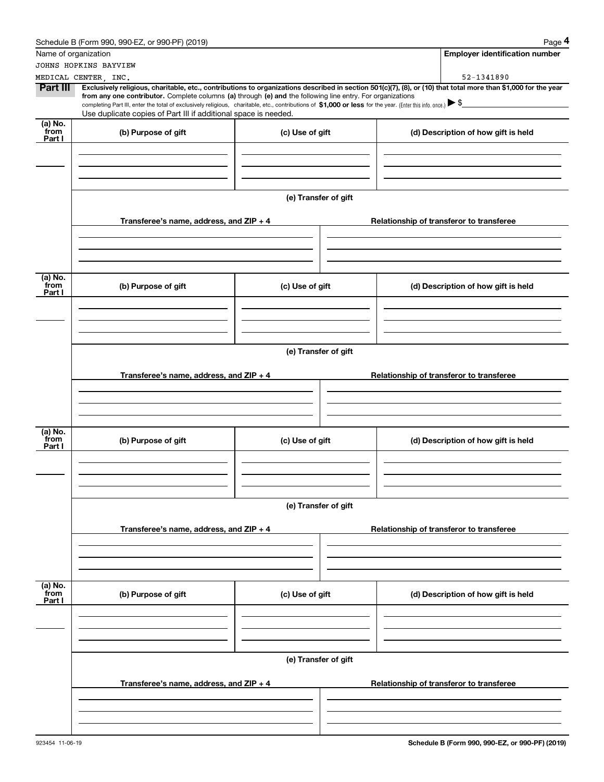|                                               | Schedule B (Form 990, 990-EZ, or 990-PF) (2019)                                                                                                                                                                                                                                                                                                                                                                                                                                                                  |                      |  | Page 4                                   |  |  |  |  |
|-----------------------------------------------|------------------------------------------------------------------------------------------------------------------------------------------------------------------------------------------------------------------------------------------------------------------------------------------------------------------------------------------------------------------------------------------------------------------------------------------------------------------------------------------------------------------|----------------------|--|------------------------------------------|--|--|--|--|
| Name of organization                          |                                                                                                                                                                                                                                                                                                                                                                                                                                                                                                                  |                      |  | <b>Employer identification number</b>    |  |  |  |  |
|                                               | JOHNS HOPKINS BAYVIEW                                                                                                                                                                                                                                                                                                                                                                                                                                                                                            |                      |  |                                          |  |  |  |  |
|                                               | MEDICAL CENTER, INC.                                                                                                                                                                                                                                                                                                                                                                                                                                                                                             |                      |  | 52-1341890                               |  |  |  |  |
| Part III                                      | Exclusively religious, charitable, etc., contributions to organizations described in section 501(c)(7), (8), or (10) that total more than \$1,000 for the year<br>from any one contributor. Complete columns (a) through (e) and the following line entry. For organizations<br>completing Part III, enter the total of exclusively religious, charitable, etc., contributions of $$1,000$ or less for the year. (Enter this info. once.) $$$<br>Use duplicate copies of Part III if additional space is needed. |                      |  |                                          |  |  |  |  |
| $(a)$ No.<br>from<br>Part I                   | (b) Purpose of gift                                                                                                                                                                                                                                                                                                                                                                                                                                                                                              | (c) Use of gift      |  | (d) Description of how gift is held      |  |  |  |  |
|                                               |                                                                                                                                                                                                                                                                                                                                                                                                                                                                                                                  |                      |  |                                          |  |  |  |  |
|                                               |                                                                                                                                                                                                                                                                                                                                                                                                                                                                                                                  | (e) Transfer of gift |  |                                          |  |  |  |  |
|                                               | Transferee's name, address, and $ZIP + 4$                                                                                                                                                                                                                                                                                                                                                                                                                                                                        |                      |  | Relationship of transferor to transferee |  |  |  |  |
|                                               |                                                                                                                                                                                                                                                                                                                                                                                                                                                                                                                  |                      |  |                                          |  |  |  |  |
| (a) No.<br>from<br>Part I                     | (b) Purpose of gift                                                                                                                                                                                                                                                                                                                                                                                                                                                                                              | (c) Use of gift      |  | (d) Description of how gift is held      |  |  |  |  |
|                                               |                                                                                                                                                                                                                                                                                                                                                                                                                                                                                                                  |                      |  |                                          |  |  |  |  |
|                                               |                                                                                                                                                                                                                                                                                                                                                                                                                                                                                                                  | (e) Transfer of gift |  |                                          |  |  |  |  |
|                                               | Transferee's name, address, and $ZIP + 4$                                                                                                                                                                                                                                                                                                                                                                                                                                                                        |                      |  | Relationship of transferor to transferee |  |  |  |  |
|                                               |                                                                                                                                                                                                                                                                                                                                                                                                                                                                                                                  |                      |  |                                          |  |  |  |  |
| (a) $\overline{\text{No.}}$<br>from<br>Part I | (b) Purpose of gift                                                                                                                                                                                                                                                                                                                                                                                                                                                                                              | (c) Use of gift      |  | (d) Description of how gift is held      |  |  |  |  |
|                                               |                                                                                                                                                                                                                                                                                                                                                                                                                                                                                                                  |                      |  |                                          |  |  |  |  |
|                                               |                                                                                                                                                                                                                                                                                                                                                                                                                                                                                                                  | (e) Transfer of gift |  |                                          |  |  |  |  |
|                                               | Transferee's name, address, and ZIP + 4                                                                                                                                                                                                                                                                                                                                                                                                                                                                          |                      |  | Relationship of transferor to transferee |  |  |  |  |
|                                               |                                                                                                                                                                                                                                                                                                                                                                                                                                                                                                                  |                      |  |                                          |  |  |  |  |
| (a) No.<br>from<br>Part I                     | (b) Purpose of gift                                                                                                                                                                                                                                                                                                                                                                                                                                                                                              | (c) Use of gift      |  | (d) Description of how gift is held      |  |  |  |  |
|                                               |                                                                                                                                                                                                                                                                                                                                                                                                                                                                                                                  |                      |  |                                          |  |  |  |  |
|                                               | (e) Transfer of gift                                                                                                                                                                                                                                                                                                                                                                                                                                                                                             |                      |  |                                          |  |  |  |  |
|                                               | Transferee's name, address, and ZIP + 4                                                                                                                                                                                                                                                                                                                                                                                                                                                                          |                      |  | Relationship of transferor to transferee |  |  |  |  |
|                                               |                                                                                                                                                                                                                                                                                                                                                                                                                                                                                                                  |                      |  |                                          |  |  |  |  |
|                                               |                                                                                                                                                                                                                                                                                                                                                                                                                                                                                                                  |                      |  |                                          |  |  |  |  |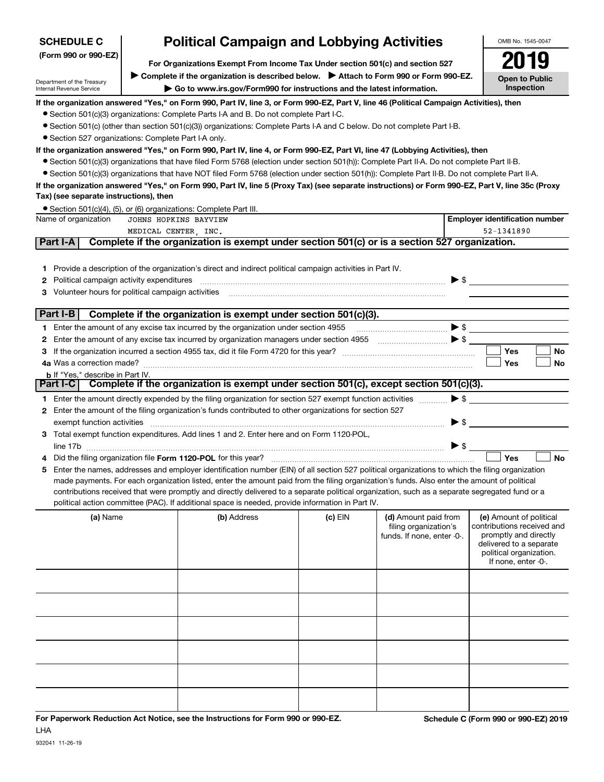| <b>SCHEDULE C</b>                                                                                                                                                                                                                                                           | <b>Political Campaign and Lobbying Activities</b>                                                                                                |                          | OMB No. 1545-0047                     |           |  |  |  |
|-----------------------------------------------------------------------------------------------------------------------------------------------------------------------------------------------------------------------------------------------------------------------------|--------------------------------------------------------------------------------------------------------------------------------------------------|--------------------------|---------------------------------------|-----------|--|--|--|
| (Form 990 or 990-EZ)                                                                                                                                                                                                                                                        | For Organizations Exempt From Income Tax Under section 501(c) and section 527                                                                    |                          |                                       |           |  |  |  |
| ► Complete if the organization is described below. ► Attach to Form 990 or Form 990-EZ.<br><b>Open to Public</b><br>Department of the Treasury<br>Inspection<br>► Go to www.irs.gov/Form990 for instructions and the latest information.<br><b>Internal Revenue Service</b> |                                                                                                                                                  |                          |                                       |           |  |  |  |
|                                                                                                                                                                                                                                                                             | If the organization answered "Yes," on Form 990, Part IV, line 3, or Form 990-EZ, Part V, line 46 (Political Campaign Activities), then          |                          |                                       |           |  |  |  |
|                                                                                                                                                                                                                                                                             | • Section 501(c)(3) organizations: Complete Parts I-A and B. Do not complete Part I-C.                                                           |                          |                                       |           |  |  |  |
|                                                                                                                                                                                                                                                                             | • Section 501(c) (other than section 501(c)(3)) organizations: Complete Parts I-A and C below. Do not complete Part I-B.                         |                          |                                       |           |  |  |  |
|                                                                                                                                                                                                                                                                             | • Section 527 organizations: Complete Part I-A only.                                                                                             |                          |                                       |           |  |  |  |
|                                                                                                                                                                                                                                                                             | lf the organization answered "Yes," on Form 990, Part IV, line 4, or Form 990-EZ, Part VI, line 47 (Lobbying Activities), then                   |                          |                                       |           |  |  |  |
|                                                                                                                                                                                                                                                                             | • Section 501(c)(3) organizations that have filed Form 5768 (election under section 501(h)): Complete Part II-A. Do not complete Part II-B.      |                          |                                       |           |  |  |  |
|                                                                                                                                                                                                                                                                             | • Section 501(c)(3) organizations that have NOT filed Form 5768 (election under section 501(h)): Complete Part II-B. Do not complete Part II-A.  |                          |                                       |           |  |  |  |
| Tax) (see separate instructions), then                                                                                                                                                                                                                                      | If the organization answered "Yes," on Form 990, Part IV, line 5 (Proxy Tax) (see separate instructions) or Form 990-EZ, Part V, line 35c (Proxy |                          |                                       |           |  |  |  |
|                                                                                                                                                                                                                                                                             | • Section 501(c)(4), (5), or (6) organizations: Complete Part III.                                                                               |                          |                                       |           |  |  |  |
| Name of organization                                                                                                                                                                                                                                                        | JOHNS HOPKINS BAYVIEW                                                                                                                            |                          | <b>Employer identification number</b> |           |  |  |  |
| Part I-A                                                                                                                                                                                                                                                                    | MEDICAL CENTER . INC.<br>Complete if the organization is exempt under section 501(c) or is a section 527 organization.                           |                          | 52-1341890                            |           |  |  |  |
|                                                                                                                                                                                                                                                                             |                                                                                                                                                  |                          |                                       |           |  |  |  |
| <b>2</b> Political campaign activity expenditures                                                                                                                                                                                                                           | 1 Provide a description of the organization's direct and indirect political campaign activities in Part IV.                                      |                          |                                       |           |  |  |  |
|                                                                                                                                                                                                                                                                             | 3 Volunteer hours for political campaign activities                                                                                              |                          |                                       |           |  |  |  |
|                                                                                                                                                                                                                                                                             |                                                                                                                                                  |                          |                                       |           |  |  |  |
| Part I-B I                                                                                                                                                                                                                                                                  | Complete if the organization is exempt under section 501(c)(3).                                                                                  |                          |                                       |           |  |  |  |
|                                                                                                                                                                                                                                                                             | 1 Enter the amount of any excise tax incurred by the organization under section 4955                                                             | $\blacktriangleright$ \$ |                                       |           |  |  |  |
|                                                                                                                                                                                                                                                                             |                                                                                                                                                  |                          |                                       |           |  |  |  |
|                                                                                                                                                                                                                                                                             | 3 If the organization incurred a section 4955 tax, did it file Form 4720 for this year?                                                          |                          | Yes                                   | <b>No</b> |  |  |  |
| 4a Was a correction made?                                                                                                                                                                                                                                                   |                                                                                                                                                  |                          | Yes                                   | <b>No</b> |  |  |  |
| h If "Yes " describe in Part IV                                                                                                                                                                                                                                             |                                                                                                                                                  |                          |                                       |           |  |  |  |

| <b>b</b> If "Yes." describe in Part IV.                                                                                     |  |
|-----------------------------------------------------------------------------------------------------------------------------|--|
| Part I-C   Complete if the organization is exempt under section 501(c), except section 501(c)(3).                           |  |
| <b>1</b> Enter the amount directly expended by the filing organization for section 527 exempt function activities $\bullet$ |  |
| 2 Enter the amount of the filing organization's funds contributed to other organizations for section 527                    |  |
| exempt function activities                                                                                                  |  |
| 3 Total exempt function expenditures. Add lines 1 and 2. Enter here and on Form 1120-POL,                                   |  |
| line 17b                                                                                                                    |  |

| 4 Did the filing organization file Form 1120-POL for this year?                                                                                   | ∣ Yes | ∣ No |
|---------------------------------------------------------------------------------------------------------------------------------------------------|-------|------|
| 5 Enter the names, addresses and employer identification number (EIN) of all section 527 political organizations to which the filing organization |       |      |
| made payments. For each organization listed, enter the amount paid from the filing organization's funds. Also enter the amount of political       |       |      |

contributions received that were promptly and directly delivered to a separate political organization, such as a separate segregated fund or a political action committee (PAC). If additional space is needed, provide information in Part IV.

| (a) Name | (b) Address | $(c)$ EIN | (d) Amount paid from<br>filing organization's<br>funds. If none, enter -0-. | (e) Amount of political<br>contributions received and<br>promptly and directly<br>delivered to a separate<br>political organization.<br>If none, enter -0-. |
|----------|-------------|-----------|-----------------------------------------------------------------------------|-------------------------------------------------------------------------------------------------------------------------------------------------------------|
|          |             |           |                                                                             |                                                                                                                                                             |
|          |             |           |                                                                             |                                                                                                                                                             |
|          |             |           |                                                                             |                                                                                                                                                             |
|          |             |           |                                                                             |                                                                                                                                                             |
|          |             |           |                                                                             |                                                                                                                                                             |
|          |             |           |                                                                             |                                                                                                                                                             |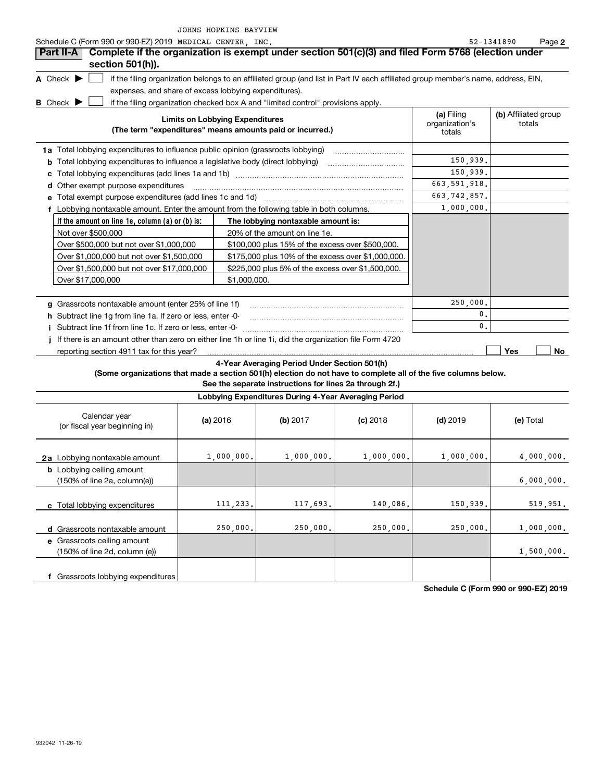| Schedule C (Form 990 or 990-EZ) 2019 MEDICAL CENTER, INC.                                                       |                                                       |                                                                                                                                   |            |                                        | 52-1341890<br>Page 2           |  |
|-----------------------------------------------------------------------------------------------------------------|-------------------------------------------------------|-----------------------------------------------------------------------------------------------------------------------------------|------------|----------------------------------------|--------------------------------|--|
| Complete if the organization is exempt under section 501(c)(3) and filed Form 5768 (election under<br>Part II-A |                                                       |                                                                                                                                   |            |                                        |                                |  |
| section 501(h)).                                                                                                |                                                       |                                                                                                                                   |            |                                        |                                |  |
| A Check $\blacktriangleright$                                                                                   |                                                       | if the filing organization belongs to an affiliated group (and list in Part IV each affiliated group member's name, address, EIN, |            |                                        |                                |  |
|                                                                                                                 | expenses, and share of excess lobbying expenditures). |                                                                                                                                   |            |                                        |                                |  |
| <b>B</b> Check $\blacktriangleright$                                                                            |                                                       | if the filing organization checked box A and "limited control" provisions apply.                                                  |            |                                        |                                |  |
|                                                                                                                 | <b>Limits on Lobbying Expenditures</b>                | (The term "expenditures" means amounts paid or incurred.)                                                                         |            | (a) Filing<br>organization's<br>totals | (b) Affiliated group<br>totals |  |
| 1a Total lobbying expenditures to influence public opinion (grassroots lobbying)                                |                                                       |                                                                                                                                   |            |                                        |                                |  |
| <b>b</b> Total lobbying expenditures to influence a legislative body (direct lobbying)                          |                                                       | 150,939,                                                                                                                          |            |                                        |                                |  |
|                                                                                                                 |                                                       |                                                                                                                                   |            | 150,939.                               |                                |  |
| d Other exempt purpose expenditures                                                                             |                                                       |                                                                                                                                   |            | 663, 591, 918.                         |                                |  |
| e Total exempt purpose expenditures (add lines 1c and 1d) www.www.www.www.www.www.ww.                           |                                                       |                                                                                                                                   |            | 663, 742, 857.                         |                                |  |
| f Lobbying nontaxable amount. Enter the amount from the following table in both columns.                        |                                                       |                                                                                                                                   |            | 1,000,000.                             |                                |  |
| If the amount on line 1e, column (a) or (b) is:                                                                 |                                                       | The lobbying nontaxable amount is:                                                                                                |            |                                        |                                |  |
| Not over \$500,000                                                                                              |                                                       | 20% of the amount on line 1e.                                                                                                     |            |                                        |                                |  |
| Over \$500,000 but not over \$1,000,000                                                                         |                                                       | \$100,000 plus 15% of the excess over \$500,000.                                                                                  |            |                                        |                                |  |
| Over \$1,000,000 but not over \$1,500,000                                                                       |                                                       | \$175,000 plus 10% of the excess over \$1,000,000.                                                                                |            |                                        |                                |  |
| Over \$1,500,000 but not over \$17,000,000                                                                      |                                                       | \$225,000 plus 5% of the excess over \$1,500,000.                                                                                 |            |                                        |                                |  |
| Over \$17,000,000                                                                                               | \$1,000,000.                                          |                                                                                                                                   |            |                                        |                                |  |
|                                                                                                                 |                                                       |                                                                                                                                   |            |                                        |                                |  |
| g Grassroots nontaxable amount (enter 25% of line 1f)                                                           |                                                       |                                                                                                                                   |            | 250,000                                |                                |  |
| h Subtract line 1g from line 1a. If zero or less, enter -0-                                                     |                                                       |                                                                                                                                   |            | 0.                                     |                                |  |
| i Subtract line 1f from line 1c. If zero or less, enter -0-                                                     |                                                       |                                                                                                                                   |            | $\mathbf{0}$ .                         |                                |  |
| If there is an amount other than zero on either line 1h or line 1i, did the organization file Form 4720         |                                                       |                                                                                                                                   |            |                                        |                                |  |
| reporting section 4911 tax for this year?                                                                       |                                                       |                                                                                                                                   |            |                                        | Yes<br>No                      |  |
|                                                                                                                 |                                                       | 4-Year Averaging Period Under Section 501(h)                                                                                      |            |                                        |                                |  |
| (Some organizations that made a section 501(h) election do not have to complete all of the five columns below.  |                                                       |                                                                                                                                   |            |                                        |                                |  |
|                                                                                                                 |                                                       | See the separate instructions for lines 2a through 2f.)                                                                           |            |                                        |                                |  |
|                                                                                                                 |                                                       | Lobbying Expenditures During 4-Year Averaging Period                                                                              |            |                                        |                                |  |
| Calendar year<br>(or fiscal year beginning in)                                                                  | (a) 2016                                              | (b) 2017                                                                                                                          | $(c)$ 2018 | $(d)$ 2019                             | (e) Total                      |  |
| 2a Lobbying nontaxable amount                                                                                   | 1,000,000.                                            | 1,000,000.                                                                                                                        | 1,000,000. | 1,000,000.                             | 4,000,000.                     |  |
| <b>b</b> Lobbying ceiling amount                                                                                |                                                       |                                                                                                                                   |            |                                        |                                |  |
| (150% of line 2a, column(e))                                                                                    |                                                       |                                                                                                                                   |            |                                        |                                |  |
| c Total lobbying expenditures                                                                                   | 111,233.                                              | 117,693.                                                                                                                          | 140,086.   | 150,939.                               | 519,951.                       |  |
| d Grassroots nontaxable amount                                                                                  | 250,000.                                              | 250,000.                                                                                                                          | 250,000.   | 250,000.                               | 1,000,000.                     |  |

**f** Grassroots lobbying expenditures (150% of line 2d, column (e)) 1,500,000.

**Schedule C (Form 990 or 990-EZ) 2019**

**e** Grassroots ceiling amount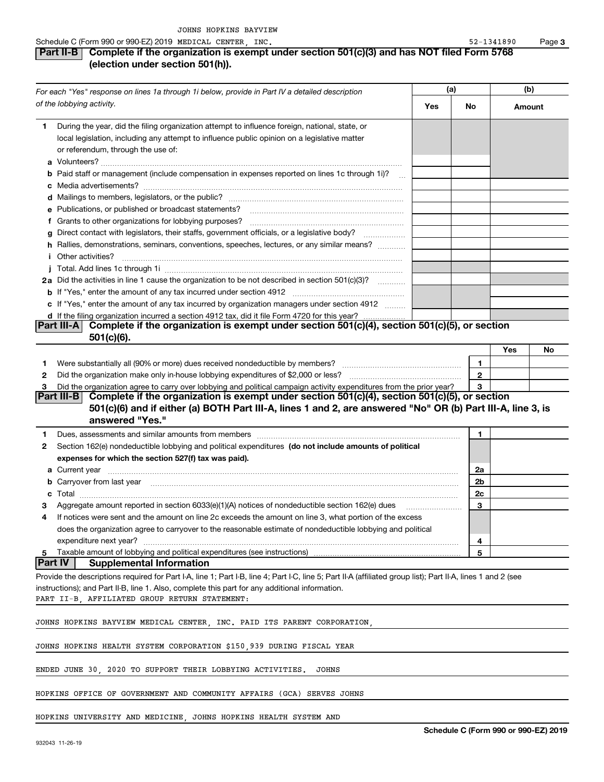#### **Part II-B Complete if the organization is exempt under section 501(c)(3) and has NOT filed Form 5768 (election under section 501(h)).**

| For each "Yes" response on lines 1a through 1i below, provide in Part IV a detailed description |                                                                                                                                                                                                                                   | (a) |              | (b)    |    |
|-------------------------------------------------------------------------------------------------|-----------------------------------------------------------------------------------------------------------------------------------------------------------------------------------------------------------------------------------|-----|--------------|--------|----|
|                                                                                                 | of the lobbying activity.                                                                                                                                                                                                         | Yes | No           | Amount |    |
| 1.                                                                                              | During the year, did the filing organization attempt to influence foreign, national, state, or                                                                                                                                    |     |              |        |    |
|                                                                                                 | local legislation, including any attempt to influence public opinion on a legislative matter<br>or referendum, through the use of:                                                                                                |     |              |        |    |
|                                                                                                 |                                                                                                                                                                                                                                   |     |              |        |    |
|                                                                                                 | <b>b</b> Paid staff or management (include compensation in expenses reported on lines 1c through 1i)?                                                                                                                             |     |              |        |    |
|                                                                                                 |                                                                                                                                                                                                                                   |     |              |        |    |
|                                                                                                 | e Publications, or published or broadcast statements?                                                                                                                                                                             |     |              |        |    |
|                                                                                                 | f Grants to other organizations for lobbying purposes?                                                                                                                                                                            |     |              |        |    |
|                                                                                                 | g Direct contact with legislators, their staffs, government officials, or a legislative body?                                                                                                                                     |     |              |        |    |
|                                                                                                 | h Rallies, demonstrations, seminars, conventions, speeches, lectures, or any similar means?                                                                                                                                       |     |              |        |    |
|                                                                                                 | <b>i</b> Other activities?                                                                                                                                                                                                        |     |              |        |    |
|                                                                                                 |                                                                                                                                                                                                                                   |     |              |        |    |
|                                                                                                 | 2a Did the activities in line 1 cause the organization to be not described in section 501(c)(3)?                                                                                                                                  |     |              |        |    |
|                                                                                                 |                                                                                                                                                                                                                                   |     |              |        |    |
|                                                                                                 | c If "Yes," enter the amount of any tax incurred by organization managers under section 4912                                                                                                                                      |     |              |        |    |
|                                                                                                 | d If the filing organization incurred a section 4912 tax, did it file Form 4720 for this year?                                                                                                                                    |     |              |        |    |
|                                                                                                 | Complete if the organization is exempt under section 501(c)(4), section 501(c)(5), or section<br> Part III-A                                                                                                                      |     |              |        |    |
|                                                                                                 | $501(c)(6)$ .                                                                                                                                                                                                                     |     |              |        |    |
|                                                                                                 |                                                                                                                                                                                                                                   |     |              | Yes    | No |
| 1                                                                                               |                                                                                                                                                                                                                                   |     | 1            |        |    |
| 2                                                                                               |                                                                                                                                                                                                                                   |     | $\mathbf{2}$ |        |    |
| 3                                                                                               | Did the organization agree to carry over lobbying and political campaign activity expenditures from the prior year?                                                                                                               |     | 3            |        |    |
|                                                                                                 | <b>Part III-B</b><br>Complete if the organization is exempt under section 501(c)(4), section 501(c)(5), or section<br>501(c)(6) and if either (a) BOTH Part III-A, lines 1 and 2, are answered "No" OR (b) Part III-A, line 3, is |     |              |        |    |
|                                                                                                 | answered "Yes."                                                                                                                                                                                                                   |     |              |        |    |
| 1.                                                                                              | Dues, assessments and similar amounts from members [11] matter content to the state of the state of the state of the state of the state of the state of the state of the state of the state of the state of the state of the s    |     | 1            |        |    |
| 2                                                                                               | Section 162(e) nondeductible lobbying and political expenditures (do not include amounts of political                                                                                                                             |     |              |        |    |
|                                                                                                 | expenses for which the section 527(f) tax was paid).                                                                                                                                                                              |     |              |        |    |
|                                                                                                 | <b>a</b> Current year                                                                                                                                                                                                             |     | 2a           |        |    |
|                                                                                                 | <b>b</b> Carryover from last year                                                                                                                                                                                                 |     | 2b           |        |    |
| c                                                                                               |                                                                                                                                                                                                                                   |     | 2c           |        |    |
| з                                                                                               | Aggregate amount reported in section 6033(e)(1)(A) notices of nondeductible section 162(e) dues                                                                                                                                   |     | 3            |        |    |
| 4                                                                                               | If notices were sent and the amount on line 2c exceeds the amount on line 3, what portion of the excess                                                                                                                           |     |              |        |    |
|                                                                                                 | does the organization agree to carryover to the reasonable estimate of nondeductible lobbying and political                                                                                                                       |     |              |        |    |
|                                                                                                 | expenditure next year?                                                                                                                                                                                                            |     | 4            |        |    |
| 5                                                                                               | Taxable amount of lobbying and political expenditures (see instructions)                                                                                                                                                          |     | 5            |        |    |
| <b>Part IV</b>                                                                                  | <b>Supplemental Information</b>                                                                                                                                                                                                   |     |              |        |    |
|                                                                                                 | Provide the descriptions required for Part I-A, line 1; Part I-B, line 4; Part I-C, line 5; Part II-A (affiliated group list); Part II-A, lines 1 and 2 (see                                                                      |     |              |        |    |
|                                                                                                 | instructions); and Part II-B, line 1. Also, complete this part for any additional information.                                                                                                                                    |     |              |        |    |
|                                                                                                 | PART II-B, AFFILIATED GROUP RETURN STATEMENT:                                                                                                                                                                                     |     |              |        |    |
|                                                                                                 |                                                                                                                                                                                                                                   |     |              |        |    |
|                                                                                                 | JOHNS HOPKINS BAYVIEW MEDICAL CENTER, INC. PAID ITS PARENT CORPORATION,                                                                                                                                                           |     |              |        |    |
|                                                                                                 | JOHNS HOPKINS HEALTH SYSTEM CORPORATION \$150,939 DURING FISCAL YEAR                                                                                                                                                              |     |              |        |    |
|                                                                                                 | ENDED JUNE 30, 2020 TO SUPPORT THEIR LOBBYING ACTIVITIES.<br>JOHNS                                                                                                                                                                |     |              |        |    |
|                                                                                                 | HOPKINS OFFICE OF GOVERNMENT AND COMMUNITY AFFAIRS (GCA) SERVES JOHNS                                                                                                                                                             |     |              |        |    |
|                                                                                                 |                                                                                                                                                                                                                                   |     |              |        |    |

HOPKINS UNIVERSITY AND MEDICINE, JOHNS HOPKINS HEALTH SYSTEM AND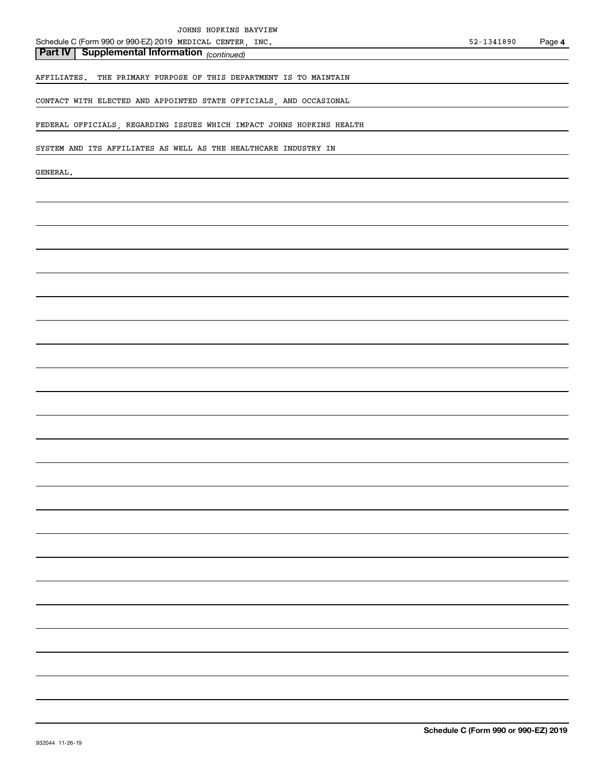*(continued)* **Part IV Supplemental Information** 

AFFILIATES. THE PRIMARY PURPOSE OF THIS DEPARTMENT IS TO MAINTAIN

CONTACT WITH ELECTED AND APPOINTED STATE OFFICIALS, AND OCCASIONAL

FEDERAL OFFICIALS, REGARDING ISSUES WHICH IMPACT JOHNS HOPKINS HEALTH

SYSTEM AND ITS AFFILIATES AS WELL AS THE HEALTHCARE INDUSTRY IN

GENERAL.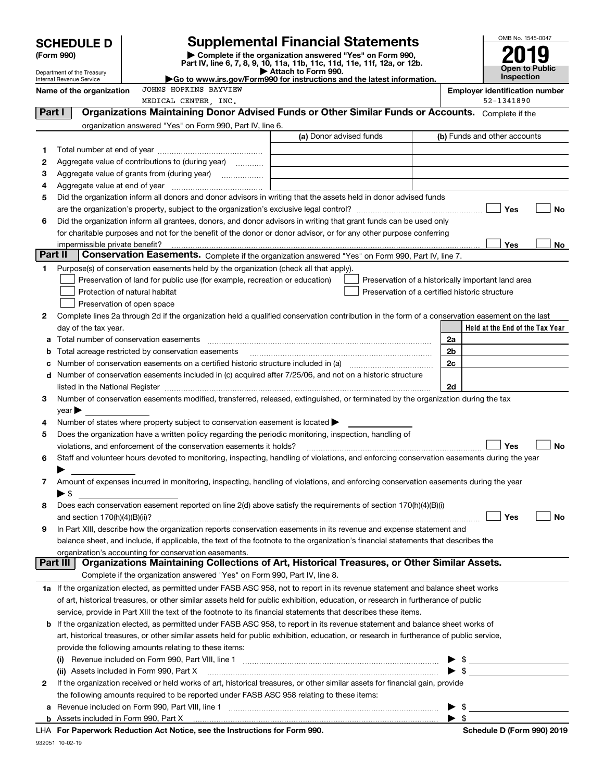| Complete if the organization answered "Yes" on Form 990,<br>(Form 990)<br>Part IV, line 6, 7, 8, 9, 10, 11a, 11b, 11c, 11d, 11e, 11f, 12a, or 12b.<br><b>Open to Public</b><br>Attach to Form 990.<br>Department of the Treasury<br>Inspection<br>Go to www.irs.gov/Form990 for instructions and the latest information.<br>Internal Revenue Service<br>JOHNS HOPKINS BAYVIEW<br>Name of the organization<br><b>Employer identification number</b><br>52-1341890<br>MEDICAL CENTER, INC.<br>Part I<br>Organizations Maintaining Donor Advised Funds or Other Similar Funds or Accounts. Complete if the<br>organization answered "Yes" on Form 990, Part IV, line 6.<br>(a) Donor advised funds<br>(b) Funds and other accounts<br>1<br>2<br>Aggregate value of contributions to (during year)<br>з<br>Aggregate value of grants from (during year)<br>4<br>Did the organization inform all donors and donor advisors in writing that the assets held in donor advised funds<br>5<br>Yes<br>No<br>Did the organization inform all grantees, donors, and donor advisors in writing that grant funds can be used only<br>6<br>for charitable purposes and not for the benefit of the donor or donor advisor, or for any other purpose conferring<br>Yes<br>No<br>impermissible private benefit?<br>Part II<br>Conservation Easements. Complete if the organization answered "Yes" on Form 990, Part IV, line 7.<br>Purpose(s) of conservation easements held by the organization (check all that apply).<br>1<br>Preservation of land for public use (for example, recreation or education)<br>Preservation of a historically important land area<br>Protection of natural habitat<br>Preservation of a certified historic structure<br>Preservation of open space<br>Complete lines 2a through 2d if the organization held a qualified conservation contribution in the form of a conservation easement on the last<br>2<br>Held at the End of the Tax Year<br>day of the tax year.<br>Total number of conservation easements<br>2a<br>а<br>Total acreage restricted by conservation easements<br>2b<br>b<br>2c<br>Number of conservation easements on a certified historic structure included in (a) manufacture included in (a)<br>с<br>Number of conservation easements included in (c) acquired after 7/25/06, and not on a historic structure<br>d<br>listed in the National Register [11, 1200] [12] The National Register [11, 1200] [12] The National Register [11, 1200] [12] The National Register [11, 1200] [12] The National Register [11, 1200] [12] The National Register<br>2d<br>Number of conservation easements modified, transferred, released, extinguished, or terminated by the organization during the tax<br>з<br>$\vee$ ear<br>Number of states where property subject to conservation easement is located $\blacktriangleright$<br>4<br>Does the organization have a written policy regarding the periodic monitoring, inspection, handling of<br>5<br>Yes<br>No<br>violations, and enforcement of the conservation easements it holds?<br>Staff and volunteer hours devoted to monitoring, inspecting, handling of violations, and enforcing conservation easements during the year<br>6<br>Amount of expenses incurred in monitoring, inspecting, handling of violations, and enforcing conservation easements during the year<br>7<br>$\blacktriangleright$ \$<br>Does each conservation easement reported on line 2(d) above satisfy the requirements of section 170(h)(4)(B)(i)<br>8<br>Yes<br>No<br>In Part XIII, describe how the organization reports conservation easements in its revenue and expense statement and<br>9<br>balance sheet, and include, if applicable, the text of the footnote to the organization's financial statements that describes the<br>organization's accounting for conservation easements.<br>Organizations Maintaining Collections of Art, Historical Treasures, or Other Similar Assets.<br>Part III<br>Complete if the organization answered "Yes" on Form 990, Part IV, line 8.<br>1a If the organization elected, as permitted under FASB ASC 958, not to report in its revenue statement and balance sheet works<br>of art, historical treasures, or other similar assets held for public exhibition, education, or research in furtherance of public<br>service, provide in Part XIII the text of the footnote to its financial statements that describes these items.<br><b>b</b> If the organization elected, as permitted under FASB ASC 958, to report in its revenue statement and balance sheet works of<br>art, historical treasures, or other similar assets held for public exhibition, education, or research in furtherance of public service,<br>provide the following amounts relating to these items:<br>(i)<br>$\blacktriangleright$ s<br>(ii) Assets included in Form 990, Part X [11] Marten and Martin Martin Marten and Martin Martin Marten and Mar<br>If the organization received or held works of art, historical treasures, or other similar assets for financial gain, provide<br>2<br>the following amounts required to be reported under FASB ASC 958 relating to these items:<br>а<br>- \$ | <b>SCHEDULE D</b> |  | <b>Supplemental Financial Statements</b> | OMB No. 1545-0047 |  |  |  |  |
|-----------------------------------------------------------------------------------------------------------------------------------------------------------------------------------------------------------------------------------------------------------------------------------------------------------------------------------------------------------------------------------------------------------------------------------------------------------------------------------------------------------------------------------------------------------------------------------------------------------------------------------------------------------------------------------------------------------------------------------------------------------------------------------------------------------------------------------------------------------------------------------------------------------------------------------------------------------------------------------------------------------------------------------------------------------------------------------------------------------------------------------------------------------------------------------------------------------------------------------------------------------------------------------------------------------------------------------------------------------------------------------------------------------------------------------------------------------------------------------------------------------------------------------------------------------------------------------------------------------------------------------------------------------------------------------------------------------------------------------------------------------------------------------------------------------------------------------------------------------------------------------------------------------------------------------------------------------------------------------------------------------------------------------------------------------------------------------------------------------------------------------------------------------------------------------------------------------------------------------------------------------------------------------------------------------------------------------------------------------------------------------------------------------------------------------------------------------------------------------------------------------------------------------------------------------------------------------------------------------------------------------------------------------------------------------------------------------------------------------------------------------------------------------------------------------------------------------------------------------------------------------------------------------------------------------------------------------------------------------------------------------------------------------------------------------------------------------------------------------------------------------------------------------------------------------------------------------------------------------------------------------------------------------------------------------------------------------------------------------------------------------------------------------------------------------------------------------------------------------------------------------------------------------------------------------------------------------------------------------------------------------------------------------------------------------------------------------------------------------------------------------------------------------------------------------------------------------------------------------------------------------------------------------------------------------------------------------------------------------------------------------------------------------------------------------------------------------------------------------------------------------------------------------------------------------------------------------------------------------------------------------------------------------------------------------------------------------------------------------------------------------------------------------------------------------------------------------------------------------------------------------------------------------------------------------------------------------------------------------------------------------------------------------------------------------------------------------------------------------------------------------------------------------------------------------------------------------------------------------------------------------------------------------------------------------------------------------------------------------------------------------------------------------------------------------------------------------------------------------------------------------------------------------------------------------------------|-------------------|--|------------------------------------------|-------------------|--|--|--|--|
|                                                                                                                                                                                                                                                                                                                                                                                                                                                                                                                                                                                                                                                                                                                                                                                                                                                                                                                                                                                                                                                                                                                                                                                                                                                                                                                                                                                                                                                                                                                                                                                                                                                                                                                                                                                                                                                                                                                                                                                                                                                                                                                                                                                                                                                                                                                                                                                                                                                                                                                                                                                                                                                                                                                                                                                                                                                                                                                                                                                                                                                                                                                                                                                                                                                                                                                                                                                                                                                                                                                                                                                                                                                                                                                                                                                                                                                                                                                                                                                                                                                                                                                                                                                                                                                                                                                                                                                                                                                                                                                                                                                                                                                                                                                                                                                                                                                                                                                                                                                                                                                                                                                                                                                               |                   |  |                                          |                   |  |  |  |  |
|                                                                                                                                                                                                                                                                                                                                                                                                                                                                                                                                                                                                                                                                                                                                                                                                                                                                                                                                                                                                                                                                                                                                                                                                                                                                                                                                                                                                                                                                                                                                                                                                                                                                                                                                                                                                                                                                                                                                                                                                                                                                                                                                                                                                                                                                                                                                                                                                                                                                                                                                                                                                                                                                                                                                                                                                                                                                                                                                                                                                                                                                                                                                                                                                                                                                                                                                                                                                                                                                                                                                                                                                                                                                                                                                                                                                                                                                                                                                                                                                                                                                                                                                                                                                                                                                                                                                                                                                                                                                                                                                                                                                                                                                                                                                                                                                                                                                                                                                                                                                                                                                                                                                                                                               |                   |  |                                          |                   |  |  |  |  |
|                                                                                                                                                                                                                                                                                                                                                                                                                                                                                                                                                                                                                                                                                                                                                                                                                                                                                                                                                                                                                                                                                                                                                                                                                                                                                                                                                                                                                                                                                                                                                                                                                                                                                                                                                                                                                                                                                                                                                                                                                                                                                                                                                                                                                                                                                                                                                                                                                                                                                                                                                                                                                                                                                                                                                                                                                                                                                                                                                                                                                                                                                                                                                                                                                                                                                                                                                                                                                                                                                                                                                                                                                                                                                                                                                                                                                                                                                                                                                                                                                                                                                                                                                                                                                                                                                                                                                                                                                                                                                                                                                                                                                                                                                                                                                                                                                                                                                                                                                                                                                                                                                                                                                                                               |                   |  |                                          |                   |  |  |  |  |
|                                                                                                                                                                                                                                                                                                                                                                                                                                                                                                                                                                                                                                                                                                                                                                                                                                                                                                                                                                                                                                                                                                                                                                                                                                                                                                                                                                                                                                                                                                                                                                                                                                                                                                                                                                                                                                                                                                                                                                                                                                                                                                                                                                                                                                                                                                                                                                                                                                                                                                                                                                                                                                                                                                                                                                                                                                                                                                                                                                                                                                                                                                                                                                                                                                                                                                                                                                                                                                                                                                                                                                                                                                                                                                                                                                                                                                                                                                                                                                                                                                                                                                                                                                                                                                                                                                                                                                                                                                                                                                                                                                                                                                                                                                                                                                                                                                                                                                                                                                                                                                                                                                                                                                                               |                   |  |                                          |                   |  |  |  |  |
|                                                                                                                                                                                                                                                                                                                                                                                                                                                                                                                                                                                                                                                                                                                                                                                                                                                                                                                                                                                                                                                                                                                                                                                                                                                                                                                                                                                                                                                                                                                                                                                                                                                                                                                                                                                                                                                                                                                                                                                                                                                                                                                                                                                                                                                                                                                                                                                                                                                                                                                                                                                                                                                                                                                                                                                                                                                                                                                                                                                                                                                                                                                                                                                                                                                                                                                                                                                                                                                                                                                                                                                                                                                                                                                                                                                                                                                                                                                                                                                                                                                                                                                                                                                                                                                                                                                                                                                                                                                                                                                                                                                                                                                                                                                                                                                                                                                                                                                                                                                                                                                                                                                                                                                               |                   |  |                                          |                   |  |  |  |  |
|                                                                                                                                                                                                                                                                                                                                                                                                                                                                                                                                                                                                                                                                                                                                                                                                                                                                                                                                                                                                                                                                                                                                                                                                                                                                                                                                                                                                                                                                                                                                                                                                                                                                                                                                                                                                                                                                                                                                                                                                                                                                                                                                                                                                                                                                                                                                                                                                                                                                                                                                                                                                                                                                                                                                                                                                                                                                                                                                                                                                                                                                                                                                                                                                                                                                                                                                                                                                                                                                                                                                                                                                                                                                                                                                                                                                                                                                                                                                                                                                                                                                                                                                                                                                                                                                                                                                                                                                                                                                                                                                                                                                                                                                                                                                                                                                                                                                                                                                                                                                                                                                                                                                                                                               |                   |  |                                          |                   |  |  |  |  |
|                                                                                                                                                                                                                                                                                                                                                                                                                                                                                                                                                                                                                                                                                                                                                                                                                                                                                                                                                                                                                                                                                                                                                                                                                                                                                                                                                                                                                                                                                                                                                                                                                                                                                                                                                                                                                                                                                                                                                                                                                                                                                                                                                                                                                                                                                                                                                                                                                                                                                                                                                                                                                                                                                                                                                                                                                                                                                                                                                                                                                                                                                                                                                                                                                                                                                                                                                                                                                                                                                                                                                                                                                                                                                                                                                                                                                                                                                                                                                                                                                                                                                                                                                                                                                                                                                                                                                                                                                                                                                                                                                                                                                                                                                                                                                                                                                                                                                                                                                                                                                                                                                                                                                                                               |                   |  |                                          |                   |  |  |  |  |
|                                                                                                                                                                                                                                                                                                                                                                                                                                                                                                                                                                                                                                                                                                                                                                                                                                                                                                                                                                                                                                                                                                                                                                                                                                                                                                                                                                                                                                                                                                                                                                                                                                                                                                                                                                                                                                                                                                                                                                                                                                                                                                                                                                                                                                                                                                                                                                                                                                                                                                                                                                                                                                                                                                                                                                                                                                                                                                                                                                                                                                                                                                                                                                                                                                                                                                                                                                                                                                                                                                                                                                                                                                                                                                                                                                                                                                                                                                                                                                                                                                                                                                                                                                                                                                                                                                                                                                                                                                                                                                                                                                                                                                                                                                                                                                                                                                                                                                                                                                                                                                                                                                                                                                                               |                   |  |                                          |                   |  |  |  |  |
|                                                                                                                                                                                                                                                                                                                                                                                                                                                                                                                                                                                                                                                                                                                                                                                                                                                                                                                                                                                                                                                                                                                                                                                                                                                                                                                                                                                                                                                                                                                                                                                                                                                                                                                                                                                                                                                                                                                                                                                                                                                                                                                                                                                                                                                                                                                                                                                                                                                                                                                                                                                                                                                                                                                                                                                                                                                                                                                                                                                                                                                                                                                                                                                                                                                                                                                                                                                                                                                                                                                                                                                                                                                                                                                                                                                                                                                                                                                                                                                                                                                                                                                                                                                                                                                                                                                                                                                                                                                                                                                                                                                                                                                                                                                                                                                                                                                                                                                                                                                                                                                                                                                                                                                               |                   |  |                                          |                   |  |  |  |  |
|                                                                                                                                                                                                                                                                                                                                                                                                                                                                                                                                                                                                                                                                                                                                                                                                                                                                                                                                                                                                                                                                                                                                                                                                                                                                                                                                                                                                                                                                                                                                                                                                                                                                                                                                                                                                                                                                                                                                                                                                                                                                                                                                                                                                                                                                                                                                                                                                                                                                                                                                                                                                                                                                                                                                                                                                                                                                                                                                                                                                                                                                                                                                                                                                                                                                                                                                                                                                                                                                                                                                                                                                                                                                                                                                                                                                                                                                                                                                                                                                                                                                                                                                                                                                                                                                                                                                                                                                                                                                                                                                                                                                                                                                                                                                                                                                                                                                                                                                                                                                                                                                                                                                                                                               |                   |  |                                          |                   |  |  |  |  |
|                                                                                                                                                                                                                                                                                                                                                                                                                                                                                                                                                                                                                                                                                                                                                                                                                                                                                                                                                                                                                                                                                                                                                                                                                                                                                                                                                                                                                                                                                                                                                                                                                                                                                                                                                                                                                                                                                                                                                                                                                                                                                                                                                                                                                                                                                                                                                                                                                                                                                                                                                                                                                                                                                                                                                                                                                                                                                                                                                                                                                                                                                                                                                                                                                                                                                                                                                                                                                                                                                                                                                                                                                                                                                                                                                                                                                                                                                                                                                                                                                                                                                                                                                                                                                                                                                                                                                                                                                                                                                                                                                                                                                                                                                                                                                                                                                                                                                                                                                                                                                                                                                                                                                                                               |                   |  |                                          |                   |  |  |  |  |
|                                                                                                                                                                                                                                                                                                                                                                                                                                                                                                                                                                                                                                                                                                                                                                                                                                                                                                                                                                                                                                                                                                                                                                                                                                                                                                                                                                                                                                                                                                                                                                                                                                                                                                                                                                                                                                                                                                                                                                                                                                                                                                                                                                                                                                                                                                                                                                                                                                                                                                                                                                                                                                                                                                                                                                                                                                                                                                                                                                                                                                                                                                                                                                                                                                                                                                                                                                                                                                                                                                                                                                                                                                                                                                                                                                                                                                                                                                                                                                                                                                                                                                                                                                                                                                                                                                                                                                                                                                                                                                                                                                                                                                                                                                                                                                                                                                                                                                                                                                                                                                                                                                                                                                                               |                   |  |                                          |                   |  |  |  |  |
|                                                                                                                                                                                                                                                                                                                                                                                                                                                                                                                                                                                                                                                                                                                                                                                                                                                                                                                                                                                                                                                                                                                                                                                                                                                                                                                                                                                                                                                                                                                                                                                                                                                                                                                                                                                                                                                                                                                                                                                                                                                                                                                                                                                                                                                                                                                                                                                                                                                                                                                                                                                                                                                                                                                                                                                                                                                                                                                                                                                                                                                                                                                                                                                                                                                                                                                                                                                                                                                                                                                                                                                                                                                                                                                                                                                                                                                                                                                                                                                                                                                                                                                                                                                                                                                                                                                                                                                                                                                                                                                                                                                                                                                                                                                                                                                                                                                                                                                                                                                                                                                                                                                                                                                               |                   |  |                                          |                   |  |  |  |  |
|                                                                                                                                                                                                                                                                                                                                                                                                                                                                                                                                                                                                                                                                                                                                                                                                                                                                                                                                                                                                                                                                                                                                                                                                                                                                                                                                                                                                                                                                                                                                                                                                                                                                                                                                                                                                                                                                                                                                                                                                                                                                                                                                                                                                                                                                                                                                                                                                                                                                                                                                                                                                                                                                                                                                                                                                                                                                                                                                                                                                                                                                                                                                                                                                                                                                                                                                                                                                                                                                                                                                                                                                                                                                                                                                                                                                                                                                                                                                                                                                                                                                                                                                                                                                                                                                                                                                                                                                                                                                                                                                                                                                                                                                                                                                                                                                                                                                                                                                                                                                                                                                                                                                                                                               |                   |  |                                          |                   |  |  |  |  |
|                                                                                                                                                                                                                                                                                                                                                                                                                                                                                                                                                                                                                                                                                                                                                                                                                                                                                                                                                                                                                                                                                                                                                                                                                                                                                                                                                                                                                                                                                                                                                                                                                                                                                                                                                                                                                                                                                                                                                                                                                                                                                                                                                                                                                                                                                                                                                                                                                                                                                                                                                                                                                                                                                                                                                                                                                                                                                                                                                                                                                                                                                                                                                                                                                                                                                                                                                                                                                                                                                                                                                                                                                                                                                                                                                                                                                                                                                                                                                                                                                                                                                                                                                                                                                                                                                                                                                                                                                                                                                                                                                                                                                                                                                                                                                                                                                                                                                                                                                                                                                                                                                                                                                                                               |                   |  |                                          |                   |  |  |  |  |
|                                                                                                                                                                                                                                                                                                                                                                                                                                                                                                                                                                                                                                                                                                                                                                                                                                                                                                                                                                                                                                                                                                                                                                                                                                                                                                                                                                                                                                                                                                                                                                                                                                                                                                                                                                                                                                                                                                                                                                                                                                                                                                                                                                                                                                                                                                                                                                                                                                                                                                                                                                                                                                                                                                                                                                                                                                                                                                                                                                                                                                                                                                                                                                                                                                                                                                                                                                                                                                                                                                                                                                                                                                                                                                                                                                                                                                                                                                                                                                                                                                                                                                                                                                                                                                                                                                                                                                                                                                                                                                                                                                                                                                                                                                                                                                                                                                                                                                                                                                                                                                                                                                                                                                                               |                   |  |                                          |                   |  |  |  |  |
|                                                                                                                                                                                                                                                                                                                                                                                                                                                                                                                                                                                                                                                                                                                                                                                                                                                                                                                                                                                                                                                                                                                                                                                                                                                                                                                                                                                                                                                                                                                                                                                                                                                                                                                                                                                                                                                                                                                                                                                                                                                                                                                                                                                                                                                                                                                                                                                                                                                                                                                                                                                                                                                                                                                                                                                                                                                                                                                                                                                                                                                                                                                                                                                                                                                                                                                                                                                                                                                                                                                                                                                                                                                                                                                                                                                                                                                                                                                                                                                                                                                                                                                                                                                                                                                                                                                                                                                                                                                                                                                                                                                                                                                                                                                                                                                                                                                                                                                                                                                                                                                                                                                                                                                               |                   |  |                                          |                   |  |  |  |  |
|                                                                                                                                                                                                                                                                                                                                                                                                                                                                                                                                                                                                                                                                                                                                                                                                                                                                                                                                                                                                                                                                                                                                                                                                                                                                                                                                                                                                                                                                                                                                                                                                                                                                                                                                                                                                                                                                                                                                                                                                                                                                                                                                                                                                                                                                                                                                                                                                                                                                                                                                                                                                                                                                                                                                                                                                                                                                                                                                                                                                                                                                                                                                                                                                                                                                                                                                                                                                                                                                                                                                                                                                                                                                                                                                                                                                                                                                                                                                                                                                                                                                                                                                                                                                                                                                                                                                                                                                                                                                                                                                                                                                                                                                                                                                                                                                                                                                                                                                                                                                                                                                                                                                                                                               |                   |  |                                          |                   |  |  |  |  |
|                                                                                                                                                                                                                                                                                                                                                                                                                                                                                                                                                                                                                                                                                                                                                                                                                                                                                                                                                                                                                                                                                                                                                                                                                                                                                                                                                                                                                                                                                                                                                                                                                                                                                                                                                                                                                                                                                                                                                                                                                                                                                                                                                                                                                                                                                                                                                                                                                                                                                                                                                                                                                                                                                                                                                                                                                                                                                                                                                                                                                                                                                                                                                                                                                                                                                                                                                                                                                                                                                                                                                                                                                                                                                                                                                                                                                                                                                                                                                                                                                                                                                                                                                                                                                                                                                                                                                                                                                                                                                                                                                                                                                                                                                                                                                                                                                                                                                                                                                                                                                                                                                                                                                                                               |                   |  |                                          |                   |  |  |  |  |
|                                                                                                                                                                                                                                                                                                                                                                                                                                                                                                                                                                                                                                                                                                                                                                                                                                                                                                                                                                                                                                                                                                                                                                                                                                                                                                                                                                                                                                                                                                                                                                                                                                                                                                                                                                                                                                                                                                                                                                                                                                                                                                                                                                                                                                                                                                                                                                                                                                                                                                                                                                                                                                                                                                                                                                                                                                                                                                                                                                                                                                                                                                                                                                                                                                                                                                                                                                                                                                                                                                                                                                                                                                                                                                                                                                                                                                                                                                                                                                                                                                                                                                                                                                                                                                                                                                                                                                                                                                                                                                                                                                                                                                                                                                                                                                                                                                                                                                                                                                                                                                                                                                                                                                                               |                   |  |                                          |                   |  |  |  |  |
|                                                                                                                                                                                                                                                                                                                                                                                                                                                                                                                                                                                                                                                                                                                                                                                                                                                                                                                                                                                                                                                                                                                                                                                                                                                                                                                                                                                                                                                                                                                                                                                                                                                                                                                                                                                                                                                                                                                                                                                                                                                                                                                                                                                                                                                                                                                                                                                                                                                                                                                                                                                                                                                                                                                                                                                                                                                                                                                                                                                                                                                                                                                                                                                                                                                                                                                                                                                                                                                                                                                                                                                                                                                                                                                                                                                                                                                                                                                                                                                                                                                                                                                                                                                                                                                                                                                                                                                                                                                                                                                                                                                                                                                                                                                                                                                                                                                                                                                                                                                                                                                                                                                                                                                               |                   |  |                                          |                   |  |  |  |  |
|                                                                                                                                                                                                                                                                                                                                                                                                                                                                                                                                                                                                                                                                                                                                                                                                                                                                                                                                                                                                                                                                                                                                                                                                                                                                                                                                                                                                                                                                                                                                                                                                                                                                                                                                                                                                                                                                                                                                                                                                                                                                                                                                                                                                                                                                                                                                                                                                                                                                                                                                                                                                                                                                                                                                                                                                                                                                                                                                                                                                                                                                                                                                                                                                                                                                                                                                                                                                                                                                                                                                                                                                                                                                                                                                                                                                                                                                                                                                                                                                                                                                                                                                                                                                                                                                                                                                                                                                                                                                                                                                                                                                                                                                                                                                                                                                                                                                                                                                                                                                                                                                                                                                                                                               |                   |  |                                          |                   |  |  |  |  |
|                                                                                                                                                                                                                                                                                                                                                                                                                                                                                                                                                                                                                                                                                                                                                                                                                                                                                                                                                                                                                                                                                                                                                                                                                                                                                                                                                                                                                                                                                                                                                                                                                                                                                                                                                                                                                                                                                                                                                                                                                                                                                                                                                                                                                                                                                                                                                                                                                                                                                                                                                                                                                                                                                                                                                                                                                                                                                                                                                                                                                                                                                                                                                                                                                                                                                                                                                                                                                                                                                                                                                                                                                                                                                                                                                                                                                                                                                                                                                                                                                                                                                                                                                                                                                                                                                                                                                                                                                                                                                                                                                                                                                                                                                                                                                                                                                                                                                                                                                                                                                                                                                                                                                                                               |                   |  |                                          |                   |  |  |  |  |
|                                                                                                                                                                                                                                                                                                                                                                                                                                                                                                                                                                                                                                                                                                                                                                                                                                                                                                                                                                                                                                                                                                                                                                                                                                                                                                                                                                                                                                                                                                                                                                                                                                                                                                                                                                                                                                                                                                                                                                                                                                                                                                                                                                                                                                                                                                                                                                                                                                                                                                                                                                                                                                                                                                                                                                                                                                                                                                                                                                                                                                                                                                                                                                                                                                                                                                                                                                                                                                                                                                                                                                                                                                                                                                                                                                                                                                                                                                                                                                                                                                                                                                                                                                                                                                                                                                                                                                                                                                                                                                                                                                                                                                                                                                                                                                                                                                                                                                                                                                                                                                                                                                                                                                                               |                   |  |                                          |                   |  |  |  |  |
|                                                                                                                                                                                                                                                                                                                                                                                                                                                                                                                                                                                                                                                                                                                                                                                                                                                                                                                                                                                                                                                                                                                                                                                                                                                                                                                                                                                                                                                                                                                                                                                                                                                                                                                                                                                                                                                                                                                                                                                                                                                                                                                                                                                                                                                                                                                                                                                                                                                                                                                                                                                                                                                                                                                                                                                                                                                                                                                                                                                                                                                                                                                                                                                                                                                                                                                                                                                                                                                                                                                                                                                                                                                                                                                                                                                                                                                                                                                                                                                                                                                                                                                                                                                                                                                                                                                                                                                                                                                                                                                                                                                                                                                                                                                                                                                                                                                                                                                                                                                                                                                                                                                                                                                               |                   |  |                                          |                   |  |  |  |  |
|                                                                                                                                                                                                                                                                                                                                                                                                                                                                                                                                                                                                                                                                                                                                                                                                                                                                                                                                                                                                                                                                                                                                                                                                                                                                                                                                                                                                                                                                                                                                                                                                                                                                                                                                                                                                                                                                                                                                                                                                                                                                                                                                                                                                                                                                                                                                                                                                                                                                                                                                                                                                                                                                                                                                                                                                                                                                                                                                                                                                                                                                                                                                                                                                                                                                                                                                                                                                                                                                                                                                                                                                                                                                                                                                                                                                                                                                                                                                                                                                                                                                                                                                                                                                                                                                                                                                                                                                                                                                                                                                                                                                                                                                                                                                                                                                                                                                                                                                                                                                                                                                                                                                                                                               |                   |  |                                          |                   |  |  |  |  |
|                                                                                                                                                                                                                                                                                                                                                                                                                                                                                                                                                                                                                                                                                                                                                                                                                                                                                                                                                                                                                                                                                                                                                                                                                                                                                                                                                                                                                                                                                                                                                                                                                                                                                                                                                                                                                                                                                                                                                                                                                                                                                                                                                                                                                                                                                                                                                                                                                                                                                                                                                                                                                                                                                                                                                                                                                                                                                                                                                                                                                                                                                                                                                                                                                                                                                                                                                                                                                                                                                                                                                                                                                                                                                                                                                                                                                                                                                                                                                                                                                                                                                                                                                                                                                                                                                                                                                                                                                                                                                                                                                                                                                                                                                                                                                                                                                                                                                                                                                                                                                                                                                                                                                                                               |                   |  |                                          |                   |  |  |  |  |
|                                                                                                                                                                                                                                                                                                                                                                                                                                                                                                                                                                                                                                                                                                                                                                                                                                                                                                                                                                                                                                                                                                                                                                                                                                                                                                                                                                                                                                                                                                                                                                                                                                                                                                                                                                                                                                                                                                                                                                                                                                                                                                                                                                                                                                                                                                                                                                                                                                                                                                                                                                                                                                                                                                                                                                                                                                                                                                                                                                                                                                                                                                                                                                                                                                                                                                                                                                                                                                                                                                                                                                                                                                                                                                                                                                                                                                                                                                                                                                                                                                                                                                                                                                                                                                                                                                                                                                                                                                                                                                                                                                                                                                                                                                                                                                                                                                                                                                                                                                                                                                                                                                                                                                                               |                   |  |                                          |                   |  |  |  |  |
|                                                                                                                                                                                                                                                                                                                                                                                                                                                                                                                                                                                                                                                                                                                                                                                                                                                                                                                                                                                                                                                                                                                                                                                                                                                                                                                                                                                                                                                                                                                                                                                                                                                                                                                                                                                                                                                                                                                                                                                                                                                                                                                                                                                                                                                                                                                                                                                                                                                                                                                                                                                                                                                                                                                                                                                                                                                                                                                                                                                                                                                                                                                                                                                                                                                                                                                                                                                                                                                                                                                                                                                                                                                                                                                                                                                                                                                                                                                                                                                                                                                                                                                                                                                                                                                                                                                                                                                                                                                                                                                                                                                                                                                                                                                                                                                                                                                                                                                                                                                                                                                                                                                                                                                               |                   |  |                                          |                   |  |  |  |  |
|                                                                                                                                                                                                                                                                                                                                                                                                                                                                                                                                                                                                                                                                                                                                                                                                                                                                                                                                                                                                                                                                                                                                                                                                                                                                                                                                                                                                                                                                                                                                                                                                                                                                                                                                                                                                                                                                                                                                                                                                                                                                                                                                                                                                                                                                                                                                                                                                                                                                                                                                                                                                                                                                                                                                                                                                                                                                                                                                                                                                                                                                                                                                                                                                                                                                                                                                                                                                                                                                                                                                                                                                                                                                                                                                                                                                                                                                                                                                                                                                                                                                                                                                                                                                                                                                                                                                                                                                                                                                                                                                                                                                                                                                                                                                                                                                                                                                                                                                                                                                                                                                                                                                                                                               |                   |  |                                          |                   |  |  |  |  |
|                                                                                                                                                                                                                                                                                                                                                                                                                                                                                                                                                                                                                                                                                                                                                                                                                                                                                                                                                                                                                                                                                                                                                                                                                                                                                                                                                                                                                                                                                                                                                                                                                                                                                                                                                                                                                                                                                                                                                                                                                                                                                                                                                                                                                                                                                                                                                                                                                                                                                                                                                                                                                                                                                                                                                                                                                                                                                                                                                                                                                                                                                                                                                                                                                                                                                                                                                                                                                                                                                                                                                                                                                                                                                                                                                                                                                                                                                                                                                                                                                                                                                                                                                                                                                                                                                                                                                                                                                                                                                                                                                                                                                                                                                                                                                                                                                                                                                                                                                                                                                                                                                                                                                                                               |                   |  |                                          |                   |  |  |  |  |
|                                                                                                                                                                                                                                                                                                                                                                                                                                                                                                                                                                                                                                                                                                                                                                                                                                                                                                                                                                                                                                                                                                                                                                                                                                                                                                                                                                                                                                                                                                                                                                                                                                                                                                                                                                                                                                                                                                                                                                                                                                                                                                                                                                                                                                                                                                                                                                                                                                                                                                                                                                                                                                                                                                                                                                                                                                                                                                                                                                                                                                                                                                                                                                                                                                                                                                                                                                                                                                                                                                                                                                                                                                                                                                                                                                                                                                                                                                                                                                                                                                                                                                                                                                                                                                                                                                                                                                                                                                                                                                                                                                                                                                                                                                                                                                                                                                                                                                                                                                                                                                                                                                                                                                                               |                   |  |                                          |                   |  |  |  |  |
|                                                                                                                                                                                                                                                                                                                                                                                                                                                                                                                                                                                                                                                                                                                                                                                                                                                                                                                                                                                                                                                                                                                                                                                                                                                                                                                                                                                                                                                                                                                                                                                                                                                                                                                                                                                                                                                                                                                                                                                                                                                                                                                                                                                                                                                                                                                                                                                                                                                                                                                                                                                                                                                                                                                                                                                                                                                                                                                                                                                                                                                                                                                                                                                                                                                                                                                                                                                                                                                                                                                                                                                                                                                                                                                                                                                                                                                                                                                                                                                                                                                                                                                                                                                                                                                                                                                                                                                                                                                                                                                                                                                                                                                                                                                                                                                                                                                                                                                                                                                                                                                                                                                                                                                               |                   |  |                                          |                   |  |  |  |  |
|                                                                                                                                                                                                                                                                                                                                                                                                                                                                                                                                                                                                                                                                                                                                                                                                                                                                                                                                                                                                                                                                                                                                                                                                                                                                                                                                                                                                                                                                                                                                                                                                                                                                                                                                                                                                                                                                                                                                                                                                                                                                                                                                                                                                                                                                                                                                                                                                                                                                                                                                                                                                                                                                                                                                                                                                                                                                                                                                                                                                                                                                                                                                                                                                                                                                                                                                                                                                                                                                                                                                                                                                                                                                                                                                                                                                                                                                                                                                                                                                                                                                                                                                                                                                                                                                                                                                                                                                                                                                                                                                                                                                                                                                                                                                                                                                                                                                                                                                                                                                                                                                                                                                                                                               |                   |  |                                          |                   |  |  |  |  |
|                                                                                                                                                                                                                                                                                                                                                                                                                                                                                                                                                                                                                                                                                                                                                                                                                                                                                                                                                                                                                                                                                                                                                                                                                                                                                                                                                                                                                                                                                                                                                                                                                                                                                                                                                                                                                                                                                                                                                                                                                                                                                                                                                                                                                                                                                                                                                                                                                                                                                                                                                                                                                                                                                                                                                                                                                                                                                                                                                                                                                                                                                                                                                                                                                                                                                                                                                                                                                                                                                                                                                                                                                                                                                                                                                                                                                                                                                                                                                                                                                                                                                                                                                                                                                                                                                                                                                                                                                                                                                                                                                                                                                                                                                                                                                                                                                                                                                                                                                                                                                                                                                                                                                                                               |                   |  |                                          |                   |  |  |  |  |
|                                                                                                                                                                                                                                                                                                                                                                                                                                                                                                                                                                                                                                                                                                                                                                                                                                                                                                                                                                                                                                                                                                                                                                                                                                                                                                                                                                                                                                                                                                                                                                                                                                                                                                                                                                                                                                                                                                                                                                                                                                                                                                                                                                                                                                                                                                                                                                                                                                                                                                                                                                                                                                                                                                                                                                                                                                                                                                                                                                                                                                                                                                                                                                                                                                                                                                                                                                                                                                                                                                                                                                                                                                                                                                                                                                                                                                                                                                                                                                                                                                                                                                                                                                                                                                                                                                                                                                                                                                                                                                                                                                                                                                                                                                                                                                                                                                                                                                                                                                                                                                                                                                                                                                                               |                   |  |                                          |                   |  |  |  |  |
|                                                                                                                                                                                                                                                                                                                                                                                                                                                                                                                                                                                                                                                                                                                                                                                                                                                                                                                                                                                                                                                                                                                                                                                                                                                                                                                                                                                                                                                                                                                                                                                                                                                                                                                                                                                                                                                                                                                                                                                                                                                                                                                                                                                                                                                                                                                                                                                                                                                                                                                                                                                                                                                                                                                                                                                                                                                                                                                                                                                                                                                                                                                                                                                                                                                                                                                                                                                                                                                                                                                                                                                                                                                                                                                                                                                                                                                                                                                                                                                                                                                                                                                                                                                                                                                                                                                                                                                                                                                                                                                                                                                                                                                                                                                                                                                                                                                                                                                                                                                                                                                                                                                                                                                               |                   |  |                                          |                   |  |  |  |  |
|                                                                                                                                                                                                                                                                                                                                                                                                                                                                                                                                                                                                                                                                                                                                                                                                                                                                                                                                                                                                                                                                                                                                                                                                                                                                                                                                                                                                                                                                                                                                                                                                                                                                                                                                                                                                                                                                                                                                                                                                                                                                                                                                                                                                                                                                                                                                                                                                                                                                                                                                                                                                                                                                                                                                                                                                                                                                                                                                                                                                                                                                                                                                                                                                                                                                                                                                                                                                                                                                                                                                                                                                                                                                                                                                                                                                                                                                                                                                                                                                                                                                                                                                                                                                                                                                                                                                                                                                                                                                                                                                                                                                                                                                                                                                                                                                                                                                                                                                                                                                                                                                                                                                                                                               |                   |  |                                          |                   |  |  |  |  |
|                                                                                                                                                                                                                                                                                                                                                                                                                                                                                                                                                                                                                                                                                                                                                                                                                                                                                                                                                                                                                                                                                                                                                                                                                                                                                                                                                                                                                                                                                                                                                                                                                                                                                                                                                                                                                                                                                                                                                                                                                                                                                                                                                                                                                                                                                                                                                                                                                                                                                                                                                                                                                                                                                                                                                                                                                                                                                                                                                                                                                                                                                                                                                                                                                                                                                                                                                                                                                                                                                                                                                                                                                                                                                                                                                                                                                                                                                                                                                                                                                                                                                                                                                                                                                                                                                                                                                                                                                                                                                                                                                                                                                                                                                                                                                                                                                                                                                                                                                                                                                                                                                                                                                                                               |                   |  |                                          |                   |  |  |  |  |
|                                                                                                                                                                                                                                                                                                                                                                                                                                                                                                                                                                                                                                                                                                                                                                                                                                                                                                                                                                                                                                                                                                                                                                                                                                                                                                                                                                                                                                                                                                                                                                                                                                                                                                                                                                                                                                                                                                                                                                                                                                                                                                                                                                                                                                                                                                                                                                                                                                                                                                                                                                                                                                                                                                                                                                                                                                                                                                                                                                                                                                                                                                                                                                                                                                                                                                                                                                                                                                                                                                                                                                                                                                                                                                                                                                                                                                                                                                                                                                                                                                                                                                                                                                                                                                                                                                                                                                                                                                                                                                                                                                                                                                                                                                                                                                                                                                                                                                                                                                                                                                                                                                                                                                                               |                   |  |                                          |                   |  |  |  |  |
|                                                                                                                                                                                                                                                                                                                                                                                                                                                                                                                                                                                                                                                                                                                                                                                                                                                                                                                                                                                                                                                                                                                                                                                                                                                                                                                                                                                                                                                                                                                                                                                                                                                                                                                                                                                                                                                                                                                                                                                                                                                                                                                                                                                                                                                                                                                                                                                                                                                                                                                                                                                                                                                                                                                                                                                                                                                                                                                                                                                                                                                                                                                                                                                                                                                                                                                                                                                                                                                                                                                                                                                                                                                                                                                                                                                                                                                                                                                                                                                                                                                                                                                                                                                                                                                                                                                                                                                                                                                                                                                                                                                                                                                                                                                                                                                                                                                                                                                                                                                                                                                                                                                                                                                               |                   |  |                                          |                   |  |  |  |  |
|                                                                                                                                                                                                                                                                                                                                                                                                                                                                                                                                                                                                                                                                                                                                                                                                                                                                                                                                                                                                                                                                                                                                                                                                                                                                                                                                                                                                                                                                                                                                                                                                                                                                                                                                                                                                                                                                                                                                                                                                                                                                                                                                                                                                                                                                                                                                                                                                                                                                                                                                                                                                                                                                                                                                                                                                                                                                                                                                                                                                                                                                                                                                                                                                                                                                                                                                                                                                                                                                                                                                                                                                                                                                                                                                                                                                                                                                                                                                                                                                                                                                                                                                                                                                                                                                                                                                                                                                                                                                                                                                                                                                                                                                                                                                                                                                                                                                                                                                                                                                                                                                                                                                                                                               |                   |  |                                          |                   |  |  |  |  |
|                                                                                                                                                                                                                                                                                                                                                                                                                                                                                                                                                                                                                                                                                                                                                                                                                                                                                                                                                                                                                                                                                                                                                                                                                                                                                                                                                                                                                                                                                                                                                                                                                                                                                                                                                                                                                                                                                                                                                                                                                                                                                                                                                                                                                                                                                                                                                                                                                                                                                                                                                                                                                                                                                                                                                                                                                                                                                                                                                                                                                                                                                                                                                                                                                                                                                                                                                                                                                                                                                                                                                                                                                                                                                                                                                                                                                                                                                                                                                                                                                                                                                                                                                                                                                                                                                                                                                                                                                                                                                                                                                                                                                                                                                                                                                                                                                                                                                                                                                                                                                                                                                                                                                                                               |                   |  |                                          |                   |  |  |  |  |
|                                                                                                                                                                                                                                                                                                                                                                                                                                                                                                                                                                                                                                                                                                                                                                                                                                                                                                                                                                                                                                                                                                                                                                                                                                                                                                                                                                                                                                                                                                                                                                                                                                                                                                                                                                                                                                                                                                                                                                                                                                                                                                                                                                                                                                                                                                                                                                                                                                                                                                                                                                                                                                                                                                                                                                                                                                                                                                                                                                                                                                                                                                                                                                                                                                                                                                                                                                                                                                                                                                                                                                                                                                                                                                                                                                                                                                                                                                                                                                                                                                                                                                                                                                                                                                                                                                                                                                                                                                                                                                                                                                                                                                                                                                                                                                                                                                                                                                                                                                                                                                                                                                                                                                                               |                   |  |                                          |                   |  |  |  |  |
|                                                                                                                                                                                                                                                                                                                                                                                                                                                                                                                                                                                                                                                                                                                                                                                                                                                                                                                                                                                                                                                                                                                                                                                                                                                                                                                                                                                                                                                                                                                                                                                                                                                                                                                                                                                                                                                                                                                                                                                                                                                                                                                                                                                                                                                                                                                                                                                                                                                                                                                                                                                                                                                                                                                                                                                                                                                                                                                                                                                                                                                                                                                                                                                                                                                                                                                                                                                                                                                                                                                                                                                                                                                                                                                                                                                                                                                                                                                                                                                                                                                                                                                                                                                                                                                                                                                                                                                                                                                                                                                                                                                                                                                                                                                                                                                                                                                                                                                                                                                                                                                                                                                                                                                               |                   |  |                                          |                   |  |  |  |  |
|                                                                                                                                                                                                                                                                                                                                                                                                                                                                                                                                                                                                                                                                                                                                                                                                                                                                                                                                                                                                                                                                                                                                                                                                                                                                                                                                                                                                                                                                                                                                                                                                                                                                                                                                                                                                                                                                                                                                                                                                                                                                                                                                                                                                                                                                                                                                                                                                                                                                                                                                                                                                                                                                                                                                                                                                                                                                                                                                                                                                                                                                                                                                                                                                                                                                                                                                                                                                                                                                                                                                                                                                                                                                                                                                                                                                                                                                                                                                                                                                                                                                                                                                                                                                                                                                                                                                                                                                                                                                                                                                                                                                                                                                                                                                                                                                                                                                                                                                                                                                                                                                                                                                                                                               |                   |  |                                          |                   |  |  |  |  |
|                                                                                                                                                                                                                                                                                                                                                                                                                                                                                                                                                                                                                                                                                                                                                                                                                                                                                                                                                                                                                                                                                                                                                                                                                                                                                                                                                                                                                                                                                                                                                                                                                                                                                                                                                                                                                                                                                                                                                                                                                                                                                                                                                                                                                                                                                                                                                                                                                                                                                                                                                                                                                                                                                                                                                                                                                                                                                                                                                                                                                                                                                                                                                                                                                                                                                                                                                                                                                                                                                                                                                                                                                                                                                                                                                                                                                                                                                                                                                                                                                                                                                                                                                                                                                                                                                                                                                                                                                                                                                                                                                                                                                                                                                                                                                                                                                                                                                                                                                                                                                                                                                                                                                                                               |                   |  |                                          |                   |  |  |  |  |
|                                                                                                                                                                                                                                                                                                                                                                                                                                                                                                                                                                                                                                                                                                                                                                                                                                                                                                                                                                                                                                                                                                                                                                                                                                                                                                                                                                                                                                                                                                                                                                                                                                                                                                                                                                                                                                                                                                                                                                                                                                                                                                                                                                                                                                                                                                                                                                                                                                                                                                                                                                                                                                                                                                                                                                                                                                                                                                                                                                                                                                                                                                                                                                                                                                                                                                                                                                                                                                                                                                                                                                                                                                                                                                                                                                                                                                                                                                                                                                                                                                                                                                                                                                                                                                                                                                                                                                                                                                                                                                                                                                                                                                                                                                                                                                                                                                                                                                                                                                                                                                                                                                                                                                                               |                   |  |                                          |                   |  |  |  |  |
|                                                                                                                                                                                                                                                                                                                                                                                                                                                                                                                                                                                                                                                                                                                                                                                                                                                                                                                                                                                                                                                                                                                                                                                                                                                                                                                                                                                                                                                                                                                                                                                                                                                                                                                                                                                                                                                                                                                                                                                                                                                                                                                                                                                                                                                                                                                                                                                                                                                                                                                                                                                                                                                                                                                                                                                                                                                                                                                                                                                                                                                                                                                                                                                                                                                                                                                                                                                                                                                                                                                                                                                                                                                                                                                                                                                                                                                                                                                                                                                                                                                                                                                                                                                                                                                                                                                                                                                                                                                                                                                                                                                                                                                                                                                                                                                                                                                                                                                                                                                                                                                                                                                                                                                               |                   |  |                                          |                   |  |  |  |  |
|                                                                                                                                                                                                                                                                                                                                                                                                                                                                                                                                                                                                                                                                                                                                                                                                                                                                                                                                                                                                                                                                                                                                                                                                                                                                                                                                                                                                                                                                                                                                                                                                                                                                                                                                                                                                                                                                                                                                                                                                                                                                                                                                                                                                                                                                                                                                                                                                                                                                                                                                                                                                                                                                                                                                                                                                                                                                                                                                                                                                                                                                                                                                                                                                                                                                                                                                                                                                                                                                                                                                                                                                                                                                                                                                                                                                                                                                                                                                                                                                                                                                                                                                                                                                                                                                                                                                                                                                                                                                                                                                                                                                                                                                                                                                                                                                                                                                                                                                                                                                                                                                                                                                                                                               |                   |  |                                          |                   |  |  |  |  |
|                                                                                                                                                                                                                                                                                                                                                                                                                                                                                                                                                                                                                                                                                                                                                                                                                                                                                                                                                                                                                                                                                                                                                                                                                                                                                                                                                                                                                                                                                                                                                                                                                                                                                                                                                                                                                                                                                                                                                                                                                                                                                                                                                                                                                                                                                                                                                                                                                                                                                                                                                                                                                                                                                                                                                                                                                                                                                                                                                                                                                                                                                                                                                                                                                                                                                                                                                                                                                                                                                                                                                                                                                                                                                                                                                                                                                                                                                                                                                                                                                                                                                                                                                                                                                                                                                                                                                                                                                                                                                                                                                                                                                                                                                                                                                                                                                                                                                                                                                                                                                                                                                                                                                                                               |                   |  |                                          |                   |  |  |  |  |
|                                                                                                                                                                                                                                                                                                                                                                                                                                                                                                                                                                                                                                                                                                                                                                                                                                                                                                                                                                                                                                                                                                                                                                                                                                                                                                                                                                                                                                                                                                                                                                                                                                                                                                                                                                                                                                                                                                                                                                                                                                                                                                                                                                                                                                                                                                                                                                                                                                                                                                                                                                                                                                                                                                                                                                                                                                                                                                                                                                                                                                                                                                                                                                                                                                                                                                                                                                                                                                                                                                                                                                                                                                                                                                                                                                                                                                                                                                                                                                                                                                                                                                                                                                                                                                                                                                                                                                                                                                                                                                                                                                                                                                                                                                                                                                                                                                                                                                                                                                                                                                                                                                                                                                                               |                   |  |                                          |                   |  |  |  |  |
|                                                                                                                                                                                                                                                                                                                                                                                                                                                                                                                                                                                                                                                                                                                                                                                                                                                                                                                                                                                                                                                                                                                                                                                                                                                                                                                                                                                                                                                                                                                                                                                                                                                                                                                                                                                                                                                                                                                                                                                                                                                                                                                                                                                                                                                                                                                                                                                                                                                                                                                                                                                                                                                                                                                                                                                                                                                                                                                                                                                                                                                                                                                                                                                                                                                                                                                                                                                                                                                                                                                                                                                                                                                                                                                                                                                                                                                                                                                                                                                                                                                                                                                                                                                                                                                                                                                                                                                                                                                                                                                                                                                                                                                                                                                                                                                                                                                                                                                                                                                                                                                                                                                                                                                               |                   |  |                                          |                   |  |  |  |  |

LHA For Paperwork Reduction Act Notice, see the Instructions for Form 990. **Schedule D** (Form 990) 2019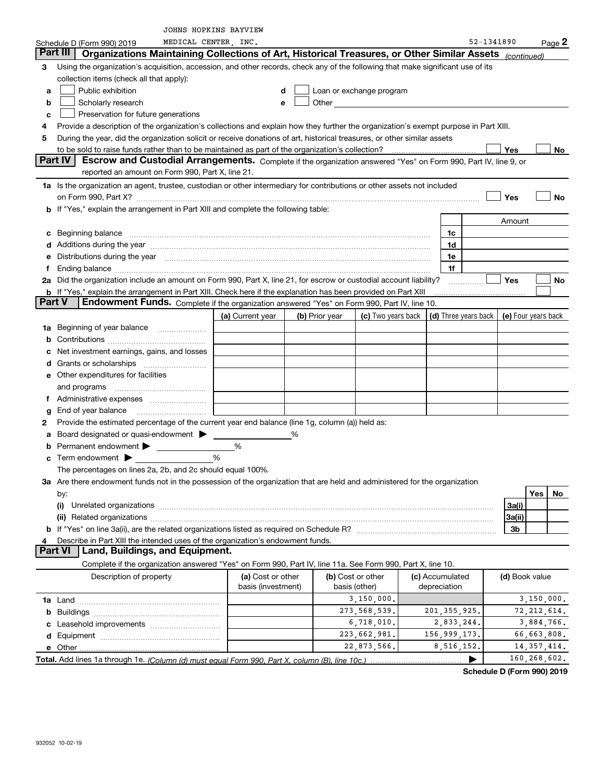|    |                                                                                                                                                                                                                                | JOHNS HOPKINS BAYVIEW |   |                |                          |  |                                              |                |               |         |
|----|--------------------------------------------------------------------------------------------------------------------------------------------------------------------------------------------------------------------------------|-----------------------|---|----------------|--------------------------|--|----------------------------------------------|----------------|---------------|---------|
|    | MEDICAL CENTER, INC.<br>Schedule D (Form 990) 2019                                                                                                                                                                             |                       |   |                |                          |  |                                              | 52-1341890     |               | Page 2  |
|    | Part III<br>Organizations Maintaining Collections of Art, Historical Treasures, or Other Similar Assets (continued)                                                                                                            |                       |   |                |                          |  |                                              |                |               |         |
| 3  | Using the organization's acquisition, accession, and other records, check any of the following that make significant use of its                                                                                                |                       |   |                |                          |  |                                              |                |               |         |
|    | collection items (check all that apply):                                                                                                                                                                                       |                       |   |                |                          |  |                                              |                |               |         |
| a  | Public exhibition                                                                                                                                                                                                              |                       | d |                | Loan or exchange program |  |                                              |                |               |         |
| b  | Scholarly research                                                                                                                                                                                                             |                       | e |                | Other <u>contracts</u>   |  |                                              |                |               |         |
| c  | Preservation for future generations                                                                                                                                                                                            |                       |   |                |                          |  |                                              |                |               |         |
| 4  | Provide a description of the organization's collections and explain how they further the organization's exempt purpose in Part XIII.                                                                                           |                       |   |                |                          |  |                                              |                |               |         |
| 5  | During the year, did the organization solicit or receive donations of art, historical treasures, or other similar assets                                                                                                       |                       |   |                |                          |  |                                              |                |               |         |
|    | Part IV<br>Escrow and Custodial Arrangements. Complete if the organization answered "Yes" on Form 990, Part IV, line 9, or                                                                                                     |                       |   |                |                          |  |                                              | Yes            |               | No      |
|    | reported an amount on Form 990, Part X, line 21.                                                                                                                                                                               |                       |   |                |                          |  |                                              |                |               |         |
|    | 1a Is the organization an agent, trustee, custodian or other intermediary for contributions or other assets not included                                                                                                       |                       |   |                |                          |  |                                              |                |               |         |
|    |                                                                                                                                                                                                                                |                       |   |                |                          |  |                                              | Yes            |               | No      |
|    | b If "Yes," explain the arrangement in Part XIII and complete the following table:                                                                                                                                             |                       |   |                |                          |  |                                              |                |               |         |
|    |                                                                                                                                                                                                                                |                       |   |                |                          |  |                                              | Amount         |               |         |
| c  | Beginning balance <u>www.marent.com married was contracted</u> and the contracted and the contracted and the contracted                                                                                                        |                       |   |                |                          |  | 1c                                           |                |               |         |
|    | d Additions during the year manufactured and an account of a distribution of Additions during the year manufactured and account of Additions during the year manufactured and account of the state of Additional Additional Ad |                       |   |                |                          |  | 1d                                           |                |               |         |
| е  | Distributions during the year manufactured and continuum control of the year manufactured and control of the year manufactured and control of the year manufactured and control of the year manufactured and control of the ye |                       |   |                |                          |  | 1e                                           |                |               |         |
| f  |                                                                                                                                                                                                                                |                       |   |                |                          |  | 1f                                           |                |               |         |
|    | 2a Did the organization include an amount on Form 990, Part X, line 21, for escrow or custodial account liability?                                                                                                             |                       |   |                |                          |  |                                              | <b>Yes</b>     |               | No      |
|    | <b>b</b> If "Yes," explain the arrangement in Part XIII. Check here if the explanation has been provided on Part XIII                                                                                                          |                       |   |                |                          |  |                                              |                |               |         |
|    | Part V<br>Endowment Funds. Complete if the organization answered "Yes" on Form 990, Part IV, line 10.                                                                                                                          |                       |   |                |                          |  |                                              |                |               |         |
|    |                                                                                                                                                                                                                                | (a) Current year      |   | (b) Prior year | (c) Two years back       |  | (d) Three years back $ $ (e) Four years back |                |               |         |
|    | 1a Beginning of year balance                                                                                                                                                                                                   |                       |   |                |                          |  |                                              |                |               |         |
| b  |                                                                                                                                                                                                                                |                       |   |                |                          |  |                                              |                |               |         |
| с  | Net investment earnings, gains, and losses                                                                                                                                                                                     |                       |   |                |                          |  |                                              |                |               |         |
| d  |                                                                                                                                                                                                                                |                       |   |                |                          |  |                                              |                |               |         |
|    | <b>e</b> Other expenditures for facilities                                                                                                                                                                                     |                       |   |                |                          |  |                                              |                |               |         |
|    | and programs                                                                                                                                                                                                                   |                       |   |                |                          |  |                                              |                |               |         |
| Ť. | Administrative expenses                                                                                                                                                                                                        |                       |   |                |                          |  |                                              |                |               |         |
| g  |                                                                                                                                                                                                                                |                       |   |                |                          |  |                                              |                |               |         |
| 2  | Provide the estimated percentage of the current year end balance (line 1g, column (a)) held as:                                                                                                                                |                       |   |                |                          |  |                                              |                |               |         |
| a  | Board designated or quasi-endowment                                                                                                                                                                                            |                       | % |                |                          |  |                                              |                |               |         |
|    | Permanent endowment $\blacktriangleright$                                                                                                                                                                                      | %                     |   |                |                          |  |                                              |                |               |         |
|    | <b>c</b> Term endowment $\blacktriangleright$                                                                                                                                                                                  | %                     |   |                |                          |  |                                              |                |               |         |
|    | The percentages on lines 2a, 2b, and 2c should equal 100%.                                                                                                                                                                     |                       |   |                |                          |  |                                              |                |               |         |
|    | 3a Are there endowment funds not in the possession of the organization that are held and administered for the organization                                                                                                     |                       |   |                |                          |  |                                              |                |               |         |
|    | by:                                                                                                                                                                                                                            |                       |   |                |                          |  |                                              |                | Yes           | $N_{0}$ |
|    |                                                                                                                                                                                                                                |                       |   |                |                          |  |                                              | 3a(i)          |               |         |
|    |                                                                                                                                                                                                                                |                       |   |                |                          |  |                                              | 3a(ii)         |               |         |
|    |                                                                                                                                                                                                                                |                       |   |                |                          |  |                                              | 3b             |               |         |
| 4  | Describe in Part XIII the intended uses of the organization's endowment funds.                                                                                                                                                 |                       |   |                |                          |  |                                              |                |               |         |
|    | Part VI  <br><b>Land, Buildings, and Equipment.</b>                                                                                                                                                                            |                       |   |                |                          |  |                                              |                |               |         |
|    | Complete if the organization answered "Yes" on Form 990, Part IV, line 11a. See Form 990, Part X, line 10.                                                                                                                     |                       |   |                |                          |  |                                              |                |               |         |
|    | Description of property                                                                                                                                                                                                        | (a) Cost or other     |   |                | (b) Cost or other        |  | (c) Accumulated                              | (d) Book value |               |         |
|    | basis (investment)<br>depreciation<br>basis (other)<br>3,150,000.<br>3,150,000.                                                                                                                                                |                       |   |                |                          |  |                                              |                |               |         |
|    |                                                                                                                                                                                                                                |                       |   |                | 273, 568, 539.           |  | 201, 355, 925.                               |                | 72, 212, 614. |         |
|    |                                                                                                                                                                                                                                |                       |   |                | 6,718,010.               |  | 2,833,244.                                   |                | 3,884,766.    |         |
|    |                                                                                                                                                                                                                                |                       |   |                | 223,662,981.             |  | 156,999,173.                                 |                | 66,663,808.   |         |
|    |                                                                                                                                                                                                                                |                       |   |                | 22,873,566.              |  | 8,516,152.                                   |                | 14, 357, 414. |         |
|    |                                                                                                                                                                                                                                |                       |   |                |                          |  | ▶                                            |                | 160,268,602.  |         |
|    |                                                                                                                                                                                                                                |                       |   |                |                          |  |                                              |                |               |         |

**Schedule D (Form 990) 2019**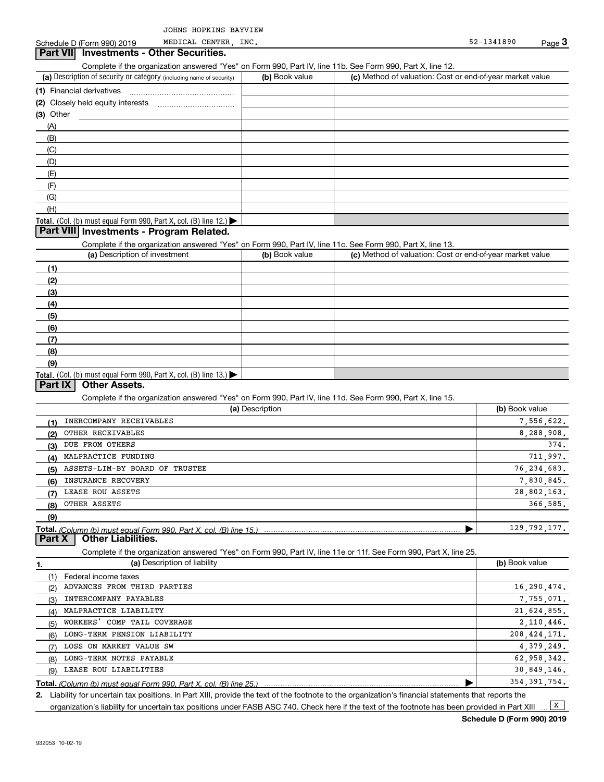MEDICAL CENTER, INC.

#### **Part VII Investments - Other Securities.**

Complete if the organization answered "Yes" on Form 990, Part IV, line 11b. See Form 990, Part X, line 12.

| (a) Description of security or category (including name of security)                          | (b) Book value | (c) Method of valuation: Cost or end-of-year market value |
|-----------------------------------------------------------------------------------------------|----------------|-----------------------------------------------------------|
| (1) Financial derivatives                                                                     |                |                                                           |
| (2) Closely held equity interests                                                             |                |                                                           |
| (3) Other                                                                                     |                |                                                           |
| (A)                                                                                           |                |                                                           |
| (B)                                                                                           |                |                                                           |
| (C)                                                                                           |                |                                                           |
| (D)                                                                                           |                |                                                           |
| (E)                                                                                           |                |                                                           |
| (F)                                                                                           |                |                                                           |
| (G)                                                                                           |                |                                                           |
| (H)                                                                                           |                |                                                           |
| <b>Total.</b> (Col. (b) must equal Form 990, Part X, col. (B) line 12.) $\blacktriangleright$ |                |                                                           |

#### **Part VIII Investments - Program Related.**

Complete if the organization answered "Yes" on Form 990, Part IV, line 11c. See Form 990, Part X, line 13.

| (a) Description of investment                                                                 | (b) Book value | (c) Method of valuation: Cost or end-of-year market value |
|-----------------------------------------------------------------------------------------------|----------------|-----------------------------------------------------------|
| (1)                                                                                           |                |                                                           |
| (2)                                                                                           |                |                                                           |
| $\frac{3}{2}$                                                                                 |                |                                                           |
| (4)                                                                                           |                |                                                           |
| $\frac{1}{1}$                                                                                 |                |                                                           |
| (6)                                                                                           |                |                                                           |
| (7)                                                                                           |                |                                                           |
| (8)                                                                                           |                |                                                           |
| (9)                                                                                           |                |                                                           |
| <b>Total.</b> (Col. (b) must equal Form 990, Part X, col. (B) line 13.) $\blacktriangleright$ |                |                                                           |

#### **Part IX Other Assets.**

Complete if the organization answered "Yes" on Form 990, Part IV, line 11d. See Form 990, Part X, line 15.

|     | (a) Description                                                                            | (b) Book value |
|-----|--------------------------------------------------------------------------------------------|----------------|
| (1) | INERCOMPANY RECEIVABLES                                                                    | 7,556,622.     |
| (2) | OTHER RECEIVABLES                                                                          | 8,288,908.     |
| (3) | DUE FROM OTHERS                                                                            | 374.           |
| (4) | MALPRACTICE FUNDING                                                                        | 711,997.       |
| (5) | ASSETS-LIM-BY BOARD OF TRUSTEE                                                             | 76, 234, 683.  |
| (6) | INSURANCE RECOVERY                                                                         | 7,830,845.     |
| (7) | LEASE ROU ASSETS                                                                           | 28,802,163.    |
| (8) | OTHER ASSETS                                                                               | 366.585.       |
| (9) |                                                                                            |                |
|     | Total. (Column (b) must equal Form 990, Part X, col. (B) line 15.)                         | 129, 792, 177. |
|     | $\mathbf{B}$ $\mathbf{W}$ $\mathbf{A}$ $\mathbf{H}$ $\mathbf{H}$ $\mathbf{H}$ $\mathbf{H}$ |                |

**Part X Other Liabilities.**

Complete if the organization answered "Yes" on Form 990, Part IV, line 11e or 11f. See Form 990, Part X, line 25.

|     | (a) Description of liability | (b) Book value |
|-----|------------------------------|----------------|
|     | Federal income taxes         |                |
| (2) | ADVANCES FROM THIRD PARTIES  | 16,290,474.    |
| (3) | INTERCOMPANY PAYABLES        | 7,755,071.     |
| (4) | MALPRACTICE LIABILITY        | 21,624,855.    |
| (5) | WORKERS' COMP TAIL COVERAGE  | 2,110,446.     |
| (6) | LONG-TERM PENSION LIABILITY  | 208, 424, 171. |
| (7) | LOSS ON MARKET VALUE SW      | 4, 379, 249.   |
| (8) | LONG-TERM NOTES PAYABLE      | 62,958,342.    |
| (9) | LEASE ROU LIABILITIES        | 30,849,146.    |
|     |                              | 354, 391, 754. |

*(Column (b) must equal Form 990, Part X, col. (B) line 25.)*

**2.**Liability for uncertain tax positions. In Part XIII, provide the text of the footnote to the organization's financial statements that reports the organization's liability for uncertain tax positions under FASB ASC 740. Check here if the text of the footnote has been provided in Part XIII  $\boxed{\mathbf{X}}$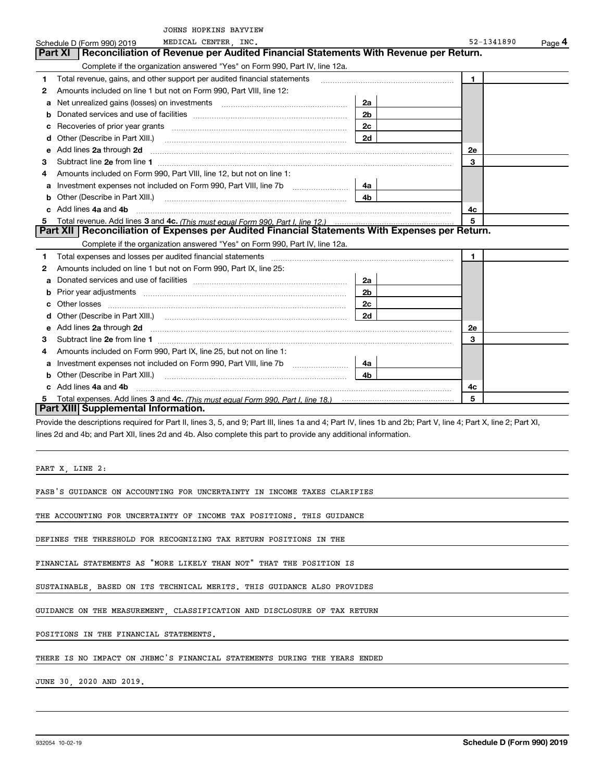| 52-1341890<br>MEDICAL CENTER INC.<br>Schedule D (Form 990) 2019<br>Reconciliation of Revenue per Audited Financial Statements With Revenue per Return.<br>Part XI  <br>Complete if the organization answered "Yes" on Form 990, Part IV, line 12a.<br>Total revenue, gains, and other support per audited financial statements<br>1.<br>1<br>Amounts included on line 1 but not on Form 990, Part VIII, line 12:<br>2<br>2a<br>а<br>2 <sub>b</sub><br>b<br>2c<br>с<br>2d<br>d<br>Add lines 2a through 2d<br><b>2e</b><br>е<br>Subtract line 2e from line 1<br>3<br>3<br>Amounts included on Form 990, Part VIII, line 12, but not on line 1:<br>4<br>Investment expenses not included on Form 990, Part VIII, line 7b [100] [100] [100] [100] [100] [100] [100] [10<br>4a<br>а<br>4b.<br>b<br>Add lines 4a and 4b<br>4c<br>5<br>Total revenue. Add lines 3 and 4c. (This must equal Form 990, Part I, line 12.)<br>Part XII   Reconciliation of Expenses per Audited Financial Statements With Expenses per Return.<br>Complete if the organization answered "Yes" on Form 990, Part IV, line 12a.<br>Total expenses and losses per audited financial statements<br>1<br>1<br>Amounts included on line 1 but not on Form 990, Part IX, line 25:<br>2<br>2a<br>а<br>2 <sub>b</sub><br>b | JOHNS HOPKINS BAYVIEW |  |        |
|----------------------------------------------------------------------------------------------------------------------------------------------------------------------------------------------------------------------------------------------------------------------------------------------------------------------------------------------------------------------------------------------------------------------------------------------------------------------------------------------------------------------------------------------------------------------------------------------------------------------------------------------------------------------------------------------------------------------------------------------------------------------------------------------------------------------------------------------------------------------------------------------------------------------------------------------------------------------------------------------------------------------------------------------------------------------------------------------------------------------------------------------------------------------------------------------------------------------------------------------------------------------------------------|-----------------------|--|--------|
|                                                                                                                                                                                                                                                                                                                                                                                                                                                                                                                                                                                                                                                                                                                                                                                                                                                                                                                                                                                                                                                                                                                                                                                                                                                                                        |                       |  | Page 4 |
|                                                                                                                                                                                                                                                                                                                                                                                                                                                                                                                                                                                                                                                                                                                                                                                                                                                                                                                                                                                                                                                                                                                                                                                                                                                                                        |                       |  |        |
|                                                                                                                                                                                                                                                                                                                                                                                                                                                                                                                                                                                                                                                                                                                                                                                                                                                                                                                                                                                                                                                                                                                                                                                                                                                                                        |                       |  |        |
|                                                                                                                                                                                                                                                                                                                                                                                                                                                                                                                                                                                                                                                                                                                                                                                                                                                                                                                                                                                                                                                                                                                                                                                                                                                                                        |                       |  |        |
|                                                                                                                                                                                                                                                                                                                                                                                                                                                                                                                                                                                                                                                                                                                                                                                                                                                                                                                                                                                                                                                                                                                                                                                                                                                                                        |                       |  |        |
|                                                                                                                                                                                                                                                                                                                                                                                                                                                                                                                                                                                                                                                                                                                                                                                                                                                                                                                                                                                                                                                                                                                                                                                                                                                                                        |                       |  |        |
|                                                                                                                                                                                                                                                                                                                                                                                                                                                                                                                                                                                                                                                                                                                                                                                                                                                                                                                                                                                                                                                                                                                                                                                                                                                                                        |                       |  |        |
|                                                                                                                                                                                                                                                                                                                                                                                                                                                                                                                                                                                                                                                                                                                                                                                                                                                                                                                                                                                                                                                                                                                                                                                                                                                                                        |                       |  |        |
|                                                                                                                                                                                                                                                                                                                                                                                                                                                                                                                                                                                                                                                                                                                                                                                                                                                                                                                                                                                                                                                                                                                                                                                                                                                                                        |                       |  |        |
|                                                                                                                                                                                                                                                                                                                                                                                                                                                                                                                                                                                                                                                                                                                                                                                                                                                                                                                                                                                                                                                                                                                                                                                                                                                                                        |                       |  |        |
|                                                                                                                                                                                                                                                                                                                                                                                                                                                                                                                                                                                                                                                                                                                                                                                                                                                                                                                                                                                                                                                                                                                                                                                                                                                                                        |                       |  |        |
|                                                                                                                                                                                                                                                                                                                                                                                                                                                                                                                                                                                                                                                                                                                                                                                                                                                                                                                                                                                                                                                                                                                                                                                                                                                                                        |                       |  |        |
|                                                                                                                                                                                                                                                                                                                                                                                                                                                                                                                                                                                                                                                                                                                                                                                                                                                                                                                                                                                                                                                                                                                                                                                                                                                                                        |                       |  |        |
|                                                                                                                                                                                                                                                                                                                                                                                                                                                                                                                                                                                                                                                                                                                                                                                                                                                                                                                                                                                                                                                                                                                                                                                                                                                                                        |                       |  |        |
|                                                                                                                                                                                                                                                                                                                                                                                                                                                                                                                                                                                                                                                                                                                                                                                                                                                                                                                                                                                                                                                                                                                                                                                                                                                                                        |                       |  |        |
|                                                                                                                                                                                                                                                                                                                                                                                                                                                                                                                                                                                                                                                                                                                                                                                                                                                                                                                                                                                                                                                                                                                                                                                                                                                                                        |                       |  |        |
|                                                                                                                                                                                                                                                                                                                                                                                                                                                                                                                                                                                                                                                                                                                                                                                                                                                                                                                                                                                                                                                                                                                                                                                                                                                                                        |                       |  |        |
|                                                                                                                                                                                                                                                                                                                                                                                                                                                                                                                                                                                                                                                                                                                                                                                                                                                                                                                                                                                                                                                                                                                                                                                                                                                                                        |                       |  |        |
|                                                                                                                                                                                                                                                                                                                                                                                                                                                                                                                                                                                                                                                                                                                                                                                                                                                                                                                                                                                                                                                                                                                                                                                                                                                                                        |                       |  |        |
|                                                                                                                                                                                                                                                                                                                                                                                                                                                                                                                                                                                                                                                                                                                                                                                                                                                                                                                                                                                                                                                                                                                                                                                                                                                                                        |                       |  |        |
|                                                                                                                                                                                                                                                                                                                                                                                                                                                                                                                                                                                                                                                                                                                                                                                                                                                                                                                                                                                                                                                                                                                                                                                                                                                                                        |                       |  |        |
|                                                                                                                                                                                                                                                                                                                                                                                                                                                                                                                                                                                                                                                                                                                                                                                                                                                                                                                                                                                                                                                                                                                                                                                                                                                                                        |                       |  |        |
| 2c<br>Other losses                                                                                                                                                                                                                                                                                                                                                                                                                                                                                                                                                                                                                                                                                                                                                                                                                                                                                                                                                                                                                                                                                                                                                                                                                                                                     |                       |  |        |
| 2d<br>d                                                                                                                                                                                                                                                                                                                                                                                                                                                                                                                                                                                                                                                                                                                                                                                                                                                                                                                                                                                                                                                                                                                                                                                                                                                                                |                       |  |        |
| Add lines 2a through 2d<br>2e<br>е                                                                                                                                                                                                                                                                                                                                                                                                                                                                                                                                                                                                                                                                                                                                                                                                                                                                                                                                                                                                                                                                                                                                                                                                                                                     |                       |  |        |
| 3<br>З                                                                                                                                                                                                                                                                                                                                                                                                                                                                                                                                                                                                                                                                                                                                                                                                                                                                                                                                                                                                                                                                                                                                                                                                                                                                                 |                       |  |        |
| Amounts included on Form 990, Part IX, line 25, but not on line 1:<br>4                                                                                                                                                                                                                                                                                                                                                                                                                                                                                                                                                                                                                                                                                                                                                                                                                                                                                                                                                                                                                                                                                                                                                                                                                |                       |  |        |
| 4a                                                                                                                                                                                                                                                                                                                                                                                                                                                                                                                                                                                                                                                                                                                                                                                                                                                                                                                                                                                                                                                                                                                                                                                                                                                                                     |                       |  |        |
| 4 <sub>b</sub><br>Other (Describe in Part XIII.)<br>b                                                                                                                                                                                                                                                                                                                                                                                                                                                                                                                                                                                                                                                                                                                                                                                                                                                                                                                                                                                                                                                                                                                                                                                                                                  |                       |  |        |
| c Add lines 4a and 4b<br>4c                                                                                                                                                                                                                                                                                                                                                                                                                                                                                                                                                                                                                                                                                                                                                                                                                                                                                                                                                                                                                                                                                                                                                                                                                                                            |                       |  |        |
| 5<br>5.                                                                                                                                                                                                                                                                                                                                                                                                                                                                                                                                                                                                                                                                                                                                                                                                                                                                                                                                                                                                                                                                                                                                                                                                                                                                                |                       |  |        |
| Part XIII Supplemental Information.                                                                                                                                                                                                                                                                                                                                                                                                                                                                                                                                                                                                                                                                                                                                                                                                                                                                                                                                                                                                                                                                                                                                                                                                                                                    |                       |  |        |

lines 2d and 4b; and Part XII, lines 2d and 4b. Also complete this part to provide any additional information.

PART X, LINE 2:

FASB'S GUIDANCE ON ACCOUNTING FOR UNCERTAINTY IN INCOME TAXES CLARIFIES

THE ACCOUNTING FOR UNCERTAINTY OF INCOME TAX POSITIONS. THIS GUIDANCE

DEFINES THE THRESHOLD FOR RECOGNIZING TAX RETURN POSITIONS IN THE

FINANCIAL STATEMENTS AS "MORE LIKELY THAN NOT" THAT THE POSITION IS

SUSTAINABLE, BASED ON ITS TECHNICAL MERITS. THIS GUIDANCE ALSO PROVIDES

GUIDANCE ON THE MEASUREMENT, CLASSIFICATION AND DISCLOSURE OF TAX RETURN

POSITIONS IN THE FINANCIAL STATEMENTS.

THERE IS NO IMPACT ON JHBMC'S FINANCIAL STATEMENTS DURING THE YEARS ENDED

JUNE 30, 2020 AND 2019.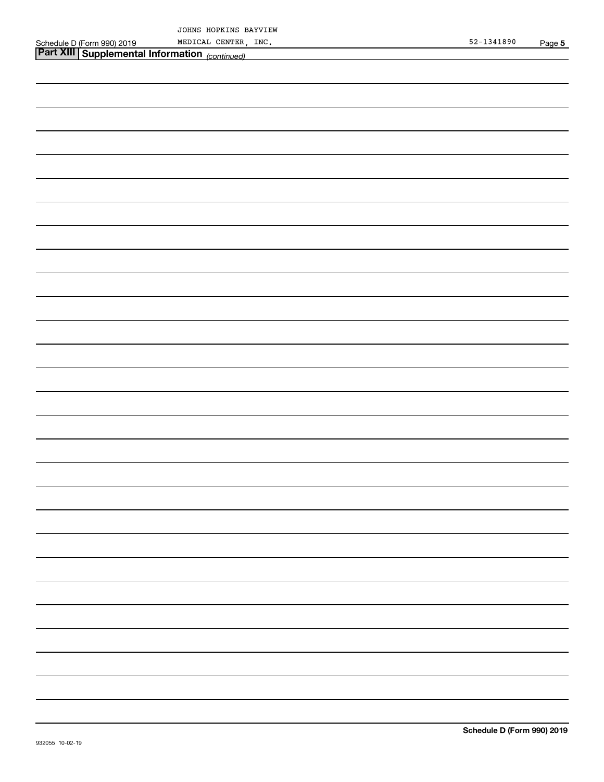|                                                  | uunno<br><b>RUFAINS</b><br><b>DAIV</b><br>⋁⊥∟₩ |                                      |      |
|--------------------------------------------------|------------------------------------------------|--------------------------------------|------|
| Schedule D (Form<br>2019<br>990)                 | INC<br>CENTER<br>MEL<br>.ו ברי−<br>_____       | 890ء<br>. п<br>≺⊿<br>ュムー<br>$\cdots$ | Page |
| <b>B</b> 7 1 1 1<br>$\sim$ $\sim$ $\sim$<br>____ | __                                             |                                      |      |

| <b>Part XIII Supplemental Information</b> (continued) |
|-------------------------------------------------------|
|                                                       |
|                                                       |
|                                                       |
|                                                       |
|                                                       |
|                                                       |
|                                                       |
|                                                       |
|                                                       |
|                                                       |
|                                                       |
|                                                       |
|                                                       |
|                                                       |
|                                                       |
|                                                       |
|                                                       |
|                                                       |
|                                                       |
|                                                       |
|                                                       |
|                                                       |
|                                                       |
|                                                       |
|                                                       |
|                                                       |
|                                                       |
|                                                       |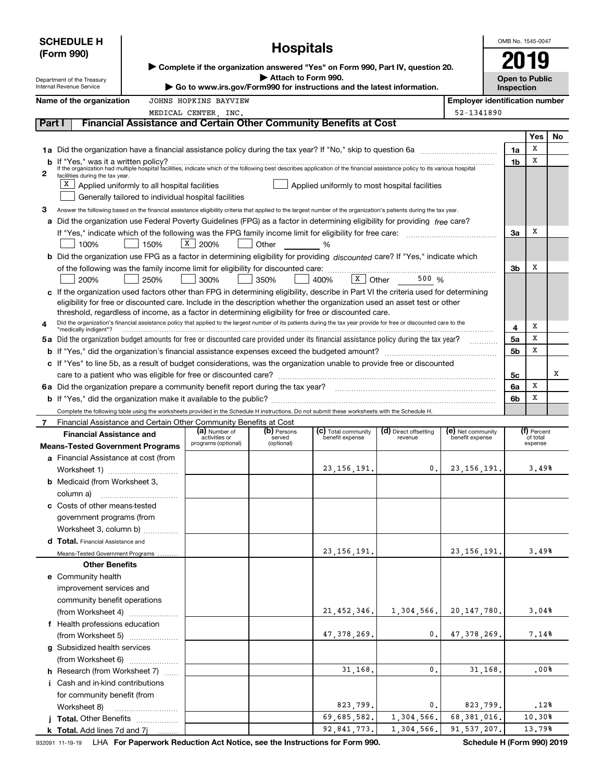|        | <b>SCHEDULE H</b><br>(Form 990)<br>Department of the Treasury<br>Internal Revenue Service |                                                      | ▶ Complete if the organization answered "Yes" on Form 990, Part IV, question 20.<br>Go to www.irs.gov/Form990 for instructions and the latest information. | OMB No. 1545-0047<br><b>Open to Public</b><br>Inspection |                                                                                                                                                                                                                                                                                                 |                                  |                                       |                |                         |     |
|--------|-------------------------------------------------------------------------------------------|------------------------------------------------------|------------------------------------------------------------------------------------------------------------------------------------------------------------|----------------------------------------------------------|-------------------------------------------------------------------------------------------------------------------------------------------------------------------------------------------------------------------------------------------------------------------------------------------------|----------------------------------|---------------------------------------|----------------|-------------------------|-----|
|        | Name of the organization                                                                  |                                                      | JOHNS HOPKINS BAYVIEW                                                                                                                                      |                                                          |                                                                                                                                                                                                                                                                                                 |                                  | <b>Employer identification number</b> |                |                         |     |
|        |                                                                                           |                                                      | MEDICAL CENTER, INC.                                                                                                                                       |                                                          |                                                                                                                                                                                                                                                                                                 |                                  | 52-1341890                            |                |                         |     |
| Part I |                                                                                           |                                                      |                                                                                                                                                            |                                                          | Financial Assistance and Certain Other Community Benefits at Cost                                                                                                                                                                                                                               |                                  |                                       |                |                         |     |
|        |                                                                                           |                                                      |                                                                                                                                                            |                                                          |                                                                                                                                                                                                                                                                                                 |                                  |                                       |                | Yes                     | No. |
|        |                                                                                           |                                                      |                                                                                                                                                            |                                                          |                                                                                                                                                                                                                                                                                                 |                                  |                                       | 1a             | х                       |     |
|        |                                                                                           |                                                      |                                                                                                                                                            |                                                          | If "Yes," was it a written policy?<br>If the organization had multiple hospital facilities, indicate which of the following best describes application of the financial assistance policy to its various hospital                                                                               |                                  |                                       | 1b             | x                       |     |
| 2      | facilities during the tax year.                                                           |                                                      |                                                                                                                                                            |                                                          |                                                                                                                                                                                                                                                                                                 |                                  |                                       |                |                         |     |
|        | x                                                                                         | Applied uniformly to all hospital facilities         |                                                                                                                                                            |                                                          | Applied uniformly to most hospital facilities                                                                                                                                                                                                                                                   |                                  |                                       |                |                         |     |
|        |                                                                                           | Generally tailored to individual hospital facilities |                                                                                                                                                            |                                                          |                                                                                                                                                                                                                                                                                                 |                                  |                                       |                |                         |     |
| з      |                                                                                           |                                                      |                                                                                                                                                            |                                                          | Answer the following based on the financial assistance eligibility criteria that applied to the largest number of the organization's patients during the tax year.<br>Did the organization use Federal Poverty Guidelines (FPG) as a factor in determining eligibility for providing free care? |                                  |                                       |                |                         |     |
| a      |                                                                                           |                                                      |                                                                                                                                                            |                                                          |                                                                                                                                                                                                                                                                                                 |                                  |                                       | За             | х                       |     |
|        | 100%                                                                                      | 150%                                                 | X  <br>200%                                                                                                                                                | Other                                                    | %                                                                                                                                                                                                                                                                                               |                                  |                                       |                |                         |     |
|        |                                                                                           |                                                      |                                                                                                                                                            |                                                          | b Did the organization use FPG as a factor in determining eligibility for providing discounted care? If "Yes," indicate which                                                                                                                                                                   |                                  |                                       |                |                         |     |
|        |                                                                                           |                                                      |                                                                                                                                                            |                                                          |                                                                                                                                                                                                                                                                                                 |                                  |                                       | 3b             | х                       |     |
|        | 200%                                                                                      | 250%                                                 | 300%                                                                                                                                                       | 350%                                                     | $\overline{x}$ Other<br>400%                                                                                                                                                                                                                                                                    | 500 %                            |                                       |                |                         |     |
|        |                                                                                           |                                                      |                                                                                                                                                            |                                                          | c If the organization used factors other than FPG in determining eligibility, describe in Part VI the criteria used for determining                                                                                                                                                             |                                  |                                       |                |                         |     |
|        |                                                                                           |                                                      |                                                                                                                                                            |                                                          | eligibility for free or discounted care. Include in the description whether the organization used an asset test or other                                                                                                                                                                        |                                  |                                       |                |                         |     |
|        |                                                                                           |                                                      |                                                                                                                                                            |                                                          | threshold, regardless of income, as a factor in determining eligibility for free or discounted care.<br>Did the organization's financial assistance policy that applied to the largest number of its patients during the tax year provide for free or discounted care to the                    |                                  |                                       |                |                         |     |
| 4      | "medically indigent"?                                                                     |                                                      |                                                                                                                                                            |                                                          |                                                                                                                                                                                                                                                                                                 |                                  |                                       | 4              | х                       |     |
|        |                                                                                           |                                                      |                                                                                                                                                            |                                                          | 5a Did the organization budget amounts for free or discounted care provided under its financial assistance policy during the tax year?                                                                                                                                                          |                                  | .                                     | 5a             | x                       |     |
|        |                                                                                           |                                                      |                                                                                                                                                            |                                                          |                                                                                                                                                                                                                                                                                                 |                                  |                                       | 5 <sub>b</sub> | x                       |     |
|        |                                                                                           |                                                      |                                                                                                                                                            |                                                          | c If "Yes" to line 5b, as a result of budget considerations, was the organization unable to provide free or discounted                                                                                                                                                                          |                                  |                                       |                |                         | х   |
|        | 6a Did the organization prepare a community benefit report during the tax year?           |                                                      |                                                                                                                                                            |                                                          |                                                                                                                                                                                                                                                                                                 |                                  |                                       | 5с<br>6a       | х                       |     |
|        |                                                                                           |                                                      |                                                                                                                                                            |                                                          |                                                                                                                                                                                                                                                                                                 |                                  |                                       | 6b             | x                       |     |
|        |                                                                                           |                                                      |                                                                                                                                                            |                                                          | Complete the following table using the worksheets provided in the Schedule H instructions. Do not submit these worksheets with the Schedule H.                                                                                                                                                  |                                  |                                       |                |                         |     |
| 7      | Financial Assistance and Certain Other Community Benefits at Cost                         |                                                      |                                                                                                                                                            |                                                          |                                                                                                                                                                                                                                                                                                 |                                  |                                       |                |                         |     |
|        | <b>Financial Assistance and</b>                                                           |                                                      | (a) Number of<br>activities or                                                                                                                             | (b) Persons<br>served                                    | (c) Total community<br>benefit expense                                                                                                                                                                                                                                                          | (d) Direct offsetting<br>revenue | (e) Net community<br>benefit expense  |                | (f) Percent<br>of total |     |
|        | <b>Means-Tested Government Programs</b>                                                   |                                                      | programs (optional)                                                                                                                                        | (optional)                                               |                                                                                                                                                                                                                                                                                                 |                                  |                                       |                | expense                 |     |
|        | a Financial Assistance at cost (from                                                      |                                                      |                                                                                                                                                            |                                                          |                                                                                                                                                                                                                                                                                                 |                                  |                                       |                |                         |     |
|        | Worksheet 1)                                                                              |                                                      |                                                                                                                                                            |                                                          | 23, 156, 191                                                                                                                                                                                                                                                                                    | 0                                | 23, 156, 191.                         |                | 3,49%                   |     |
|        | <b>b</b> Medicaid (from Worksheet 3,                                                      |                                                      |                                                                                                                                                            |                                                          |                                                                                                                                                                                                                                                                                                 |                                  |                                       |                |                         |     |
|        | column a)                                                                                 |                                                      |                                                                                                                                                            |                                                          |                                                                                                                                                                                                                                                                                                 |                                  |                                       |                |                         |     |
|        | c Costs of other means-tested                                                             |                                                      |                                                                                                                                                            |                                                          |                                                                                                                                                                                                                                                                                                 |                                  |                                       |                |                         |     |
|        | government programs (from<br>Worksheet 3, column b)                                       |                                                      |                                                                                                                                                            |                                                          |                                                                                                                                                                                                                                                                                                 |                                  |                                       |                |                         |     |
|        | d Total. Financial Assistance and                                                         |                                                      |                                                                                                                                                            |                                                          |                                                                                                                                                                                                                                                                                                 |                                  |                                       |                |                         |     |
|        | Means-Tested Government Programs                                                          |                                                      |                                                                                                                                                            |                                                          | 23, 156, 191.                                                                                                                                                                                                                                                                                   |                                  | 23, 156, 191.                         |                | 3,49%                   |     |
|        | <b>Other Benefits</b>                                                                     |                                                      |                                                                                                                                                            |                                                          |                                                                                                                                                                                                                                                                                                 |                                  |                                       |                |                         |     |
|        | e Community health                                                                        |                                                      |                                                                                                                                                            |                                                          |                                                                                                                                                                                                                                                                                                 |                                  |                                       |                |                         |     |
|        | improvement services and                                                                  |                                                      |                                                                                                                                                            |                                                          |                                                                                                                                                                                                                                                                                                 |                                  |                                       |                |                         |     |
|        | community benefit operations                                                              |                                                      |                                                                                                                                                            |                                                          |                                                                                                                                                                                                                                                                                                 |                                  |                                       |                |                         |     |
|        | (from Worksheet 4)                                                                        |                                                      |                                                                                                                                                            |                                                          | 21, 452, 346.                                                                                                                                                                                                                                                                                   | 1,304,566.                       | 20, 147, 780.                         |                | 3.04%                   |     |
|        | f Health professions education                                                            |                                                      |                                                                                                                                                            |                                                          |                                                                                                                                                                                                                                                                                                 |                                  |                                       |                |                         |     |
|        | (from Worksheet 5)                                                                        |                                                      |                                                                                                                                                            |                                                          | 47, 378, 269.                                                                                                                                                                                                                                                                                   | 0.                               | 47, 378, 269.                         |                | 7.14%                   |     |
|        | g Subsidized health services                                                              |                                                      |                                                                                                                                                            |                                                          |                                                                                                                                                                                                                                                                                                 |                                  |                                       |                |                         |     |
|        | (from Worksheet 6)                                                                        |                                                      |                                                                                                                                                            |                                                          | 31,168.                                                                                                                                                                                                                                                                                         | 0.                               | 31,168.                               |                | .00%                    |     |
|        | <b>h</b> Research (from Worksheet 7)<br><i>i</i> Cash and in-kind contributions           |                                                      |                                                                                                                                                            |                                                          |                                                                                                                                                                                                                                                                                                 |                                  |                                       |                |                         |     |
|        | for community benefit (from                                                               |                                                      |                                                                                                                                                            |                                                          |                                                                                                                                                                                                                                                                                                 |                                  |                                       |                |                         |     |
|        | Worksheet 8)                                                                              |                                                      |                                                                                                                                                            |                                                          | 823,799.                                                                                                                                                                                                                                                                                        | 0.                               | 823,799.                              |                | .12%                    |     |
|        | j Total. Other Benefits                                                                   |                                                      |                                                                                                                                                            |                                                          | 69,685,582.                                                                                                                                                                                                                                                                                     | 1,304,566.                       | 68, 381, 016.                         |                | 10.30%                  |     |
|        | k Total. Add lines 7d and 7j                                                              |                                                      |                                                                                                                                                            |                                                          | 92,841,773.                                                                                                                                                                                                                                                                                     | 1,304,566.                       | 91, 537, 207.                         |                | 13.79%                  |     |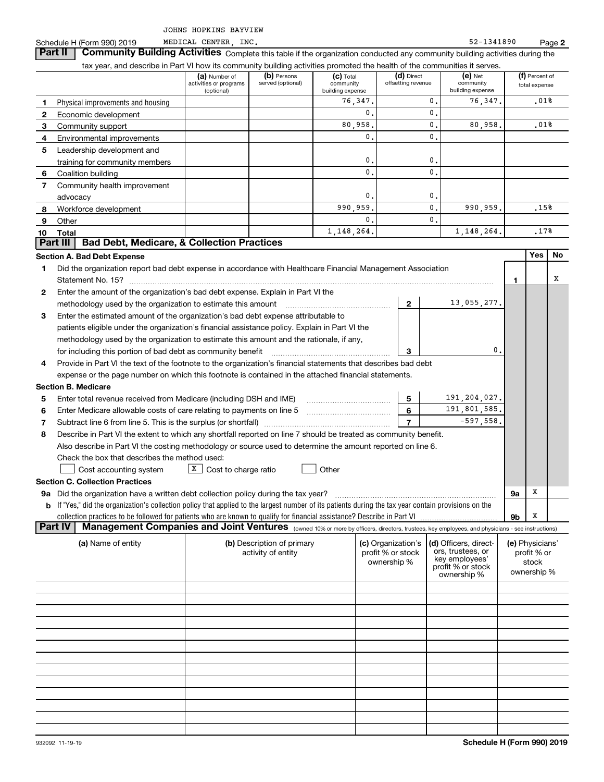$S$ chedule H (Form 990) 2019 MEDICAL CENTER INC.  $52-1341890$ MEDICAL CENTER INC.

 $\begin{pmatrix} a \end{pmatrix}$  Number of  $\begin{pmatrix} b \end{pmatrix}$  Persons  $\begin{pmatrix} c \end{pmatrix}$  **(c)** Total  $\begin{pmatrix} d \end{pmatrix}$  Direct  $\begin{pmatrix} e \end{pmatrix}$  Net  $\begin{pmatrix} f \end{pmatrix}$ activities or programs (optional)(b) Persons served (optional)  $(c)$  Total community building expense (d) Direct offsetting revenue  $(e)$  Net community building expense (f) Percent of total expense Part IV | Management Companies and Joint Ventures <sub>(owned 10% or more by officers, directors, trustees, key employees, and physicians - see instructions)</sub> **12345678910 Total Section A. Bad Debt Expense Yes No 1234123Section B. Medicare 5678567Section C. Collection Practices 9a** Did the organization have a written debt collection policy during the tax year? **b**If "Yes," did the organization's collection policy that applied to the largest number of its patients during the tax year contain provisions on the **9a9b**(a) Name of entity **(b) Description of primary (c) Organization's (d) Officers, direct (e)** Physical improvements and housing collection practices to be followed for patients who are known to qualify for financial assistance? Describe in Part VI **Part II** | Community Building Activities Complete this table if the organization conducted any community building activities during the tax year, and describe in Part VI how its community building activities promoted the health of the communities it serves. Economic development Community support Environmental improvements Leadership development and training for community members Coalition building Community health improvement advocacy Workforce development **Other** Did the organization report bad debt expense in accordance with Healthcare Financial Management Association Statement No. 15? ~~~~~~~~~~~~~~~~~~~~~~~~~~~~~~~~~~~~~~~~~~~~~~~~~~~~ Enter the amount of the organization's bad debt expense. Explain in Part VI the methodology used by the organization to estimate this amount ~~~~~~~~~~~~~~~ Enter the estimated amount of the organization's bad debt expense attributable to patients eligible under the organization's financial assistance policy. Explain in Part VI the methodology used by the organization to estimate this amount and the rationale, if any, for including this portion of bad debt as community benefit Provide in Part VI the text of the footnote to the organization's financial statements that describes bad debt expense or the page number on which this footnote is contained in the attached financial statements. Enter total revenue received from Medicare (including DSH and IME) Enter Medicare allowable costs of care relating to payments on line 5 Subtract line 6 from line 5. This is the surplus (or shortfall) Describe in Part VI the extent to which any shortfall reported on line 7 should be treated as community benefit. Also describe in Part VI the costing methodology or source used to determine the amount reported on line 6. Check the box that describes the method used:  $\Box$  Cost accounting system  $\Box$  Cost to charge ratio  $\Box$  Other activity of entity (c) Organization's profit % or stock ownership % (d) Officers, directors, trustees, or key employees' profit % or stock ownership % (e) Physicians' profit % or stock ownership % **Part III Bad Debt, Medicare, & Collection Practices**  $\mathcal{L}^{\text{max}}$ 76,347.  $\overline{0}$ . 80,958. 0.0.0.0.990,959. 0.1,148,264. 0. $\overline{0}$ .  $\overline{0}$ .  $\overline{0}$ .  $\mathbf{0}$ . 0. $\mathbf{0}$  $\overline{0}$ .  $\mathbf{0}$ . 76,347. 80,958. 990,959. 1,148,264. .01%.15%.17%13,055,277.  $\mathbf{0}$ . 191,204,027. 191,801,585. -597,558. XXX.01%

**2**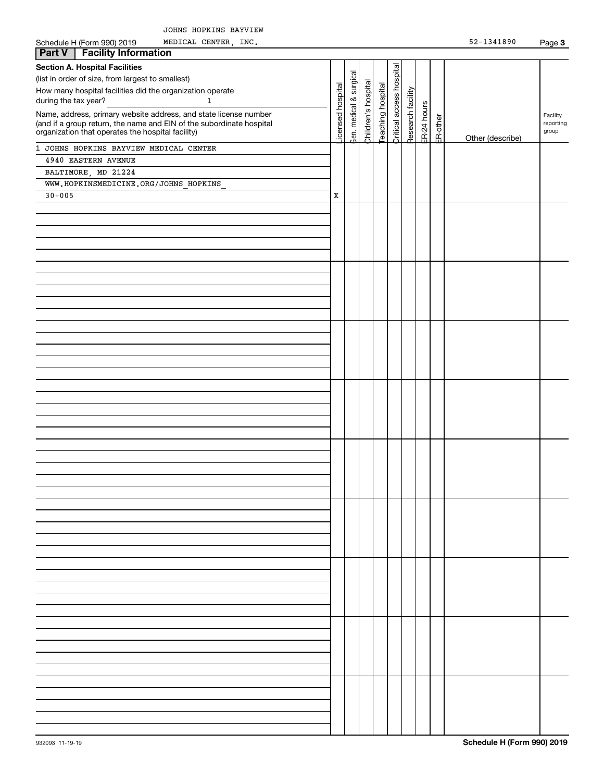| Schedule H (Form 990) 2019<br>MEDICAL CENTER, INC.                   |                  |              |                     |                  |                          |                   |             |          | $52 - 1341890$   | Page 3    |
|----------------------------------------------------------------------|------------------|--------------|---------------------|------------------|--------------------------|-------------------|-------------|----------|------------------|-----------|
| <b>Part V</b><br><b>Facility Information</b>                         |                  |              |                     |                  |                          |                   |             |          |                  |           |
| <b>Section A. Hospital Facilities</b>                                |                  |              |                     |                  |                          |                   |             |          |                  |           |
| (list in order of size, from largest to smallest)                    |                  | & surgical   |                     |                  |                          |                   |             |          |                  |           |
| How many hospital facilities did the organization operate            |                  |              |                     |                  |                          |                   |             |          |                  |           |
| during the tax year?<br>$\mathbf{1}$                                 |                  |              |                     |                  |                          |                   |             |          |                  |           |
| Name, address, primary website address, and state license number     | icensed hospital | aen. medical | Children's hospital | eaching hospital | Critical access hospital | Research facility | ER-24 hours |          |                  | Facility  |
| (and if a group return, the name and EIN of the subordinate hospital |                  |              |                     |                  |                          |                   |             |          |                  | reporting |
| organization that operates the hospital facility)                    |                  |              |                     |                  |                          |                   |             | ER-other | Other (describe) | group     |
| 1 JOHNS HOPKINS BAYVIEW MEDICAL CENTER                               |                  |              |                     |                  |                          |                   |             |          |                  |           |
| 4940 EASTERN AVENUE                                                  |                  |              |                     |                  |                          |                   |             |          |                  |           |
| BALTIMORE, MD 21224                                                  |                  |              |                     |                  |                          |                   |             |          |                  |           |
| WWW.HOPKINSMEDICINE.ORG/JOHNS HOPKINS                                |                  |              |                     |                  |                          |                   |             |          |                  |           |
| $30 - 005$                                                           | X                |              |                     |                  |                          |                   |             |          |                  |           |
|                                                                      |                  |              |                     |                  |                          |                   |             |          |                  |           |
|                                                                      |                  |              |                     |                  |                          |                   |             |          |                  |           |
|                                                                      |                  |              |                     |                  |                          |                   |             |          |                  |           |
|                                                                      |                  |              |                     |                  |                          |                   |             |          |                  |           |
|                                                                      |                  |              |                     |                  |                          |                   |             |          |                  |           |
|                                                                      |                  |              |                     |                  |                          |                   |             |          |                  |           |
|                                                                      |                  |              |                     |                  |                          |                   |             |          |                  |           |
|                                                                      |                  |              |                     |                  |                          |                   |             |          |                  |           |
|                                                                      |                  |              |                     |                  |                          |                   |             |          |                  |           |
|                                                                      |                  |              |                     |                  |                          |                   |             |          |                  |           |
|                                                                      |                  |              |                     |                  |                          |                   |             |          |                  |           |
|                                                                      |                  |              |                     |                  |                          |                   |             |          |                  |           |
|                                                                      |                  |              |                     |                  |                          |                   |             |          |                  |           |
|                                                                      |                  |              |                     |                  |                          |                   |             |          |                  |           |
|                                                                      |                  |              |                     |                  |                          |                   |             |          |                  |           |
|                                                                      |                  |              |                     |                  |                          |                   |             |          |                  |           |
|                                                                      |                  |              |                     |                  |                          |                   |             |          |                  |           |
|                                                                      |                  |              |                     |                  |                          |                   |             |          |                  |           |
|                                                                      |                  |              |                     |                  |                          |                   |             |          |                  |           |
|                                                                      |                  |              |                     |                  |                          |                   |             |          |                  |           |
|                                                                      |                  |              |                     |                  |                          |                   |             |          |                  |           |
|                                                                      |                  |              |                     |                  |                          |                   |             |          |                  |           |
|                                                                      |                  |              |                     |                  |                          |                   |             |          |                  |           |
|                                                                      |                  |              |                     |                  |                          |                   |             |          |                  |           |
|                                                                      |                  |              |                     |                  |                          |                   |             |          |                  |           |
|                                                                      |                  |              |                     |                  |                          |                   |             |          |                  |           |
|                                                                      |                  |              |                     |                  |                          |                   |             |          |                  |           |
|                                                                      |                  |              |                     |                  |                          |                   |             |          |                  |           |
|                                                                      |                  |              |                     |                  |                          |                   |             |          |                  |           |
|                                                                      |                  |              |                     |                  |                          |                   |             |          |                  |           |
|                                                                      |                  |              |                     |                  |                          |                   |             |          |                  |           |
|                                                                      |                  |              |                     |                  |                          |                   |             |          |                  |           |
|                                                                      |                  |              |                     |                  |                          |                   |             |          |                  |           |
|                                                                      |                  |              |                     |                  |                          |                   |             |          |                  |           |
|                                                                      |                  |              |                     |                  |                          |                   |             |          |                  |           |
|                                                                      |                  |              |                     |                  |                          |                   |             |          |                  |           |
|                                                                      |                  |              |                     |                  |                          |                   |             |          |                  |           |
|                                                                      |                  |              |                     |                  |                          |                   |             |          |                  |           |
|                                                                      |                  |              |                     |                  |                          |                   |             |          |                  |           |
|                                                                      |                  |              |                     |                  |                          |                   |             |          |                  |           |
|                                                                      |                  |              |                     |                  |                          |                   |             |          |                  |           |
|                                                                      |                  |              |                     |                  |                          |                   |             |          |                  |           |
|                                                                      |                  |              |                     |                  |                          |                   |             |          |                  |           |
|                                                                      |                  |              |                     |                  |                          |                   |             |          |                  |           |
|                                                                      |                  |              |                     |                  |                          |                   |             |          |                  |           |
|                                                                      |                  |              |                     |                  |                          |                   |             |          |                  |           |
|                                                                      |                  |              |                     |                  |                          |                   |             |          |                  |           |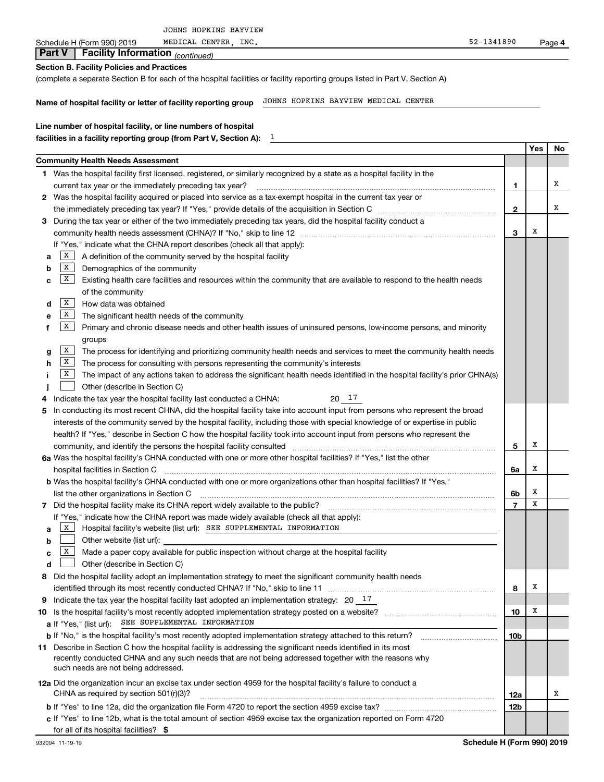| Schedule H (Form 990) 2019<br>MEDICAL CENTER, INC.                                                                                      | 52-1341890     |     | Page 4 |
|-----------------------------------------------------------------------------------------------------------------------------------------|----------------|-----|--------|
| <b>Facility Information</b> (continued)<br><b>Part V</b>                                                                                |                |     |        |
| <b>Section B. Facility Policies and Practices</b>                                                                                       |                |     |        |
| (complete a separate Section B for each of the hospital facilities or facility reporting groups listed in Part V, Section A)            |                |     |        |
|                                                                                                                                         |                |     |        |
| JOHNS HOPKINS BAYVIEW MEDICAL CENTER<br>Name of hospital facility or letter of facility reporting group                                 |                |     |        |
| Line number of hospital facility, or line numbers of hospital                                                                           |                |     |        |
| 1<br>facilities in a facility reporting group (from Part V, Section A):                                                                 |                |     |        |
|                                                                                                                                         |                | Yes | No     |
| <b>Community Health Needs Assessment</b>                                                                                                |                |     |        |
| 1 Was the hospital facility first licensed, registered, or similarly recognized by a state as a hospital facility in the                |                |     |        |
| current tax year or the immediately preceding tax year?                                                                                 | 1              |     | х      |
| 2 Was the hospital facility acquired or placed into service as a tax-exempt hospital in the current tax year or                         |                |     |        |
|                                                                                                                                         | $\mathbf{2}$   |     | х      |
| During the tax year or either of the two immediately preceding tax years, did the hospital facility conduct a<br>3                      |                |     |        |
|                                                                                                                                         | 3              | х   |        |
| If "Yes," indicate what the CHNA report describes (check all that apply):                                                               |                |     |        |
| X  <br>A definition of the community served by the hospital facility<br>a                                                               |                |     |        |
| X<br>Demographics of the community<br>b                                                                                                 |                |     |        |
| X<br>Existing health care facilities and resources within the community that are available to respond to the health needs<br>c          |                |     |        |
| of the community                                                                                                                        |                |     |        |
| X<br>How data was obtained<br>d<br>X                                                                                                    |                |     |        |
| The significant health needs of the community<br>е<br>X                                                                                 |                |     |        |
| Primary and chronic disease needs and other health issues of uninsured persons, low-income persons, and minority                        |                |     |        |
| groups<br>X<br>The process for identifying and prioritizing community health needs and services to meet the community health needs<br>g |                |     |        |
| X<br>The process for consulting with persons representing the community's interests<br>h                                                |                |     |        |
| x<br>The impact of any actions taken to address the significant health needs identified in the hospital facility's prior CHNA(s)        |                |     |        |
| Other (describe in Section C)                                                                                                           |                |     |        |
| 20 17<br>Indicate the tax year the hospital facility last conducted a CHNA:<br>4                                                        |                |     |        |
| In conducting its most recent CHNA, did the hospital facility take into account input from persons who represent the broad<br>5         |                |     |        |
| interests of the community served by the hospital facility, including those with special knowledge of or expertise in public            |                |     |        |
| health? If "Yes," describe in Section C how the hospital facility took into account input from persons who represent the                |                |     |        |
| community, and identify the persons the hospital facility consulted                                                                     | 5              | х   |        |
| 6a Was the hospital facility's CHNA conducted with one or more other hospital facilities? If "Yes," list the other                      |                |     |        |
| hospital facilities in Section C                                                                                                        | 6a             | х   |        |
| b Was the hospital facility's CHNA conducted with one or more organizations other than hospital facilities? If "Yes,'                   |                |     |        |
| list the other organizations in Section C                                                                                               | 6b             | х   |        |
| Did the hospital facility make its CHNA report widely available to the public?<br>7                                                     | $\overline{7}$ | х   |        |
| If "Yes," indicate how the CHNA report was made widely available (check all that apply):                                                |                |     |        |
| Hospital facility's website (list url): SEE SUPPLEMENTAL INFORMATION<br>X  <br>a                                                        |                |     |        |
| Other website (list url):<br>b<br>Made a paper copy available for public inspection without charge at the hospital facility<br>X        |                |     |        |
| с<br>Other (describe in Section C)                                                                                                      |                |     |        |
| d<br>Did the hospital facility adopt an implementation strategy to meet the significant community health needs<br>8                     |                |     |        |
|                                                                                                                                         | 8              | х   |        |
| Indicate the tax year the hospital facility last adopted an implementation strategy: $20 - 17$<br>9                                     |                |     |        |
|                                                                                                                                         | 10             | х   |        |
| SEE SUPPLEMENTAL INFORMATION<br><b>a</b> If "Yes," (list url):                                                                          |                |     |        |
|                                                                                                                                         | 10b            |     |        |
| 11 Describe in Section C how the hospital facility is addressing the significant needs identified in its most                           |                |     |        |
| recently conducted CHNA and any such needs that are not being addressed together with the reasons why                                   |                |     |        |
| such needs are not being addressed.                                                                                                     |                |     |        |
| 12a Did the organization incur an excise tax under section 4959 for the hospital facility's failure to conduct a                        |                |     |        |
| CHNA as required by section 501(r)(3)?                                                                                                  | 12a            |     | х      |
|                                                                                                                                         | 12b            |     |        |
| c If "Yes" to line 12b, what is the total amount of section 4959 excise tax the organization reported on Form 4720                      |                |     |        |
| for all of its hospital facilities? \$                                                                                                  |                |     |        |

JOHNS HOPKINS BAYVIEW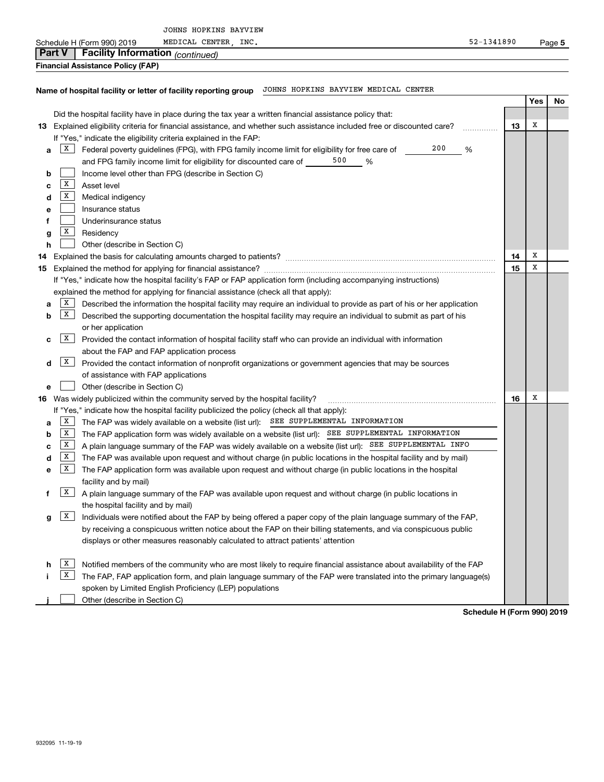|               |              |                                         | JOHNS HOPKINS BAYVIEW                                                                                                     |            |     |      |
|---------------|--------------|-----------------------------------------|---------------------------------------------------------------------------------------------------------------------------|------------|-----|------|
| <b>Part V</b> |              | Schedule H (Form 990) 2019              | MEDICAL CENTER, INC.                                                                                                      | 52-1341890 |     | Page |
|               |              | <b>Facility Information</b> (continued) |                                                                                                                           |            |     |      |
|               |              | Financial Assistance Policy (FAP)       |                                                                                                                           |            |     |      |
|               |              |                                         | JOHNS HOPKINS BAYVIEW MEDICAL CENTER<br>Name of hospital facility or letter of facility reporting group                   |            |     |      |
|               |              |                                         |                                                                                                                           |            | Yes | N    |
|               |              |                                         | Did the hospital facility have in place during the tax year a written financial assistance policy that:                   |            |     |      |
|               |              |                                         | 13 Explained eligibility criteria for financial assistance, and whether such assistance included free or discounted care? | 13         | х   |      |
|               |              |                                         | If "Yes," indicate the eligibility criteria explained in the FAP:                                                         |            |     |      |
| a             | X            |                                         | Federal poverty guidelines (FPG), with FPG family income limit for eligibility for free care of                           | 200<br>%   |     |      |
|               |              |                                         | 500<br>and FPG family income limit for eligibility for discounted care of _____<br>%                                      |            |     |      |
| b             |              |                                         | Income level other than FPG (describe in Section C)                                                                       |            |     |      |
| с             | X            | Asset level                             |                                                                                                                           |            |     |      |
| d             | X            | Medical indigency                       |                                                                                                                           |            |     |      |
| е             |              | Insurance status                        |                                                                                                                           |            |     |      |
| f             |              | Underinsurance status                   |                                                                                                                           |            |     |      |
| g             | X            | Residency                               |                                                                                                                           |            |     |      |
| h             |              | Other (describe in Section C)           |                                                                                                                           |            |     |      |
|               |              |                                         |                                                                                                                           | 14         | х   |      |
|               |              |                                         |                                                                                                                           | 15         | x   |      |
|               |              |                                         | If "Yes," indicate how the hospital facility's FAP or FAP application form (including accompanying instructions)          |            |     |      |
|               |              |                                         | explained the method for applying for financial assistance (check all that apply):                                        |            |     |      |
| a             | X            |                                         | Described the information the hospital facility may require an individual to provide as part of his or her application    |            |     |      |
| b             | X            |                                         | Described the supporting documentation the hospital facility may require an individual to submit as part of his           |            |     |      |
|               |              | or her application                      |                                                                                                                           |            |     |      |
| с             | $X \mid$     |                                         | Provided the contact information of hospital facility staff who can provide an individual with information                |            |     |      |
|               |              |                                         | about the FAP and FAP application process                                                                                 |            |     |      |
| d             | X            |                                         | Provided the contact information of nonprofit organizations or government agencies that may be sources                    |            |     |      |
|               |              | of assistance with FAP applications     |                                                                                                                           |            |     |      |
| е             |              | Other (describe in Section C)           |                                                                                                                           |            |     |      |
|               |              |                                         | 16 Was widely publicized within the community served by the hospital facility?                                            | 16         | x   |      |
|               |              |                                         | If "Yes," indicate how the hospital facility publicized the policy (check all that apply):                                |            |     |      |
| a             | X            |                                         | The FAP was widely available on a website (list url): SEE SUPPLEMENTAL INFORMATION                                        |            |     |      |
| b             | X            |                                         | The FAP application form was widely available on a website (list url): SEE_SUPPLEMENTAL INFORMATION                       |            |     |      |
| с             | $\mathbf{X}$ |                                         | A plain language summary of the FAP was widely available on a website (list url): SEE SUPPLEMENTAL INFO                   |            |     |      |
| d             | $\mathbf{X}$ |                                         | The FAP was available upon request and without charge (in public locations in the hospital facility and by mail)          |            |     |      |
| е             | $\mathbf{X}$ |                                         | The FAP application form was available upon request and without charge (in public locations in the hospital               |            |     |      |
|               |              | facility and by mail)                   |                                                                                                                           |            |     |      |
| f             | x            |                                         | A plain language summary of the FAP was available upon request and without charge (in public locations in                 |            |     |      |

**g**  $\boxed{X}$  Individuals were notified about the FAP by being offered a paper copy of the plain language summary of the FAP, the hospital facility and by mail) by receiving a conspicuous written notice about the FAP on their billing statements, and via conspicuous public displays or other measures reasonably calculated to attract patients' attention

|  | $h$ $\overline{X}$ Notified members of the community who are most likely to require financial assistance about availability of the FAP |
|--|----------------------------------------------------------------------------------------------------------------------------------------|
|  | $\overline{X}$ The FAP, FAP application form, and plain language summary of the FAP were translated into the primary language(s)       |
|  | spoken by Limited English Proficiency (LEP) populations                                                                                |
|  | Other (describe in Section C)                                                                                                          |

**Schedule H (Form 990) 2019**

**No**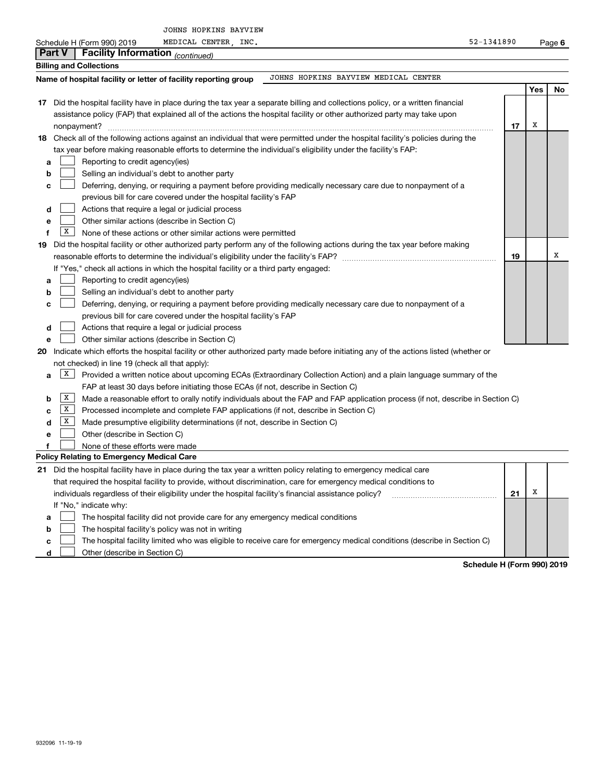JOHNS HOPKINS BAYVIEW

MEDICAL CENTER, INC. And CENTER CENTER CONTROL CENTER CONTROL CENTER CONTROL CENTER CONTROL CENTER CONTROL CENTER

| Schedule H (Form 990) 2019<br>MEDICAL CENTER,<br>INC.<br>52-1341890                                                                       |    |     | Page 6 |
|-------------------------------------------------------------------------------------------------------------------------------------------|----|-----|--------|
| <b>Part V</b><br><b>Facility Information</b> (continued)                                                                                  |    |     |        |
| <b>Billing and Collections</b>                                                                                                            |    |     |        |
| JOHNS HOPKINS BAYVIEW MEDICAL CENTER<br>Name of hospital facility or letter of facility reporting group                                   |    |     |        |
|                                                                                                                                           |    | Yes | No     |
| 17 Did the hospital facility have in place during the tax year a separate billing and collections policy, or a written financial          |    |     |        |
| assistance policy (FAP) that explained all of the actions the hospital facility or other authorized party may take upon                   |    |     |        |
|                                                                                                                                           | 17 | X   |        |
| 18 Check all of the following actions against an individual that were permitted under the hospital facility's policies during the         |    |     |        |
| tax year before making reasonable efforts to determine the individual's eligibility under the facility's FAP:                             |    |     |        |
| Reporting to credit agency(ies)<br>a                                                                                                      |    |     |        |
| Selling an individual's debt to another party<br>b                                                                                        |    |     |        |
| Deferring, denying, or requiring a payment before providing medically necessary care due to nonpayment of a<br>c                          |    |     |        |
| previous bill for care covered under the hospital facility's FAP                                                                          |    |     |        |
| Actions that require a legal or judicial process<br>d                                                                                     |    |     |        |
| Other similar actions (describe in Section C)<br>e                                                                                        |    |     |        |
| x<br>None of these actions or other similar actions were permitted<br>f                                                                   |    |     |        |
| Did the hospital facility or other authorized party perform any of the following actions during the tax year before making<br>19          |    |     |        |
|                                                                                                                                           | 19 |     | X      |
| If "Yes," check all actions in which the hospital facility or a third party engaged:                                                      |    |     |        |
| Reporting to credit agency(ies)<br>a                                                                                                      |    |     |        |
| Selling an individual's debt to another party<br>b                                                                                        |    |     |        |
| Deferring, denying, or requiring a payment before providing medically necessary care due to nonpayment of a<br>с                          |    |     |        |
| previous bill for care covered under the hospital facility's FAP                                                                          |    |     |        |
| Actions that require a legal or judicial process<br>d                                                                                     |    |     |        |
| Other similar actions (describe in Section C)<br>e                                                                                        |    |     |        |
| Indicate which efforts the hospital facility or other authorized party made before initiating any of the actions listed (whether or<br>20 |    |     |        |
| not checked) in line 19 (check all that apply):                                                                                           |    |     |        |
| X <br>Provided a written notice about upcoming ECAs (Extraordinary Collection Action) and a plain language summary of the<br>a            |    |     |        |
| FAP at least 30 days before initiating those ECAs (if not, describe in Section C)                                                         |    |     |        |
| X<br>Made a reasonable effort to orally notify individuals about the FAP and FAP application process (if not, describe in Section C)<br>b |    |     |        |
| X<br>Processed incomplete and complete FAP applications (if not, describe in Section C)<br>c                                              |    |     |        |
| X <br>Made presumptive eligibility determinations (if not, describe in Section C)<br>d                                                    |    |     |        |
| Other (describe in Section C)<br>e                                                                                                        |    |     |        |
| f<br>None of these efforts were made                                                                                                      |    |     |        |
| <b>Policy Relating to Emergency Medical Care</b>                                                                                          |    |     |        |
| 21 Did the hospital facility have in place during the tax year a written policy relating to emergency medical care                        |    |     |        |
| that required the hospital facility to provide, without discrimination, care for emergency medical conditions to                          |    |     |        |
| individuals regardless of their eligibility under the hospital facility's financial assistance policy?                                    | 21 | х   |        |
| If "No," indicate why:                                                                                                                    |    |     |        |
| The hospital facility did not provide care for any emergency medical conditions<br>a                                                      |    |     |        |
| The hospital facility's policy was not in writing<br>b                                                                                    |    |     |        |
| The hospital facility limited who was eligible to receive care for emergency medical conditions (describe in Section C)<br>C              |    |     |        |

**d Other (describe in Section C)** 

**Schedule H (Form 990) 2019**

I

|--|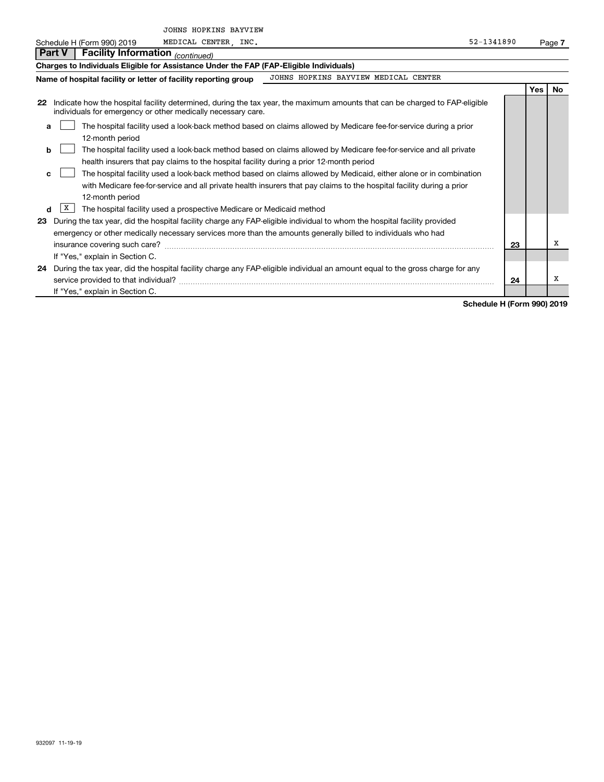JOHNS HOPKINS BAYVIEW

| Schedule H (Form 990) 2019 | MEDICAL CENTER | INC | 52-1341890 | Page |
|----------------------------|----------------|-----|------------|------|

|    | Part V   Facility Information $_{(continued)}$                                                                           |                                                                                                                                  |    |       |    |
|----|--------------------------------------------------------------------------------------------------------------------------|----------------------------------------------------------------------------------------------------------------------------------|----|-------|----|
|    | Charges to Individuals Eligible for Assistance Under the FAP (FAP-Eligible Individuals)                                  |                                                                                                                                  |    |       |    |
|    | Name of hospital facility or letter of facility reporting group                                                          | JOHNS HOPKINS BAYVIEW MEDICAL CENTER                                                                                             |    |       |    |
|    |                                                                                                                          |                                                                                                                                  |    | Yes l | No |
| 22 | individuals for emergency or other medically necessary care.                                                             | Indicate how the hospital facility determined, during the tax year, the maximum amounts that can be charged to FAP-eligible      |    |       |    |
| a  |                                                                                                                          | The hospital facility used a look-back method based on claims allowed by Medicare fee-for-service during a prior                 |    |       |    |
|    | 12-month period                                                                                                          |                                                                                                                                  |    |       |    |
| b  |                                                                                                                          | The hospital facility used a look-back method based on claims allowed by Medicare fee-for-service and all private                |    |       |    |
|    | health insurers that pay claims to the hospital facility during a prior 12-month period                                  |                                                                                                                                  |    |       |    |
| c. |                                                                                                                          | The hospital facility used a look-back method based on claims allowed by Medicaid, either alone or in combination                |    |       |    |
|    |                                                                                                                          | with Medicare fee-for-service and all private health insurers that pay claims to the hospital facility during a prior            |    |       |    |
|    | 12-month period                                                                                                          |                                                                                                                                  |    |       |    |
| d  | ΙX<br>The hospital facility used a prospective Medicare or Medicaid method                                               |                                                                                                                                  |    |       |    |
| 23 | During the tax year, did the hospital facility charge any FAP-eligible individual to whom the hospital facility provided |                                                                                                                                  |    |       |    |
|    | emergency or other medically necessary services more than the amounts generally billed to individuals who had            |                                                                                                                                  |    |       |    |
|    | insurance covering such care?                                                                                            |                                                                                                                                  | 23 |       | x  |
|    | If "Yes," explain in Section C.                                                                                          |                                                                                                                                  |    |       |    |
|    |                                                                                                                          | 24 During the tax year, did the hospital facility charge any FAP-eligible individual an amount equal to the gross charge for any |    |       |    |
|    | service provided to that individual?                                                                                     |                                                                                                                                  | 24 |       | х  |
|    | If "Yes," explain in Section C.                                                                                          |                                                                                                                                  |    |       |    |

**Schedule H (Form 990) 2019**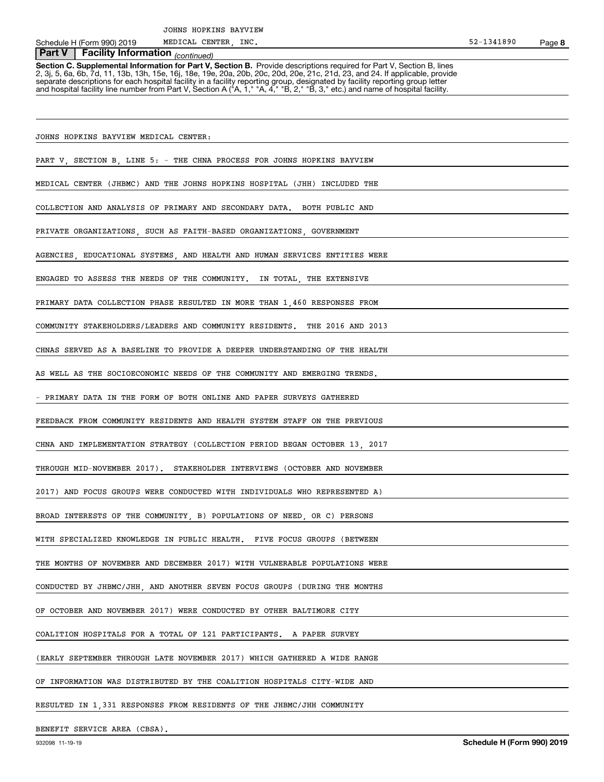Schedule H (Form 990) 2019 MEDICAL CENTER, INC. Schedule H (Form 990) 2019

MEDICAL CENTER,

# *(continued)* **Part V Facility Information**

**Section C. Supplemental Information for Part V, Section B.** Provide descriptions required for Part V, Section B, lines<br>2, 3j, 5, 6a, 6b, 7d, 11, 13b, 13h, 15e, 16j, 18e, 19e, 20a, 20b, 20c, 20d, 20e, 21c, 21d, 23, and 24. separate descriptions for each hospital facility in a facility reporting group, designated by facility reporting group letter<br>and hospital facility line number from Part V, Section A ("A, 1," "A, 4," "B, 2," "B, 3," etc.)

JOHNS HOPKINS BAYVIEW MEDICAL CENTER:

PART V, SECTION B, LINE 5: - THE CHNA PROCESS FOR JOHNS HOPKINS BAYVIEW

MEDICAL CENTER (JHBMC) AND THE JOHNS HOPKINS HOSPITAL (JHH) INCLUDED THE

COLLECTION AND ANALYSIS OF PRIMARY AND SECONDARY DATA. BOTH PUBLIC AND

PRIVATE ORGANIZATIONS, SUCH AS FAITH-BASED ORGANIZATIONS, GOVERNMENT

AGENCIES, EDUCATIONAL SYSTEMS, AND HEALTH AND HUMAN SERVICES ENTITIES WERE

ENGAGED TO ASSESS THE NEEDS OF THE COMMUNITY. IN TOTAL, THE EXTENSIVE

PRIMARY DATA COLLECTION PHASE RESULTED IN MORE THAN 1,460 RESPONSES FROM

COMMUNITY STAKEHOLDERS/LEADERS AND COMMUNITY RESIDENTS. THE 2016 AND 2013

CHNAS SERVED AS A BASELINE TO PROVIDE A DEEPER UNDERSTANDING OF THE HEALTH

AS WELL AS THE SOCIOECONOMIC NEEDS OF THE COMMUNITY AND EMERGING TRENDS.

PRIMARY DATA IN THE FORM OF BOTH ONLINE AND PAPER SURVEYS GATHERED

FEEDBACK FROM COMMUNITY RESIDENTS AND HEALTH SYSTEM STAFF ON THE PREVIOUS

CHNA AND IMPLEMENTATION STRATEGY (COLLECTION PERIOD BEGAN OCTOBER 13, 2017

THROUGH MID-NOVEMBER 2017). STAKEHOLDER INTERVIEWS (OCTOBER AND NOVEMBER

2017) AND FOCUS GROUPS WERE CONDUCTED WITH INDIVIDUALS WHO REPRESENTED A)

BROAD INTERESTS OF THE COMMUNITY, B) POPULATIONS OF NEED, OR C) PERSONS

WITH SPECIALIZED KNOWLEDGE IN PUBLIC HEALTH. FIVE FOCUS GROUPS (BETWEEN

THE MONTHS OF NOVEMBER AND DECEMBER 2017) WITH VULNERABLE POPULATIONS WERE

CONDUCTED BY JHBMC/JHH, AND ANOTHER SEVEN FOCUS GROUPS (DURING THE MONTHS

OF OCTOBER AND NOVEMBER 2017) WERE CONDUCTED BY OTHER BALTIMORE CITY

COALITION HOSPITALS FOR A TOTAL OF 121 PARTICIPANTS. A PAPER SURVEY

(EARLY SEPTEMBER THROUGH LATE NOVEMBER 2017) WHICH GATHERED A WIDE RANGE

OF INFORMATION WAS DISTRIBUTED BY THE COALITION HOSPITALS CITY-WIDE AND

RESULTED IN 1,331 RESPONSES FROM RESIDENTS OF THE JHBMC/JHH COMMUNITY

BENEFIT SERVICE AREA (CBSA).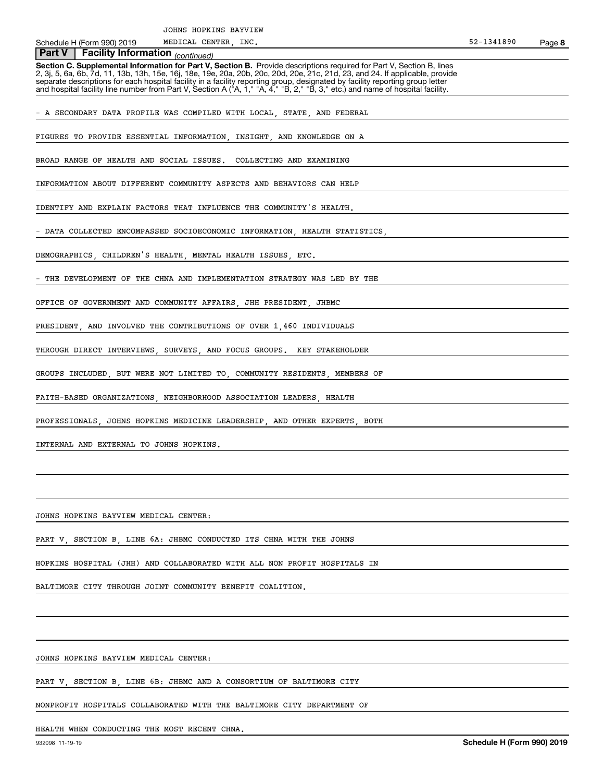MEDICAL CENTER,

**8**

 *(continued)* **Part V Facility Information**

**Section C. Supplemental Information for Part V, Section B.** Provide descriptions required for Part V, Section B, lines<br>2, 3j, 5, 6a, 6b, 7d, 11, 13b, 13h, 15e, 16j, 18e, 19e, 20a, 20b, 20c, 20d, 20e, 21c, 21d, 23, and 24. separate descriptions for each hospital facility in a facility reporting group, designated by facility reporting group letter<br>and hospital facility line number from Part V, Section A ("A, 1," "A, 4," "B, 2," "B, 3," etc.)

A SECONDARY DATA PROFILE WAS COMPILED WITH LOCAL, STATE, AND FEDERAL

FIGURES TO PROVIDE ESSENTIAL INFORMATION, INSIGHT, AND KNOWLEDGE ON A

BROAD RANGE OF HEALTH AND SOCIAL ISSUES. COLLECTING AND EXAMINING

INFORMATION ABOUT DIFFERENT COMMUNITY ASPECTS AND BEHAVIORS CAN HELP

IDENTIFY AND EXPLAIN FACTORS THAT INFLUENCE THE COMMUNITY'S HEALTH.

DATA COLLECTED ENCOMPASSED SOCIOECONOMIC INFORMATION, HEALTH STATISTICS

DEMOGRAPHICS, CHILDREN'S HEALTH, MENTAL HEALTH ISSUES, ETC.

THE DEVELOPMENT OF THE CHNA AND IMPLEMENTATION STRATEGY WAS LED BY THE

OFFICE OF GOVERNMENT AND COMMUNITY AFFAIRS, JHH PRESIDENT, JHBMC

PRESIDENT, AND INVOLVED THE CONTRIBUTIONS OF OVER 1,460 INDIVIDUALS

THROUGH DIRECT INTERVIEWS, SURVEYS, AND FOCUS GROUPS. KEY STAKEHOLDER

GROUPS INCLUDED, BUT WERE NOT LIMITED TO, COMMUNITY RESIDENTS, MEMBERS OF

FAITH-BASED ORGANIZATIONS, NEIGHBORHOOD ASSOCIATION LEADERS, HEALTH

PROFESSIONALS, JOHNS HOPKINS MEDICINE LEADERSHIP, AND OTHER EXPERTS, BOTH

INTERNAL AND EXTERNAL TO JOHNS HOPKINS.

JOHNS HOPKINS BAYVIEW MEDICAL CENTER:

PART V, SECTION B, LINE 6A: JHBMC CONDUCTED ITS CHNA WITH THE JOHNS

HOPKINS HOSPITAL (JHH) AND COLLABORATED WITH ALL NON PROFIT HOSPITALS IN

BALTIMORE CITY THROUGH JOINT COMMUNITY BENEFIT COALITION.

JOHNS HOPKINS BAYVIEW MEDICAL CENTER:

PART V, SECTION B, LINE 6B: JHBMC AND A CONSORTIUM OF BALTIMORE CITY

NONPROFIT HOSPITALS COLLABORATED WITH THE BALTIMORE CITY DEPARTMENT OF

HEALTH WHEN CONDUCTING THE MOST RECENT CHNA.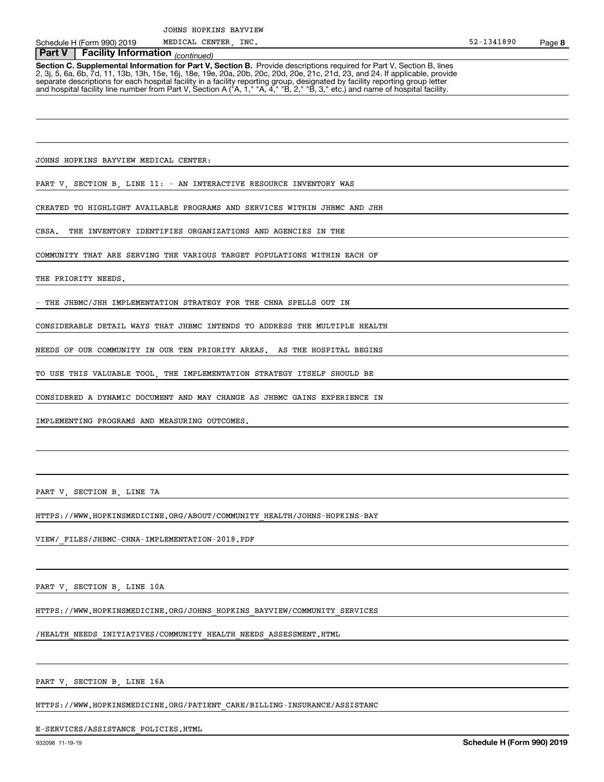# *(continued)* **Part V Facility Information**

**Section C. Supplemental Information for Part V, Section B.** Provide descriptions required for Part V, Section B, lines<br>2, 3j, 5, 6a, 6b, 7d, 11, 13b, 13h, 15e, 16j, 18e, 19e, 20a, 20b, 20c, 20d, 20e, 21c, 21d, 23, and 24. separate descriptions for each hospital facility in a facility reporting group, designated by facility reporting group letter<br>and hospital facility line number from Part V, Section A ("A, 1," "A, 4," "B, 2," "B, 3," etc.)

JOHNS HOPKINS BAYVIEW MEDICAL CENTER:

PART V, SECTION B, LINE 11: - AN INTERACTIVE RESOURCE INVENTORY WAS

CREATED TO HIGHLIGHT AVAILABLE PROGRAMS AND SERVICES WITHIN JHBMC AND JHH

CBSA. THE INVENTORY IDENTIFIES ORGANIZATIONS AND AGENCIES IN THE

COMMUNITY THAT ARE SERVING THE VARIOUS TARGET POPULATIONS WITHIN EACH OF

THE PRIORITY NEEDS.

THE JHBMC/JHH IMPLEMENTATION STRATEGY FOR THE CHNA SPELLS OUT IN

CONSIDERABLE DETAIL WAYS THAT JHBMC INTENDS TO ADDRESS THE MULTIPLE HEALTH

NEEDS OF OUR COMMUNITY IN OUR TEN PRIORITY AREAS. AS THE HOSPITAL BEGINS

TO USE THIS VALUABLE TOOL, THE IMPLEMENTATION STRATEGY ITSELF SHOULD BE

CONSIDERED A DYNAMIC DOCUMENT AND MAY CHANGE AS JHBMC GAINS EXPERIENCE IN

IMPLEMENTING PROGRAMS AND MEASURING OUTCOMES.

PART V, SECTION B, LINE 7A

HTTPS://WWW.HOPKINSMEDICINE.ORG/ABOUT/COMMUNITY\_HEALTH/JOHNS-HOPKINS-BAY

VIEW/\_FILES/JHBMC-CHNA-IMPLEMENTATION-2018.PDF

PART V, SECTION B, LINE 10A

HTTPS://WWW.HOPKINSMEDICINE.ORG/JOHNS\_HOPKINS\_BAYVIEW/COMMUNITY\_SERVICES

/HEALTH\_NEEDS\_INITIATIVES/COMMUNITY\_HEALTH\_NEEDS\_ASSESSMENT.HTML

PART V, SECTION B, LINE 16A

HTTPS://WWW.HOPKINSMEDICINE.ORG/PATIENT\_CARE/BILLING-INSURANCE/ASSISTANC

#### E-SERVICES/ASSISTANCE\_POLICIES.HTML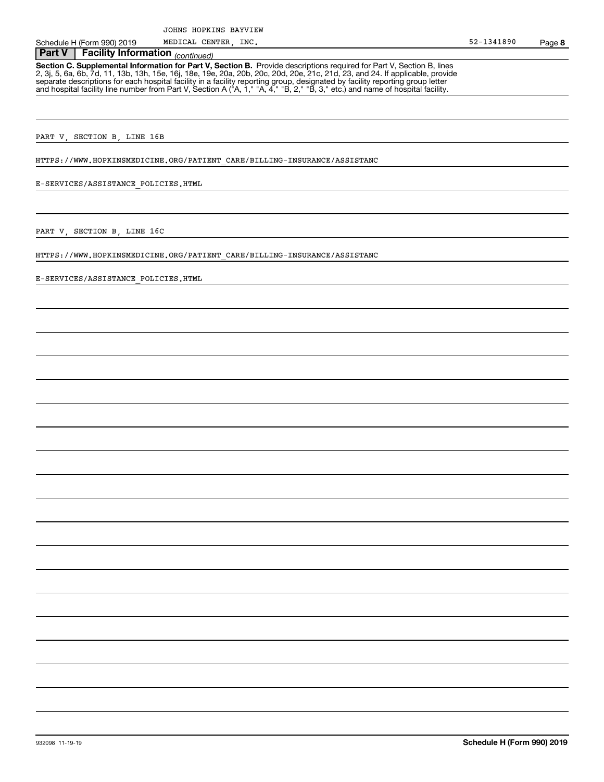# *(continued)* **Part V Facility Information**

**Section C. Supplemental Information for Part V, Section B.** Provide descriptions required for Part V, Section B, lines<br>2, 3j, 5, 6a, 6b, 7d, 11, 13b, 13h, 15e, 16j, 18e, 19e, 20a, 20b, 20c, 20d, 20e, 21c, 21d, 23, and 24. separate descriptions for each hospital facility in a facility reporting group, designated by facility reporting group letter<br>and hospital facility line number from Part V, Section A ("A, 1," "A, 4," "B, 2," "B, 3," etc.)

PART V, SECTION B, LINE 16B

HTTPS://WWW.HOPKINSMEDICINE.ORG/PATIENT\_CARE/BILLING-INSURANCE/ASSISTANC

E-SERVICES/ASSISTANCE\_POLICIES.HTML

PART V, SECTION B, LINE 16C

HTTPS://WWW.HOPKINSMEDICINE.ORG/PATIENT\_CARE/BILLING-INSURANCE/ASSISTANC

E-SERVICES/ASSISTANCE\_POLICIES.HTML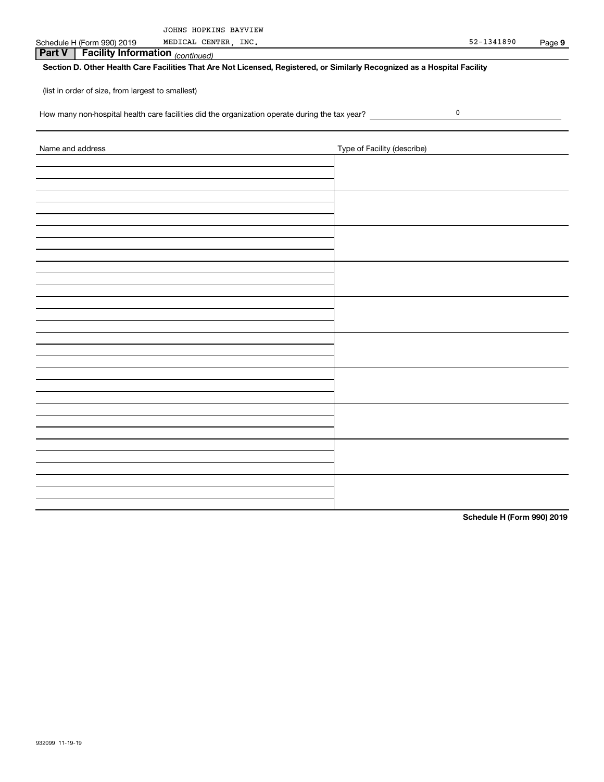| JOHNS HOPKINS BAYVIEW |
|-----------------------|
|-----------------------|

Schedule H (Form 990) 2019 MEDICAL CENTER, INC. 52-1341890 MEDICAL CENTER, INC.

0

 *(continued)* **Part V Facility Information**

## **Section D. Other Health Care Facilities That Are Not Licensed, Registered, or Similarly Recognized as a Hospital Facility**

(list in order of size, from largest to smallest)

How many non-hospital health care facilities did the organization operate during the tax year?

| Name and address | Type of Facility (describe) |
|------------------|-----------------------------|
|                  |                             |
|                  |                             |
|                  |                             |
|                  |                             |
|                  |                             |
|                  |                             |
|                  |                             |
|                  |                             |
|                  |                             |
|                  |                             |
|                  |                             |
|                  |                             |
|                  |                             |
|                  |                             |
|                  |                             |
|                  |                             |
|                  |                             |
|                  |                             |
|                  |                             |
|                  |                             |
|                  |                             |
|                  |                             |
|                  |                             |
|                  |                             |
|                  |                             |
|                  |                             |
|                  |                             |
|                  |                             |
|                  |                             |

**Schedule H (Form 990) 2019**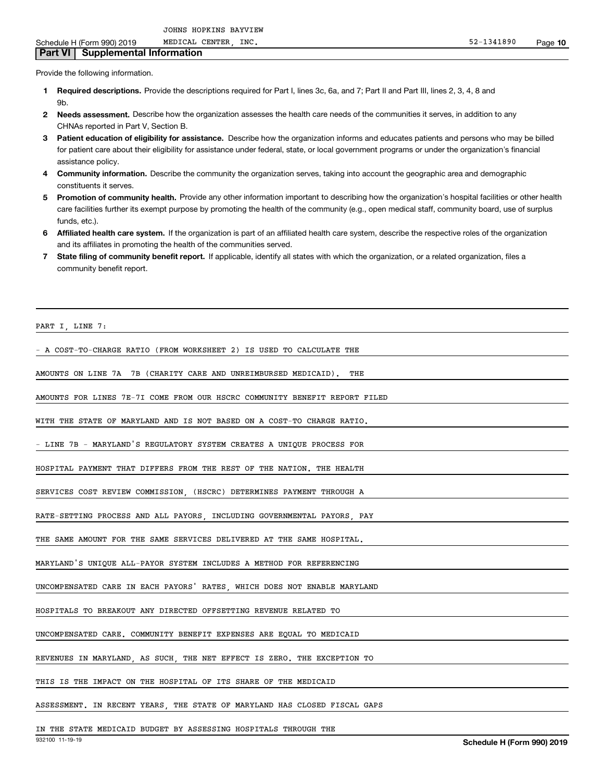MEDICAL CENTER

**Part VI Supplemental Information**

- Provide the following information.
	- **1 Required descriptions.** Provide the descriptions required for Part I, lines 3c, 6a, and 7; Part II and Part III, lines 2, 3, 4, 8 and **Qh**
	- **2Needs assessment.** Describe how the organization assesses the health care needs of the communities it serves, in addition to any CHNAs reported in Part V, Section B.
	- **3** Patient education of eligibility for assistance. Describe how the organization informs and educates patients and persons who may be billed for patient care about their eligibility for assistance under federal, state, or local government programs or under the organization's financial assistance policy.
	- **4 Community information.** Describe the community the organization serves, taking into account the geographic area and demographic constituents it serves.
	- 5 Promotion of community health. Provide any other information important to describing how the organization's hospital facilities or other health care facilities further its exempt purpose by promoting the health of the community (e.g., open medical staff, community board, use of surplus funds, etc.).
	- **6Affiliated health care system.** If the organization is part of an affiliated health care system, describe the respective roles of the organization and its affiliates in promoting the health of the communities served.
	- **7** State filing of community benefit report. If applicable, identify all states with which the organization, or a related organization, files a community benefit report.

```
PART I, LINE 7:
```
- A COST-TO-CHARGE RATIO (FROM WORKSHEET 2) IS USED TO CALCULATE THE

AMOUNTS ON LINE 7A 7B (CHARITY CARE AND UNREIMBURSED MEDICAID). THE

AMOUNTS FOR LINES 7E-7I COME FROM OUR HSCRC COMMUNITY BENEFIT REPORT FILED

WITH THE STATE OF MARYLAND AND IS NOT BASED ON A COST-TO CHARGE RATIO.

- LINE 7B - MARYLAND'S REGULATORY SYSTEM CREATES A UNIQUE PROCESS FOR

HOSPITAL PAYMENT THAT DIFFERS FROM THE REST OF THE NATION. THE HEALTH

SERVICES COST REVIEW COMMISSION, (HSCRC) DETERMINES PAYMENT THROUGH A

RATE-SETTING PROCESS AND ALL PAYORS, INCLUDING GOVERNMENTAL PAYORS, PAY

THE SAME AMOUNT FOR THE SAME SERVICES DELIVERED AT THE SAME HOSPITAL.

MARYLAND'S UNIQUE ALL-PAYOR SYSTEM INCLUDES A METHOD FOR REFERENCING

UNCOMPENSATED CARE IN EACH PAYORS' RATES, WHICH DOES NOT ENABLE MARYLAND

HOSPITALS TO BREAKOUT ANY DIRECTED OFFSETTING REVENUE RELATED TO

UNCOMPENSATED CARE. COMMUNITY BENEFIT EXPENSES ARE EQUAL TO MEDICAID

REVENUES IN MARYLAND, AS SUCH, THE NET EFFECT IS ZERO. THE EXCEPTION TO

THIS IS THE IMPACT ON THE HOSPITAL OF ITS SHARE OF THE MEDICAID

ASSESSMENT. IN RECENT YEARS, THE STATE OF MARYLAND HAS CLOSED FISCAL GAPS

IN THE STATE MEDICAID BUDGET BY ASSESSING HOSPITALS THROUGH THE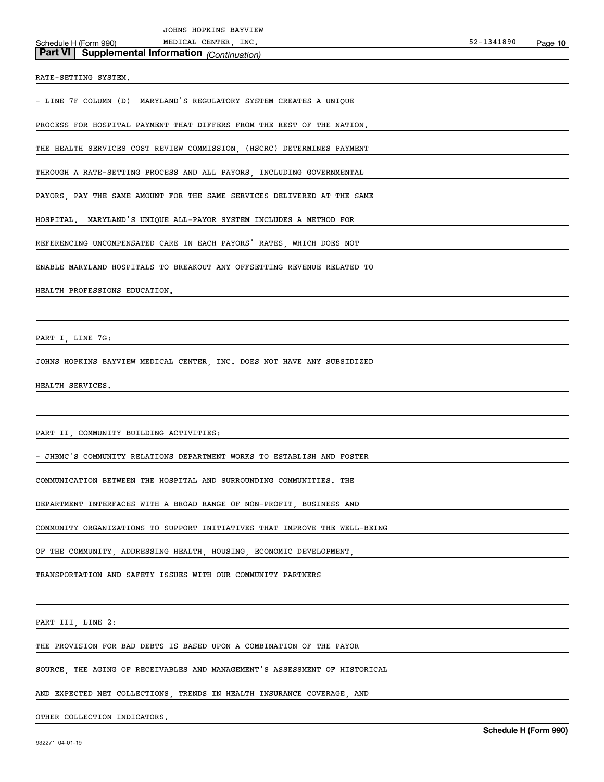**Part VI Supplemental Information** *(Continuation)*

RATE-SETTING SYSTEM.

- LINE 7F COLUMN (D) MARYLAND'S REGULATORY SYSTEM CREATES A UNIQUE

PROCESS FOR HOSPITAL PAYMENT THAT DIFFERS FROM THE REST OF THE NATION.

THE HEALTH SERVICES COST REVIEW COMMISSION, (HSCRC) DETERMINES PAYMENT

THROUGH A RATE-SETTING PROCESS AND ALL PAYORS, INCLUDING GOVERNMENTAL

PAYORS, PAY THE SAME AMOUNT FOR THE SAME SERVICES DELIVERED AT THE SAME

HOSPITAL. MARYLAND'S UNIQUE ALL-PAYOR SYSTEM INCLUDES A METHOD FOR

REFERENCING UNCOMPENSATED CARE IN EACH PAYORS' RATES, WHICH DOES NOT

ENABLE MARYLAND HOSPITALS TO BREAKOUT ANY OFFSETTING REVENUE RELATED TO

HEALTH PROFESSIONS EDUCATION.

PART I, LINE 7G:

JOHNS HOPKINS BAYVIEW MEDICAL CENTER, INC. DOES NOT HAVE ANY SUBSIDIZED

HEALTH SERVICES.

PART II, COMMUNITY BUILDING ACTIVITIES:

- JHBMC'S COMMUNITY RELATIONS DEPARTMENT WORKS TO ESTABLISH AND FOSTER

COMMUNICATION BETWEEN THE HOSPITAL AND SURROUNDING COMMUNITIES. THE

DEPARTMENT INTERFACES WITH A BROAD RANGE OF NON-PROFIT, BUSINESS AND

COMMUNITY ORGANIZATIONS TO SUPPORT INITIATIVES THAT IMPROVE THE WELL-BEING

OF THE COMMUNITY, ADDRESSING HEALTH, HOUSING, ECONOMIC DEVELOPMENT

TRANSPORTATION AND SAFETY ISSUES WITH OUR COMMUNITY PARTNERS

PART III, LINE 2:

THE PROVISION FOR BAD DEBTS IS BASED UPON A COMBINATION OF THE PAYOR

SOURCE, THE AGING OF RECEIVABLES AND MANAGEMENT'S ASSESSMENT OF HISTORICAL

AND EXPECTED NET COLLECTIONS, TRENDS IN HEALTH INSURANCE COVERAGE, AND

OTHER COLLECTION INDICATORS.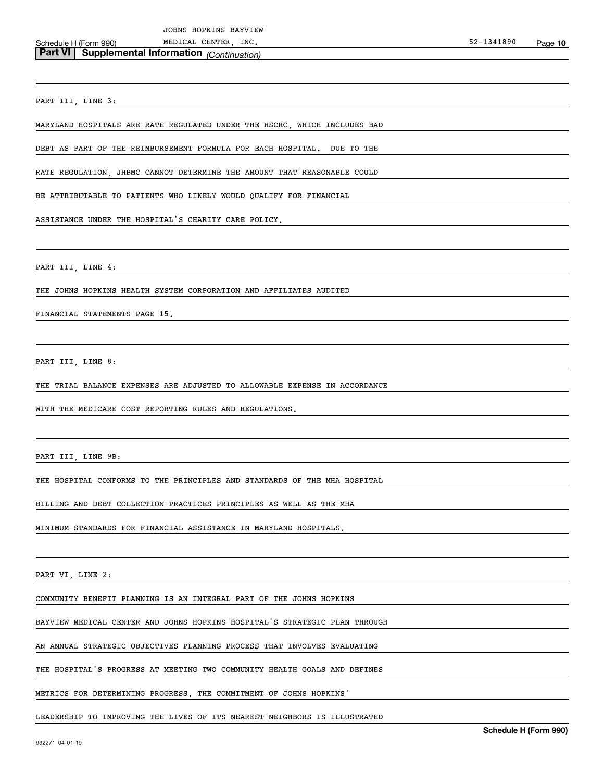PART III, LINE 3:

MARYLAND HOSPITALS ARE RATE REGULATED UNDER THE HSCRC, WHICH INCLUDES BAD

DEBT AS PART OF THE REIMBURSEMENT FORMULA FOR EACH HOSPITAL. DUE TO THE

RATE REGULATION, JHBMC CANNOT DETERMINE THE AMOUNT THAT REASONABLE COULD

BE ATTRIBUTABLE TO PATIENTS WHO LIKELY WOULD QUALIFY FOR FINANCIAL

ASSISTANCE UNDER THE HOSPITAL'S CHARITY CARE POLICY.

PART III, LINE 4:

THE JOHNS HOPKINS HEALTH SYSTEM CORPORATION AND AFFILIATES AUDITED

FINANCIAL STATEMENTS PAGE 15.

PART III, LINE 8:

THE TRIAL BALANCE EXPENSES ARE ADJUSTED TO ALLOWABLE EXPENSE IN ACCORDANCE

WITH THE MEDICARE COST REPORTING RULES AND REGULATIONS.

PART III, LINE 9B:

THE HOSPITAL CONFORMS TO THE PRINCIPLES AND STANDARDS OF THE MHA HOSPITAL

BILLING AND DEBT COLLECTION PRACTICES PRINCIPLES AS WELL AS THE MHA

MINIMUM STANDARDS FOR FINANCIAL ASSISTANCE IN MARYLAND HOSPITALS.

PART VI, LINE 2:

COMMUNITY BENEFIT PLANNING IS AN INTEGRAL PART OF THE JOHNS HOPKINS

BAYVIEW MEDICAL CENTER AND JOHNS HOPKINS HOSPITAL'S STRATEGIC PLAN THROUGH

AN ANNUAL STRATEGIC OBJECTIVES PLANNING PROCESS THAT INVOLVES EVALUATING

THE HOSPITAL'S PROGRESS AT MEETING TWO COMMUNITY HEALTH GOALS AND DEFINES

METRICS FOR DETERMINING PROGRESS. THE COMMITMENT OF JOHNS HOPKINS'

LEADERSHIP TO IMPROVING THE LIVES OF ITS NEAREST NEIGHBORS IS ILLUSTRATED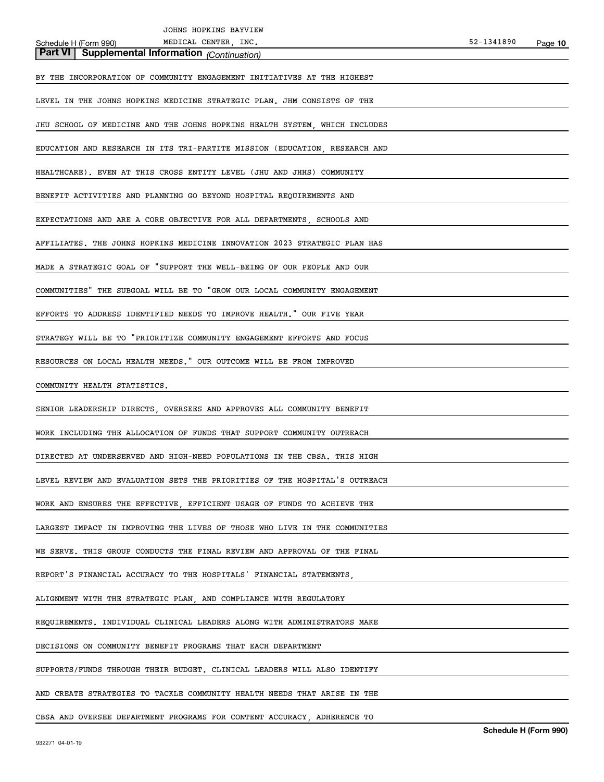| JOHNS HOPKINS BAYVIEW                                                      |            |         |
|----------------------------------------------------------------------------|------------|---------|
| MEDICAL CENTER, INC.<br>Schedule H (Form 990)                              | 52-1341890 | Page 10 |
| <b>Part VI</b> Supplemental Information (Continuation)                     |            |         |
| BY THE INCORPORATION OF COMMUNITY ENGAGEMENT INITIATIVES AT THE HIGHEST    |            |         |
| LEVEL IN THE JOHNS HOPKINS MEDICINE STRATEGIC PLAN. JHM CONSISTS OF THE    |            |         |
| JHU SCHOOL OF MEDICINE AND THE JOHNS HOPKINS HEALTH SYSTEM, WHICH INCLUDES |            |         |
| EDUCATION AND RESEARCH IN ITS TRI-PARTITE MISSION (EDUCATION, RESEARCH AND |            |         |
| HEALTHCARE). EVEN AT THIS CROSS ENTITY LEVEL (JHU AND JHHS) COMMUNITY      |            |         |
| BENEFIT ACTIVITIES AND PLANNING GO BEYOND HOSPITAL REQUIREMENTS AND        |            |         |
| EXPECTATIONS AND ARE A CORE OBJECTIVE FOR ALL DEPARTMENTS, SCHOOLS AND     |            |         |
| AFFILIATES. THE JOHNS HOPKINS MEDICINE INNOVATION 2023 STRATEGIC PLAN HAS  |            |         |
| MADE A STRATEGIC GOAL OF "SUPPORT THE WELL-BEING OF OUR PEOPLE AND OUR     |            |         |
| COMMUNITIES" THE SUBGOAL WILL BE TO "GROW OUR LOCAL COMMUNITY ENGAGEMENT   |            |         |
| EFFORTS TO ADDRESS IDENTIFIED NEEDS TO IMPROVE HEALTH." OUR FIVE YEAR      |            |         |
| STRATEGY WILL BE TO "PRIORITIZE COMMUNITY ENGAGEMENT EFFORTS AND FOCUS     |            |         |
| RESOURCES ON LOCAL HEALTH NEEDS." OUR OUTCOME WILL BE FROM IMPROVED        |            |         |
| COMMUNITY HEALTH STATISTICS.                                               |            |         |
| SENIOR LEADERSHIP DIRECTS, OVERSEES AND APPROVES ALL COMMUNITY BENEFIT     |            |         |
| WORK INCLUDING THE ALLOCATION OF FUNDS THAT SUPPORT COMMUNITY OUTREACH     |            |         |
| DIRECTED AT UNDERSERVED AND HIGH-NEED POPULATIONS IN THE CBSA. THIS HIGH   |            |         |
| LEVEL REVIEW AND EVALUATION SETS THE PRIORITIES OF THE HOSPITAL'S OUTREACH |            |         |
| WORK AND ENSURES THE EFFECTIVE, EFFICIENT USAGE OF FUNDS TO ACHIEVE THE    |            |         |
| LARGEST IMPACT IN IMPROVING THE LIVES OF THOSE WHO LIVE IN THE COMMUNITIES |            |         |
| WE SERVE. THIS GROUP CONDUCTS THE FINAL REVIEW AND APPROVAL OF THE FINAL   |            |         |
| REPORT'S FINANCIAL ACCURACY TO THE HOSPITALS' FINANCIAL STATEMENTS,        |            |         |
| ALIGNMENT WITH THE STRATEGIC PLAN, AND COMPLIANCE WITH REGULATORY          |            |         |
| REQUIREMENTS. INDIVIDUAL CLINICAL LEADERS ALONG WITH ADMINISTRATORS MAKE   |            |         |
| DECISIONS ON COMMUNITY BENEFIT PROGRAMS THAT EACH DEPARTMENT               |            |         |
| SUPPORTS/FUNDS THROUGH THEIR BUDGET. CLINICAL LEADERS WILL ALSO IDENTIFY   |            |         |
| AND CREATE STRATEGIES TO TACKLE COMMUNITY HEALTH NEEDS THAT ARISE IN THE   |            |         |
| CBSA AND OVERSEE DEPARTMENT PROGRAMS FOR CONTENT ACCURACY ADHERENCE TO     |            |         |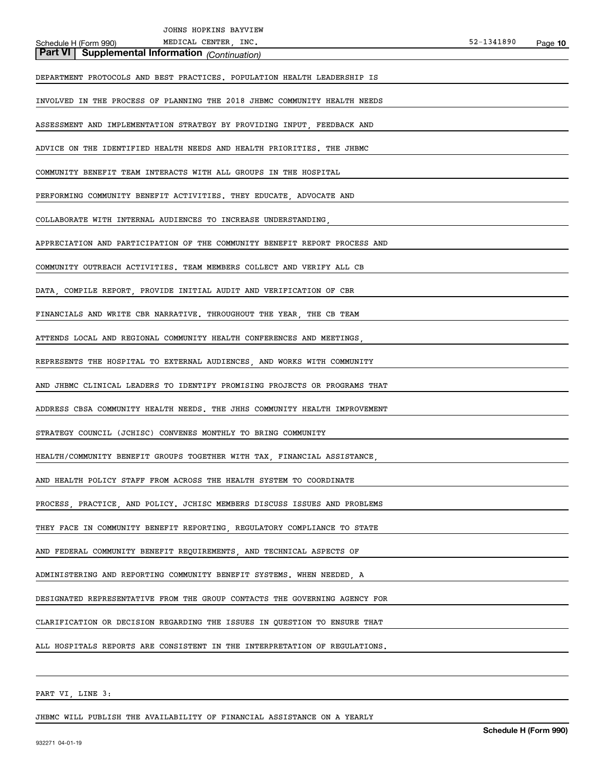| JOHNS HOPKINS BAYVIEW                                                      |            |         |
|----------------------------------------------------------------------------|------------|---------|
| MEDICAL CENTER, INC.<br>Schedule H (Form 990)                              | 52-1341890 | Page 10 |
| Part VI<br><b>Supplemental Information</b> (Continuation)                  |            |         |
| DEPARTMENT PROTOCOLS AND BEST PRACTICES. POPULATION HEALTH LEADERSHIP IS   |            |         |
| INVOLVED IN THE PROCESS OF PLANNING THE 2018 JHBMC COMMUNITY HEALTH NEEDS  |            |         |
| ASSESSMENT AND IMPLEMENTATION STRATEGY BY PROVIDING INPUT, FEEDBACK AND    |            |         |
| ADVICE ON THE IDENTIFIED HEALTH NEEDS AND HEALTH PRIORITIES. THE JHBMC     |            |         |
| COMMUNITY BENEFIT TEAM INTERACTS WITH ALL GROUPS IN THE HOSPITAL           |            |         |
| PERFORMING COMMUNITY BENEFIT ACTIVITIES. THEY EDUCATE, ADVOCATE AND        |            |         |
| COLLABORATE WITH INTERNAL AUDIENCES TO INCREASE UNDERSTANDING,             |            |         |
| APPRECIATION AND PARTICIPATION OF THE COMMUNITY BENEFIT REPORT PROCESS AND |            |         |
| COMMUNITY OUTREACH ACTIVITIES. TEAM MEMBERS COLLECT AND VERIFY ALL CB      |            |         |
| DATA, COMPILE REPORT, PROVIDE INITIAL AUDIT AND VERIFICATION OF CBR        |            |         |
| FINANCIALS AND WRITE CBR NARRATIVE. THROUGHOUT THE YEAR, THE CB TEAM       |            |         |
| ATTENDS LOCAL AND REGIONAL COMMUNITY HEALTH CONFERENCES AND MEETINGS,      |            |         |
| REPRESENTS THE HOSPITAL TO EXTERNAL AUDIENCES, AND WORKS WITH COMMUNITY    |            |         |
| AND JHBMC CLINICAL LEADERS TO IDENTIFY PROMISING PROJECTS OR PROGRAMS THAT |            |         |
| ADDRESS CBSA COMMUNITY HEALTH NEEDS. THE JHHS COMMUNITY HEALTH IMPROVEMENT |            |         |
| STRATEGY COUNCIL (JCHISC) CONVENES MONTHLY TO BRING COMMUNITY              |            |         |
| HEALTH/COMMUNITY BENEFIT GROUPS TOGETHER WITH TAX, FINANCIAL ASSISTANCE,   |            |         |
| AND HEALTH POLICY STAFF FROM ACROSS THE HEALTH SYSTEM TO COORDINATE        |            |         |
| PROCESS, PRACTICE, AND POLICY. JCHISC MEMBERS DISCUSS ISSUES AND PROBLEMS  |            |         |
| THEY FACE IN COMMUNITY BENEFIT REPORTING, REGULATORY COMPLIANCE TO STATE   |            |         |
| AND FEDERAL COMMUNITY BENEFIT REQUIREMENTS, AND TECHNICAL ASPECTS OF       |            |         |
| ADMINISTERING AND REPORTING COMMUNITY BENEFIT SYSTEMS. WHEN NEEDED, A      |            |         |
| DESIGNATED REPRESENTATIVE FROM THE GROUP CONTACTS THE GOVERNING AGENCY FOR |            |         |
| CLARIFICATION OR DECISION REGARDING THE ISSUES IN QUESTION TO ENSURE THAT  |            |         |
| ALL HOSPITALS REPORTS ARE CONSISTENT IN THE INTERPRETATION OF REGULATIONS. |            |         |
|                                                                            |            |         |
| PART VI, LINE 3:                                                           |            |         |

JHBMC WILL PUBLISH THE AVAILABILITY OF FINANCIAL ASSISTANCE ON A YEARLY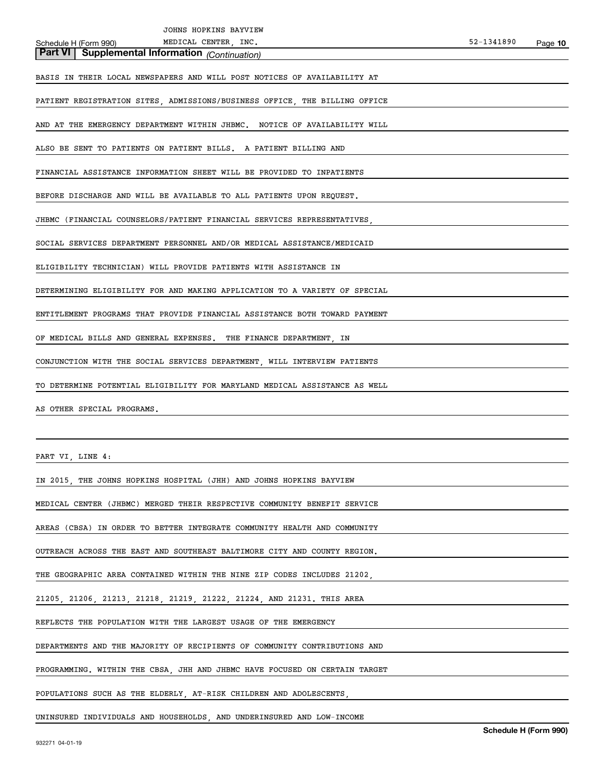| JOHNS HOPKINS BAYVIEW                                                      |                       |         |
|----------------------------------------------------------------------------|-----------------------|---------|
| MEDICAL CENTER, INC.<br>Schedule H (Form 990)                              | 52-1341890            | Page 10 |
| <b>Part VI</b> Supplemental Information (Continuation)                     |                       |         |
| BASIS IN THEIR LOCAL NEWSPAPERS AND WILL POST NOTICES OF AVAILABILITY AT   |                       |         |
| PATIENT REGISTRATION SITES, ADMISSIONS/BUSINESS OFFICE, THE BILLING OFFICE |                       |         |
| AND AT THE EMERGENCY DEPARTMENT WITHIN JHBMC. NOTICE OF AVAILABILITY WILL  |                       |         |
| ALSO BE SENT TO PATIENTS ON PATIENT BILLS. A PATIENT BILLING AND           |                       |         |
| FINANCIAL ASSISTANCE INFORMATION SHEET WILL BE PROVIDED TO INPATIENTS      |                       |         |
| BEFORE DISCHARGE AND WILL BE AVAILABLE TO ALL PATIENTS UPON REQUEST.       |                       |         |
| JHBMC (FINANCIAL COUNSELORS/PATIENT FINANCIAL SERVICES REPRESENTATIVES,    |                       |         |
| SOCIAL SERVICES DEPARTMENT PERSONNEL AND/OR MEDICAL ASSISTANCE/MEDICAID    |                       |         |
| ELIGIBILITY TECHNICIAN) WILL PROVIDE PATIENTS WITH ASSISTANCE IN           |                       |         |
| DETERMINING ELIGIBILITY FOR AND MAKING APPLICATION TO A VARIETY OF SPECIAL |                       |         |
| ENTITLEMENT PROGRAMS THAT PROVIDE FINANCIAL ASSISTANCE BOTH TOWARD PAYMENT |                       |         |
| OF MEDICAL BILLS AND GENERAL EXPENSES. THE FINANCE DEPARTMENT, IN          |                       |         |
| CONJUNCTION WITH THE SOCIAL SERVICES DEPARTMENT, WILL INTERVIEW PATIENTS   |                       |         |
| TO DETERMINE POTENTIAL ELIGIBILITY FOR MARYLAND MEDICAL ASSISTANCE AS WELL |                       |         |
| AS OTHER SPECIAL PROGRAMS.                                                 |                       |         |
|                                                                            |                       |         |
| PART VI, LINE 4:                                                           |                       |         |
| IN 2015, THE JOHNS HOPKINS HOSPITAL (JHH) AND JOHNS HOPKINS BAYVIEW        |                       |         |
| MEDICAL CENTER (JHBMC) MERGED THEIR RESPECTIVE COMMUNITY BENEFIT SERVICE   |                       |         |
| AREAS (CBSA) IN ORDER TO BETTER INTEGRATE COMMUNITY HEALTH AND COMMUNITY   |                       |         |
| OUTREACH ACROSS THE EAST AND SOUTHEAST BALTIMORE CITY AND COUNTY REGION.   |                       |         |
| THE GEOGRAPHIC AREA CONTAINED WITHIN THE NINE ZIP CODES INCLUDES 21202,    |                       |         |
| 21205, 21206, 21213, 21218, 21219, 21222, 21224, AND 21231. THIS AREA      |                       |         |
| REFLECTS THE POPULATION WITH THE LARGEST USAGE OF THE EMERGENCY            |                       |         |
| DEPARTMENTS AND THE MAJORITY OF RECIPIENTS OF COMMUNITY CONTRIBUTIONS AND  |                       |         |
| PROGRAMMING. WITHIN THE CBSA, JHH AND JHBMC HAVE FOCUSED ON CERTAIN TARGET |                       |         |
| POPULATIONS SUCH AS THE ELDERLY, AT-RISK CHILDREN AND ADOLESCENTS,         |                       |         |
| UNINSURED INDIVIDUALS AND HOUSEHOLDS, AND UNDERINSURED AND LOW-INCOME      | Schodule H (Form 000) |         |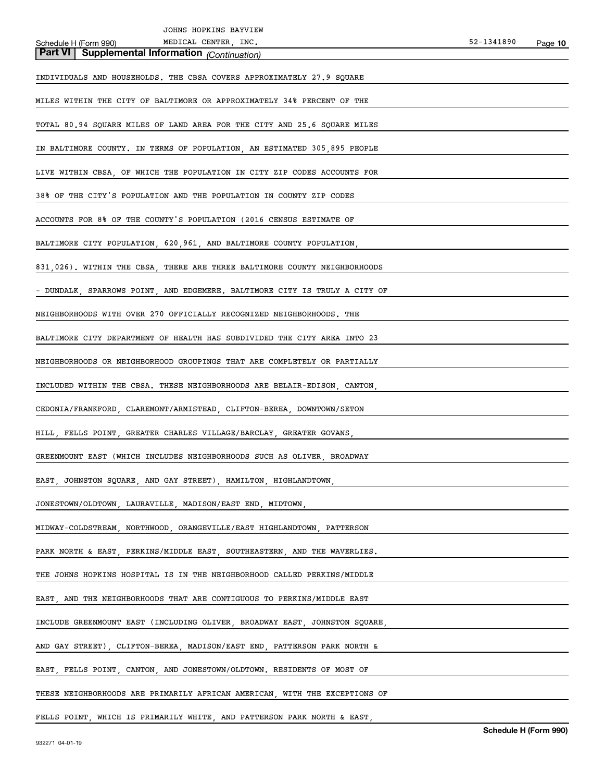| JOHNS HOPKINS BAYVIEW                                                                    |            |         |
|------------------------------------------------------------------------------------------|------------|---------|
| MEDICAL CENTER, INC.<br>Schedule H (Form 990)                                            | 52-1341890 | Page 10 |
| Part VI   Supplemental Information (Continuation)                                        |            |         |
| INDIVIDUALS AND HOUSEHOLDS. THE CBSA COVERS APPROXIMATELY 27.9 SQUARE                    |            |         |
| MILES WITHIN THE CITY OF BALTIMORE OR APPROXIMATELY 34% PERCENT OF THE                   |            |         |
| TOTAL 80.94 SQUARE MILES OF LAND AREA FOR THE CITY AND 25.6 SQUARE MILES                 |            |         |
| IN BALTIMORE COUNTY. IN TERMS OF POPULATION, AN ESTIMATED 305,895 PEOPLE                 |            |         |
| LIVE WITHIN CBSA, OF WHICH THE POPULATION IN CITY ZIP CODES ACCOUNTS FOR                 |            |         |
| 38% OF THE CITY'S POPULATION AND THE POPULATION IN COUNTY ZIP CODES                      |            |         |
| ACCOUNTS FOR 8% OF THE COUNTY'S POPULATION (2016 CENSUS ESTIMATE OF                      |            |         |
| BALTIMORE CITY POPULATION, 620,961, AND BALTIMORE COUNTY POPULATION,                     |            |         |
| 831, 026). WITHIN THE CBSA, THERE ARE THREE BALTIMORE COUNTY NEIGHBORHOODS               |            |         |
| - DUNDALK, SPARROWS POINT, AND EDGEMERE. BALTIMORE CITY IS TRULY A CITY OF               |            |         |
| NEIGHBORHOODS WITH OVER 270 OFFICIALLY RECOGNIZED NEIGHBORHOODS. THE                     |            |         |
| BALTIMORE CITY DEPARTMENT OF HEALTH HAS SUBDIVIDED THE CITY AREA INTO 23                 |            |         |
| NEIGHBORHOODS OR NEIGHBORHOOD GROUPINGS THAT ARE COMPLETELY OR PARTIALLY                 |            |         |
| INCLUDED WITHIN THE CBSA. THESE NEIGHBORHOODS ARE BELAIR-EDISON, CANTON,                 |            |         |
| CEDONIA/FRANKFORD, CLAREMONT/ARMISTEAD, CLIFTON-BEREA, DOWNTOWN/SETON                    |            |         |
| HILL, FELLS POINT, GREATER CHARLES VILLAGE/BARCLAY, GREATER GOVANS,                      |            |         |
| GREENMOUNT EAST (WHICH INCLUDES NEIGHBORHOODS SUCH AS OLIVER                    BROADWAY |            |         |
| EAST, JOHNSTON SQUARE, AND GAY STREET), HAMILTON, HIGHLANDTOWN,                          |            |         |
| JONESTOWN/OLDTOWN, LAURAVILLE, MADISON/EAST END, MIDTOWN,                                |            |         |
| MIDWAY-COLDSTREAM, NORTHWOOD, ORANGEVILLE/EAST HIGHLANDTOWN, PATTERSON                   |            |         |
| PARK NORTH & EAST, PERKINS/MIDDLE EAST, SOUTHEASTERN, AND THE WAVERLIES.                 |            |         |
| THE JOHNS HOPKINS HOSPITAL IS IN THE NEIGHBORHOOD CALLED PERKINS/MIDDLE                  |            |         |
| EAST, AND THE NEIGHBORHOODS THAT ARE CONTIGUOUS TO PERKINS/MIDDLE EAST                   |            |         |
| INCLUDE GREENMOUNT EAST (INCLUDING OLIVER, BROADWAY EAST, JOHNSTON SQUARE,               |            |         |
| AND GAY STREET), CLIFTON-BEREA, MADISON/EAST END, PATTERSON PARK NORTH &                 |            |         |
| EAST, FELLS POINT, CANTON, AND JONESTOWN/OLDTOWN. RESIDENTS OF MOST OF                   |            |         |
| THESE NEIGHBORHOODS ARE PRIMARILY AFRICAN AMERICAN, WITH THE EXCEPTIONS OF               |            |         |
| FELLS POINT, WHICH IS PRIMARILY WHITE, AND PATTERSON PARK NORTH & EAST,                  |            |         |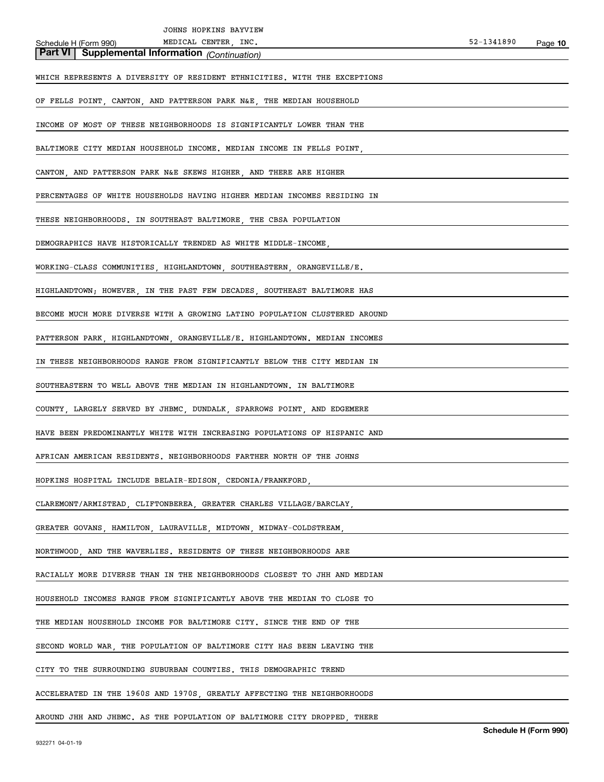| JOHNS HOPKINS BAYVIEW                                                      |            |         |
|----------------------------------------------------------------------------|------------|---------|
| MEDICAL CENTER, INC.<br>Schedule H (Form 990)                              | 52-1341890 | Page 10 |
| <b>Part VI</b> Supplemental Information (Continuation)                     |            |         |
| WHICH REPRESENTS A DIVERSITY OF RESIDENT ETHNICITIES. WITH THE EXCEPTIONS  |            |         |
| OF FELLS POINT, CANTON, AND PATTERSON PARK N&E, THE MEDIAN HOUSEHOLD       |            |         |
| INCOME OF MOST OF THESE NEIGHBORHOODS IS SIGNIFICANTLY LOWER THAN THE      |            |         |
| BALTIMORE CITY MEDIAN HOUSEHOLD INCOME. MEDIAN INCOME IN FELLS POINT,      |            |         |
| CANTON, AND PATTERSON PARK N&E SKEWS HIGHER, AND THERE ARE HIGHER          |            |         |
| PERCENTAGES OF WHITE HOUSEHOLDS HAVING HIGHER MEDIAN INCOMES RESIDING IN   |            |         |
| THESE NEIGHBORHOODS. IN SOUTHEAST BALTIMORE, THE CBSA POPULATION           |            |         |
| DEMOGRAPHICS HAVE HISTORICALLY TRENDED AS WHITE MIDDLE-INCOME,             |            |         |
| WORKING-CLASS COMMUNITIES, HIGHLANDTOWN, SOUTHEASTERN, ORANGEVILLE/E.      |            |         |
| HIGHLANDTOWN; HOWEVER, IN THE PAST FEW DECADES, SOUTHEAST BALTIMORE HAS    |            |         |
| BECOME MUCH MORE DIVERSE WITH A GROWING LATINO POPULATION CLUSTERED AROUND |            |         |
| PATTERSON PARK, HIGHLANDTOWN, ORANGEVILLE/E. HIGHLANDTOWN. MEDIAN INCOMES  |            |         |
| IN THESE NEIGHBORHOODS RANGE FROM SIGNIFICANTLY BELOW THE CITY MEDIAN IN   |            |         |
| SOUTHEASTERN TO WELL ABOVE THE MEDIAN IN HIGHLANDTOWN. IN BALTIMORE        |            |         |
| COUNTY, LARGELY SERVED BY JHBMC, DUNDALK, SPARROWS POINT, AND EDGEMERE     |            |         |
| HAVE BEEN PREDOMINANTLY WHITE WITH INCREASING POPULATIONS OF HISPANIC AND  |            |         |
| AFRICAN AMERICAN RESIDENTS. NEIGHBORHOODS FARTHER NORTH OF THE JOHNS       |            |         |
| HOPKINS HOSPITAL INCLUDE BELAIR-EDISON, CEDONIA/FRANKFORD,                 |            |         |
| CLAREMONT/ARMISTEAD, CLIFTONBEREA, GREATER CHARLES VILLAGE/BARCLAY,        |            |         |
| GREATER GOVANS, HAMILTON, LAURAVILLE, MIDTOWN, MIDWAY-COLDSTREAM,          |            |         |
| NORTHWOOD, AND THE WAVERLIES. RESIDENTS OF THESE NEIGHBORHOODS ARE         |            |         |
| RACIALLY MORE DIVERSE THAN IN THE NEIGHBORHOODS CLOSEST TO JHH AND MEDIAN  |            |         |
| HOUSEHOLD INCOMES RANGE FROM SIGNIFICANTLY ABOVE THE MEDIAN TO CLOSE TO    |            |         |
| THE MEDIAN HOUSEHOLD INCOME FOR BALTIMORE CITY. SINCE THE END OF THE       |            |         |
| SECOND WORLD WAR, THE POPULATION OF BALTIMORE CITY HAS BEEN LEAVING THE    |            |         |
| CITY TO THE SURROUNDING SUBURBAN COUNTIES. THIS DEMOGRAPHIC TREND          |            |         |
| ACCELERATED IN THE 1960S AND 1970S, GREATLY AFFECTING THE NEIGHBORHOODS    |            |         |
| AROUND JHH AND JHBMC. AS THE POPULATION OF BALTIMORE CITY DROPPED, THERE   |            |         |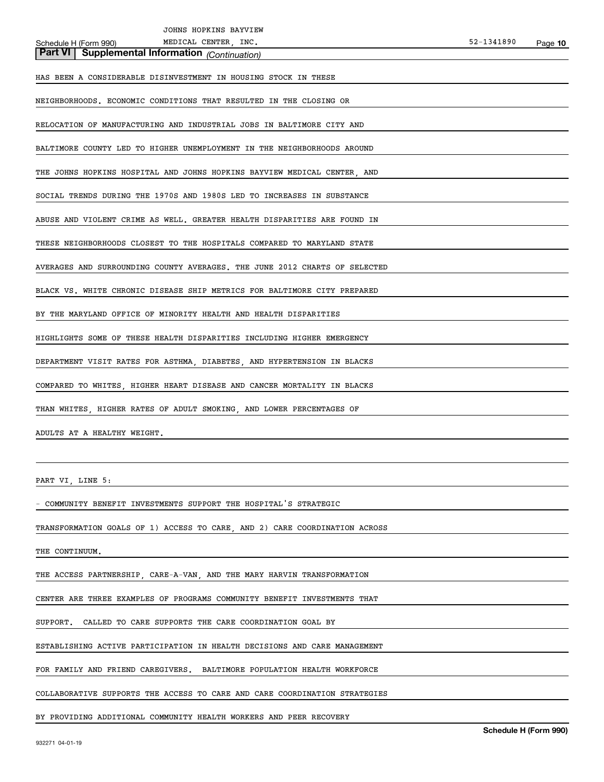| JOHNS HOPKINS BAYVIEW                                                      |            |         |
|----------------------------------------------------------------------------|------------|---------|
| MEDICAL CENTER, INC.<br>Schedule H (Form 990)                              | 52-1341890 | Page 10 |
| Part VI Supplemental Information (Continuation)                            |            |         |
| HAS BEEN A CONSIDERABLE DISINVESTMENT IN HOUSING STOCK IN THESE            |            |         |
| NEIGHBORHOODS. ECONOMIC CONDITIONS THAT RESULTED IN THE CLOSING OR         |            |         |
| RELOCATION OF MANUFACTURING AND INDUSTRIAL JOBS IN BALTIMORE CITY AND      |            |         |
| BALTIMORE COUNTY LED TO HIGHER UNEMPLOYMENT IN THE NEIGHBORHOODS AROUND    |            |         |
| THE JOHNS HOPKINS HOSPITAL AND JOHNS HOPKINS BAYVIEW MEDICAL CENTER, AND   |            |         |
| SOCIAL TRENDS DURING THE 1970S AND 1980S LED TO INCREASES IN SUBSTANCE     |            |         |
| ABUSE AND VIOLENT CRIME AS WELL. GREATER HEALTH DISPARITIES ARE FOUND IN   |            |         |
| THESE NEIGHBORHOODS CLOSEST TO THE HOSPITALS COMPARED TO MARYLAND STATE    |            |         |
| AVERAGES AND SURROUNDING COUNTY AVERAGES. THE JUNE 2012 CHARTS OF SELECTED |            |         |
| BLACK VS. WHITE CHRONIC DISEASE SHIP METRICS FOR BALTIMORE CITY PREPARED   |            |         |
| BY THE MARYLAND OFFICE OF MINORITY HEALTH AND HEALTH DISPARITIES           |            |         |
| HIGHLIGHTS SOME OF THESE HEALTH DISPARITIES INCLUDING HIGHER EMERGENCY     |            |         |
| DEPARTMENT VISIT RATES FOR ASTHMA, DIABETES, AND HYPERTENSION IN BLACKS    |            |         |
| COMPARED TO WHITES, HIGHER HEART DISEASE AND CANCER MORTALITY IN BLACKS    |            |         |
| THAN WHITES, HIGHER RATES OF ADULT SMOKING, AND LOWER PERCENTAGES OF       |            |         |
| ADULTS AT A HEALTHY WEIGHT.                                                |            |         |
|                                                                            |            |         |
| PART VI, LINE 5:                                                           |            |         |

- COMMUNITY BENEFIT INVESTMENTS SUPPORT THE HOSPITAL'S STRATEGIC

TRANSFORMATION GOALS OF 1) ACCESS TO CARE, AND 2) CARE COORDINATION ACROSS

THE CONTINUUM.

THE ACCESS PARTNERSHIP, CARE-A-VAN, AND THE MARY HARVIN TRANSFORMATION

CENTER ARE THREE EXAMPLES OF PROGRAMS COMMUNITY BENEFIT INVESTMENTS THAT

SUPPORT. CALLED TO CARE SUPPORTS THE CARE COORDINATION GOAL BY

ESTABLISHING ACTIVE PARTICIPATION IN HEALTH DECISIONS AND CARE MANAGEMENT

FOR FAMILY AND FRIEND CAREGIVERS. BALTIMORE POPULATION HEALTH WORKFORCE

COLLABORATIVE SUPPORTS THE ACCESS TO CARE AND CARE COORDINATION STRATEGIES

BY PROVIDING ADDITIONAL COMMUNITY HEALTH WORKERS AND PEER RECOVERY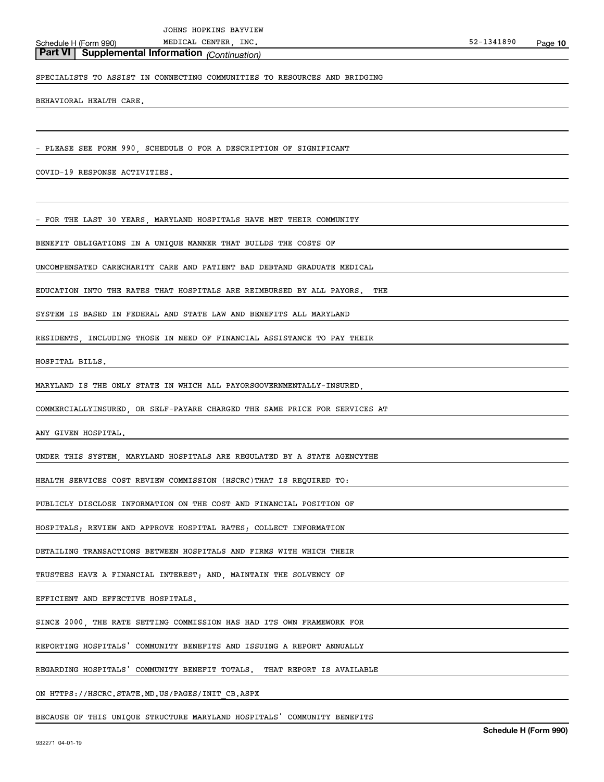**Part VI Supplemental Information** *(Continuation)*

# SPECIALISTS TO ASSIST IN CONNECTING COMMUNITIES TO RESOURCES AND BRIDGING

BEHAVIORAL HEALTH CARE.

- PLEASE SEE FORM 990, SCHEDULE O FOR A DESCRIPTION OF SIGNIFICANT

COVID-19 RESPONSE ACTIVITIES.

FOR THE LAST 30 YEARS, MARYLAND HOSPITALS HAVE MET THEIR COMMUNITY

BENEFIT OBLIGATIONS IN A UNIQUE MANNER THAT BUILDS THE COSTS OF

UNCOMPENSATED CARECHARITY CARE AND PATIENT BAD DEBTAND GRADUATE MEDICAL

EDUCATION INTO THE RATES THAT HOSPITALS ARE REIMBURSED BY ALL PAYORS. THE

SYSTEM IS BASED IN FEDERAL AND STATE LAW AND BENEFITS ALL MARYLAND

RESIDENTS, INCLUDING THOSE IN NEED OF FINANCIAL ASSISTANCE TO PAY THEIR

HOSPITAL BILLS.

MARYLAND IS THE ONLY STATE IN WHICH ALL PAYORSGOVERNMENTALLY-INSURED,

COMMERCIALLYINSURED, OR SELF-PAYARE CHARGED THE SAME PRICE FOR SERVICES AT

ANY GIVEN HOSPITAL.

UNDER THIS SYSTEM, MARYLAND HOSPITALS ARE REGULATED BY A STATE AGENCYTHE

HEALTH SERVICES COST REVIEW COMMISSION (HSCRC)THAT IS REQUIRED TO:

PUBLICLY DISCLOSE INFORMATION ON THE COST AND FINANCIAL POSITION OF

HOSPITALS; REVIEW AND APPROVE HOSPITAL RATES; COLLECT INFORMATION

DETAILING TRANSACTIONS BETWEEN HOSPITALS AND FIRMS WITH WHICH THEIR

TRUSTEES HAVE A FINANCIAL INTEREST; AND, MAINTAIN THE SOLVENCY OF

EFFICIENT AND EFFECTIVE HOSPITALS.

SINCE 2000, THE RATE SETTING COMMISSION HAS HAD ITS OWN FRAMEWORK FOR

REPORTING HOSPITALS' COMMUNITY BENEFITS AND ISSUING A REPORT ANNUALLY

REGARDING HOSPITALS' COMMUNITY BENEFIT TOTALS. THAT REPORT IS AVAILABLE

ON HTTPS://HSCRC.STATE.MD.US/PAGES/INIT\_CB.ASPX

BECAUSE OF THIS UNIQUE STRUCTURE MARYLAND HOSPITALS' COMMUNITY BENEFITS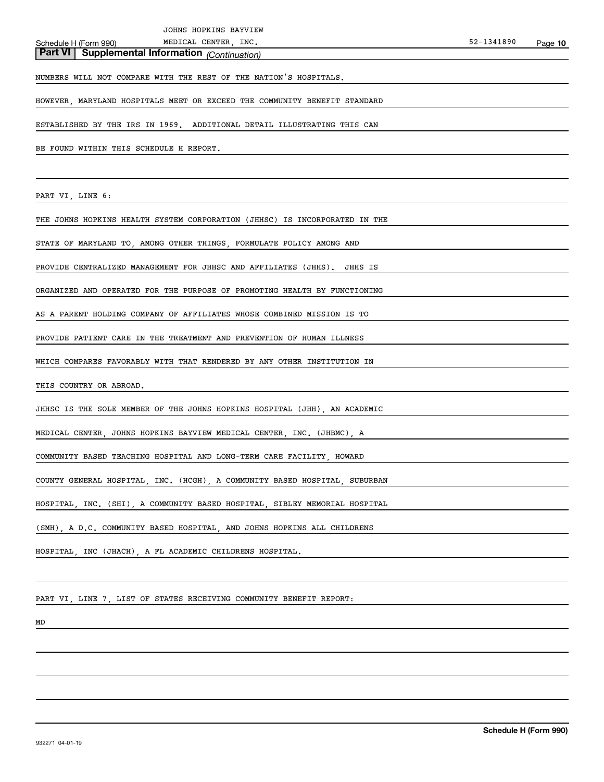| JOHNS HOPKINS BAYVIEW |  |
|-----------------------|--|
|-----------------------|--|

**Part VI Supplemental Information** *(Continuation)*

NUMBERS WILL NOT COMPARE WITH THE REST OF THE NATION'S HOSPITALS.

HOWEVER, MARYLAND HOSPITALS MEET OR EXCEED THE COMMUNITY BENEFIT STANDARD

ESTABLISHED BY THE IRS IN 1969. ADDITIONAL DETAIL ILLUSTRATING THIS CAN

BE FOUND WITHIN THIS SCHEDULE H REPORT.

PART VI, LINE 6:

THE JOHNS HOPKINS HEALTH SYSTEM CORPORATION (JHHSC) IS INCORPORATED IN THE

STATE OF MARYLAND TO, AMONG OTHER THINGS, FORMULATE POLICY AMONG AND

PROVIDE CENTRALIZED MANAGEMENT FOR JHHSC AND AFFILIATES (JHHS). JHHS IS

ORGANIZED AND OPERATED FOR THE PURPOSE OF PROMOTING HEALTH BY FUNCTIONING

AS A PARENT HOLDING COMPANY OF AFFILIATES WHOSE COMBINED MISSION IS TO

PROVIDE PATIENT CARE IN THE TREATMENT AND PREVENTION OF HUMAN ILLNESS

WHICH COMPARES FAVORABLY WITH THAT RENDERED BY ANY OTHER INSTITUTION IN

THIS COUNTRY OR ABROAD.

JHHSC IS THE SOLE MEMBER OF THE JOHNS HOPKINS HOSPITAL (JHH), AN ACADEMIC

MEDICAL CENTER, JOHNS HOPKINS BAYVIEW MEDICAL CENTER, INC. (JHBMC), A

COMMUNITY BASED TEACHING HOSPITAL AND LONG-TERM CARE FACILITY, HOWARD

COUNTY GENERAL HOSPITAL, INC. (HCGH), A COMMUNITY BASED HOSPITAL, SUBURBAN

HOSPITAL, INC. (SHI), A COMMUNITY BASED HOSPITAL, SIBLEY MEMORIAL HOSPITAL

(SMH), A D.C. COMMUNITY BASED HOSPITAL, AND JOHNS HOPKINS ALL CHILDRENS

HOSPITAL, INC (JHACH), A FL ACADEMIC CHILDRENS HOSPITAL.

PART VI, LINE 7, LIST OF STATES RECEIVING COMMUNITY BENEFIT REPORT:

MD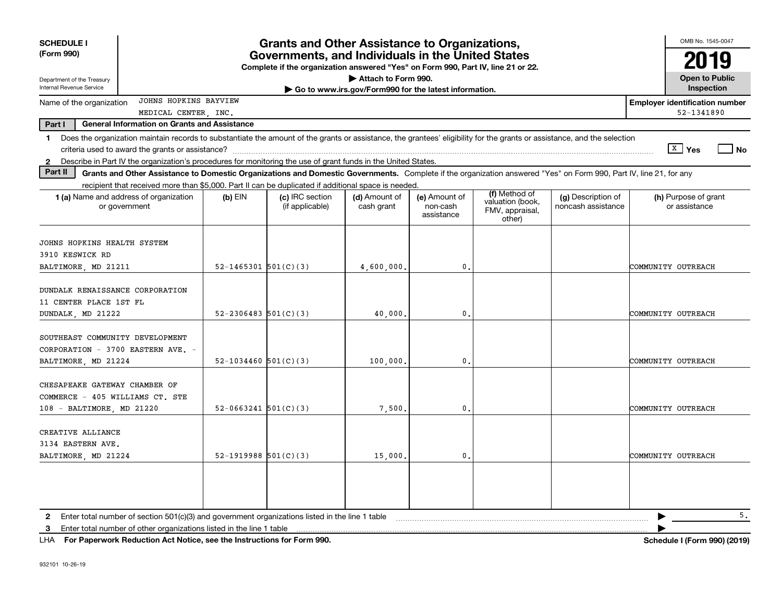| <b>SCHEDULE I</b><br>(Form 990)                                                                                                                                                                                                                                                                                          |                                                                                                                                                                  | <b>Grants and Other Assistance to Organizations,</b><br>Governments, and Individuals in the United States |                             |                                         |                                                                |                                          | OMB No. 1545-0047<br>2019                           |  |  |
|--------------------------------------------------------------------------------------------------------------------------------------------------------------------------------------------------------------------------------------------------------------------------------------------------------------------------|------------------------------------------------------------------------------------------------------------------------------------------------------------------|-----------------------------------------------------------------------------------------------------------|-----------------------------|-----------------------------------------|----------------------------------------------------------------|------------------------------------------|-----------------------------------------------------|--|--|
| Department of the Treasury<br>Internal Revenue Service                                                                                                                                                                                                                                                                   | Complete if the organization answered "Yes" on Form 990, Part IV, line 21 or 22.<br>Attach to Form 990.<br>Go to www.irs.gov/Form990 for the latest information. |                                                                                                           |                             |                                         |                                                                |                                          |                                                     |  |  |
| JOHNS HOPKINS BAYVIEW<br>Name of the organization<br>MEDICAL CENTER, INC.                                                                                                                                                                                                                                                |                                                                                                                                                                  |                                                                                                           |                             |                                         |                                                                |                                          | <b>Employer identification number</b><br>52-1341890 |  |  |
| Part I<br><b>General Information on Grants and Assistance</b>                                                                                                                                                                                                                                                            |                                                                                                                                                                  |                                                                                                           |                             |                                         |                                                                |                                          |                                                     |  |  |
| Does the organization maintain records to substantiate the amount of the grants or assistance, the grantees' eligibility for the grants or assistance, and the selection<br>$\mathbf 1$<br>Describe in Part IV the organization's procedures for monitoring the use of grant funds in the United States.<br>$\mathbf{2}$ |                                                                                                                                                                  |                                                                                                           |                             |                                         |                                                                |                                          | $\sqrt{X}$ Yes<br>$ $ No                            |  |  |
| Part II<br>Grants and Other Assistance to Domestic Organizations and Domestic Governments. Complete if the organization answered "Yes" on Form 990, Part IV, line 21, for any                                                                                                                                            |                                                                                                                                                                  |                                                                                                           |                             |                                         |                                                                |                                          |                                                     |  |  |
| recipient that received more than \$5,000. Part II can be duplicated if additional space is needed.                                                                                                                                                                                                                      |                                                                                                                                                                  |                                                                                                           |                             |                                         |                                                                |                                          |                                                     |  |  |
| 1 (a) Name and address of organization<br>or government                                                                                                                                                                                                                                                                  | $(b)$ EIN                                                                                                                                                        | (c) IRC section<br>(if applicable)                                                                        | (d) Amount of<br>cash grant | (e) Amount of<br>non-cash<br>assistance | (f) Method of<br>valuation (book,<br>FMV, appraisal,<br>other) | (g) Description of<br>noncash assistance | (h) Purpose of grant<br>or assistance               |  |  |
| JOHNS HOPKINS HEALTH SYSTEM<br>3910 KESWICK RD<br>BALTIMORE, MD 21211                                                                                                                                                                                                                                                    | 52-1465301 $501(C)(3)$                                                                                                                                           |                                                                                                           | 4,600,000.                  | 0.                                      |                                                                |                                          | COMMUNITY OUTREACH                                  |  |  |
|                                                                                                                                                                                                                                                                                                                          |                                                                                                                                                                  |                                                                                                           |                             |                                         |                                                                |                                          |                                                     |  |  |
| DUNDALK RENAISSANCE CORPORATION<br>11 CENTER PLACE 1ST FL                                                                                                                                                                                                                                                                |                                                                                                                                                                  |                                                                                                           |                             |                                         |                                                                |                                          |                                                     |  |  |
| DUNDALK, MD 21222                                                                                                                                                                                                                                                                                                        | $52 - 2306483$ 501(C)(3)                                                                                                                                         |                                                                                                           | 40,000,                     | 0.                                      |                                                                |                                          | COMMUNITY OUTREACH                                  |  |  |
| SOUTHEAST COMMUNITY DEVELOPMENT<br>CORPORATION - 3700 EASTERN AVE. -<br>BALTIMORE, MD 21224                                                                                                                                                                                                                              | 52-1034460 $501(C)(3)$                                                                                                                                           |                                                                                                           | 100,000.                    | 0.                                      |                                                                |                                          | COMMUNITY OUTREACH                                  |  |  |
| CHESAPEAKE GATEWAY CHAMBER OF<br>COMMERCE - 405 WILLIAMS CT. STE<br>108 - BALTIMORE, MD 21220                                                                                                                                                                                                                            | $52-0663241$ $501(C)(3)$                                                                                                                                         |                                                                                                           | 7.500.                      | 0.                                      |                                                                |                                          | COMMUNITY OUTREACH                                  |  |  |
|                                                                                                                                                                                                                                                                                                                          |                                                                                                                                                                  |                                                                                                           |                             |                                         |                                                                |                                          |                                                     |  |  |
| CREATIVE ALLIANCE<br>3134 EASTERN AVE.<br>BALTIMORE, MD 21224                                                                                                                                                                                                                                                            | $52-1919988$ $501(C)(3)$                                                                                                                                         |                                                                                                           | 15,000.                     | 0.                                      |                                                                |                                          | COMMUNITY OUTREACH                                  |  |  |
|                                                                                                                                                                                                                                                                                                                          |                                                                                                                                                                  |                                                                                                           |                             |                                         |                                                                |                                          |                                                     |  |  |
| 2 Enter total number of section 501(c)(3) and government organizations listed in the line 1 table<br>Enter total number of other organizations listed in the line 1 table<br>3                                                                                                                                           |                                                                                                                                                                  |                                                                                                           |                             |                                         |                                                                |                                          | 5.                                                  |  |  |

**For Paperwork Reduction Act Notice, see the Instructions for Form 990. Schedule I (Form 990) (2019)** LHA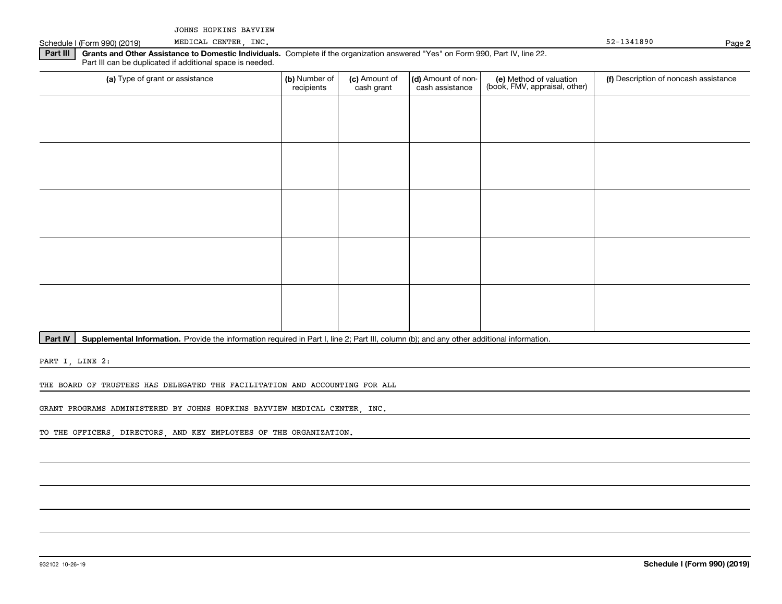JOHNS HOPKINS BAYVIEW MEDICAL CENTER, INC.

Schedule I (Form 990) (2019) MEDICAL CENTER, INC. The Schedule of the Schedule I (Form 990) (2019) 92-1341890

**Part III | Grants and Other Assistance to Domestic Individuals. Complete if the organization answered "Yes" on Form 990, Part IV, line 22.** Part III can be duplicated if additional space is needed.

| (a) Type of grant or assistance | (b) Number of<br>recipients | (c) Amount of<br>cash grant | (d) Amount of non-<br>cash assistance | (e) Method of valuation<br>(book, FMV, appraisal, other) | (f) Description of noncash assistance |
|---------------------------------|-----------------------------|-----------------------------|---------------------------------------|----------------------------------------------------------|---------------------------------------|
|                                 |                             |                             |                                       |                                                          |                                       |
|                                 |                             |                             |                                       |                                                          |                                       |
|                                 |                             |                             |                                       |                                                          |                                       |
|                                 |                             |                             |                                       |                                                          |                                       |
|                                 |                             |                             |                                       |                                                          |                                       |
|                                 |                             |                             |                                       |                                                          |                                       |
|                                 |                             |                             |                                       |                                                          |                                       |
|                                 |                             |                             |                                       |                                                          |                                       |
|                                 |                             |                             |                                       |                                                          |                                       |
|                                 |                             |                             |                                       |                                                          |                                       |

Part IV | Supplemental Information. Provide the information required in Part I, line 2; Part III, column (b); and any other additional information.

PART I, LINE 2:

THE BOARD OF TRUSTEES HAS DELEGATED THE FACILITATION AND ACCOUNTING FOR ALL

GRANT PROGRAMS ADMINISTERED BY JOHNS HOPKINS BAYVIEW MEDICAL CENTER, INC.

TO THE OFFICERS, DIRECTORS, AND KEY EMPLOYEES OF THE ORGANIZATION.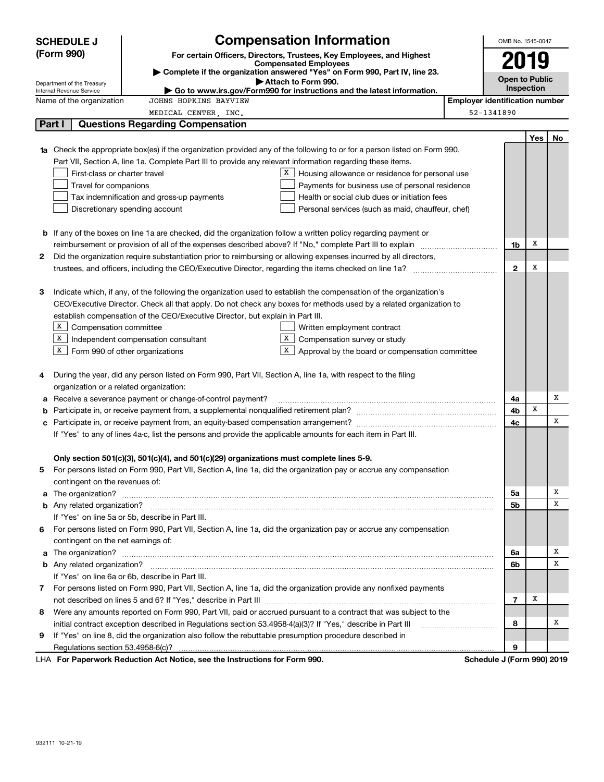|        | <b>SCHEDULE J</b>                       | <b>Compensation Information</b>                                                                                                  |                                                   |                                       | OMB No. 1545-0047     |     |    |
|--------|-----------------------------------------|----------------------------------------------------------------------------------------------------------------------------------|---------------------------------------------------|---------------------------------------|-----------------------|-----|----|
|        | (Form 990)                              | For certain Officers, Directors, Trustees, Key Employees, and Highest                                                            |                                                   |                                       | 2019                  |     |    |
|        |                                         | <b>Compensated Employees</b>                                                                                                     |                                                   |                                       |                       |     |    |
|        | Department of the Treasury              | Complete if the organization answered "Yes" on Form 990, Part IV, line 23.<br>Attach to Form 990.                                |                                                   |                                       | <b>Open to Public</b> |     |    |
|        | Internal Revenue Service                | Go to www.irs.gov/Form990 for instructions and the latest information.                                                           |                                                   |                                       | Inspection            |     |    |
|        | Name of the organization                | JOHNS HOPKINS BAYVIEW                                                                                                            |                                                   | <b>Employer identification number</b> |                       |     |    |
|        |                                         | MEDICAL CENTER, INC.                                                                                                             |                                                   | 52-1341890                            |                       |     |    |
| Part I |                                         | <b>Questions Regarding Compensation</b>                                                                                          |                                                   |                                       |                       |     |    |
|        |                                         |                                                                                                                                  |                                                   |                                       |                       | Yes | No |
|        |                                         | <b>1a</b> Check the appropriate box(es) if the organization provided any of the following to or for a person listed on Form 990, |                                                   |                                       |                       |     |    |
|        |                                         | Part VII, Section A, line 1a. Complete Part III to provide any relevant information regarding these items.                       |                                                   |                                       |                       |     |    |
|        | First-class or charter travel           | X                                                                                                                                | Housing allowance or residence for personal use   |                                       |                       |     |    |
|        | Travel for companions                   |                                                                                                                                  | Payments for business use of personal residence   |                                       |                       |     |    |
|        |                                         | Tax indemnification and gross-up payments                                                                                        | Health or social club dues or initiation fees     |                                       |                       |     |    |
|        |                                         | Discretionary spending account                                                                                                   | Personal services (such as maid, chauffeur, chef) |                                       |                       |     |    |
|        |                                         |                                                                                                                                  |                                                   |                                       |                       |     |    |
|        |                                         | <b>b</b> If any of the boxes on line 1a are checked, did the organization follow a written policy regarding payment or           |                                                   |                                       |                       | х   |    |
|        |                                         |                                                                                                                                  |                                                   |                                       | 1b                    |     |    |
| 2      |                                         | Did the organization require substantiation prior to reimbursing or allowing expenses incurred by all directors,                 |                                                   |                                       | $\mathbf{2}$          | x   |    |
|        |                                         |                                                                                                                                  |                                                   |                                       |                       |     |    |
| З      |                                         | Indicate which, if any, of the following the organization used to establish the compensation of the organization's               |                                                   |                                       |                       |     |    |
|        |                                         | CEO/Executive Director. Check all that apply. Do not check any boxes for methods used by a related organization to               |                                                   |                                       |                       |     |    |
|        |                                         | establish compensation of the CEO/Executive Director, but explain in Part III.                                                   |                                                   |                                       |                       |     |    |
|        | X  <br>Compensation committee           | Written employment contract                                                                                                      |                                                   |                                       |                       |     |    |
|        | X                                       | X  <br>Independent compensation consultant                                                                                       | Compensation survey or study                      |                                       |                       |     |    |
|        | $X$ Form 990 of other organizations     | X                                                                                                                                | Approval by the board or compensation committee   |                                       |                       |     |    |
|        |                                         |                                                                                                                                  |                                                   |                                       |                       |     |    |
| 4      |                                         | During the year, did any person listed on Form 990, Part VII, Section A, line 1a, with respect to the filing                     |                                                   |                                       |                       |     |    |
|        | organization or a related organization: |                                                                                                                                  |                                                   |                                       |                       |     |    |
| а      |                                         | Receive a severance payment or change-of-control payment?                                                                        |                                                   |                                       | 4a                    |     | Х  |
| b      |                                         |                                                                                                                                  |                                                   |                                       | 4b                    | х   |    |
| с      |                                         |                                                                                                                                  |                                                   |                                       | 4c                    |     | х  |
|        |                                         | If "Yes" to any of lines 4a-c, list the persons and provide the applicable amounts for each item in Part III.                    |                                                   |                                       |                       |     |    |
|        |                                         |                                                                                                                                  |                                                   |                                       |                       |     |    |
|        |                                         | Only section 501(c)(3), 501(c)(4), and 501(c)(29) organizations must complete lines 5-9.                                         |                                                   |                                       |                       |     |    |
|        |                                         | For persons listed on Form 990, Part VII, Section A, line 1a, did the organization pay or accrue any compensation                |                                                   |                                       |                       |     |    |
|        | contingent on the revenues of:          |                                                                                                                                  |                                                   |                                       |                       |     |    |
|        |                                         | a The organization? <b>Constitution</b> and the organization?                                                                    |                                                   |                                       | 5a                    |     | x  |
|        |                                         |                                                                                                                                  |                                                   |                                       | 5b                    |     | х  |
|        |                                         | If "Yes" on line 5a or 5b, describe in Part III.                                                                                 |                                                   |                                       |                       |     |    |
| 6.     |                                         | For persons listed on Form 990, Part VII, Section A, line 1a, did the organization pay or accrue any compensation                |                                                   |                                       |                       |     |    |
|        | contingent on the net earnings of:      |                                                                                                                                  |                                                   |                                       |                       |     |    |
|        |                                         | a The organization? <b>Entitled Strategies and Strategies and Strategies</b> and The organization?                               |                                                   |                                       | 6a                    |     | x  |
|        |                                         |                                                                                                                                  |                                                   |                                       | 6b                    |     | х  |
|        |                                         | If "Yes" on line 6a or 6b, describe in Part III.                                                                                 |                                                   |                                       |                       |     |    |
|        |                                         | 7 For persons listed on Form 990, Part VII, Section A, line 1a, did the organization provide any nonfixed payments               |                                                   |                                       |                       |     |    |
|        |                                         |                                                                                                                                  |                                                   |                                       | 7                     | X   |    |
| 8      |                                         | Were any amounts reported on Form 990, Part VII, paid or accrued pursuant to a contract that was subject to the                  |                                                   |                                       |                       |     |    |
|        |                                         | initial contract exception described in Regulations section 53.4958-4(a)(3)? If "Yes," describe in Part III                      |                                                   |                                       | 8                     |     | х  |
| 9      |                                         | If "Yes" on line 8, did the organization also follow the rebuttable presumption procedure described in                           |                                                   |                                       |                       |     |    |
|        |                                         |                                                                                                                                  |                                                   |                                       | 9                     |     |    |
|        |                                         | LHA For Paperwork Reduction Act Notice, see the Instructions for Form 990.                                                       |                                                   | Schedule J (Form 990) 2019            |                       |     |    |

932111 10-21-19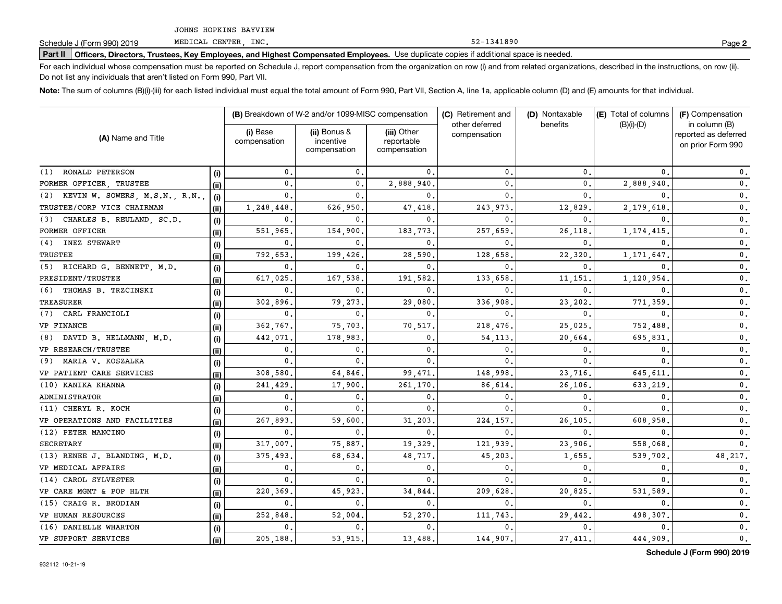**Part II Officers, Directors, Trustees, Key Employees, and Highest Compensated Employees.**  Schedule J (Form 990) 2019 Page Use duplicate copies if additional space is needed.

For each individual whose compensation must be reported on Schedule J, report compensation from the organization on row (i) and from related organizations, described in the instructions, on row (ii). Do not list any individuals that aren't listed on Form 990, Part VII.

52-1341890

**Note:**  The sum of columns (B)(i)-(iii) for each listed individual must equal the total amount of Form 990, Part VII, Section A, line 1a, applicable column (D) and (E) amounts for that individual.

|                                    |       | (B) Breakdown of W-2 and/or 1099-MISC compensation |                                           | (C) Retirement and                        | (D) Nontaxable                 | (E) Total of columns | (F) Compensation |                                                            |
|------------------------------------|-------|----------------------------------------------------|-------------------------------------------|-------------------------------------------|--------------------------------|----------------------|------------------|------------------------------------------------------------|
| (A) Name and Title                 |       | (i) Base<br>compensation                           | (ii) Bonus &<br>incentive<br>compensation | (iii) Other<br>reportable<br>compensation | other deferred<br>compensation | benefits             | $(B)(i)$ - $(D)$ | in column (B)<br>reported as deferred<br>on prior Form 990 |
| RONALD PETERSON<br>(1)             | (i)   | 0.                                                 | $\mathbf{0}$                              | $\mathbf 0$ .                             | 0.                             | 0                    | 0                | 0.                                                         |
| FORMER OFFICER, TRUSTEE            | (ii)  | $\mathbf{0}$ .                                     | $\mathbf{0}$                              | 2,888,940.                                | $\mathbf{0}$ .                 | $\mathbf{0}$ .       | 2,888,940        | $\mathbf 0$ .                                              |
| (2) KEVIN W. SOWERS, M.S.N., R.N., | (i)   | 0.                                                 | $\mathbf{0}$                              | $\Omega$                                  | $\mathbf{0}$ .                 | 0                    |                  | $\mathbf 0$ .                                              |
| TRUSTEE/CORP VICE CHAIRMAN         | (ii)  | 1,248,448                                          | 626,950                                   | 47,418                                    | 243,973                        | 12,829               | 2,179,618        | 0.                                                         |
| CHARLES B. REULAND, SC.D.<br>(3)   | (i)   | 0.                                                 | 0                                         | 0                                         | $\mathbf{0}$                   | 0                    | <sup>n</sup>     | 0.                                                         |
| FORMER OFFICER                     | (ii)  | 551,965                                            | 154,900                                   | 183,773                                   | 257,659                        | 26,118               | 1, 174, 415      | 0.                                                         |
| <b>INEZ STEWART</b><br>(4)         | (i)   | 0.                                                 | $^{\circ}$                                | $\mathbf 0$ .                             | $\mathbf{0}$                   | 0                    | 0                | 0.                                                         |
| <b>TRUSTEE</b>                     | (ii)  | 792,653                                            | 199,426                                   | 28,590                                    | 128,658                        | 22,320               | 1, 171, 647      | 0.                                                         |
| (5) RICHARD G. BENNETT, M.D.       | (i)   | 0.                                                 | 0                                         | $\mathbf{0}$ .                            | $\mathbf{0}$                   | 0                    | <sup>0</sup>     | $\mathbf 0$ .                                              |
| PRESIDENT/TRUSTEE                  | (ii)  | 617,025                                            | 167,538                                   | 191,582.                                  | 133,658                        | 11,151               | 1,120,954        | $\mathbf 0$ .                                              |
| THOMAS B. TRZCINSKI<br>(6)         | (i)   | 0.                                                 | 0                                         | $\mathbf{0}$                              | 0                              | 0                    | 0                | 0.                                                         |
| <b>TREASURER</b>                   | (ii)  | 302,896                                            | 79,273                                    | 29,080                                    | 336,908                        | 23,202               | 771,359          | 0.                                                         |
| (7)<br>CARL FRANCIOLI              | (i)   | 0.                                                 | $^{\circ}$                                | 0                                         | 0                              | 0                    | 0                | $0$ .                                                      |
| VP FINANCE                         | (iii) | 362.767.                                           | 75,703                                    | 70,517                                    | 218,476                        | 25,025               | 752,488          | $\mathbf{0}$ .                                             |
| (8) DAVID B. HELLMANN, M.D.        | (i)   | 442,071                                            | 178,983                                   | $\mathbf{0}$                              | 54,113                         | 20,664               | 695,831          | 0.                                                         |
| VP RESEARCH/TRUSTEE                | (ii)  | 0.                                                 | $\mathbf 0$                               | $\mathbf{0}$                              | $\mathbf{0}$                   | 0                    | 0                | 0.                                                         |
| MARIA V. KOSZALKA<br>(9)           | (i)   | $\mathbf 0$ .                                      | $\mathbf{0}$                              | $\mathbf{0}$ .                            | $\mathbf{0}$                   | 0                    | 0                | 0.                                                         |
| VP PATIENT CARE SERVICES           | (ii)  | 308,580,                                           | 64,846                                    | 99,471                                    | 148,998                        | 23,716.              | 645,611          | 0.                                                         |
| (10) KANIKA KHANNA                 | (i)   | 241,429                                            | 17,900                                    | 261,170                                   | 86,614                         | 26,106               | 633,219          | 0.                                                         |
| ADMINISTRATOR                      | (ii)  | 0.                                                 | 0                                         | 0.                                        | $\mathbf{0}$                   | 0                    | 0                | $\mathbf{0}$ .                                             |
| (11) CHERYL R. KOCH                | (i)   | $\mathbf{0}$ .                                     | $\mathbf{0}$                              | $\Omega$                                  | 0                              | $\mathbf{0}$         |                  | $\mathbf{0}$ .                                             |
| VP OPERATIONS AND FACILITIES       | (ii)  | 267,893                                            | 59,600                                    | 31,203                                    | 224,157                        | 26,105               | 608,958          | $\mathbf 0$ .                                              |
| (12) PETER MANCINO                 | (i)   | $\mathbf 0$ .                                      | 0                                         | $\mathbf{0}$ .                            | $\mathbf{0}$                   | 0                    | 0                | $\mathbf{0}$ .                                             |
| SECRETARY                          | (ii)  | 317,007.                                           | 75,887                                    | 19,329.                                   | 121,939                        | 23,906               | 558,068.         | $\mathbf{0}$ .                                             |
| (13) RENEE J. BLANDING, M.D.       | (i)   | 375,493.                                           | 68,634                                    | 48,717.                                   | 45,203                         | 1,655                | 539,702.         | 48, 217.                                                   |
| VP MEDICAL AFFAIRS                 | (ii)  | 0.                                                 | $\mathbf{0}$                              | 0.                                        | 0.                             | 0                    | 0.               | $\mathbf{0}$ .                                             |
| (14) CAROL SYLVESTER               | (i)   | $\mathbf{0}$ .                                     | $\mathbf{0}$                              | $\mathbf{0}$ .                            | $\mathbf{0}$                   | $\mathbf{0}$         | $\Omega$         | 0.                                                         |
| VP CARE MGMT & POP HLTH            | (iii) | 220,369                                            | 45,923                                    | 34,844.                                   | 209,628                        | 20,825               | 531,589          | $\mathbf 0$ .                                              |
| (15) CRAIG R. BRODIAN              | (i)   | 0.                                                 | $\mathbf{0}$                              | $\mathbf{0}$ .                            | $\mathbf{0}$ .                 | $\mathbf{0}$ .       | $\mathbf{0}$ .   | $\mathbf 0$ .                                              |
| VP HUMAN RESOURCES                 | (ii)  | 252,848                                            | 52,004                                    | 52,270                                    | 111,743                        | 29,442               | 498,307          | 0.                                                         |
| (16) DANIELLE WHARTON              | (i)   | 0.                                                 | $\mathbf{0}$ .                            | $\mathbf{0}$                              | $\mathbf 0$ .                  | 0                    |                  | 0.                                                         |
| VP SUPPORT SERVICES                | (ii)  | 205,188.                                           | 53,915.                                   | 13,488.                                   | 144,907.                       | 27, 411.             | 444,909          | 0.                                                         |

**Schedule J (Form 990) 2019**

**2**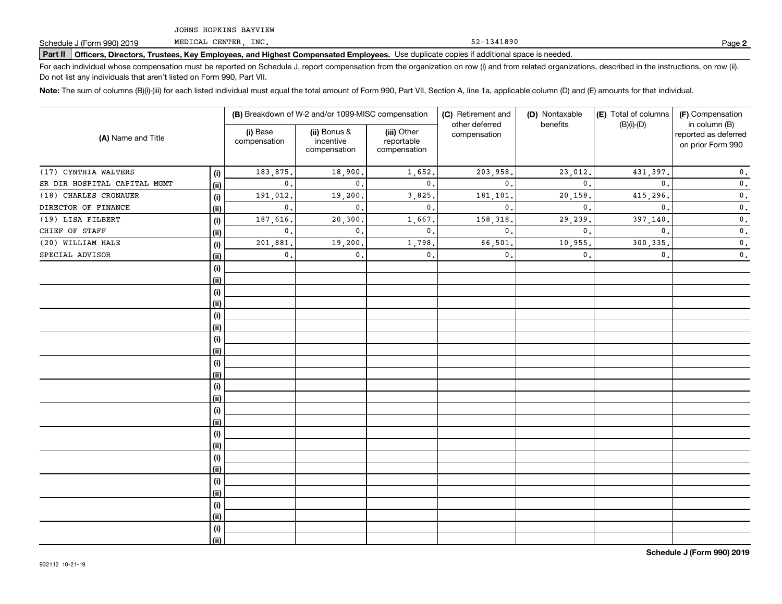**Part II Officers, Directors, Trustees, Key Employees, and Highest Compensated Employees.**  Schedule J (Form 990) 2019 Page Use duplicate copies if additional space is needed.

For each individual whose compensation must be reported on Schedule J, report compensation from the organization on row (i) and from related organizations, described in the instructions, on row (ii). Do not list any individuals that aren't listed on Form 990, Part VII.

**Note:**  The sum of columns (B)(i)-(iii) for each listed individual must equal the total amount of Form 990, Part VII, Section A, line 1a, applicable column (D) and (E) amounts for that individual.

| (A) Name and Title           |      |                          | (B) Breakdown of W-2 and/or 1099-MISC compensation |                                           | (C) Retirement and             | (D) Nontaxable | (E) Total of columns | (F) Compensation                                           |
|------------------------------|------|--------------------------|----------------------------------------------------|-------------------------------------------|--------------------------------|----------------|----------------------|------------------------------------------------------------|
|                              |      | (i) Base<br>compensation | (ii) Bonus &<br>incentive<br>compensation          | (iii) Other<br>reportable<br>compensation | other deferred<br>compensation | benefits       | $(B)(i)-(D)$         | in column (B)<br>reported as deferred<br>on prior Form 990 |
| (17) CYNTHIA WALTERS         | (i)  | 183,875.                 | 18,900.                                            | 1,652.                                    | 203,958.                       | 23,012.        | 431,397.             | $\mathbf 0$ .                                              |
| SR DIR HOSPITAL CAPITAL MGMT | (ii) | $\mathbf{0}$ .           | $\mathbf{0}$ .                                     | 0.                                        | $\mathbf{0}$ .                 | $\mathbf{0}$   | $\mathbf{0}$ .       | $\mathbf 0$ .                                              |
| (18) CHARLES CRONAUER        | (i)  | 191,012.                 | 19,200.                                            | 3,825.                                    | 181,101                        | 20,158         | 415,296              | $\mathbf 0$ .                                              |
| DIRECTOR OF FINANCE          | (ii) | $\mathbf{0}$ .           | $\mathbf{0}$ .                                     | $\mathbf{0}$ .                            | $\mathbf{0}$ .                 | $\mathbf{0}$ . | $\mathbf{0}$ .       | $\mathbf 0$ .                                              |
| (19) LISA FILBERT            | (i)  | 187,616.                 | 20, 300.                                           | 1,667.                                    | 158,318                        | 29,239.        | 397,140.             | $\mathbf 0$ .                                              |
| CHIEF OF STAFF               | (ii) | $\mathbf{0}$ .           | $\mathbf{0}$ .                                     | $\mathbf{0}$ .                            | $\mathbf{0}$ .                 | $\mathbf{0}$ . | 0.                   | $\mathbf 0$ .                                              |
| (20) WILLIAM HALE            | (i)  | 201,881.                 | 19,200.                                            | 1,798.                                    | 66,501                         | 10,955.        | 300, 335.            | $\mathfrak o$ .                                            |
| SPECIAL ADVISOR              | (ii) | $\mathbf{0}$ .           | $\mathbf{0}$ .                                     | $\mathbf{0}$ .                            | $\mathbf{0}$ .                 | $\mathbf{0}$ . | $\mathbf{0}$ .       | $\mathbf 0$ .                                              |
|                              | (i)  |                          |                                                    |                                           |                                |                |                      |                                                            |
|                              | (i)  |                          |                                                    |                                           |                                |                |                      |                                                            |
|                              | (i)  |                          |                                                    |                                           |                                |                |                      |                                                            |
|                              | (ii) |                          |                                                    |                                           |                                |                |                      |                                                            |
|                              | (i)  |                          |                                                    |                                           |                                |                |                      |                                                            |
|                              | (ii) |                          |                                                    |                                           |                                |                |                      |                                                            |
|                              | (i)  |                          |                                                    |                                           |                                |                |                      |                                                            |
|                              | (ii) |                          |                                                    |                                           |                                |                |                      |                                                            |
|                              | (i)  |                          |                                                    |                                           |                                |                |                      |                                                            |
|                              | (ii) |                          |                                                    |                                           |                                |                |                      |                                                            |
|                              | (i)  |                          |                                                    |                                           |                                |                |                      |                                                            |
|                              | (ii) |                          |                                                    |                                           |                                |                |                      |                                                            |
|                              | (i)  |                          |                                                    |                                           |                                |                |                      |                                                            |
|                              | (ii) |                          |                                                    |                                           |                                |                |                      |                                                            |
|                              | (i)  |                          |                                                    |                                           |                                |                |                      |                                                            |
|                              | (ii) |                          |                                                    |                                           |                                |                |                      |                                                            |
|                              | (i)  |                          |                                                    |                                           |                                |                |                      |                                                            |
|                              | (ii) |                          |                                                    |                                           |                                |                |                      |                                                            |
|                              | (i)  |                          |                                                    |                                           |                                |                |                      |                                                            |
|                              | (ii) |                          |                                                    |                                           |                                |                |                      |                                                            |
|                              | (i)  |                          |                                                    |                                           |                                |                |                      |                                                            |
|                              | (ii) |                          |                                                    |                                           |                                |                |                      |                                                            |
|                              | (i)  |                          |                                                    |                                           |                                |                |                      |                                                            |
|                              | (i)  |                          |                                                    |                                           |                                |                |                      |                                                            |

52-1341890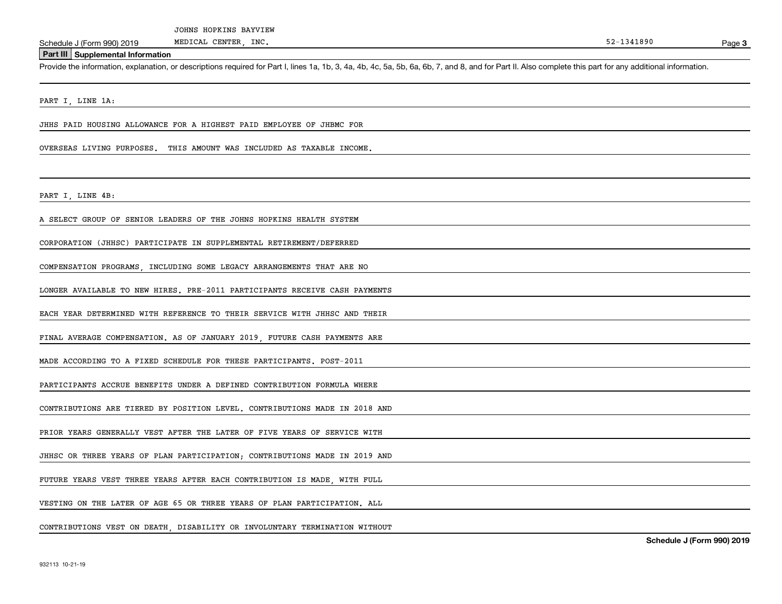Schedule J (Form 990) 2019 MEDICAL CENTER, INC.<br>Part III Supplemental Information<br>Provide the information, explanation, or descriptions required for Part I, lines 1a, 1b, 3, 4a, 4b, 4c, 5a, 5b, 6a, 6b, 7, and 8, and for Pa

PART I, LINE 1A:

JHHS PAID HOUSING ALLOWANCE FOR A HIGHEST PAID EMPLOYEE OF JHBMC FOR

OVERSEAS LIVING PURPOSES. THIS AMOUNT WAS INCLUDED AS TAXABLE INCOME.

PART I, LINE 4B:

A SELECT GROUP OF SENIOR LEADERS OF THE JOHNS HOPKINS HEALTH SYSTEM

CORPORATION (JHHSC) PARTICIPATE IN SUPPLEMENTAL RETIREMENT/DEFERRED

COMPENSATION PROGRAMS, INCLUDING SOME LEGACY ARRANGEMENTS THAT ARE NO

LONGER AVAILABLE TO NEW HIRES. PRE-2011 PARTICIPANTS RECEIVE CASH PAYMENTS

EACH YEAR DETERMINED WITH REFERENCE TO THEIR SERVICE WITH JHHSC AND THEIR

FINAL AVERAGE COMPENSATION. AS OF JANUARY 2019, FUTURE CASH PAYMENTS ARE

MADE ACCORDING TO A FIXED SCHEDULE FOR THESE PARTICIPANTS. POST-2011

PARTICIPANTS ACCRUE BENEFITS UNDER A DEFINED CONTRIBUTION FORMULA WHERE

CONTRIBUTIONS ARE TIERED BY POSITION LEVEL. CONTRIBUTIONS MADE IN 2018 AND

PRIOR YEARS GENERALLY VEST AFTER THE LATER OF FIVE YEARS OF SERVICE WITH

JHHSC OR THREE YEARS OF PLAN PARTICIPATION; CONTRIBUTIONS MADE IN 2019 AND

FUTURE YEARS VEST THREE YEARS AFTER EACH CONTRIBUTION IS MADE, WITH FULL

VESTING ON THE LATER OF AGE 65 OR THREE YEARS OF PLAN PARTICIPATION. ALL

CONTRIBUTIONS VEST ON DEATH, DISABILITY OR INVOLUNTARY TERMINATION WITHOUT

**Schedule J (Form 990) 2019**

Page 3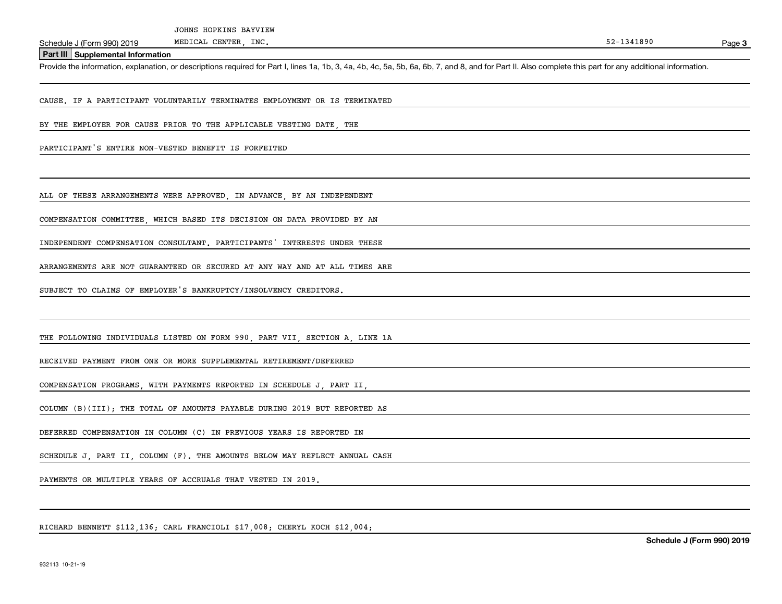Schedule J (Form 990) 2019 MEDICAL CENTER, INC.<br>Part III Supplemental Information<br>Provide the information, explanation, or descriptions required for Part I, lines 1a, 1b, 3, 4a, 4b, 4c, 5a, 5b, 6a, 6b, 7, and 8, and for Pa

CAUSE. IF A PARTICIPANT VOLUNTARILY TERMINATES EMPLOYMENT OR IS TERMINATED

BY THE EMPLOYER FOR CAUSE PRIOR TO THE APPLICABLE VESTING DATE THE

PARTICIPANT'S ENTIRE NON-VESTED BENEFIT IS FORFEITED

ALL OF THESE ARRANGEMENTS WERE APPROVED, IN ADVANCE, BY AN INDEPENDENT

COMPENSATION COMMITTEE, WHICH BASED ITS DECISION ON DATA PROVIDED BY AN

INDEPENDENT COMPENSATION CONSULTANT. PARTICIPANTS' INTERESTS UNDER THESE

ARRANGEMENTS ARE NOT GUARANTEED OR SECURED AT ANY WAY AND AT ALL TIMES ARE

SUBJECT TO CLAIMS OF EMPLOYER'S BANKRUPTCY/INSOLVENCY CREDITORS.

THE FOLLOWING INDIVIDUALS LISTED ON FORM 990, PART VII, SECTION A, LINE 1A

RECEIVED PAYMENT FROM ONE OR MORE SUPPLEMENTAL RETIREMENT/DEFERRED

COMPENSATION PROGRAMS, WITH PAYMENTS REPORTED IN SCHEDULE J, PART II,

COLUMN (B)(III); THE TOTAL OF AMOUNTS PAYABLE DURING 2019 BUT REPORTED AS

DEFERRED COMPENSATION IN COLUMN (C) IN PREVIOUS YEARS IS REPORTED IN

SCHEDULE J, PART II, COLUMN (F). THE AMOUNTS BELOW MAY REFLECT ANNUAL CASH

PAYMENTS OR MULTIPLE YEARS OF ACCRUALS THAT VESTED IN 2019.

RICHARD BENNETT \$112 136; CARL FRANCIOLI \$17 008; CHERYL KOCH \$12 004;

Page 3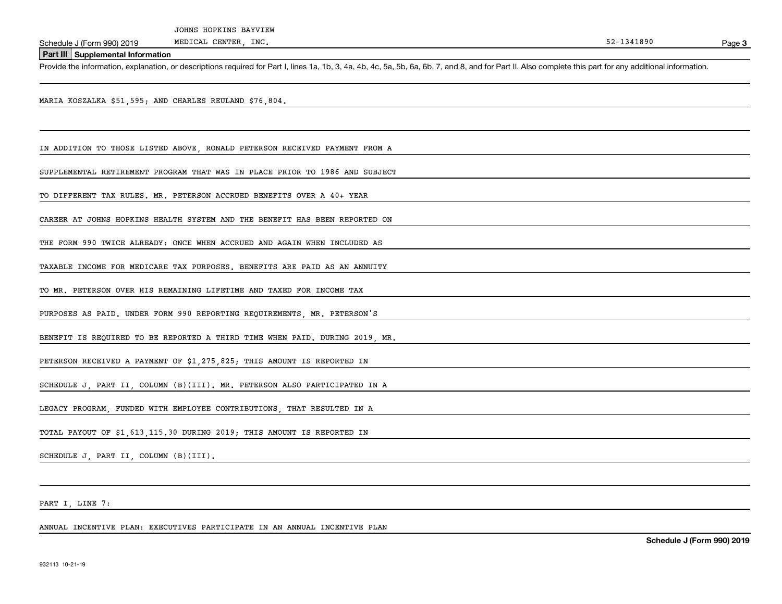Schedule J (Form 990) 2019 MEDICAL CENTER, INC.<br>Part III Supplemental Information<br>Provide the information, explanation, or descriptions required for Part I, lines 1a, 1b, 3, 4a, 4b, 4c, 5a, 5b, 6a, 6b, 7, and 8, and for Pa

MARIA KOSZALKA \$51,595; AND CHARLES REULAND \$76,804.

IN ADDITION TO THOSE LISTED ABOVE, RONALD PETERSON RECEIVED PAYMENT FROM A

SUPPLEMENTAL RETIREMENT PROGRAM THAT WAS IN PLACE PRIOR TO 1986 AND SUBJECT

TO DIFFERENT TAX RULES. MR. PETERSON ACCRUED BENEFITS OVER A 40+ YEAR

CAREER AT JOHNS HOPKINS HEALTH SYSTEM AND THE BENEFIT HAS BEEN REPORTED ON

THE FORM 990 TWICE ALREADY: ONCE WHEN ACCRUED AND AGAIN WHEN INCLUDED AS

TAXABLE INCOME FOR MEDICARE TAX PURPOSES. BENEFITS ARE PAID AS AN ANNUITY

TO MR. PETERSON OVER HIS REMAINING LIFETIME AND TAXED FOR INCOME TAX

PURPOSES AS PAID. UNDER FORM 990 REPORTING REQUIREMENTS, MR. PETERSON'S

BENEFIT IS REQUIRED TO BE REPORTED A THIRD TIME WHEN PAID. DURING 2019, MR.

PETERSON RECEIVED A PAYMENT OF \$1,275,825; THIS AMOUNT IS REPORTED IN

SCHEDULE J, PART II, COLUMN (B)(III). MR. PETERSON ALSO PARTICIPATED IN A

LEGACY PROGRAM, FUNDED WITH EMPLOYEE CONTRIBUTIONS, THAT RESULTED IN A

TOTAL PAYOUT OF \$1,613,115.30 DURING 2019; THIS AMOUNT IS REPORTED IN

SCHEDULE J, PART II, COLUMN (B)(III).

PART I LINE 7:

ANNUAL INCENTIVE PLAN: EXECUTIVES PARTICIPATE IN AN ANNUAL INCENTIVE PLAN

**Schedule J (Form 990) 2019**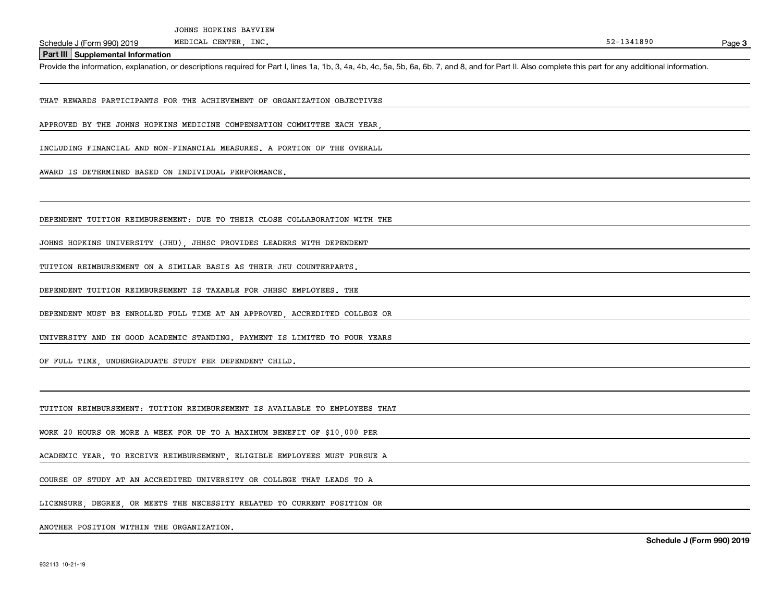Schedule J (Form 990) 2019 MEDICAL CENTER, INC.<br>Part III Supplemental Information<br>Provide the information, explanation, or descriptions required for Part I, lines 1a, 1b, 3, 4a, 4b, 4c, 5a, 5b, 6a, 6b, 7, and 8, and for Pa

THAT REWARDS PARTICIPANTS FOR THE ACHIEVEMENT OF ORGANIZATION OBJECTIVES

APPROVED BY THE JOHNS HOPKINS MEDICINE COMPENSATION COMMITTEE EACH YEAR,

INCLUDING FINANCIAL AND NON-FINANCIAL MEASURES. A PORTION OF THE OVERALL

AWARD IS DETERMINED BASED ON INDIVIDUAL PERFORMANCE.

DEPENDENT TUITION REIMBURSEMENT: DUE TO THEIR CLOSE COLLABORATION WITH THE

JOHNS HOPKINS UNIVERSITY (JHU), JHHSC PROVIDES LEADERS WITH DEPENDENT

TUITION REIMBURSEMENT ON A SIMILAR BASIS AS THEIR JHU COUNTERPARTS.

DEPENDENT TUITION REIMBURSEMENT IS TAXABLE FOR JHHSC EMPLOYEES. THE

DEPENDENT MUST BE ENROLLED FULL TIME AT AN APPROVED, ACCREDITED COLLEGE OR

UNIVERSITY AND IN GOOD ACADEMIC STANDING. PAYMENT IS LIMITED TO FOUR YEARS

OF FULL TIME, UNDERGRADUATE STUDY PER DEPENDENT CHILD.

TUITION REIMBURSEMENT: TUITION REIMBURSEMENT IS AVAILABLE TO EMPLOYEES THAT

WORK 20 HOURS OR MORE A WEEK FOR UP TO A MAXIMUM BENEFIT OF \$10,000 PER

ACADEMIC YEAR. TO RECEIVE REIMBURSEMENT, ELIGIBLE EMPLOYEES MUST PURSUE A

COURSE OF STUDY AT AN ACCREDITED UNIVERSITY OR COLLEGE THAT LEADS TO A

LICENSURE DEGREE OR MEETS THE NECESSITY RELATED TO CURRENT POSITION OR

ANOTHER POSITION WITHIN THE ORGANIZATION.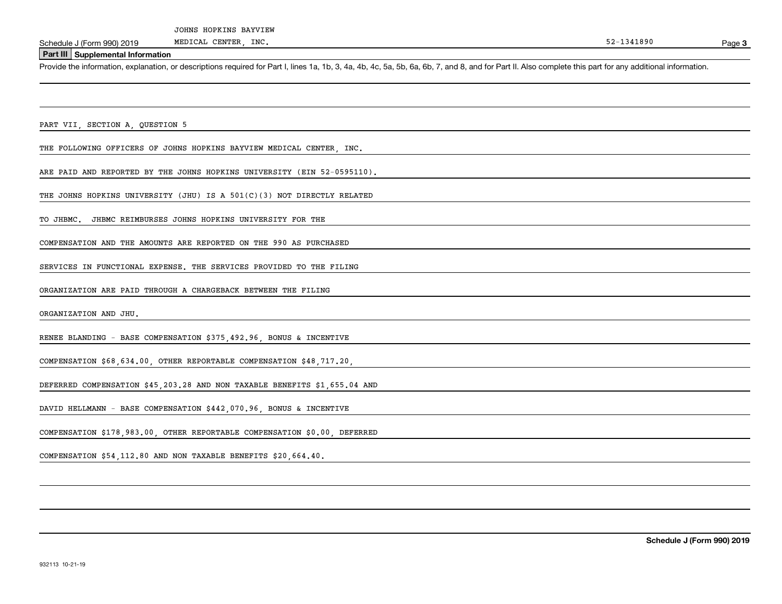Page 3

### **Part III Supplemental Information**

Schedule J (Form 990) 2019 MEDICAL CENTER, INC.<br>Part III Supplemental Information<br>Provide the information, explanation, or descriptions required for Part I, lines 1a, 1b, 3, 4a, 4b, 4c, 5a, 5b, 6a, 6b, 7, and 8, and for Pa

PART VII, SECTION A, QUESTION 5

THE FOLLOWING OFFICERS OF JOHNS HOPKINS BAYVIEW MEDICAL CENTER, INC.

ARE PAID AND REPORTED BY THE JOHNS HOPKINS UNIVERSITY (EIN 52-0595110).

THE JOHNS HOPKINS UNIVERSITY (JHU) IS A 501(C)(3) NOT DIRECTLY RELATED

TO JHBMC. JHBMC REIMBURSES JOHNS HOPKINS UNIVERSITY FOR THE

COMPENSATION AND THE AMOUNTS ARE REPORTED ON THE 990 AS PURCHASED

SERVICES IN FUNCTIONAL EXPENSE. THE SERVICES PROVIDED TO THE FILING

ORGANIZATION ARE PAID THROUGH A CHARGEBACK BETWEEN THE FILING

ORGANIZATION AND JHU.

RENEE BLANDING - BASE COMPENSATION \$375,492.96, BONUS & INCENTIVE

COMPENSATION \$68,634.00, OTHER REPORTABLE COMPENSATION \$48,717.20,

DEFERRED COMPENSATION \$45,203.28 AND NON TAXABLE BENEFITS \$1,655.04 AND

DAVID HELLMANN - BASE COMPENSATION \$442,070.96, BONUS & INCENTIVE

COMPENSATION \$178,983.00, OTHER REPORTABLE COMPENSATION \$0.00, DEFERRED

COMPENSATION \$54,112.80 AND NON TAXABLE BENEFITS \$20,664.40.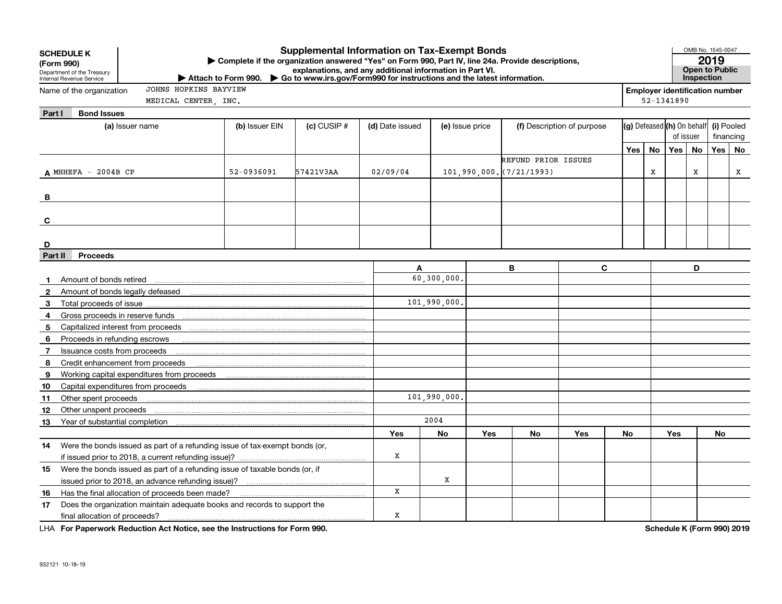|                | <b>Supplemental Information on Tax-Exempt Bonds</b><br><b>SCHEDULE K</b><br>Complete if the organization answered "Yes" on Form 990, Part IV, line 24a. Provide descriptions,<br>(Form 990)<br>explanations, and any additional information in Part VI.<br>Department of the Treasury<br>Attach to Form 990. Co to www.irs.gov/Form990 for instructions and the latest information.<br>Internal Revenue Service |                |                 |                 |                 |     |                              |     |                            |            | OMB No. 1545-0047<br>2019<br><b>Open to Public</b><br>Inspection |                                       |           |   |  |
|----------------|-----------------------------------------------------------------------------------------------------------------------------------------------------------------------------------------------------------------------------------------------------------------------------------------------------------------------------------------------------------------------------------------------------------------|----------------|-----------------|-----------------|-----------------|-----|------------------------------|-----|----------------------------|------------|------------------------------------------------------------------|---------------------------------------|-----------|---|--|
|                | JOHNS HOPKINS BAYVIEW<br>Name of the organization                                                                                                                                                                                                                                                                                                                                                               |                |                 |                 |                 |     |                              |     |                            |            |                                                                  | <b>Employer identification number</b> |           |   |  |
|                | MEDICAL CENTER, INC.                                                                                                                                                                                                                                                                                                                                                                                            |                |                 |                 |                 |     |                              |     |                            | 52-1341890 |                                                                  |                                       |           |   |  |
| Part I         | <b>Bond Issues</b>                                                                                                                                                                                                                                                                                                                                                                                              |                |                 |                 |                 |     |                              |     |                            |            |                                                                  |                                       |           |   |  |
|                | (a) Issuer name                                                                                                                                                                                                                                                                                                                                                                                                 | (b) Issuer EIN | $(c)$ CUSIP $#$ | (d) Date issued | (e) Issue price |     | (f) Description of purpose   |     | (g) Defeased (h) On behalf | of issuer  |                                                                  | (i) Pooled<br>financing               |           |   |  |
|                |                                                                                                                                                                                                                                                                                                                                                                                                                 |                |                 |                 |                 |     |                              |     |                            | No         | Yes No                                                           |                                       | Yes   No  |   |  |
|                |                                                                                                                                                                                                                                                                                                                                                                                                                 |                |                 |                 |                 |     | REFUND PRIOR ISSUES          |     | Yes                        |            |                                                                  |                                       |           |   |  |
|                | $A$ MHHEFA - 2004B CP                                                                                                                                                                                                                                                                                                                                                                                           | 52-0936091     | 57421V3AA       | 02/09/04        |                 |     | $101,990,000,$ $(7/21/1993)$ |     |                            |            |                                                                  | X                                     |           | х |  |
|                |                                                                                                                                                                                                                                                                                                                                                                                                                 |                |                 |                 |                 |     |                              |     |                            |            |                                                                  |                                       |           |   |  |
| В              |                                                                                                                                                                                                                                                                                                                                                                                                                 |                |                 |                 |                 |     |                              |     |                            |            |                                                                  |                                       |           |   |  |
|                |                                                                                                                                                                                                                                                                                                                                                                                                                 |                |                 |                 |                 |     |                              |     |                            |            |                                                                  |                                       |           |   |  |
| C              |                                                                                                                                                                                                                                                                                                                                                                                                                 |                |                 |                 |                 |     |                              |     |                            |            |                                                                  |                                       |           |   |  |
|                |                                                                                                                                                                                                                                                                                                                                                                                                                 |                |                 |                 |                 |     |                              |     |                            |            |                                                                  |                                       |           |   |  |
| D              |                                                                                                                                                                                                                                                                                                                                                                                                                 |                |                 |                 |                 |     |                              |     |                            |            |                                                                  |                                       |           |   |  |
| Part II        | <b>Proceeds</b>                                                                                                                                                                                                                                                                                                                                                                                                 |                |                 |                 |                 |     |                              |     |                            |            |                                                                  |                                       |           |   |  |
|                |                                                                                                                                                                                                                                                                                                                                                                                                                 |                |                 | A               |                 |     | B<br>C                       |     |                            |            |                                                                  | D                                     |           |   |  |
| $\mathbf{1}$   | Amount of bonds retired                                                                                                                                                                                                                                                                                                                                                                                         |                |                 |                 | 60,300,000.     |     |                              |     |                            |            |                                                                  |                                       |           |   |  |
| $\mathbf{2}$   | Amount of bonds legally defeased <b>construction</b> and an amount of bonds legally defeased                                                                                                                                                                                                                                                                                                                    |                |                 |                 |                 |     |                              |     |                            |            |                                                                  |                                       |           |   |  |
| 3              | Total proceeds of issue                                                                                                                                                                                                                                                                                                                                                                                         |                |                 |                 | 101,990,000,    |     |                              |     |                            |            |                                                                  |                                       |           |   |  |
| 4              |                                                                                                                                                                                                                                                                                                                                                                                                                 |                |                 |                 |                 |     |                              |     |                            |            |                                                                  |                                       |           |   |  |
| 5              |                                                                                                                                                                                                                                                                                                                                                                                                                 |                |                 |                 |                 |     |                              |     |                            |            |                                                                  |                                       |           |   |  |
| 6              | Proceeds in refunding escrows                                                                                                                                                                                                                                                                                                                                                                                   |                |                 |                 |                 |     |                              |     |                            |            |                                                                  |                                       |           |   |  |
| $\overline{7}$ | Issuance costs from proceeds                                                                                                                                                                                                                                                                                                                                                                                    |                |                 |                 |                 |     |                              |     |                            |            |                                                                  |                                       |           |   |  |
| 8              | Credit enhancement from proceeds                                                                                                                                                                                                                                                                                                                                                                                |                |                 |                 |                 |     |                              |     |                            |            |                                                                  |                                       |           |   |  |
| 9              |                                                                                                                                                                                                                                                                                                                                                                                                                 |                |                 |                 |                 |     |                              |     |                            |            |                                                                  |                                       |           |   |  |
| 10<br>11       | Other spent proceeds                                                                                                                                                                                                                                                                                                                                                                                            |                |                 |                 | 101,990,000,    |     |                              |     |                            |            |                                                                  |                                       |           |   |  |
| 12             | Other unspent proceeds                                                                                                                                                                                                                                                                                                                                                                                          |                |                 |                 |                 |     |                              |     |                            |            |                                                                  |                                       |           |   |  |
| 13             |                                                                                                                                                                                                                                                                                                                                                                                                                 |                |                 |                 | 2004            |     |                              |     |                            |            |                                                                  |                                       |           |   |  |
|                |                                                                                                                                                                                                                                                                                                                                                                                                                 |                |                 | Yes             | No              | Yes | <b>No</b>                    | Yes | No                         |            | Yes                                                              |                                       | <b>No</b> |   |  |
| 14             | Were the bonds issued as part of a refunding issue of tax-exempt bonds (or,                                                                                                                                                                                                                                                                                                                                     |                |                 |                 |                 |     |                              |     |                            |            |                                                                  |                                       |           |   |  |
|                |                                                                                                                                                                                                                                                                                                                                                                                                                 |                |                 | X               |                 |     |                              |     |                            |            |                                                                  |                                       |           |   |  |
| 15             | Were the bonds issued as part of a refunding issue of taxable bonds (or, if                                                                                                                                                                                                                                                                                                                                     |                |                 |                 |                 |     |                              |     |                            |            |                                                                  |                                       |           |   |  |
|                |                                                                                                                                                                                                                                                                                                                                                                                                                 |                |                 |                 | X               |     |                              |     |                            |            |                                                                  |                                       |           |   |  |
| 16             | Has the final allocation of proceeds been made?                                                                                                                                                                                                                                                                                                                                                                 |                |                 | X               |                 |     |                              |     |                            |            |                                                                  |                                       |           |   |  |
| 17             | Does the organization maintain adequate books and records to support the                                                                                                                                                                                                                                                                                                                                        |                |                 |                 |                 |     |                              |     |                            |            |                                                                  |                                       |           |   |  |
|                | final allocation of proceeds?                                                                                                                                                                                                                                                                                                                                                                                   | x              |                 |                 |                 |     |                              |     |                            |            |                                                                  |                                       |           |   |  |

**For Paperwork Reduction Act Notice, see the Instructions for Form 990. Schedule K (Form 990) 2019** LHA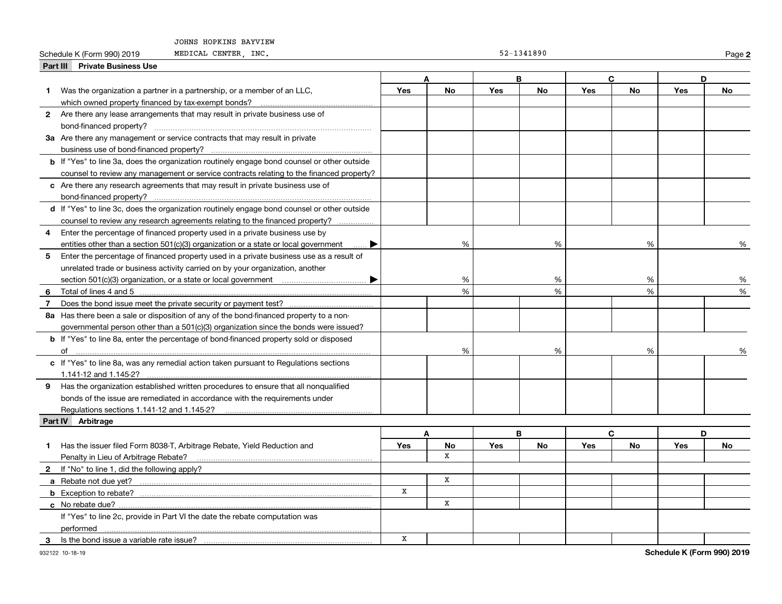#### JOHNS HOPKINS BAYVIEW

#### Schedule K (Form 990) 2019 MEDICAL CENTER, INC.

|  |  |  | 52-1341890 |  |  |
|--|--|--|------------|--|--|
|  |  |  |            |  |  |

**2**

|   | Part III Private Business Use                                                                      |             |               |            |    |            |           |            |    |
|---|----------------------------------------------------------------------------------------------------|-------------|---------------|------------|----|------------|-----------|------------|----|
|   |                                                                                                    |             |               |            | R  |            | C         |            | D  |
| 1 | Was the organization a partner in a partnership, or a member of an LLC,                            | Yes         | No            | Yes        | No | Yes        | <b>No</b> | Yes        | No |
|   |                                                                                                    |             |               |            |    |            |           |            |    |
|   | 2 Are there any lease arrangements that may result in private business use of                      |             |               |            |    |            |           |            |    |
|   | bond-financed property?                                                                            |             |               |            |    |            |           |            |    |
|   | 3a Are there any management or service contracts that may result in private                        |             |               |            |    |            |           |            |    |
|   | business use of bond-financed property?                                                            |             |               |            |    |            |           |            |    |
|   | <b>b</b> If "Yes" to line 3a, does the organization routinely engage bond counsel or other outside |             |               |            |    |            |           |            |    |
|   | counsel to review any management or service contracts relating to the financed property?           |             |               |            |    |            |           |            |    |
|   | c Are there any research agreements that may result in private business use of                     |             |               |            |    |            |           |            |    |
|   | bond-financed property?                                                                            |             |               |            |    |            |           |            |    |
|   | d If "Yes" to line 3c, does the organization routinely engage bond counsel or other outside        |             |               |            |    |            |           |            |    |
|   | counsel to review any research agreements relating to the financed property?                       |             |               |            |    |            |           |            |    |
| 4 | Enter the percentage of financed property used in a private business use by                        |             |               |            |    |            |           |            |    |
|   | entities other than a section 501(c)(3) organization or a state or local government<br>▶           |             | %             |            | %  |            | %         |            | %  |
| 5 | Enter the percentage of financed property used in a private business use as a result of            |             |               |            |    |            |           |            |    |
|   | unrelated trade or business activity carried on by your organization, another                      |             |               |            |    |            |           |            |    |
|   |                                                                                                    |             | %             |            | %  |            | %         |            | %  |
| 6 |                                                                                                    |             | $\frac{1}{2}$ |            | %  |            | %         |            | %  |
| 7 |                                                                                                    |             |               |            |    |            |           |            |    |
|   | 8a Has there been a sale or disposition of any of the bond-financed property to a non-             |             |               |            |    |            |           |            |    |
|   | governmental person other than a 501(c)(3) organization since the bonds were issued?               |             |               |            |    |            |           |            |    |
|   | b If "Yes" to line 8a, enter the percentage of bond-financed property sold or disposed             |             |               |            |    |            |           |            |    |
|   |                                                                                                    |             | %             |            | %  |            | %         |            |    |
|   | c If "Yes" to line 8a, was any remedial action taken pursuant to Regulations sections              |             |               |            |    |            |           |            |    |
|   |                                                                                                    |             |               |            |    |            |           |            |    |
|   | 9 Has the organization established written procedures to ensure that all nonqualified              |             |               |            |    |            |           |            |    |
|   | bonds of the issue are remediated in accordance with the requirements under                        |             |               |            |    |            |           |            |    |
|   |                                                                                                    |             |               |            |    |            |           |            |    |
|   | Part IV Arbitrage                                                                                  |             |               |            |    |            |           |            |    |
|   |                                                                                                    |             | A             |            | B  |            | C         |            | D  |
| 1 | Has the issuer filed Form 8038-T, Arbitrage Rebate, Yield Reduction and                            | Yes         | No            | <b>Yes</b> | No | <b>Yes</b> | No        | <b>Yes</b> | No |
|   | Penalty in Lieu of Arbitrage Rebate?                                                               |             | X             |            |    |            |           |            |    |
|   | 2 If "No" to line 1, did the following apply?                                                      |             |               |            |    |            |           |            |    |
|   |                                                                                                    |             | x             |            |    |            |           |            |    |
|   | <b>b</b> Exception to rebate?                                                                      | X           |               |            |    |            |           |            |    |
|   |                                                                                                    |             | X             |            |    |            |           |            |    |
|   | If "Yes" to line 2c, provide in Part VI the date the rebate computation was                        |             |               |            |    |            |           |            |    |
|   | performed                                                                                          |             |               |            |    |            |           |            |    |
| 3 | Is the bond issue a variable rate issue?                                                           | $\mathbf x$ |               |            |    |            |           |            |    |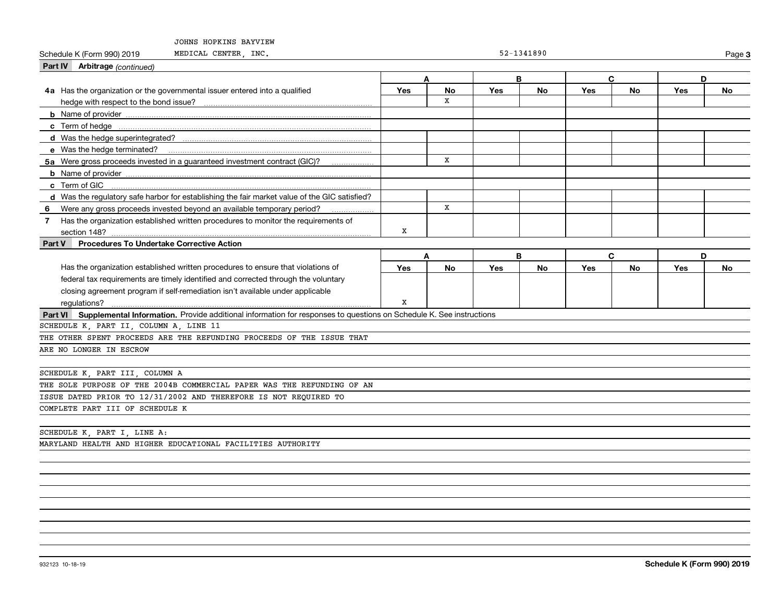| JOHNS HOPKINS BAYVIEW                                                                                                       |             |           |     |            |     |              |     |           |  |
|-----------------------------------------------------------------------------------------------------------------------------|-------------|-----------|-----|------------|-----|--------------|-----|-----------|--|
| MEDICAL CENTER, INC.<br>Schedule K (Form 990) 2019                                                                          |             |           |     | 52-1341890 |     |              |     | Page 3    |  |
| <b>Part IV</b> Arbitrage (continued)                                                                                        |             |           |     |            |     |              |     |           |  |
|                                                                                                                             |             | A         | B   |            |     | $\mathbf{C}$ |     | D         |  |
| 4a Has the organization or the governmental issuer entered into a qualified                                                 | Yes         | <b>No</b> | Yes | <b>No</b>  | Yes | <b>No</b>    | Yes | <b>No</b> |  |
| hedge with respect to the bond issue?                                                                                       |             | X         |     |            |     |              |     |           |  |
|                                                                                                                             |             |           |     |            |     |              |     |           |  |
|                                                                                                                             |             |           |     |            |     |              |     |           |  |
|                                                                                                                             |             |           |     |            |     |              |     |           |  |
|                                                                                                                             |             |           |     |            |     |              |     |           |  |
| 5a Were gross proceeds invested in a guaranteed investment contract (GIC)?                                                  |             | x         |     |            |     |              |     |           |  |
|                                                                                                                             |             |           |     |            |     |              |     |           |  |
|                                                                                                                             |             |           |     |            |     |              |     |           |  |
| d Was the regulatory safe harbor for establishing the fair market value of the GIC satisfied?                               |             |           |     |            |     |              |     |           |  |
| 6 Were any gross proceeds invested beyond an available temporary period?                                                    |             | x         |     |            |     |              |     |           |  |
| 7 Has the organization established written procedures to monitor the requirements of                                        |             |           |     |            |     |              |     |           |  |
| section 148?                                                                                                                | X           |           |     |            |     |              |     |           |  |
| <b>Procedures To Undertake Corrective Action</b><br>Part V                                                                  |             |           |     |            |     |              |     |           |  |
|                                                                                                                             |             | A         | B   |            |     | $\mathbf{C}$ | D   |           |  |
| Has the organization established written procedures to ensure that violations of                                            | <b>Yes</b>  | No        | Yes | No         | Yes | No           | Yes | No        |  |
| federal tax requirements are timely identified and corrected through the voluntary                                          |             |           |     |            |     |              |     |           |  |
| closing agreement program if self-remediation isn't available under applicable                                              |             |           |     |            |     |              |     |           |  |
| regulations?                                                                                                                | $\mathbf X$ |           |     |            |     |              |     |           |  |
| Part VI Supplemental Information. Provide additional information for responses to questions on Schedule K. See instructions |             |           |     |            |     |              |     |           |  |
| SCHEDULE K, PART II, COLUMN A, LINE 11                                                                                      |             |           |     |            |     |              |     |           |  |
| THE OTHER SPENT PROCEEDS ARE THE REFUNDING PROCEEDS OF THE ISSUE THAT                                                       |             |           |     |            |     |              |     |           |  |
| ARE NO LONGER IN ESCROW                                                                                                     |             |           |     |            |     |              |     |           |  |
|                                                                                                                             |             |           |     |            |     |              |     |           |  |
| SCHEDULE K, PART III, COLUMN A                                                                                              |             |           |     |            |     |              |     |           |  |
| THE SOLE PURPOSE OF THE 2004B COMMERCIAL PAPER WAS THE REFUNDING OF AN                                                      |             |           |     |            |     |              |     |           |  |
| ISSUE DATED PRIOR TO 12/31/2002 AND THEREFORE IS NOT REQUIRED TO                                                            |             |           |     |            |     |              |     |           |  |
| COMPLETE PART III OF SCHEDULE K                                                                                             |             |           |     |            |     |              |     |           |  |
|                                                                                                                             |             |           |     |            |     |              |     |           |  |
| SCHEDULE K, PART I, LINE A:                                                                                                 |             |           |     |            |     |              |     |           |  |
| MARYLAND HEALTH AND HIGHER EDUCATIONAL FACILITIES AUTHORITY                                                                 |             |           |     |            |     |              |     |           |  |
|                                                                                                                             |             |           |     |            |     |              |     |           |  |
|                                                                                                                             |             |           |     |            |     |              |     |           |  |
|                                                                                                                             |             |           |     |            |     |              |     |           |  |
|                                                                                                                             |             |           |     |            |     |              |     |           |  |
|                                                                                                                             |             |           |     |            |     |              |     |           |  |
|                                                                                                                             |             |           |     |            |     |              |     |           |  |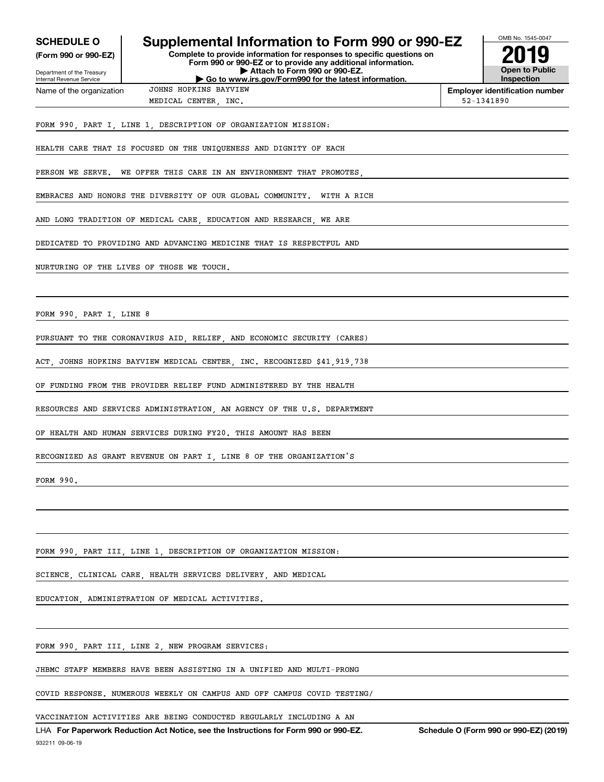| <b>SCHEDULE O</b><br>(Form 990 or 990-EZ) | Supplemental Information to Form 990 or 990-EZ                                                | OMB No. 1545-0047 |                                       |  |  |
|-------------------------------------------|-----------------------------------------------------------------------------------------------|-------------------|---------------------------------------|--|--|
| Department of the Treasury                | Form 990 or 990-EZ or to provide any additional information.<br>Attach to Form 990 or 990-EZ. |                   | <b>Open to Public</b>                 |  |  |
| Internal Revenue Service                  | Go to www.irs.gov/Form990 for the latest information.                                         |                   | <b>Inspection</b>                     |  |  |
| Name of the organization                  | JOHNS HOPKINS BAYVIEW                                                                         |                   | <b>Employer identification number</b> |  |  |
|                                           | MEDICAL CENTER, INC.                                                                          | 52-1341890        |                                       |  |  |
|                                           | FORM 990, PART I, LINE 1, DESCRIPTION OF ORGANIZATION MISSION:                                |                   |                                       |  |  |
|                                           | HEALTH CARE THAT IS FOCUSED ON THE UNIQUENESS AND DIGNITY OF EACH                             |                   |                                       |  |  |
| PERSON WE SERVE.                          | WE OFFER THIS CARE IN AN ENVIRONMENT THAT PROMOTES                                            |                   |                                       |  |  |
|                                           | EMBRACES AND HONORS THE DIVERSITY OF OUR GLOBAL COMMUNITY.<br>WITH A RICH                     |                   |                                       |  |  |
|                                           | AND LONG TRADITION OF MEDICAL CARE, EDUCATION AND RESEARCH, WE ARE                            |                   |                                       |  |  |
|                                           | DEDICATED TO PROVIDING AND ADVANCING MEDICINE THAT IS RESPECTFUL AND                          |                   |                                       |  |  |
|                                           | NURTURING OF THE LIVES OF THOSE WE TOUCH.                                                     |                   |                                       |  |  |
|                                           |                                                                                               |                   |                                       |  |  |
| FORM 990, PART I, LINE 8                  |                                                                                               |                   |                                       |  |  |
|                                           | PURSUANT TO THE CORONAVIRUS AID, RELIEF, AND ECONOMIC SECURITY (CARES)                        |                   |                                       |  |  |
| ACT.                                      | JOHNS HOPKINS BAYVIEW MEDICAL CENTER, INC. RECOGNIZED \$41,919,738                            |                   |                                       |  |  |
|                                           | OF FUNDING FROM THE PROVIDER RELIEF FUND ADMINISTERED BY THE HEALTH                           |                   |                                       |  |  |
|                                           | RESOURCES AND SERVICES ADMINISTRATION, AN AGENCY OF THE U.S. DEPARTMENT                       |                   |                                       |  |  |
|                                           | OF HEALTH AND HUMAN SERVICES DURING FY20. THIS AMOUNT HAS BEEN                                |                   |                                       |  |  |
|                                           | RECOGNIZED AS GRANT REVENUE ON PART I, LINE 8 OF THE ORGANIZATION'S                           |                   |                                       |  |  |
| FORM 990.                                 |                                                                                               |                   |                                       |  |  |
|                                           |                                                                                               |                   |                                       |  |  |
|                                           |                                                                                               |                   |                                       |  |  |
|                                           | FORM 990, PART III, LINE 1, DESCRIPTION OF ORGANIZATION MISSION:                              |                   |                                       |  |  |
|                                           | SCIENCE, CLINICAL CARE, HEALTH SERVICES DELIVERY, AND MEDICAL                                 |                   |                                       |  |  |
|                                           | EDUCATION, ADMINISTRATION OF MEDICAL ACTIVITIES.                                              |                   |                                       |  |  |
|                                           |                                                                                               |                   |                                       |  |  |
|                                           | FORM 990, PART III, LINE 2, NEW PROGRAM SERVICES:                                             |                   |                                       |  |  |
|                                           | JHBMC STAFF MEMBERS HAVE BEEN ASSISTING IN A UNIFIED AND MULTI-PRONG                          |                   |                                       |  |  |
|                                           | COVID RESPONSE. NUMEROUS WEEKLY ON CAMPUS AND OFF CAMPUS COVID TESTING/                       |                   |                                       |  |  |

VACCINATION ACTIVITIES ARE BEING CONDUCTED REGULARLY INCLUDING A AN

932211 09-06-19 LHA For Paperwork Reduction Act Notice, see the Instructions for Form 990 or 990-EZ. Schedule O (Form 990 or 990-EZ) (2019)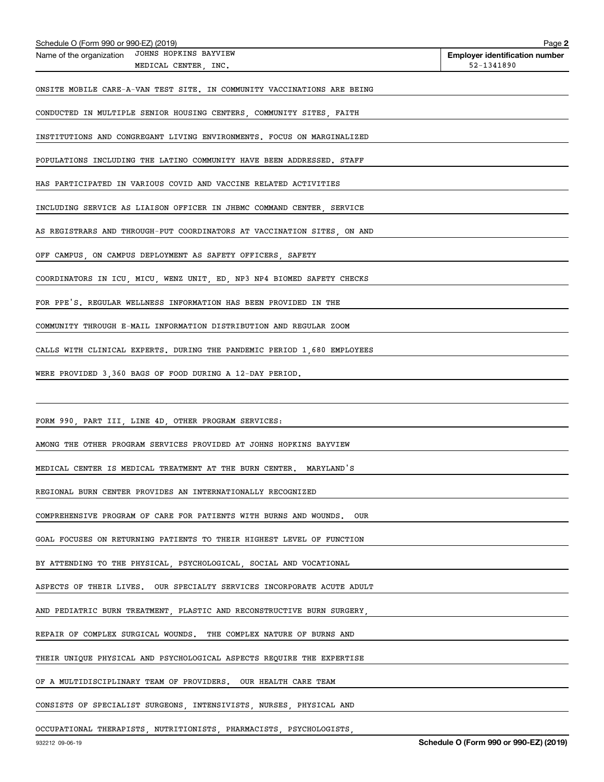| Schedule O (Form 990 or 990-EZ) (2019)                                                 | Page 2                                              |
|----------------------------------------------------------------------------------------|-----------------------------------------------------|
| Name of the organization JOHNS HOPKINS BAYVIEW<br>MEDICAL CENTER, INC.                 | <b>Employer identification number</b><br>52-1341890 |
|                                                                                        |                                                     |
| ONSITE MOBILE CARE-A-VAN TEST SITE. IN COMMUNITY VACCINATIONS ARE BEING                |                                                     |
| CONDUCTED IN MULTIPLE SENIOR HOUSING CENTERS, COMMUNITY SITES, FAITH                   |                                                     |
|                                                                                        |                                                     |
| INSTITUTIONS AND CONGREGANT LIVING ENVIRONMENTS. FOCUS ON MARGINALIZED                 |                                                     |
| POPULATIONS INCLUDING THE LATINO COMMUNITY HAVE BEEN ADDRESSED. STAFF                  |                                                     |
| HAS PARTICIPATED IN VARIOUS COVID AND VACCINE RELATED ACTIVITIES                       |                                                     |
|                                                                                        |                                                     |
| INCLUDING SERVICE AS LIAISON OFFICER IN JHBMC COMMAND CENTER, SERVICE                  |                                                     |
| AS REGISTRARS AND THROUGH-PUT COORDINATORS AT VACCINATION SITES, ON AND                |                                                     |
|                                                                                        |                                                     |
| OFF CAMPUS, ON CAMPUS DEPLOYMENT AS SAFETY OFFICERS, SAFETY                            |                                                     |
| COORDINATORS IN ICU, MICU, WENZ UNIT, ED, NP3 NP4 BIOMED SAFETY CHECKS                 |                                                     |
| FOR PPE'S. REGULAR WELLNESS INFORMATION HAS BEEN PROVIDED IN THE                       |                                                     |
|                                                                                        |                                                     |
| COMMUNITY THROUGH E-MAIL INFORMATION DISTRIBUTION AND REGULAR ZOOM                     |                                                     |
| CALLS WITH CLINICAL EXPERTS. DURING THE PANDEMIC PERIOD 1,680 EMPLOYEES                |                                                     |
| WERE PROVIDED 3,360 BAGS OF FOOD DURING A 12-DAY PERIOD.                               |                                                     |
|                                                                                        |                                                     |
|                                                                                        |                                                     |
| FORM 990, PART III, LINE 4D, OTHER PROGRAM SERVICES:                                   |                                                     |
| AMONG THE OTHER PROGRAM SERVICES PROVIDED AT JOHNS HOPKINS BAYVIEW                     |                                                     |
|                                                                                        |                                                     |
| MEDICAL CENTER IS MEDICAL TREATMENT AT THE BURN CENTER. MARYLAND'S                     |                                                     |
| REGIONAL BURN CENTER PROVIDES AN INTERNATIONALLY RECOGNIZED                            |                                                     |
| COMPREHENSIVE PROGRAM OF CARE FOR PATIENTS WITH BURNS AND WOUNDS.<br>0UR.              |                                                     |
|                                                                                        |                                                     |
| GOAL FOCUSES ON RETURNING PATIENTS TO THEIR HIGHEST LEVEL OF FUNCTION                  |                                                     |
| BY ATTENDING TO THE PHYSICAL, PSYCHOLOGICAL, SOCIAL AND VOCATIONAL                     |                                                     |
| ASPECTS OF THEIR LIVES. OUR SPECIALTY SERVICES INCORPORATE ACUTE ADULT                 |                                                     |
|                                                                                        |                                                     |
| AND PEDIATRIC BURN TREATMENT, PLASTIC AND RECONSTRUCTIVE BURN SURGERY,                 |                                                     |
| REPAIR OF COMPLEX SURGICAL WOUNDS. THE COMPLEX NATURE OF BURNS AND                     |                                                     |
|                                                                                        |                                                     |
| THEIR UNIQUE PHYSICAL AND PSYCHOLOGICAL ASPECTS REQUIRE THE EXPERTISE                  |                                                     |
| OF A MULTIDISCIPLINARY TEAM OF PROVIDERS. OUR HEALTH CARE TEAM                         |                                                     |
| CONSISTS OF SPECIALIST SURGEONS, INTENSIVISTS, NURSES, PHYSICAL AND                    |                                                     |
|                                                                                        |                                                     |
| OCCUPATIONAL THERAPISTS, NUTRITIONISTS, PHARMACISTS, PSYCHOLOGISTS,<br>932212 09-06-19 | Schedule O (Form 990 or 990-EZ) (2019)              |
|                                                                                        |                                                     |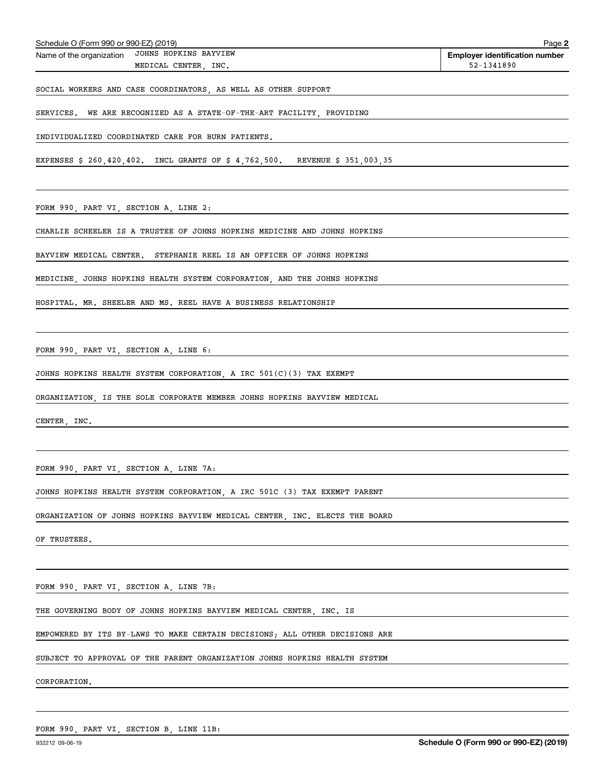| Schedule O (Form 990 or 990-EZ) (2019)                                      | Page:                                               |
|-----------------------------------------------------------------------------|-----------------------------------------------------|
| JOHNS HOPKINS BAYVIEW<br>Name of the organization                           | <b>Employer identification number</b><br>52-1341890 |
| MEDICAL CENTER, INC.                                                        |                                                     |
| SOCIAL WORKERS AND CASE COORDINATORS, AS WELL AS OTHER SUPPORT              |                                                     |
| WE ARE RECOGNIZED AS A STATE-OF-THE-ART FACILITY, PROVIDING<br>SERVICES.    |                                                     |
| INDIVIDUALIZED COORDINATED CARE FOR BURN PATIENTS.                          |                                                     |
| EXPENSES \$ 260,420,402. INCL GRANTS OF \$ 4,762,500. REVENUE \$ 351,003,35 |                                                     |
| FORM 990, PART VI, SECTION A, LINE 2:                                       |                                                     |
| CHARLIE SCHEELER IS A TRUSTEE OF JOHNS HOPKINS MEDICINE AND JOHNS HOPKINS   |                                                     |
| BAYVIEW MEDICAL CENTER. STEPHANIE REEL IS AN OFFICER OF JOHNS HOPKINS       |                                                     |
| MEDICINE, JOHNS HOPKINS HEALTH SYSTEM CORPORATION, AND THE JOHNS HOPKINS    |                                                     |
| HOSPITAL. MR. SHEELER AND MS. REEL HAVE A BUSINESS RELATIONSHIP             |                                                     |
|                                                                             |                                                     |
| FORM 990, PART VI, SECTION A, LINE 6:                                       |                                                     |
| JOHNS HOPKINS HEALTH SYSTEM CORPORATION, A IRC 501(C)(3) TAX EXEMPT         |                                                     |
| ORGANIZATION, IS THE SOLE CORPORATE MEMBER JOHNS HOPKINS BAYVIEW MEDICAL    |                                                     |
| CENTER, INC.                                                                |                                                     |
|                                                                             |                                                     |
| FORM 990, PART VI, SECTION A, LINE 7A:                                      |                                                     |
| JOHNS HOPKINS HEALTH SYSTEM CORPORATION, A IRC 501C (3) TAX EXEMPT PARENT   |                                                     |
| ORGANIZATION OF JOHNS HOPKINS BAYVIEW MEDICAL CENTER, INC. ELECTS THE BOARD |                                                     |
| OF TRUSTEES.                                                                |                                                     |

FORM 990, PART VI, SECTION A, LINE 7B:

THE GOVERNING BODY OF JOHNS HOPKINS BAYVIEW MEDICAL CENTER, INC. IS

EMPOWERED BY ITS BY-LAWS TO MAKE CERTAIN DECISIONS; ALL OTHER DECISIONS ARE

SUBJECT TO APPROVAL OF THE PARENT ORGANIZATION JOHNS HOPKINS HEALTH SYSTEM

CORPORATION.

FORM 990, PART VI, SECTION B, LINE 11B:

**2**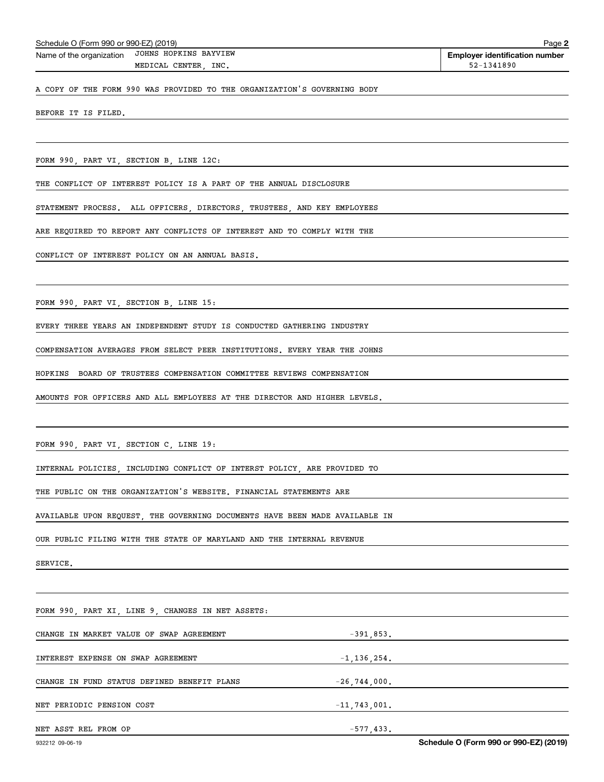| Schedule O (Form 990 or 990-EZ) (2019) |  |  |  |  |
|----------------------------------------|--|--|--|--|
|----------------------------------------|--|--|--|--|

**Employer identification number** Schedule O (Form 990 or 990-EZ) (2019) Page Name of the organization JOHNS HOPKINS BAYVIEW

MEDICAL CENTER, INC. 52-1341890

**2**

A COPY OF THE FORM 990 WAS PROVIDED TO THE ORGANIZATION'S GOVERNING BODY

BEFORE IT IS FILED.

FORM 990, PART VI, SECTION B, LINE 12C:

THE CONFLICT OF INTEREST POLICY IS A PART OF THE ANNUAL DISCLOSURE

STATEMENT PROCESS. ALL OFFICERS, DIRECTORS, TRUSTEES, AND KEY EMPLOYEES

ARE REQUIRED TO REPORT ANY CONFLICTS OF INTEREST AND TO COMPLY WITH THE

CONFLICT OF INTEREST POLICY ON AN ANNUAL BASIS.

FORM 990, PART VI, SECTION B, LINE 15:

EVERY THREE YEARS AN INDEPENDENT STUDY IS CONDUCTED GATHERING INDUSTRY

COMPENSATION AVERAGES FROM SELECT PEER INSTITUTIONS. EVERY YEAR THE JOHNS

HOPKINS BOARD OF TRUSTEES COMPENSATION COMMITTEE REVIEWS COMPENSATION

AMOUNTS FOR OFFICERS AND ALL EMPLOYEES AT THE DIRECTOR AND HIGHER LEVELS.

FORM 990, PART VI, SECTION C, LINE 19:

INTERNAL POLICIES, INCLUDING CONFLICT OF INTERST POLICY, ARE PROVIDED TO

THE PUBLIC ON THE ORGANIZATION'S WEBSITE. FINANCIAL STATEMENTS ARE

AVAILABLE UPON REQUEST, THE GOVERNING DOCUMENTS HAVE BEEN MADE AVAILABLE IN

OUR PUBLIC FILING WITH THE STATE OF MARYLAND AND THE INTERNAL REVENUE

SERVICE.

FORM 990, PART XI, LINE 9, CHANGES IN NET ASSETS: CHANGE IN MARKET VALUE OF SWAP AGREEMENT **1990** -391,853. INTEREST EXPENSE ON SWAP AGREEMENT FOR A SERIES AND THE SERIES AND ALL 136, 254. CHANGE IN FUND STATUS DEFINED BENEFIT PLANS  $-26,744,000$ . NET PERIODIC PENSION COST  $-11,743,001$ . NET ASST REL FROM OP  $-577,433$ .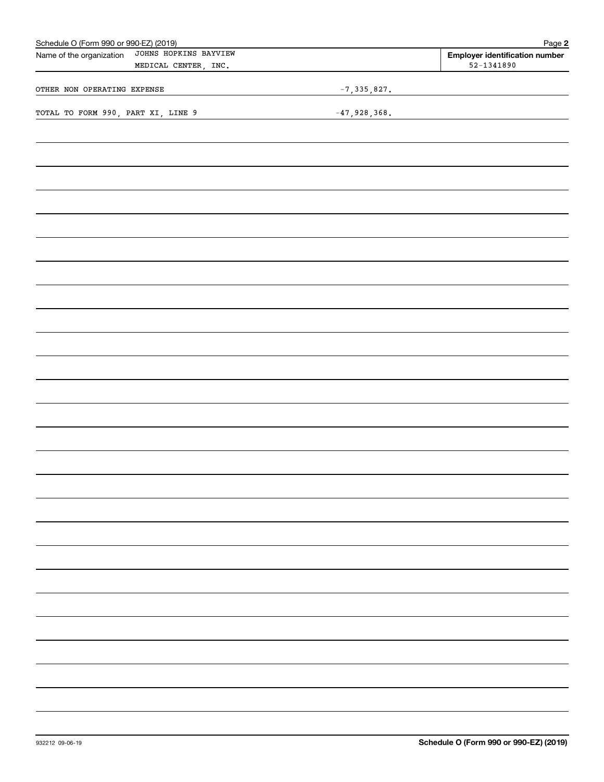| Schedule O (Form 990 or 990-EZ) (2019)                                    |                 | Page 2                                                  |
|---------------------------------------------------------------------------|-----------------|---------------------------------------------------------|
| JOHNS HOPKINS BAYVIEW<br>Name of the organization<br>MEDICAL CENTER, INC. |                 | <b>Employer identification number</b><br>$52 - 1341890$ |
| OTHER NON OPERATING EXPENSE                                               | $-7, 335, 827.$ |                                                         |
| TOTAL TO FORM 990, PART XI, LINE 9                                        | $-47,928,368.$  |                                                         |
|                                                                           |                 |                                                         |
|                                                                           |                 |                                                         |
|                                                                           |                 |                                                         |
|                                                                           |                 |                                                         |
|                                                                           |                 |                                                         |
|                                                                           |                 |                                                         |
|                                                                           |                 |                                                         |
|                                                                           |                 |                                                         |
|                                                                           |                 |                                                         |
|                                                                           |                 |                                                         |
|                                                                           |                 |                                                         |
|                                                                           |                 |                                                         |
|                                                                           |                 |                                                         |
|                                                                           |                 |                                                         |
|                                                                           |                 |                                                         |
|                                                                           |                 |                                                         |
|                                                                           |                 |                                                         |
|                                                                           |                 |                                                         |
|                                                                           |                 |                                                         |
|                                                                           |                 |                                                         |
|                                                                           |                 |                                                         |
|                                                                           |                 |                                                         |
|                                                                           |                 |                                                         |
|                                                                           |                 |                                                         |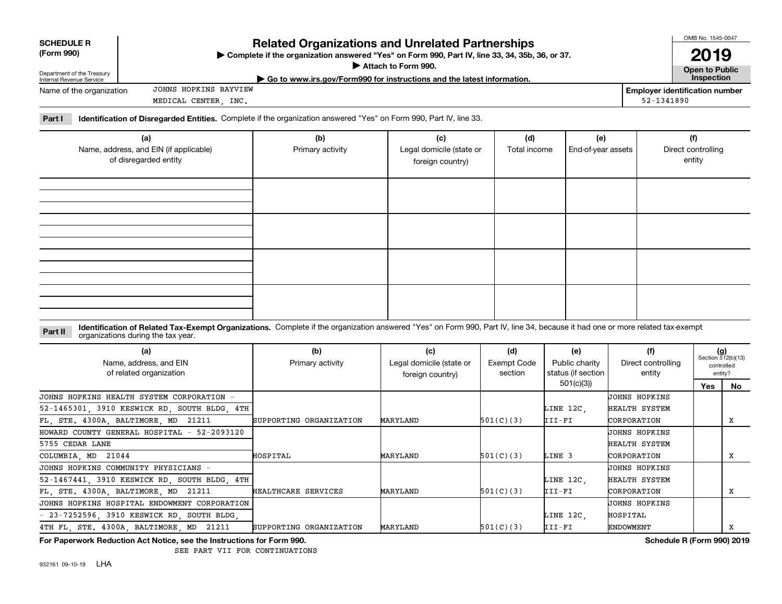| <b>SCHEDULE R</b><br>(Form 990)<br>Department of the Treasury<br>Internal Revenue Service                                       |                                                                                                                           | <b>Related Organizations and Unrelated Partnerships</b><br>► Complete if the organization answered "Yes" on Form 990, Part IV, line 33, 34, 35b, 36, or 37.<br>Attach to Form 990.<br>$\triangleright$ Go to www.irs.gov/Form990 for instructions and the latest information. |                                                                |              |                    |                                    |  |  |
|---------------------------------------------------------------------------------------------------------------------------------|---------------------------------------------------------------------------------------------------------------------------|-------------------------------------------------------------------------------------------------------------------------------------------------------------------------------------------------------------------------------------------------------------------------------|----------------------------------------------------------------|--------------|--------------------|------------------------------------|--|--|
| JOHNS HOPKINS BAYVIEW<br><b>Employer identification number</b><br>Name of the organization<br>52-1341890<br>MEDICAL CENTER INC. |                                                                                                                           |                                                                                                                                                                                                                                                                               |                                                                |              |                    |                                    |  |  |
| Part I                                                                                                                          | <b>Identification of Disregarded Entities.</b> Complete if the organization answered "Yes" on Form 990, Part IV, line 33. |                                                                                                                                                                                                                                                                               |                                                                |              |                    |                                    |  |  |
|                                                                                                                                 | (a)                                                                                                                       | (b)                                                                                                                                                                                                                                                                           | (c)                                                            | (d)<br>(e)   |                    | (f)                                |  |  |
| Name, address, and EIN (if applicable)<br>of diorogordod optitu                                                                 |                                                                                                                           | Primary activity                                                                                                                                                                                                                                                              | Legal domicile (state or<br>$\sim$ $\sim$ $\sim$ $\sim$ $\sim$ | Total income | End-of-year assets | Direct controlling<br>$\sim$ ntity |  |  |

| of disregarded entity                                                           |                      | foreign country) |  | entity                                          |
|---------------------------------------------------------------------------------|----------------------|------------------|--|-------------------------------------------------|
|                                                                                 |                      |                  |  |                                                 |
|                                                                                 |                      |                  |  |                                                 |
|                                                                                 |                      |                  |  |                                                 |
|                                                                                 |                      |                  |  |                                                 |
|                                                                                 |                      |                  |  |                                                 |
|                                                                                 |                      |                  |  |                                                 |
|                                                                                 |                      |                  |  |                                                 |
|                                                                                 |                      |                  |  |                                                 |
| the contract of the contract of the contract of the contract of the contract of | $\sim$ $\sim$ $\sim$ |                  |  | the contract of the contract of the contract of |

#### **Identification of Related Tax-Exempt Organizations.** Complete if the organization answered "Yes" on Form 990, Part IV, line 34, because it had one or more related tax-exempt **Part II** organizations during the tax year.

| (a)<br>Name, address, and EIN<br>of related organization | (b)<br>Primary activity | (c)<br>Legal domicile (state or<br>foreign country) | (d)<br>Exempt Code<br>section | (e)<br>Public charity<br>status (if section | (f)<br>Direct controlling<br>entity | $(g)$<br>Section 512(b)(13) | controlled<br>entity? |
|----------------------------------------------------------|-------------------------|-----------------------------------------------------|-------------------------------|---------------------------------------------|-------------------------------------|-----------------------------|-----------------------|
|                                                          |                         |                                                     |                               | 501(c)(3)                                   |                                     | Yes                         | No                    |
| JOHNS HOPKINS HEALTH SYSTEM CORPORATION                  |                         |                                                     |                               |                                             | <b>JOHNS HOPKINS</b>                |                             |                       |
| 52-1465301, 3910 KESWICK RD, SOUTH BLDG, 4TH             |                         |                                                     |                               | LINE 12C,                                   | HEALTH SYSTEM                       |                             |                       |
| FL, STE. 4300A, BALTIMORE, MD 21211                      | SUPPORTING ORGANIZATION | MARYLAND                                            | 501(C)(3)                     | III-FI                                      | CORPORATION                         |                             | x                     |
| HOWARD COUNTY GENERAL HOSPITAL - 52-2093120              |                         |                                                     |                               |                                             | UOHNS HOPKINS                       |                             |                       |
| 5755 CEDAR LANE                                          |                         |                                                     |                               |                                             | HEALTH SYSTEM                       |                             |                       |
| COLUMBIA, MD 21044                                       | HOSPITAL                | MARYLAND                                            | 501(C)(3)                     | LINE 3                                      | CORPORATION                         |                             | х                     |
| JOHNS HOPKINS COMMUNITY PHYSICIANS -                     |                         |                                                     |                               |                                             | <b>JOHNS HOPKINS</b>                |                             |                       |
| 52-1467441, 3910 KESWICK RD, SOUTH BLDG, 4TH             |                         |                                                     |                               | LINE 12C.                                   | HEALTH SYSTEM                       |                             |                       |
| FL, STE. 4300A, BALTIMORE, MD 21211                      | HEALTHCARE SERVICES     | MARYLAND                                            | 501(C)(3)                     | III-FI                                      | CORPORATION                         |                             | х                     |
| JOHNS HOPKINS HOSPITAL ENDOWMENT CORPORATION             |                         |                                                     |                               |                                             | <b>JOHNS HOPKINS</b>                |                             |                       |
| - 23-7252596, 3910 KESWICK RD, SOUTH BLDG,               |                         |                                                     |                               | LINE 12C,                                   | HOSPITAL                            |                             |                       |
| 4TH FL. STE. 4300A. BALTIMORE. MD 21211                  | SUPPORTING ORGANIZATION | MARYLAND                                            | 501(C)(3)                     | III-FI                                      | <b>ENDOWMENT</b>                    |                             | x                     |

**For Paperwork Reduction Act Notice, see the Instructions for Form 990. Schedule R (Form 990) 2019**

SEE PART VII FOR CONTINUATIONS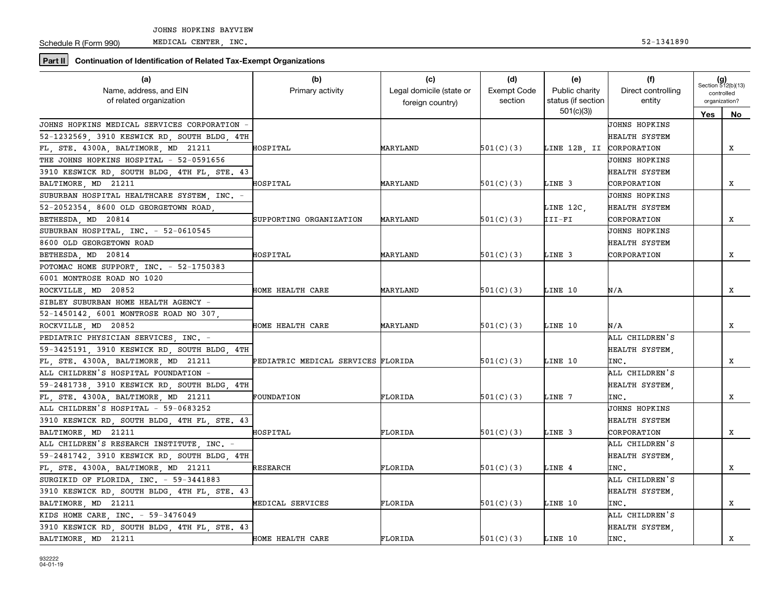Schedule R (Form 990)

**Part II** Continuation of Identification of Related Tax-Exempt Organizations

| (a)                                          | (b)                                | (c)                      | (d)                | (e)                      | (f)                | $(g)$<br>Section 512(b)(13) |               |
|----------------------------------------------|------------------------------------|--------------------------|--------------------|--------------------------|--------------------|-----------------------------|---------------|
| Name, address, and EIN                       | Primary activity                   | Legal domicile (state or | <b>Exempt Code</b> | Public charity           | Direct controlling |                             | controlled    |
| of related organization                      |                                    | foreign country)         | section            | status (if section       | entity             |                             | organization? |
|                                              |                                    |                          |                    | 501(c)(3)                |                    | Yes                         | No.           |
| JOHNS HOPKINS MEDICAL SERVICES CORPORATION   |                                    |                          |                    |                          | JOHNS HOPKINS      |                             |               |
| 52-1232569, 3910 KESWICK RD, SOUTH BLDG, 4TH |                                    |                          |                    |                          | HEALTH SYSTEM      |                             |               |
| FL, STE. 4300A, BALTIMORE, MD 21211          | HOSPITAL                           | MARYLAND                 | 501(C)(3)          | LINE 12B, II CORPORATION |                    |                             | x             |
| THE JOHNS HOPKINS HOSPITAL - 52-0591656      |                                    |                          |                    |                          | JOHNS HOPKINS      |                             |               |
| 3910 KESWICK RD, SOUTH BLDG, 4TH FL, STE. 43 |                                    |                          |                    |                          | HEALTH SYSTEM      |                             |               |
| BALTIMORE, MD 21211                          | HOSPITAL                           | MARYLAND                 | 501(C)(3)          | LINE 3                   | CORPORATION        |                             | x             |
| SUBURBAN HOSPITAL HEALTHCARE SYSTEM, INC. -  |                                    |                          |                    |                          | JOHNS HOPKINS      |                             |               |
| 52-2052354, 8600 OLD GEORGETOWN ROAD,        |                                    |                          |                    | LINE 12C.                | HEALTH SYSTEM      |                             |               |
| BETHESDA, MD 20814                           | SUPPORTING ORGANIZATION            | MARYLAND                 | 501(C)(3)          | III-FI                   | CORPORATION        |                             | x             |
| SUBURBAN HOSPITAL, INC. - 52-0610545         |                                    |                          |                    |                          | JOHNS HOPKINS      |                             |               |
| 8600 OLD GEORGETOWN ROAD                     |                                    |                          |                    |                          | HEALTH SYSTEM      |                             |               |
| BETHESDA, MD 20814                           | HOSPITAL                           | MARYLAND                 | 501(C)(3)          | LINE 3                   | CORPORATION        |                             | X             |
| POTOMAC HOME SUPPORT. INC. - 52-1750383      |                                    |                          |                    |                          |                    |                             |               |
| 6001 MONTROSE ROAD NO 1020                   |                                    |                          |                    |                          |                    |                             |               |
| ROCKVILLE, MD 20852                          | HOME HEALTH CARE                   | MARYLAND                 | 501(C)(3)          | LINE 10                  | N/A                |                             | x             |
| SIBLEY SUBURBAN HOME HEALTH AGENCY -         |                                    |                          |                    |                          |                    |                             |               |
| 52-1450142, 6001 MONTROSE ROAD NO 307,       |                                    |                          |                    |                          |                    |                             |               |
| ROCKVILLE, MD 20852                          | HOME HEALTH CARE                   | MARYLAND                 | 501(C)(3)          | LINE 10                  | N/A                |                             | x             |
| PEDIATRIC PHYSICIAN SERVICES, INC. -         |                                    |                          |                    |                          | ALL CHILDREN'S     |                             |               |
| 59-3425191, 3910 KESWICK RD, SOUTH BLDG, 4TH |                                    |                          |                    |                          | HEALTH SYSTEM,     |                             |               |
| FL, STE. 4300A, BALTIMORE, MD 21211          | PEDIATRIC MEDICAL SERVICES FLORIDA |                          | 501(C)(3)          | LINE 10                  | INC.               |                             | X             |
| ALL CHILDREN'S HOSPITAL FOUNDATION -         |                                    |                          |                    |                          | ALL CHILDREN'S     |                             |               |
| 59-2481738, 3910 KESWICK RD, SOUTH BLDG, 4TH |                                    |                          |                    |                          | HEALTH SYSTEM.     |                             |               |
| FL. STE. 4300A. BALTIMORE. MD 21211          | FOUNDATION                         | FLORIDA                  | 501(C)(3)          | LINE 7                   | INC.               |                             | x             |
| ALL CHILDREN'S HOSPITAL - 59-0683252         |                                    |                          |                    |                          | JOHNS HOPKINS      |                             |               |
| 3910 KESWICK RD, SOUTH BLDG, 4TH FL, STE. 43 |                                    |                          |                    |                          | HEALTH SYSTEM      |                             |               |
| BALTIMORE MD 21211                           | HOSPITAL                           | FLORIDA                  | 501(C)(3)          | LINE 3                   | CORPORATION        |                             | X             |
| ALL CHILDREN'S RESEARCH INSTITUTE, INC. -    |                                    |                          |                    |                          | ALL CHILDREN'S     |                             |               |
| 59-2481742, 3910 KESWICK RD, SOUTH BLDG, 4TH |                                    |                          |                    |                          | HEALTH SYSTEM.     |                             |               |
| FL. STE. 4300A. BALTIMORE. MD 21211          | <b>RESEARCH</b>                    | FLORIDA                  | 501(C)(3)          | LINE 4                   | INC.               |                             | x             |
| SURGIKID OF FLORIDA, INC. - 59-3441883       |                                    |                          |                    |                          | ALL CHILDREN'S     |                             |               |
| 3910 KESWICK RD, SOUTH BLDG, 4TH FL, STE. 43 |                                    |                          |                    |                          | HEALTH SYSTEM,     |                             |               |
| BALTIMORE, MD 21211                          | MEDICAL SERVICES                   | FLORIDA                  | 501(C)(3)          | LINE 10                  | INC.               |                             | x             |
| KIDS HOME CARE, INC. - 59-3476049            |                                    |                          |                    |                          | ALL CHILDREN'S     |                             |               |
| 3910 KESWICK RD, SOUTH BLDG, 4TH FL, STE. 43 |                                    |                          |                    |                          | HEALTH SYSTEM.     |                             |               |
| BALTIMORE, MD 21211                          | HOME HEALTH CARE                   | FLORIDA                  | 501(C)(3)          | LINE 10                  | INC.               |                             | x             |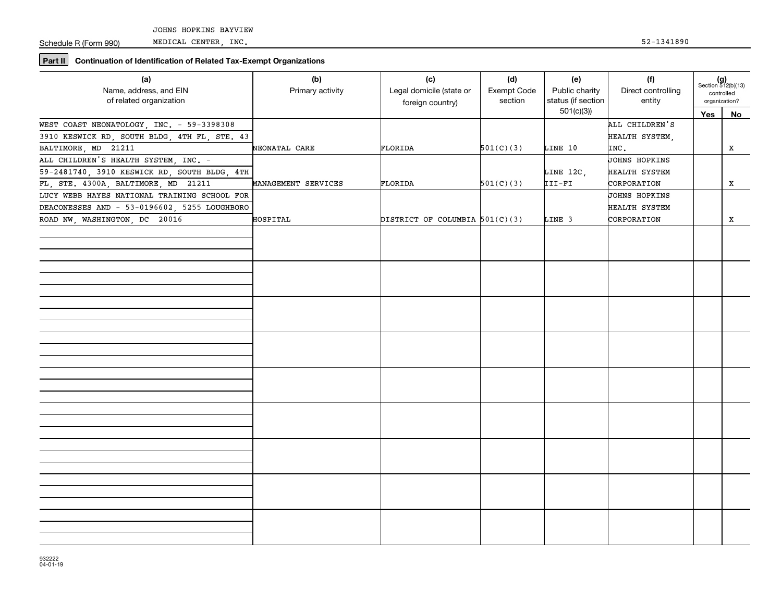Schedule R (Form 990)

MEDICAL CENTER, INC. 52-1341890

**Part II Continuation of Identification of Related Tax-Exempt Organizations**

| (a)<br>Name, address, and EIN<br>of related organization | (b)<br>Primary activity | (c)<br>Legal domicile (state or<br>foreign country) | (d)<br>Exempt Code<br>section | (e)<br>Public charity<br>status (if section | (f)<br>Direct controlling<br>entity | $(g)$<br>Section 512(b)(13)<br>controlled<br>organization? |           |
|----------------------------------------------------------|-------------------------|-----------------------------------------------------|-------------------------------|---------------------------------------------|-------------------------------------|------------------------------------------------------------|-----------|
|                                                          |                         |                                                     |                               | 501(c)(3)                                   |                                     | Yes                                                        | <b>No</b> |
| WEST COAST NEONATOLOGY, INC. - 59-3398308                |                         |                                                     |                               |                                             | ALL CHILDREN'S                      |                                                            |           |
| 3910 KESWICK RD, SOUTH BLDG, 4TH FL, STE. 43             |                         |                                                     |                               |                                             | HEALTH SYSTEM,                      |                                                            |           |
| BALTIMORE, MD 21211                                      | NEONATAL CARE           | FLORIDA                                             | 501(C)(3)                     | LINE 10                                     | INC.                                |                                                            | X         |
| ALL CHILDREN'S HEALTH SYSTEM, INC. -                     |                         |                                                     |                               |                                             | <b>JOHNS HOPKINS</b>                |                                                            |           |
| 59-2481740, 3910 KESWICK RD, SOUTH BLDG, 4TH             |                         |                                                     |                               | LINE 12C,                                   | HEALTH SYSTEM                       |                                                            |           |
| FL, STE. 4300A, BALTIMORE, MD 21211                      | MANAGEMENT SERVICES     | FLORIDA                                             | 501(C)(3)                     | $III-FI$                                    | CORPORATION                         |                                                            | X         |
| LUCY WEBB HAYES NATIONAL TRAINING SCHOOL FOR             |                         |                                                     |                               |                                             | <b>JOHNS HOPKINS</b>                |                                                            |           |
| DEACONESSES AND - 53-0196602, 5255 LOUGHBORO             |                         |                                                     |                               |                                             | HEALTH SYSTEM                       |                                                            |           |
| ROAD NW, WASHINGTON, DC 20016                            | HOSPITAL                | DISTRICT OF COLUMBIA $501(C)(3)$                    |                               | LINE 3                                      | CORPORATION                         |                                                            | X         |
|                                                          |                         |                                                     |                               |                                             |                                     |                                                            |           |
|                                                          |                         |                                                     |                               |                                             |                                     |                                                            |           |
|                                                          |                         |                                                     |                               |                                             |                                     |                                                            |           |
|                                                          |                         |                                                     |                               |                                             |                                     |                                                            |           |
|                                                          |                         |                                                     |                               |                                             |                                     |                                                            |           |
|                                                          |                         |                                                     |                               |                                             |                                     |                                                            |           |
|                                                          |                         |                                                     |                               |                                             |                                     |                                                            |           |
|                                                          |                         |                                                     |                               |                                             |                                     |                                                            |           |
|                                                          |                         |                                                     |                               |                                             |                                     |                                                            |           |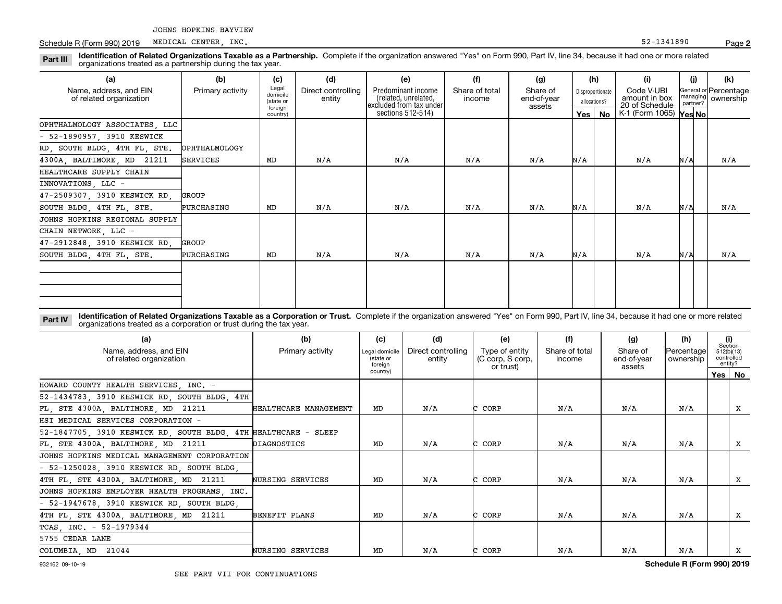Schedule R (Form 990) 2019 MEDICAL CENTER, INC. Schedule R (Form 990) 2019 MEDICAL CENTER, INC. MEDICAL CENTER, INC.

#### **Identification of Related Organizations Taxable as a Partnership.** Complete if the organization answered "Yes" on Form 990, Part IV, line 34, because it had one or more related **Part III** organizations treated as a partnership during the tax year.

| (a)                                               | (b)              | (c)                                       | (d)                          | (e)                                                                    | (f)                      | (g)                               |     | (h)                              | (i)                                           | (i)                  | (k)                                |
|---------------------------------------------------|------------------|-------------------------------------------|------------------------------|------------------------------------------------------------------------|--------------------------|-----------------------------------|-----|----------------------------------|-----------------------------------------------|----------------------|------------------------------------|
| Name, address, and EIN<br>of related organization | Primary activity | Legal<br>domicile<br>(state or<br>foreign | Direct controlling<br>entity | Predominant income<br>related, unrelated,<br>  excluded from tax under | Share of total<br>income | Share of<br>end-of-year<br>assets |     | Disproportionate<br>allocations? | Code V-UBI<br>amount in box<br>20 of Schedule | managing<br>partner? | General or Percentage<br>ownership |
|                                                   |                  | country)                                  |                              | sections 512-514)                                                      |                          |                                   | Yes | No                               | K-1 (Form 1065) Yes No                        |                      |                                    |
| OPHTHALMOLOGY ASSOCIATES, LLC                     |                  |                                           |                              |                                                                        |                          |                                   |     |                                  |                                               |                      |                                    |
| $-52-1890957$ , 3910 KESWICK                      |                  |                                           |                              |                                                                        |                          |                                   |     |                                  |                                               |                      |                                    |
| RD, SOUTH BLDG, 4TH FL, STE.                      | OPHTHALMOLOGY    |                                           |                              |                                                                        |                          |                                   |     |                                  |                                               |                      |                                    |
| 4300A, BALTIMORE, MD 21211                        | SERVICES         | MD                                        | N/A                          | N/A                                                                    | N/A                      | N/A                               | N/A |                                  | N/A                                           | N/A                  | N/A                                |
| HEALTHCARE SUPPLY CHAIN                           |                  |                                           |                              |                                                                        |                          |                                   |     |                                  |                                               |                      |                                    |
| INNOVATIONS, LLC -                                |                  |                                           |                              |                                                                        |                          |                                   |     |                                  |                                               |                      |                                    |
| 47-2509307, 3910 KESWICK RD,                      | GROUP            |                                           |                              |                                                                        |                          |                                   |     |                                  |                                               |                      |                                    |
| SOUTH BLDG, 4TH FL, STE.                          | PURCHASING       | MD                                        | N/A                          | N/A                                                                    | N/A                      | N/A                               | N/A |                                  | N/A                                           | N/A                  | N/A                                |
| JOHNS HOPKINS REGIONAL SUPPLY                     |                  |                                           |                              |                                                                        |                          |                                   |     |                                  |                                               |                      |                                    |
| CHAIN NETWORK, LLC -                              |                  |                                           |                              |                                                                        |                          |                                   |     |                                  |                                               |                      |                                    |
| 47-2912848, 3910 KESWICK RD,                      | GROUP            |                                           |                              |                                                                        |                          |                                   |     |                                  |                                               |                      |                                    |
| SOUTH BLDG, 4TH FL, STE.                          | PURCHASING       | MD                                        | N/A                          | N/A                                                                    | N/A                      | N/A                               | N/A |                                  | N/A                                           | N/A                  | N/A                                |
|                                                   |                  |                                           |                              |                                                                        |                          |                                   |     |                                  |                                               |                      |                                    |
|                                                   |                  |                                           |                              |                                                                        |                          |                                   |     |                                  |                                               |                      |                                    |
|                                                   |                  |                                           |                              |                                                                        |                          |                                   |     |                                  |                                               |                      |                                    |
|                                                   |                  |                                           |                              |                                                                        |                          |                                   |     |                                  |                                               |                      |                                    |

**Identification of Related Organizations Taxable as a Corporation or Trust.** Complete if the organization answered "Yes" on Form 990, Part IV, line 34, because it had one or more related **Part IV** organizations treated as a corporation or trust during the tax year.

| (a)<br>Name, address, and EIN<br>of related organization        | (b)<br>Primary activity | (c)<br>Legal domicile<br>(state or<br>foreian | (d)<br>Direct controlling<br>entity | (e)<br>Type of entity<br>(C corp, S corp,<br>or trust) | (f)<br>Share of total<br>income | (g)<br>Share of<br>end-of-year<br>assets | (h)<br>Percentage<br>ownership | (i)<br>Section<br>512(b)(13)<br>controlled<br>entity? |
|-----------------------------------------------------------------|-------------------------|-----------------------------------------------|-------------------------------------|--------------------------------------------------------|---------------------------------|------------------------------------------|--------------------------------|-------------------------------------------------------|
|                                                                 |                         | country)                                      |                                     |                                                        |                                 |                                          |                                | Yes   No                                              |
| HOWARD COUNTY HEALTH SERVICES, INC. -                           |                         |                                               |                                     |                                                        |                                 |                                          |                                |                                                       |
| 52-1434783, 3910 KESWICK RD, SOUTH BLDG, 4TH                    |                         |                                               |                                     |                                                        |                                 |                                          |                                |                                                       |
| FL, STE 4300A, BALTIMORE, MD 21211                              | HEALTHCARE MANAGEMENT   | MD                                            | N/A                                 | CORP                                                   | N/A                             | N/A                                      | N/A                            | x                                                     |
| HSI MEDICAL SERVICES CORPORATION -                              |                         |                                               |                                     |                                                        |                                 |                                          |                                |                                                       |
| 52-1847705, 3910 KESWICK RD, SOUTH BLDG, 4TH HEALTHCARE - SLEEP |                         |                                               |                                     |                                                        |                                 |                                          |                                |                                                       |
| FL, STE 4300A, BALTIMORE, MD 21211                              | DIAGNOSTICS             | MD                                            | N/A                                 | CORP                                                   | N/A                             | N/A                                      | N/A                            | х                                                     |
| JOHNS HOPKINS MEDICAL MANAGEMENT CORPORATION                    |                         |                                               |                                     |                                                        |                                 |                                          |                                |                                                       |
| $-52-1250028$ , 3910 KESWICK RD, SOUTH BLDG,                    |                         |                                               |                                     |                                                        |                                 |                                          |                                |                                                       |
| 4TH FL, STE 4300A, BALTIMORE, MD 21211                          | NURSING SERVICES        | MD                                            | N/A                                 | CORP                                                   | N/A                             | N/A                                      | N/A                            | х                                                     |
| JOHNS HOPKINS EMPLOYER HEALTH PROGRAMS, INC.                    |                         |                                               |                                     |                                                        |                                 |                                          |                                |                                                       |
| $-52-1947678$ , 3910 KESWICK RD, SOUTH BLDG,                    |                         |                                               |                                     |                                                        |                                 |                                          |                                |                                                       |
| 4TH FL, STE 4300A, BALTIMORE, MD 21211                          | BENEFIT PLANS           | MD                                            | N/A                                 | CORP                                                   | N/A                             | N/A                                      | N/A                            | x                                                     |
| TCAS, INC. $-52-1979344$                                        |                         |                                               |                                     |                                                        |                                 |                                          |                                |                                                       |
| 5755 CEDAR LANE                                                 |                         |                                               |                                     |                                                        |                                 |                                          |                                |                                                       |
| COLUMBIA, MD 21044                                              | NURSING SERVICES        | MD                                            | N/A                                 | CORP                                                   | N/A                             | N/A                                      | N/A                            | x                                                     |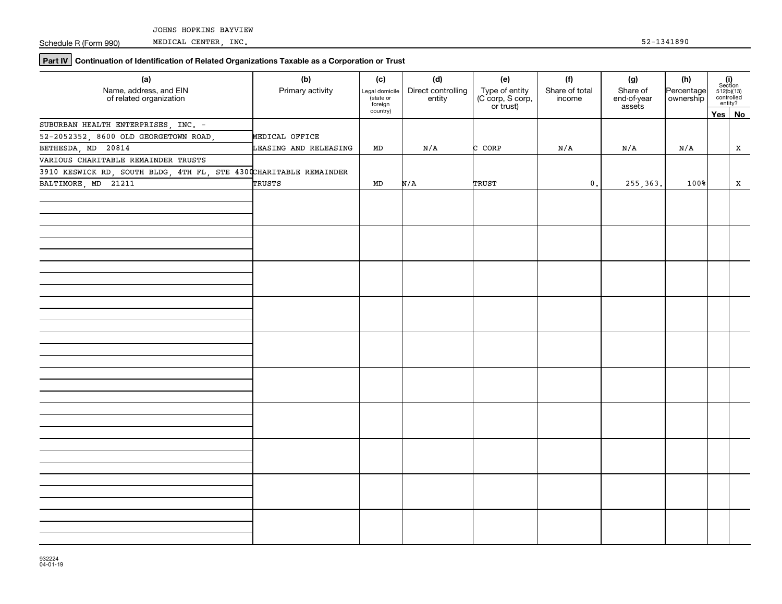Schedule R (Form 990)

**Part IV** Continuation of Identification of Related Organizations Taxable as a Corporation or Trust

| (a)<br>Name, address, and EIN                                      | (b)<br>Primary activity | (c)<br>Legal domicile            | (d)<br>Direct controlling | (e)                                             | (f)<br>Share of total | (g)<br>Share of       | (h)<br>Percentage | $\begin{array}{c} \textbf{(i)}\\ \text{Section}\\ 512 \text{(b)} \text{(13)}\\ \text{controlled}\\ \text{entity?} \end{array}$ |
|--------------------------------------------------------------------|-------------------------|----------------------------------|---------------------------|-------------------------------------------------|-----------------------|-----------------------|-------------------|--------------------------------------------------------------------------------------------------------------------------------|
| of related organization                                            |                         | (state or<br>foreign<br>country) | entity                    | Type of entity<br>(C corp, S corp,<br>or trust) | income                | end-of-year<br>assets |                   |                                                                                                                                |
| SUBURBAN HEALTH ENTERPRISES, INC. -                                |                         |                                  |                           |                                                 |                       |                       |                   | Yes No                                                                                                                         |
| 52-2052352, 8600 OLD GEORGETOWN ROAD,                              | MEDICAL OFFICE          |                                  |                           |                                                 |                       |                       |                   |                                                                                                                                |
| BETHESDA, MD 20814                                                 |                         |                                  |                           |                                                 |                       |                       |                   |                                                                                                                                |
| VARIOUS CHARITABLE REMAINDER TRUSTS                                | LEASING AND RELEASING   | MD                               | N/A                       | C CORP                                          | N/A                   | N/A                   | N/A               | X                                                                                                                              |
|                                                                    |                         |                                  |                           |                                                 |                       |                       |                   |                                                                                                                                |
| 3910 KESWICK RD, SOUTH BLDG, 4TH FL, STE 4300 CHARITABLE REMAINDER |                         |                                  |                           |                                                 |                       |                       |                   |                                                                                                                                |
| BALTIMORE, MD 21211                                                | TRUSTS                  | MD                               | N/A                       | TRUST                                           | $\mathbf 0$ .         | 255, 363.             | 100%              | X                                                                                                                              |
|                                                                    |                         |                                  |                           |                                                 |                       |                       |                   |                                                                                                                                |
|                                                                    |                         |                                  |                           |                                                 |                       |                       |                   |                                                                                                                                |
|                                                                    |                         |                                  |                           |                                                 |                       |                       |                   |                                                                                                                                |
|                                                                    |                         |                                  |                           |                                                 |                       |                       |                   |                                                                                                                                |
|                                                                    |                         |                                  |                           |                                                 |                       |                       |                   |                                                                                                                                |
|                                                                    |                         |                                  |                           |                                                 |                       |                       |                   |                                                                                                                                |
|                                                                    |                         |                                  |                           |                                                 |                       |                       |                   |                                                                                                                                |
|                                                                    |                         |                                  |                           |                                                 |                       |                       |                   |                                                                                                                                |
|                                                                    |                         |                                  |                           |                                                 |                       |                       |                   |                                                                                                                                |
|                                                                    |                         |                                  |                           |                                                 |                       |                       |                   |                                                                                                                                |
|                                                                    |                         |                                  |                           |                                                 |                       |                       |                   |                                                                                                                                |
|                                                                    |                         |                                  |                           |                                                 |                       |                       |                   |                                                                                                                                |
|                                                                    |                         |                                  |                           |                                                 |                       |                       |                   |                                                                                                                                |
|                                                                    |                         |                                  |                           |                                                 |                       |                       |                   |                                                                                                                                |
|                                                                    |                         |                                  |                           |                                                 |                       |                       |                   |                                                                                                                                |
|                                                                    |                         |                                  |                           |                                                 |                       |                       |                   |                                                                                                                                |
|                                                                    |                         |                                  |                           |                                                 |                       |                       |                   |                                                                                                                                |
|                                                                    |                         |                                  |                           |                                                 |                       |                       |                   |                                                                                                                                |
|                                                                    |                         |                                  |                           |                                                 |                       |                       |                   |                                                                                                                                |
|                                                                    |                         |                                  |                           |                                                 |                       |                       |                   |                                                                                                                                |
|                                                                    |                         |                                  |                           |                                                 |                       |                       |                   |                                                                                                                                |
|                                                                    |                         |                                  |                           |                                                 |                       |                       |                   |                                                                                                                                |
|                                                                    |                         |                                  |                           |                                                 |                       |                       |                   |                                                                                                                                |
|                                                                    |                         |                                  |                           |                                                 |                       |                       |                   |                                                                                                                                |
|                                                                    |                         |                                  |                           |                                                 |                       |                       |                   |                                                                                                                                |
|                                                                    |                         |                                  |                           |                                                 |                       |                       |                   |                                                                                                                                |
|                                                                    |                         |                                  |                           |                                                 |                       |                       |                   |                                                                                                                                |
|                                                                    |                         |                                  |                           |                                                 |                       |                       |                   |                                                                                                                                |
|                                                                    |                         |                                  |                           |                                                 |                       |                       |                   |                                                                                                                                |
|                                                                    |                         |                                  |                           |                                                 |                       |                       |                   |                                                                                                                                |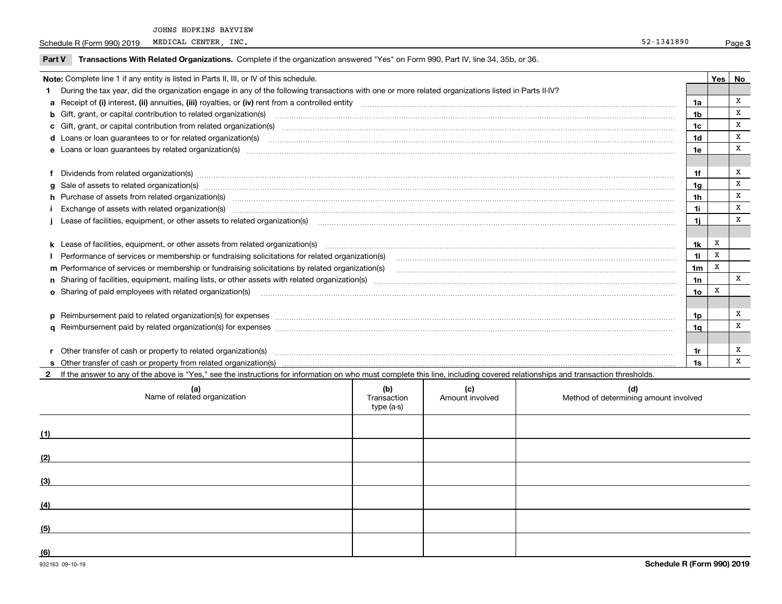JOHNS HOPKINS BAYVIEW

Schedule R (Form 990) 2019 MEDICAL CENTER, INC. MEDICAL CENTER, INC.

|  |  | Part V Transactions With Related Organizations. Complete if the organization answered "Yes" on Form 990, Part IV, line 34, 35b, or 36. |  |  |  |
|--|--|----------------------------------------------------------------------------------------------------------------------------------------|--|--|--|
|--|--|----------------------------------------------------------------------------------------------------------------------------------------|--|--|--|

|   | Note: Complete line 1 if any entity is listed in Parts II, III, or IV of this schedule.                                                                                                                                        |                | Yes   No |   |
|---|--------------------------------------------------------------------------------------------------------------------------------------------------------------------------------------------------------------------------------|----------------|----------|---|
|   | During the tax year, did the organization engage in any of the following transactions with one or more related organizations listed in Parts II-IV?                                                                            |                |          |   |
|   |                                                                                                                                                                                                                                | 1a             |          | x |
|   | <b>b</b> Gift, grant, or capital contribution to related organization(s)                                                                                                                                                       | 1 <sub>b</sub> |          | x |
|   | c Gift, grant, or capital contribution from related organization(s) manufaction contracts and contribution from related organization(s) manufaction contribution from related organization(s) manufaction contracts and contri | 1c             |          | X |
|   | d Loans or loan guarantees to or for related organization(s) committion contracts are constructed as a control or contract or contract or contract or contract or contract or contract or contract or contract or contract or  | 1d             |          | X |
|   | e Loans or loan guarantees by related organization(s) encontraction contains and contained a control of the control of the control of the control of the control of the control of the control of the control of the control o | 1e             |          | X |
|   |                                                                                                                                                                                                                                |                |          |   |
|   | Dividends from related organization(s) manufactured and contract and contract or manufactured and contract and contract and contract and contract and contract and contract and contract and contract and contract and contrac | 1f             |          | Х |
| g | Sale of assets to related organization(s) www.assettion.com/www.assettion.com/www.assettion.com/www.assettion.com/www.assettion.com/www.assettion.com/www.assettion.com/www.assettion.com/www.assettion.com/www.assettion.com/ | 1g             |          | x |
|   | h Purchase of assets from related organization(s) manufactured content to content the content of the content of the content of the content of the content of the content of the content of the content of the content of the c | 1 <sub>h</sub> |          | X |
|   |                                                                                                                                                                                                                                | 11             |          | X |
|   | Lease of facilities, equipment, or other assets to related organization(s) manufactured content and content and content and content and content and content and content and content and content and content and content and co | 1i.            |          | X |
|   |                                                                                                                                                                                                                                |                |          |   |
|   |                                                                                                                                                                                                                                | 1k             | х        |   |
|   | Performance of services or membership or fundraising solicitations for related organization(s)                                                                                                                                 | 11             | x        |   |
|   | m Performance of services or membership or fundraising solicitations by related organization(s)                                                                                                                                | 1 <sub>m</sub> | X        |   |
|   |                                                                                                                                                                                                                                | 1n             |          | X |
|   |                                                                                                                                                                                                                                | 1o             | X        |   |
|   |                                                                                                                                                                                                                                |                |          |   |
|   |                                                                                                                                                                                                                                | 1p             |          | Х |
|   |                                                                                                                                                                                                                                | 1q             |          | X |
|   |                                                                                                                                                                                                                                |                |          |   |
|   | Other transfer of cash or property to related organization(s)                                                                                                                                                                  | 1r             |          | х |
|   |                                                                                                                                                                                                                                | 1s             |          | X |

| $\cdots$<br>If the<br>Yes.<br>unswer<br>: above is<br>the<br>,,,<br>$\sim$ div | see the<br>: instructions<br>$\sim$ $\sim$ $\sim$ $\sim$<br>чанс<br>∵ vvii∟.<br>. | .<br>comr<br>must<br><b>Diete</b><br>TNIS | .17102<br>.0010000<br>. <del>.</del> | rocholde<br><b>Annehine</b><br>transaction<br>∵anc<br>siation"<br>בשוווסו<br>ii cənulud. |
|--------------------------------------------------------------------------------|-----------------------------------------------------------------------------------|-------------------------------------------|--------------------------------------|------------------------------------------------------------------------------------------|
|                                                                                |                                                                                   | .                                         |                                      |                                                                                          |

|     | (a)<br>Name of related organization | (b)<br>Transaction<br>type (a-s) | (c)<br>Amount involved | (d)<br>Method of determining amount involved |
|-----|-------------------------------------|----------------------------------|------------------------|----------------------------------------------|
| (1) |                                     |                                  |                        |                                              |
| (2) |                                     |                                  |                        |                                              |
| (3) |                                     |                                  |                        |                                              |
| (4) |                                     |                                  |                        |                                              |
| (5) |                                     |                                  |                        |                                              |
| (6) |                                     |                                  |                        |                                              |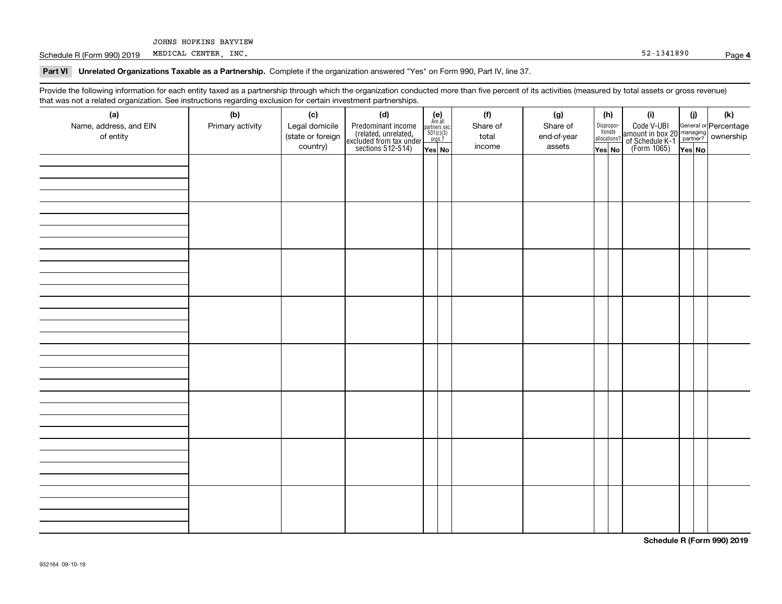JOHNS HOPKINS BAYVIEW

Schedule R (Form 990) 2019 Page MEDICAL CENTER, INC. 52-1341890

**Part VI Unrelated Organizations Taxable as a Partnership. Complete if the organization answered "Yes" on Form 990, Part IV, line 37.** 

Provide the following information for each entity taxed as a partnership through which the organization conducted more than five percent of its activities (measured by total assets or gross revenue) that was not a related organization. See instructions regarding exclusion for certain investment partnerships.

| .<br>(a)               | (b)              | (c)               | .<br><br>(d)                                                                               |                                                          | (f)      | (g)         | (h)                   | (i)                                                                                          | (i) | (k) |
|------------------------|------------------|-------------------|--------------------------------------------------------------------------------------------|----------------------------------------------------------|----------|-------------|-----------------------|----------------------------------------------------------------------------------------------|-----|-----|
| Name, address, and EIN | Primary activity | Legal domicile    |                                                                                            | (e)<br>Are all<br>partners sec.<br>$501(c)(3)$<br>orgs.? | Share of | Share of    |                       |                                                                                              |     |     |
| of entity              |                  | (state or foreign |                                                                                            |                                                          | total    | end-of-year | Dispropor-<br>tionate |                                                                                              |     |     |
|                        |                  | country)          | Predominant income<br>(related, unrelated,<br>excluded from tax under<br>sections 512-514) |                                                          | income   | assets      | allocations?          | Code V-UBI<br>amount in box 20 managing<br>of Schedule K-1 partner?<br>(Form 1065)<br>ves No |     |     |
|                        |                  |                   |                                                                                            | Yes No                                                   |          |             | Yes│No                |                                                                                              |     |     |
|                        |                  |                   |                                                                                            |                                                          |          |             |                       |                                                                                              |     |     |
|                        |                  |                   |                                                                                            |                                                          |          |             |                       |                                                                                              |     |     |
|                        |                  |                   |                                                                                            |                                                          |          |             |                       |                                                                                              |     |     |
|                        |                  |                   |                                                                                            |                                                          |          |             |                       |                                                                                              |     |     |
|                        |                  |                   |                                                                                            |                                                          |          |             |                       |                                                                                              |     |     |
|                        |                  |                   |                                                                                            |                                                          |          |             |                       |                                                                                              |     |     |
|                        |                  |                   |                                                                                            |                                                          |          |             |                       |                                                                                              |     |     |
|                        |                  |                   |                                                                                            |                                                          |          |             |                       |                                                                                              |     |     |
|                        |                  |                   |                                                                                            |                                                          |          |             |                       |                                                                                              |     |     |
|                        |                  |                   |                                                                                            |                                                          |          |             |                       |                                                                                              |     |     |
|                        |                  |                   |                                                                                            |                                                          |          |             |                       |                                                                                              |     |     |
|                        |                  |                   |                                                                                            |                                                          |          |             |                       |                                                                                              |     |     |
|                        |                  |                   |                                                                                            |                                                          |          |             |                       |                                                                                              |     |     |
|                        |                  |                   |                                                                                            |                                                          |          |             |                       |                                                                                              |     |     |
|                        |                  |                   |                                                                                            |                                                          |          |             |                       |                                                                                              |     |     |
|                        |                  |                   |                                                                                            |                                                          |          |             |                       |                                                                                              |     |     |
|                        |                  |                   |                                                                                            |                                                          |          |             |                       |                                                                                              |     |     |
|                        |                  |                   |                                                                                            |                                                          |          |             |                       |                                                                                              |     |     |
|                        |                  |                   |                                                                                            |                                                          |          |             |                       |                                                                                              |     |     |
|                        |                  |                   |                                                                                            |                                                          |          |             |                       |                                                                                              |     |     |
|                        |                  |                   |                                                                                            |                                                          |          |             |                       |                                                                                              |     |     |
|                        |                  |                   |                                                                                            |                                                          |          |             |                       |                                                                                              |     |     |
|                        |                  |                   |                                                                                            |                                                          |          |             |                       |                                                                                              |     |     |
|                        |                  |                   |                                                                                            |                                                          |          |             |                       |                                                                                              |     |     |
|                        |                  |                   |                                                                                            |                                                          |          |             |                       |                                                                                              |     |     |
|                        |                  |                   |                                                                                            |                                                          |          |             |                       |                                                                                              |     |     |
|                        |                  |                   |                                                                                            |                                                          |          |             |                       |                                                                                              |     |     |
|                        |                  |                   |                                                                                            |                                                          |          |             |                       |                                                                                              |     |     |
|                        |                  |                   |                                                                                            |                                                          |          |             |                       |                                                                                              |     |     |
|                        |                  |                   |                                                                                            |                                                          |          |             |                       |                                                                                              |     |     |
|                        |                  |                   |                                                                                            |                                                          |          |             |                       |                                                                                              |     |     |
|                        |                  |                   |                                                                                            |                                                          |          |             |                       |                                                                                              |     |     |
|                        |                  |                   |                                                                                            |                                                          |          |             |                       |                                                                                              |     |     |
|                        |                  |                   |                                                                                            |                                                          |          |             |                       |                                                                                              |     |     |

**Schedule R (Form 990) 2019**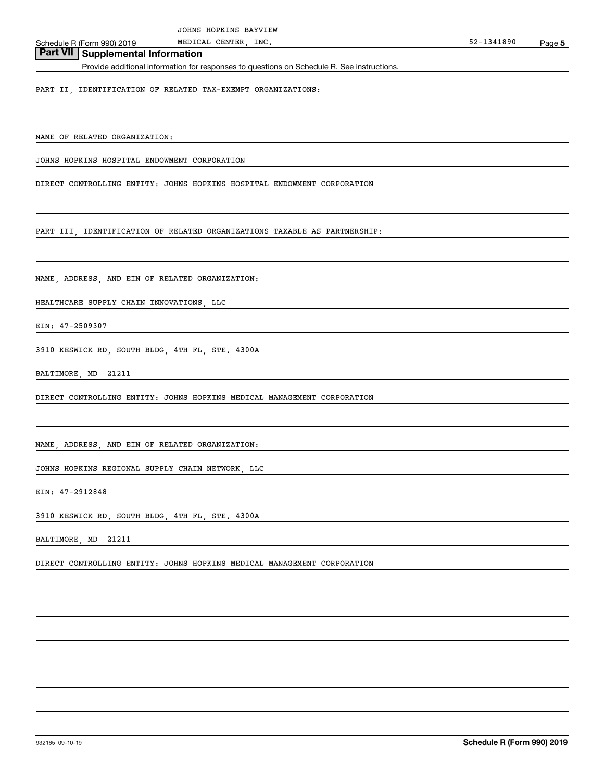## **Part VII Supplemental Information**

Provide additional information for responses to questions on Schedule R. See instructions.

PART II, IDENTIFICATION OF RELATED TAX-EXEMPT ORGANIZATIONS:

NAME OF RELATED ORGANIZATION:

JOHNS HOPKINS HOSPITAL ENDOWMENT CORPORATION

DIRECT CONTROLLING ENTITY: JOHNS HOPKINS HOSPITAL ENDOWMENT CORPORATION

PART III, IDENTIFICATION OF RELATED ORGANIZATIONS TAXABLE AS PARTNERSHIP:

NAME, ADDRESS, AND EIN OF RELATED ORGANIZATION:

HEALTHCARE SUPPLY CHAIN INNOVATIONS, LLC

EIN: 47-2509307

3910 KESWICK RD, SOUTH BLDG, 4TH FL, STE. 4300A

BALTIMORE, MD 21211

DIRECT CONTROLLING ENTITY: JOHNS HOPKINS MEDICAL MANAGEMENT CORPORATION

NAME, ADDRESS, AND EIN OF RELATED ORGANIZATION:

JOHNS HOPKINS REGIONAL SUPPLY CHAIN NETWORK, LLC

EIN: 47-2912848

3910 KESWICK RD, SOUTH BLDG, 4TH FL, STE. 4300A

BALTIMORE, MD 21211

DIRECT CONTROLLING ENTITY: JOHNS HOPKINS MEDICAL MANAGEMENT CORPORATION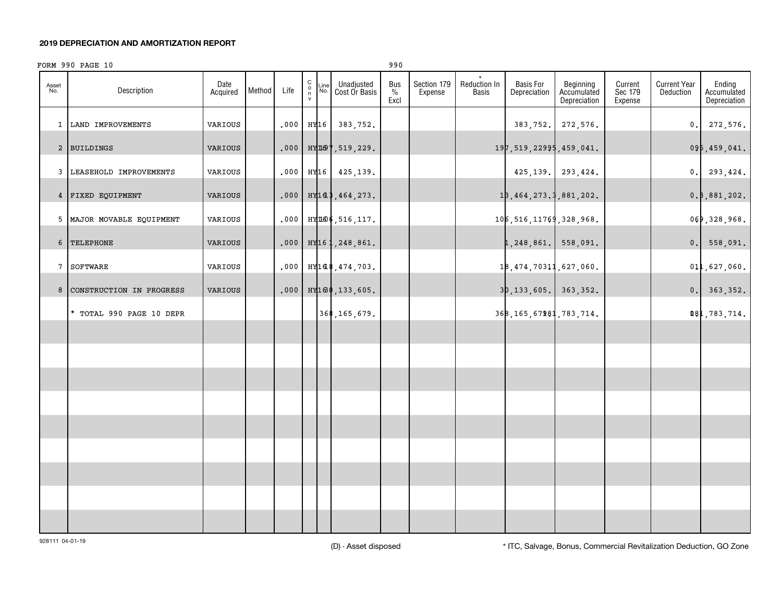#### **2019 DEPRECIATION AND AMORTIZATION REPORT**

### FORM 990 PAGE 10 990

|                 |                           |                  |        |      |                                                          |                                                    | - - -               |                        |                              |                                  |                                          |                               |                                  |                                       |
|-----------------|---------------------------|------------------|--------|------|----------------------------------------------------------|----------------------------------------------------|---------------------|------------------------|------------------------------|----------------------------------|------------------------------------------|-------------------------------|----------------------------------|---------------------------------------|
| Asset<br>No.    | Description               | Date<br>Acquired | Method | Life | $\begin{matrix} 0 \\ 0 \\ n \end{matrix}$<br>Line<br>No. | Unadjusted<br>Cost Or Basis                        | Bus<br>$\%$<br>Excl | Section 179<br>Expense | Reduction In<br><b>Basis</b> | <b>Basis For</b><br>Depreciation | Beginning<br>Accumulated<br>Depreciation | Current<br>Sec 179<br>Expense | <b>Current Year</b><br>Deduction | Ending<br>Accumulated<br>Depreciation |
|                 | 1 LAND IMPROVEMENTS       | VARIOUS          |        | .000 |                                                          | HY16 383, 752.                                     |                     |                        |                              |                                  | 383, 752. 272, 576.                      |                               |                                  | 0.272,576.                            |
|                 | 2 BUILDINGS               | VARIOUS          |        | .000 |                                                          | ницот, 519, 229.                                   |                     |                        |                              | 197, 519, 22995, 459, 041.       |                                          |                               |                                  | 095,459,041.                          |
|                 | 3 LEASEHOLD IMPROVEMENTS  | VARIOUS          |        |      |                                                          | $.000$ HY16 425,139.                               |                     |                        |                              |                                  | 425, 139. 293, 424.                      |                               |                                  | 0.293,424.                            |
|                 | 4 FIXED EQUIPMENT         | VARIOUS          |        |      |                                                          | $.000$ HY <sub>1</sub> a <sup>\$</sup> , 464, 273. |                     |                        |                              | 18, 464, 273.3, 881, 202.        |                                          |                               |                                  | 0.8, 881, 202.                        |
|                 | 5 MAJOR MOVABLE EQUIPMENT | VARIOUS          |        | .000 |                                                          | НУДЮ6, 516, 117.                                   |                     |                        |                              | 106, 516, 11769, 328, 968.       |                                          |                               |                                  | 069,328,968.                          |
| 6               | TELEPHONE                 | VARIOUS          |        |      |                                                          | $.000$ HY <sub>16</sub> 1, 248, 861.               |                     |                        |                              | 1,248,861. 558,091.              |                                          |                               |                                  | 0. 558,091.                           |
| $7\phantom{.0}$ | SOFTWARE                  | VARIOUS          |        |      |                                                          | $.000$ HY168, 474, 703.                            |                     |                        |                              | 18, 474, 70311, 627, 060.        |                                          |                               |                                  | 011,627,060.                          |
| 8               | CONSTRUCTION IN PROGRESS  | VARIOUS          |        |      |                                                          | $.000$ HY <sub>160</sub> , 133, 605.               |                     |                        |                              | $3p, 133, 605.$ 363, 352.        |                                          |                               |                                  | 0. 363, 352.                          |
|                 | TOTAL 990 PAGE 10 DEPR    |                  |        |      |                                                          | 368, 165, 679.                                     |                     |                        |                              | 368, 165, 67981, 783, 714.       |                                          |                               |                                  | <b>181,783,714.</b>                   |
|                 |                           |                  |        |      |                                                          |                                                    |                     |                        |                              |                                  |                                          |                               |                                  |                                       |
|                 |                           |                  |        |      |                                                          |                                                    |                     |                        |                              |                                  |                                          |                               |                                  |                                       |
|                 |                           |                  |        |      |                                                          |                                                    |                     |                        |                              |                                  |                                          |                               |                                  |                                       |
|                 |                           |                  |        |      |                                                          |                                                    |                     |                        |                              |                                  |                                          |                               |                                  |                                       |
|                 |                           |                  |        |      |                                                          |                                                    |                     |                        |                              |                                  |                                          |                               |                                  |                                       |
|                 |                           |                  |        |      |                                                          |                                                    |                     |                        |                              |                                  |                                          |                               |                                  |                                       |
|                 |                           |                  |        |      |                                                          |                                                    |                     |                        |                              |                                  |                                          |                               |                                  |                                       |
|                 |                           |                  |        |      |                                                          |                                                    |                     |                        |                              |                                  |                                          |                               |                                  |                                       |
|                 |                           |                  |        |      |                                                          |                                                    |                     |                        |                              |                                  |                                          |                               |                                  |                                       |

928111 04-01-19

(D) - Asset disposed \* ITC, Salvage, Bonus, Commercial Revitalization Deduction, GO Zone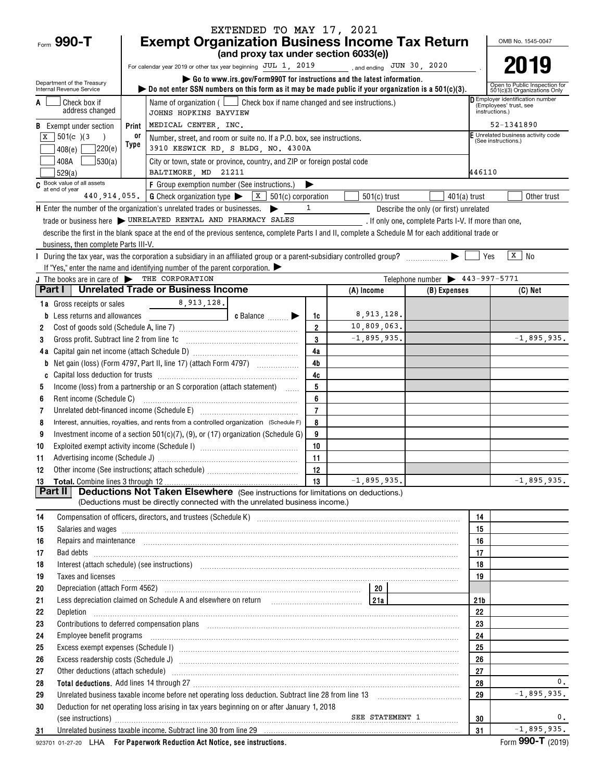|                                                        |            |                                                                                                                                                                                                                                                                                                                                                                                                                                                                  | EXTENDED TO MAY 17, 2021                                                                 |                     |                         |                                                      |                 |                                                                   |
|--------------------------------------------------------|------------|------------------------------------------------------------------------------------------------------------------------------------------------------------------------------------------------------------------------------------------------------------------------------------------------------------------------------------------------------------------------------------------------------------------------------------------------------------------|------------------------------------------------------------------------------------------|---------------------|-------------------------|------------------------------------------------------|-----------------|-------------------------------------------------------------------|
| Form 990-T                                             |            | <b>Exempt Organization Business Income Tax Return</b>                                                                                                                                                                                                                                                                                                                                                                                                            | (and proxy tax under section 6033(e))                                                    |                     |                         |                                                      |                 | OMB No. 1545-0047                                                 |
|                                                        |            | For calendar year 2019 or other tax year beginning JUL 1, 2019                                                                                                                                                                                                                                                                                                                                                                                                   |                                                                                          |                     | and ending JUN 30, 2020 |                                                      |                 | 2019                                                              |
|                                                        |            |                                                                                                                                                                                                                                                                                                                                                                                                                                                                  | $\triangleright$ Go to www.irs.gov/Form990T for instructions and the latest information. |                     |                         |                                                      |                 |                                                                   |
| Department of the Treasury<br>Internal Revenue Service |            | bo not enter SSN numbers on this form as it may be made public if your organization is a $501(c)(3)$ .                                                                                                                                                                                                                                                                                                                                                           |                                                                                          |                     |                         |                                                      |                 | Open to Public Inspection for<br>501(c)(3) Organizations Only     |
| Check box if                                           |            | Name of organization ( $\Box$ Check box if name changed and see instructions.)                                                                                                                                                                                                                                                                                                                                                                                   |                                                                                          |                     |                         |                                                      |                 | <b>D</b> Employer identification number<br>(Employees' trust, see |
| address changed                                        |            | JOHNS HOPKINS BAYVIEW                                                                                                                                                                                                                                                                                                                                                                                                                                            |                                                                                          |                     |                         |                                                      |                 | instructions.)                                                    |
| <b>B</b> Exempt under section                          | Print      | MEDICAL CENTER, INC.                                                                                                                                                                                                                                                                                                                                                                                                                                             |                                                                                          |                     |                         |                                                      |                 | 52-1341890<br>Unrelated business activity code                    |
| $501(c)$ (3)<br>x<br>220(e)                            | 0ľ<br>Type | Number, street, and room or suite no. If a P.O. box, see instructions.<br>3910 KESWICK RD, S BLDG, NO. 4300A                                                                                                                                                                                                                                                                                                                                                     |                                                                                          |                     |                         |                                                      |                 | (See instructions.)                                               |
| 408(e)<br> 530(a) <br>408A                             |            | City or town, state or province, country, and ZIP or foreign postal code                                                                                                                                                                                                                                                                                                                                                                                         |                                                                                          |                     |                         |                                                      |                 |                                                                   |
| 529(a)                                                 |            | BALTIMORE, MD 21211                                                                                                                                                                                                                                                                                                                                                                                                                                              |                                                                                          |                     |                         |                                                      | 446110          |                                                                   |
| C Book value of all assets                             |            | F Group exemption number (See instructions.)                                                                                                                                                                                                                                                                                                                                                                                                                     |                                                                                          |                     |                         |                                                      |                 |                                                                   |
| at end of year                                         |            | 440, 914, 055.   G Check organization type $\triangleright$ $\boxed{\textbf{X}}$ 501(c) corporation                                                                                                                                                                                                                                                                                                                                                              |                                                                                          |                     | $501(c)$ trust          |                                                      | $401(a)$ trust  | Other trust                                                       |
|                                                        |            | $H$ Enter the number of the organization's unrelated trades or businesses. $\blacktriangleright$                                                                                                                                                                                                                                                                                                                                                                 |                                                                                          | 1                   |                         | Describe the only (or first) unrelated               |                 |                                                                   |
|                                                        |            | trade or business here WIRELATED RENTAL AND PHARMACY SALES                                                                                                                                                                                                                                                                                                                                                                                                       |                                                                                          |                     |                         | . If only one, complete Parts I-V. If more than one, |                 |                                                                   |
|                                                        |            | describe the first in the blank space at the end of the previous sentence, complete Parts I and II, complete a Schedule M for each additional trade or                                                                                                                                                                                                                                                                                                           |                                                                                          |                     |                         |                                                      |                 |                                                                   |
| business, then complete Parts III-V.                   |            |                                                                                                                                                                                                                                                                                                                                                                                                                                                                  |                                                                                          |                     |                         |                                                      |                 |                                                                   |
|                                                        |            | If "Yes," enter the name and identifying number of the parent corporation. $\blacktriangleright$                                                                                                                                                                                                                                                                                                                                                                 |                                                                                          |                     |                         |                                                      | Yes             | $\sqrt{x}$ No                                                     |
| J The books are in care of THE CORPORATION             |            |                                                                                                                                                                                                                                                                                                                                                                                                                                                                  |                                                                                          |                     |                         | Telephone number > 443-997-5771                      |                 |                                                                   |
| Part I                                                 |            | <b>Unrelated Trade or Business Income</b>                                                                                                                                                                                                                                                                                                                                                                                                                        |                                                                                          |                     | (A) Income              | (B) Expenses                                         |                 | (C) Net                                                           |
| 1a Gross receipts or sales                             |            | 8,913,128.                                                                                                                                                                                                                                                                                                                                                                                                                                                       |                                                                                          |                     |                         |                                                      |                 |                                                                   |
| Less returns and allowances<br>b                       |            |                                                                                                                                                                                                                                                                                                                                                                                                                                                                  | c Balance <b>Division</b>                                                                | 1c                  | 8,913,128.              |                                                      |                 |                                                                   |
| 2                                                      |            |                                                                                                                                                                                                                                                                                                                                                                                                                                                                  |                                                                                          | $\overline{2}$      | 10,809,063.             |                                                      |                 |                                                                   |
| Gross profit. Subtract line 2 from line 1c<br>3        |            |                                                                                                                                                                                                                                                                                                                                                                                                                                                                  |                                                                                          | 3                   | $-1,895,935.$           |                                                      |                 | $-1,895,935.$                                                     |
|                                                        |            |                                                                                                                                                                                                                                                                                                                                                                                                                                                                  |                                                                                          | 4a                  |                         |                                                      |                 |                                                                   |
| b                                                      |            | Net gain (loss) (Form 4797, Part II, line 17) (attach Form 4797)                                                                                                                                                                                                                                                                                                                                                                                                 |                                                                                          | 4 <sub>b</sub>      |                         |                                                      |                 |                                                                   |
|                                                        |            |                                                                                                                                                                                                                                                                                                                                                                                                                                                                  |                                                                                          | 4c                  |                         |                                                      |                 |                                                                   |
| 5                                                      |            | Income (loss) from a partnership or an S corporation (attach statement)                                                                                                                                                                                                                                                                                                                                                                                          |                                                                                          | 5                   |                         |                                                      |                 |                                                                   |
| Rent income (Schedule C)<br>6<br>7                     |            |                                                                                                                                                                                                                                                                                                                                                                                                                                                                  |                                                                                          | 6<br>$\overline{7}$ |                         |                                                      |                 |                                                                   |
| 8                                                      |            | Unrelated debt-financed income (Schedule E) [11] [2010] [2010] [2010] [2010] [2010] [2010] [2010] [2010] [2010<br>Interest, annuities, royalties, and rents from a controlled organization (Schedule F)                                                                                                                                                                                                                                                          |                                                                                          | 8                   |                         |                                                      |                 |                                                                   |
| 9                                                      |            | Investment income of a section 501(c)(7), (9), or (17) organization (Schedule G)                                                                                                                                                                                                                                                                                                                                                                                 |                                                                                          | 9                   |                         |                                                      |                 |                                                                   |
| 10                                                     |            |                                                                                                                                                                                                                                                                                                                                                                                                                                                                  |                                                                                          | 10                  |                         |                                                      |                 |                                                                   |
| 11                                                     |            |                                                                                                                                                                                                                                                                                                                                                                                                                                                                  |                                                                                          | 11                  |                         |                                                      |                 |                                                                   |
|                                                        |            |                                                                                                                                                                                                                                                                                                                                                                                                                                                                  |                                                                                          | 12                  |                         |                                                      |                 |                                                                   |
|                                                        |            |                                                                                                                                                                                                                                                                                                                                                                                                                                                                  |                                                                                          | 13                  | $-1,895,935.$           |                                                      |                 | $-1,895,935.$                                                     |
| Part II                                                |            | <b>Deductions Not Taken Elsewhere</b> (See instructions for limitations on deductions.)<br>(Deductions must be directly connected with the unrelated business income.)                                                                                                                                                                                                                                                                                           |                                                                                          |                     |                         |                                                      |                 |                                                                   |
|                                                        |            |                                                                                                                                                                                                                                                                                                                                                                                                                                                                  |                                                                                          |                     |                         |                                                      |                 |                                                                   |
| 14<br>15                                               |            | Compensation of officers, directors, and trustees (Schedule K) [11] [2010] Compensation of officers, directors, and trustees (Schedule K) [11] [2010] [2010] [2010] [2010] [2010] [2010] [2010] [2010] [2010] [2010] [2010] [2<br>Salaries and wages information continuous contracts and wages in the salaries and wages incommutation of the salarities and wages in the salarities of the salarities and wages in the salarities of the salarities of the sal |                                                                                          |                     |                         |                                                      | 14<br>15        |                                                                   |
| 16                                                     |            | Repairs and maintenance <i>maintenance</i> and contained and anti-                                                                                                                                                                                                                                                                                                                                                                                               |                                                                                          |                     |                         |                                                      | 16              |                                                                   |
| 17                                                     |            |                                                                                                                                                                                                                                                                                                                                                                                                                                                                  |                                                                                          |                     |                         |                                                      | 17              |                                                                   |
| 18                                                     |            | Interest (attach schedule) (see instructions) www.communications.communications are interest (attach schedule)                                                                                                                                                                                                                                                                                                                                                   |                                                                                          |                     |                         |                                                      | 18              |                                                                   |
| 19<br>Taxes and licenses                               |            |                                                                                                                                                                                                                                                                                                                                                                                                                                                                  |                                                                                          |                     |                         |                                                      | 19              |                                                                   |
| 20                                                     |            |                                                                                                                                                                                                                                                                                                                                                                                                                                                                  |                                                                                          |                     |                         |                                                      |                 |                                                                   |
| 21                                                     |            | Less depreciation claimed on Schedule A and elsewhere on return [1] [214]                                                                                                                                                                                                                                                                                                                                                                                        |                                                                                          |                     |                         |                                                      | 21 <sub>b</sub> |                                                                   |
| 22<br>Depletion                                        |            |                                                                                                                                                                                                                                                                                                                                                                                                                                                                  |                                                                                          |                     |                         |                                                      | 22              |                                                                   |
| 23                                                     |            |                                                                                                                                                                                                                                                                                                                                                                                                                                                                  |                                                                                          |                     |                         |                                                      | 23              |                                                                   |
| 24                                                     |            | Employee benefit programs in the continuum contract of the contract of the contract of the contract of the contract of the contract of the contract of the contract of the contract of the contract of the contract of the con                                                                                                                                                                                                                                   |                                                                                          |                     |                         |                                                      | 24<br>25        |                                                                   |
| 25<br>26                                               |            | Excess readership costs (Schedule J) <b>Marting Community Contract Contract Community</b> Costs (Schedule J)                                                                                                                                                                                                                                                                                                                                                     |                                                                                          |                     |                         |                                                      | 26              |                                                                   |
| 27                                                     |            | Other deductions (attach schedule) www.communications.communications.communications.com                                                                                                                                                                                                                                                                                                                                                                          |                                                                                          |                     |                         |                                                      | 27              |                                                                   |
| 28                                                     |            |                                                                                                                                                                                                                                                                                                                                                                                                                                                                  |                                                                                          |                     |                         |                                                      | 28              | 0.                                                                |
| 29                                                     |            |                                                                                                                                                                                                                                                                                                                                                                                                                                                                  |                                                                                          |                     |                         |                                                      | 29              | $-1,895,935.$                                                     |
| 30                                                     |            | Deduction for net operating loss arising in tax years beginning on or after January 1, 2018                                                                                                                                                                                                                                                                                                                                                                      |                                                                                          |                     |                         |                                                      |                 |                                                                   |
|                                                        |            | $(see\,\,inertectors)\,\, \underbrace{\texttt{SEE}\,\, \texttt{STATEMENT}\,\, 1}_{\texttt{1}}$                                                                                                                                                                                                                                                                                                                                                                   |                                                                                          |                     |                         |                                                      | 30              | 0.                                                                |
| 31                                                     |            | Unrelated business taxable income. Subtract line 30 from line 29 [11] matches contains and the income state in                                                                                                                                                                                                                                                                                                                                                   |                                                                                          |                     |                         |                                                      | 31              | $-1,895,935.$                                                     |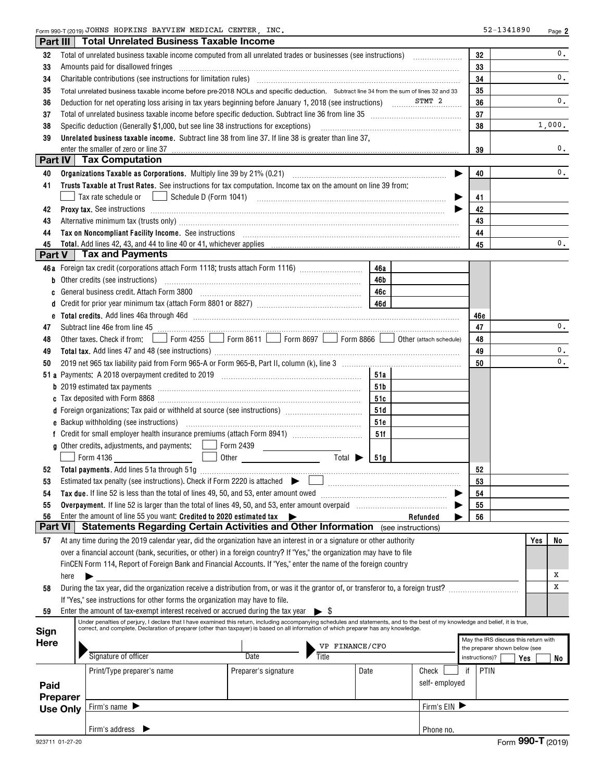Form 990-T (2019) Page JOHNS HOPKINS BAYVIEW MEDICAL CENTER, INC. 52-1341890

| Part III       |                 | <b>Total Unrelated Business Taxable Income</b>                                                                                                                                                                                                                                                                                                                                                                                                                   |                      |                             |      |                         |                |                                      |     |        |
|----------------|-----------------|------------------------------------------------------------------------------------------------------------------------------------------------------------------------------------------------------------------------------------------------------------------------------------------------------------------------------------------------------------------------------------------------------------------------------------------------------------------|----------------------|-----------------------------|------|-------------------------|----------------|--------------------------------------|-----|--------|
| 32             |                 |                                                                                                                                                                                                                                                                                                                                                                                                                                                                  |                      |                             |      |                         | 32             |                                      |     | 0.     |
| 33             |                 | Amounts paid for disallowed fringes encouragement and an amount of the final state of the state of the state of the state of the state of the state of the state of the state of the state of the state of the state of the st                                                                                                                                                                                                                                   |                      |                             |      |                         | 33             |                                      |     |        |
| 34             |                 | Charitable contributions (see instructions for limitation rules) [11] manufacture in the contributions (see instructions for limitation rules) [11] manufacture in the contributions (see instructions for limitation rules) [                                                                                                                                                                                                                                   |                      |                             |      |                         | 34             |                                      |     | 0.     |
| 35             |                 | Total unrelated business taxable income before pre-2018 NOLs and specific deduction. Subtract line 34 from the sum of lines 32 and 33                                                                                                                                                                                                                                                                                                                            |                      |                             |      |                         | 35             |                                      |     |        |
| 36             |                 | Deduction for net operating loss arising in tax years beginning before January 1, 2018 (see instructions) structions.                                                                                                                                                                                                                                                                                                                                            |                      |                             |      |                         | 36             |                                      |     | 0.     |
| 37             |                 |                                                                                                                                                                                                                                                                                                                                                                                                                                                                  |                      |                             |      |                         | 37             |                                      |     |        |
| 38             |                 | Specific deduction (Generally \$1,000, but see line 38 instructions for exceptions)                                                                                                                                                                                                                                                                                                                                                                              |                      |                             |      |                         | 38             |                                      |     | 1,000. |
| 39             |                 | Unrelated business taxable income. Subtract line 38 from line 37. If line 38 is greater than line 37,                                                                                                                                                                                                                                                                                                                                                            |                      |                             |      |                         |                |                                      |     |        |
|                |                 | enter the smaller of zero or line 37<br>Part IV   Tax Computation                                                                                                                                                                                                                                                                                                                                                                                                |                      |                             |      |                         | 39             |                                      |     | 0.     |
|                |                 |                                                                                                                                                                                                                                                                                                                                                                                                                                                                  |                      |                             |      |                         |                |                                      |     | 0.     |
| 40<br>41       |                 | Trusts Taxable at Trust Rates. See instructions for tax computation. Income tax on the amount on line 39 from:                                                                                                                                                                                                                                                                                                                                                   |                      |                             |      |                         | 40             |                                      |     |        |
|                |                 | Tax rate schedule or                                                                                                                                                                                                                                                                                                                                                                                                                                             |                      |                             |      |                         | 41             |                                      |     |        |
| 42             |                 |                                                                                                                                                                                                                                                                                                                                                                                                                                                                  |                      |                             |      |                         | 42             |                                      |     |        |
| 43             |                 |                                                                                                                                                                                                                                                                                                                                                                                                                                                                  |                      |                             |      |                         | 43             |                                      |     |        |
| 44             |                 | Alternative minimum tax (trusts only) manufactured and an according term of the state of the state of the state of the state of the state of the state of the state of the state of the state of the state of the state of the<br>Tax on Noncompliant Facility Income. See instructions [11] All and the material contract the contract of the contract of the contract of the contract of the contract of the contract of the contract of the contract of the c |                      |                             |      |                         | 44             |                                      |     |        |
| 45             |                 | <b>Total.</b> Add lines 42, 43, and 44 to line 40 or 41, whichever applies                                                                                                                                                                                                                                                                                                                                                                                       |                      |                             |      |                         | 45             |                                      |     | 0.     |
| Part V         |                 | <b>Tax and Payments</b>                                                                                                                                                                                                                                                                                                                                                                                                                                          |                      |                             |      |                         |                |                                      |     |        |
|                |                 | 46a Foreign tax credit (corporations attach Form 1118; trusts attach Form 1116) [                                                                                                                                                                                                                                                                                                                                                                                |                      |                             | 46a  |                         |                |                                      |     |        |
| b              |                 | Other credits (see instructions)                                                                                                                                                                                                                                                                                                                                                                                                                                 |                      |                             | 46b  |                         |                |                                      |     |        |
| c              |                 |                                                                                                                                                                                                                                                                                                                                                                                                                                                                  |                      |                             | 46c  |                         |                |                                      |     |        |
| d              |                 |                                                                                                                                                                                                                                                                                                                                                                                                                                                                  |                      |                             |      |                         |                |                                      |     |        |
| е              |                 | Total credits. Add lines 46a through 46d [111] [12] Martin March 2014 (13) Total credits. Add lines 46a through 46d                                                                                                                                                                                                                                                                                                                                              |                      |                             |      |                         | 46e            |                                      |     |        |
| 47             |                 | Subtract line 46e from line 45 <b>with the contract of the contract of the contract line 46e</b> from line 45                                                                                                                                                                                                                                                                                                                                                    |                      |                             |      |                         | 47             |                                      |     | 0.     |
| 48             |                 | Other taxes. Check if from:       Form 4255     Form 8611     Form 8697     Form 8866                                                                                                                                                                                                                                                                                                                                                                            |                      |                             |      | Other (attach schedule) | 48             |                                      |     |        |
| 49             |                 |                                                                                                                                                                                                                                                                                                                                                                                                                                                                  |                      |                             |      |                         | 49             |                                      |     | 0.     |
| 50             |                 |                                                                                                                                                                                                                                                                                                                                                                                                                                                                  |                      |                             |      |                         | 50             |                                      |     | 0.     |
|                |                 |                                                                                                                                                                                                                                                                                                                                                                                                                                                                  |                      |                             | 51a  |                         |                |                                      |     |        |
|                |                 |                                                                                                                                                                                                                                                                                                                                                                                                                                                                  |                      |                             | 51b  |                         |                |                                      |     |        |
|                |                 |                                                                                                                                                                                                                                                                                                                                                                                                                                                                  |                      |                             | 51c  |                         |                |                                      |     |        |
|                |                 | d Foreign organizations: Tax paid or withheld at source (see instructions) [1001111111111111111111111111111111                                                                                                                                                                                                                                                                                                                                                   |                      |                             | 51d  |                         |                |                                      |     |        |
|                |                 |                                                                                                                                                                                                                                                                                                                                                                                                                                                                  |                      |                             | 51e  |                         |                |                                      |     |        |
|                |                 |                                                                                                                                                                                                                                                                                                                                                                                                                                                                  |                      |                             | 51f  |                         |                |                                      |     |        |
|                |                 | g Other credits, adjustments, and payments:   Form 2439 [Consuming the credits, and payments:   Georgia Proma                                                                                                                                                                                                                                                                                                                                                    |                      | Total $\blacktriangleright$ |      |                         |                |                                      |     |        |
|                |                 | Form 4136                                                                                                                                                                                                                                                                                                                                                                                                                                                        |                      |                             | 51a  |                         |                |                                      |     |        |
| 52             |                 |                                                                                                                                                                                                                                                                                                                                                                                                                                                                  |                      |                             |      |                         | 52<br>53       |                                      |     |        |
| 54             |                 | Tax due. If line 52 is less than the total of lines 49, 50, and 53, enter amount owed <i>manumeral states</i> and the states of the states of the states of the states of the states of the states of the states of the states of t                                                                                                                                                                                                                              |                      |                             |      |                         | 54             |                                      |     |        |
| 55             |                 |                                                                                                                                                                                                                                                                                                                                                                                                                                                                  |                      |                             |      |                         | 55             |                                      |     |        |
| 56             |                 | Enter the amount of line 55 you want: Credited to 2020 estimated tax                                                                                                                                                                                                                                                                                                                                                                                             |                      |                             |      | Refunded                | 56             |                                      |     |        |
| <b>Part VI</b> |                 | Statements Regarding Certain Activities and Other Information (see instructions)                                                                                                                                                                                                                                                                                                                                                                                 |                      |                             |      |                         |                |                                      |     |        |
| 57             |                 | At any time during the 2019 calendar year, did the organization have an interest in or a signature or other authority                                                                                                                                                                                                                                                                                                                                            |                      |                             |      |                         |                |                                      | Yes | No     |
|                |                 | over a financial account (bank, securities, or other) in a foreign country? If "Yes," the organization may have to file                                                                                                                                                                                                                                                                                                                                          |                      |                             |      |                         |                |                                      |     |        |
|                |                 | FinCEN Form 114, Report of Foreign Bank and Financial Accounts. If "Yes," enter the name of the foreign country                                                                                                                                                                                                                                                                                                                                                  |                      |                             |      |                         |                |                                      |     |        |
|                | here            |                                                                                                                                                                                                                                                                                                                                                                                                                                                                  |                      |                             |      |                         |                |                                      |     | Х      |
| 58             |                 | During the tax year, did the organization receive a distribution from, or was it the grantor of, or transferor to, a foreign trust?                                                                                                                                                                                                                                                                                                                              |                      |                             |      |                         |                |                                      |     | x      |
|                |                 | If "Yes," see instructions for other forms the organization may have to file.                                                                                                                                                                                                                                                                                                                                                                                    |                      |                             |      |                         |                |                                      |     |        |
| 59             |                 | Enter the amount of tax-exempt interest received or accrued during the tax year                                                                                                                                                                                                                                                                                                                                                                                  |                      | $\blacktriangleright$ 8     |      |                         |                |                                      |     |        |
|                |                 | Under penalties of perjury, I declare that I have examined this return, including accompanying schedules and statements, and to the best of my knowledge and belief, it is true,<br>correct, and complete. Declaration of preparer (other than taxpayer) is based on all information of which preparer has any knowledge.                                                                                                                                        |                      |                             |      |                         |                |                                      |     |        |
| Sign           |                 |                                                                                                                                                                                                                                                                                                                                                                                                                                                                  |                      |                             |      |                         |                | May the IRS discuss this return with |     |        |
| <b>Here</b>    |                 |                                                                                                                                                                                                                                                                                                                                                                                                                                                                  |                      | VP FINANCE/CFO              |      |                         |                | the preparer shown below (see        |     |        |
|                |                 | Signature of officer                                                                                                                                                                                                                                                                                                                                                                                                                                             | Date                 | Title                       |      |                         | instructions)? |                                      | Yes | No     |
|                |                 | Print/Type preparer's name                                                                                                                                                                                                                                                                                                                                                                                                                                       | Preparer's signature |                             | Date | Check                   | if             | <b>PTIN</b>                          |     |        |
| Paid           |                 |                                                                                                                                                                                                                                                                                                                                                                                                                                                                  |                      |                             |      | self-employed           |                |                                      |     |        |
|                | <b>Preparer</b> |                                                                                                                                                                                                                                                                                                                                                                                                                                                                  |                      |                             |      |                         |                |                                      |     |        |
|                | <b>Use Only</b> | Firm's name $\blacktriangleright$                                                                                                                                                                                                                                                                                                                                                                                                                                |                      |                             |      | Firm's $EIN$            |                |                                      |     |        |
|                |                 |                                                                                                                                                                                                                                                                                                                                                                                                                                                                  |                      |                             |      |                         |                |                                      |     |        |
|                |                 | Firm's address $\blacktriangleright$                                                                                                                                                                                                                                                                                                                                                                                                                             |                      |                             |      | Phone no.               |                |                                      |     |        |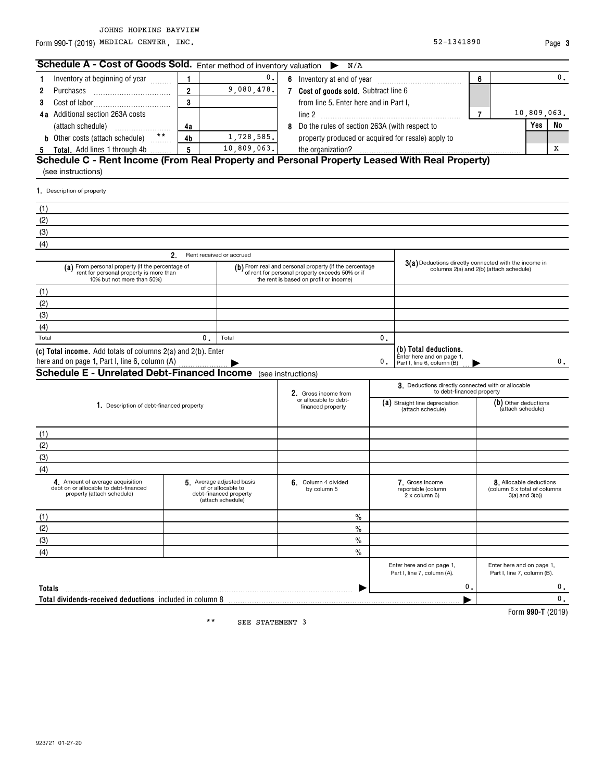### JOHNS HOPKINS BAYVIEW

Form 990-T (2019) Page MEDICAL CENTER, INC. 52-1341890

**990-T**  Form (2019)

**3**

| Schedule A - Cost of Goods Sold. Enter method of inventory valuation                                                      |                                                                                               | N/A                                                                                                                                                 |    |                                                                                  |                |                                                                                |             |    |
|---------------------------------------------------------------------------------------------------------------------------|-----------------------------------------------------------------------------------------------|-----------------------------------------------------------------------------------------------------------------------------------------------------|----|----------------------------------------------------------------------------------|----------------|--------------------------------------------------------------------------------|-------------|----|
| Inventory at beginning of year<br>1                                                                                       | $\mathbf 0$ .                                                                                 |                                                                                                                                                     |    |                                                                                  | 6              |                                                                                |             | 0. |
| $\overline{2}$<br>2<br>Purchases                                                                                          | 9,080,478.                                                                                    | 7 Cost of goods sold. Subtract line 6                                                                                                               |    |                                                                                  |                |                                                                                |             |    |
| 3<br>3                                                                                                                    |                                                                                               | from line 5. Enter here and in Part I,                                                                                                              |    |                                                                                  |                |                                                                                |             |    |
| <b>4a</b> Additional section 263A costs                                                                                   |                                                                                               |                                                                                                                                                     |    |                                                                                  | $\overline{7}$ |                                                                                | 10,809,063. |    |
| 4a                                                                                                                        |                                                                                               | 8 Do the rules of section 263A (with respect to                                                                                                     |    |                                                                                  |                |                                                                                | <b>Yes</b>  | No |
| <b>b</b> Other costs (attach schedule) **<br>4 <sub>b</sub>                                                               | 1,728,585.                                                                                    | property produced or acquired for resale) apply to                                                                                                  |    |                                                                                  |                |                                                                                |             |    |
| $5\phantom{a}$<br>Total. Add lines 1 through 4b<br>5                                                                      | 10,809,063.                                                                                   |                                                                                                                                                     |    |                                                                                  |                |                                                                                |             | х  |
| Schedule C - Rent Income (From Real Property and Personal Property Leased With Real Property)                             |                                                                                               |                                                                                                                                                     |    |                                                                                  |                |                                                                                |             |    |
| (see instructions)                                                                                                        |                                                                                               |                                                                                                                                                     |    |                                                                                  |                |                                                                                |             |    |
| 1. Description of property                                                                                                |                                                                                               |                                                                                                                                                     |    |                                                                                  |                |                                                                                |             |    |
| (1)                                                                                                                       |                                                                                               |                                                                                                                                                     |    |                                                                                  |                |                                                                                |             |    |
| (2)                                                                                                                       |                                                                                               |                                                                                                                                                     |    |                                                                                  |                |                                                                                |             |    |
| (3)                                                                                                                       |                                                                                               |                                                                                                                                                     |    |                                                                                  |                |                                                                                |             |    |
| (4)                                                                                                                       |                                                                                               |                                                                                                                                                     |    |                                                                                  |                |                                                                                |             |    |
| 2.                                                                                                                        | Rent received or accrued                                                                      |                                                                                                                                                     |    |                                                                                  |                |                                                                                |             |    |
| (a) From personal property (if the percentage of<br>rent for personal property is more than<br>10% but not more than 50%) |                                                                                               | (b) From real and personal property (if the percentage<br>of rent for personal property exceeds 50% or if<br>the rent is based on profit or income) |    | 3(a) Deductions directly connected with the income in                            |                | columns 2(a) and 2(b) (attach schedule)                                        |             |    |
| (1)                                                                                                                       |                                                                                               |                                                                                                                                                     |    |                                                                                  |                |                                                                                |             |    |
| (2)                                                                                                                       |                                                                                               |                                                                                                                                                     |    |                                                                                  |                |                                                                                |             |    |
| (3)                                                                                                                       |                                                                                               |                                                                                                                                                     |    |                                                                                  |                |                                                                                |             |    |
| (4)                                                                                                                       |                                                                                               |                                                                                                                                                     |    |                                                                                  |                |                                                                                |             |    |
| Total<br>0.                                                                                                               | Total                                                                                         |                                                                                                                                                     | 0. |                                                                                  |                |                                                                                |             |    |
| (c) Total income. Add totals of columns 2(a) and 2(b). Enter                                                              |                                                                                               |                                                                                                                                                     | 0. | (b) Total deductions.<br>Enter here and on page 1,<br>Part I, line 6, column (B) |                |                                                                                |             | 0. |
| <b>Schedule E - Unrelated Debt-Financed Income</b> (see instructions)                                                     |                                                                                               |                                                                                                                                                     |    |                                                                                  |                |                                                                                |             |    |
|                                                                                                                           |                                                                                               | 2. Gross income from                                                                                                                                |    | 3. Deductions directly connected with or allocable<br>to debt-financed property  |                |                                                                                |             |    |
| 1. Description of debt-financed property                                                                                  |                                                                                               | or allocable to debt-<br>financed property                                                                                                          |    | (a) Straight line depreciation<br>(attach schedule)                              |                | (b) Other deductions<br>(attach schedule)                                      |             |    |
| (1)                                                                                                                       |                                                                                               |                                                                                                                                                     |    |                                                                                  |                |                                                                                |             |    |
| (2)                                                                                                                       |                                                                                               |                                                                                                                                                     |    |                                                                                  |                |                                                                                |             |    |
| (3)                                                                                                                       |                                                                                               |                                                                                                                                                     |    |                                                                                  |                |                                                                                |             |    |
| (4)                                                                                                                       |                                                                                               |                                                                                                                                                     |    |                                                                                  |                |                                                                                |             |    |
| 4. Amount of average acquisition<br>debt on or allocable to debt-financed<br>property (attach schedule)                   | 5 Average adjusted basis<br>of or allocable to<br>debt-financed property<br>(attach schedule) | 6. Column 4 divided<br>by column 5                                                                                                                  |    | 7. Gross income<br>reportable (column<br>2 x column 6)                           |                | 8. Allocable deductions<br>(column 6 x total of columns<br>$3(a)$ and $3(b)$ ) |             |    |
| (1)                                                                                                                       |                                                                                               | $\%$                                                                                                                                                |    |                                                                                  |                |                                                                                |             |    |
| (2)                                                                                                                       |                                                                                               | $\%$                                                                                                                                                |    |                                                                                  |                |                                                                                |             |    |
| (3)                                                                                                                       |                                                                                               | $\frac{0}{0}$                                                                                                                                       |    |                                                                                  |                |                                                                                |             |    |
| (4)                                                                                                                       |                                                                                               | $\frac{0}{0}$                                                                                                                                       |    |                                                                                  |                |                                                                                |             |    |
|                                                                                                                           |                                                                                               |                                                                                                                                                     |    | Enter here and on page 1,<br>Part I, line 7, column (A).                         |                | Enter here and on page 1,<br>Part I, line 7, column (B).                       |             |    |
| Totals                                                                                                                    |                                                                                               |                                                                                                                                                     |    | $\mathbf{0}$ .                                                                   |                |                                                                                |             | 0. |
| Total dividends-received deductions included in column 8                                                                  |                                                                                               |                                                                                                                                                     |    |                                                                                  |                |                                                                                |             | 0. |

SEE STATEMENT 3 \*\*

923721 01-27-20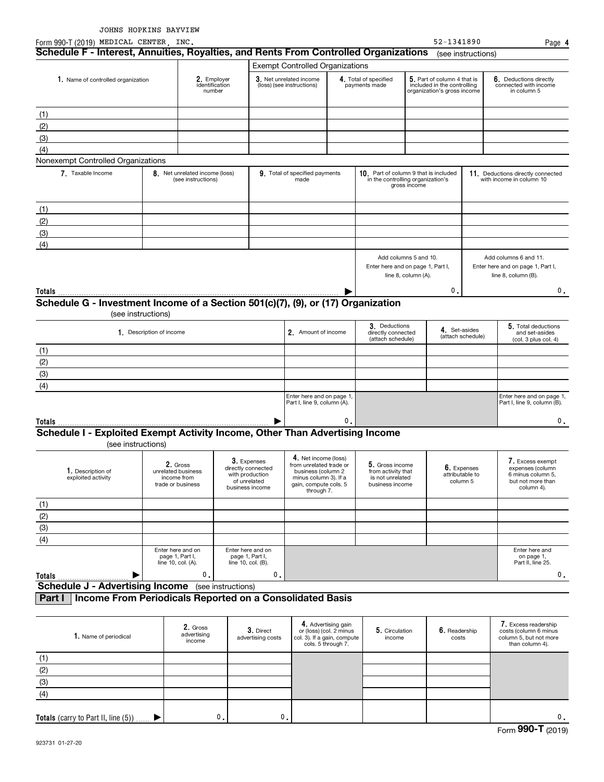| Form 990-T (2019) MEDICAL CENTER, INC.                                                             |                          |                                                                    |                                                                                         |                                |                                                                                                                                       |                                                                           |                                                                              |                                                                                           | 52-1341890                                 |                    | Page 4                                                                                       |
|----------------------------------------------------------------------------------------------------|--------------------------|--------------------------------------------------------------------|-----------------------------------------------------------------------------------------|--------------------------------|---------------------------------------------------------------------------------------------------------------------------------------|---------------------------------------------------------------------------|------------------------------------------------------------------------------|-------------------------------------------------------------------------------------------|--------------------------------------------|--------------------|----------------------------------------------------------------------------------------------|
| Schedule F - Interest, Annuities, Royalties, and Rents From Controlled Organizations               |                          |                                                                    |                                                                                         |                                |                                                                                                                                       |                                                                           |                                                                              |                                                                                           |                                            | (see instructions) |                                                                                              |
|                                                                                                    |                          |                                                                    |                                                                                         |                                | <b>Exempt Controlled Organizations</b>                                                                                                |                                                                           |                                                                              |                                                                                           |                                            |                    |                                                                                              |
| 1. Name of controlled organization                                                                 |                          | 2. Employer<br>identification<br>number                            |                                                                                         |                                | 3. Net unrelated income<br>(loss) (see instructions)                                                                                  |                                                                           | 4. Total of specified<br>payments made                                       | 5. Part of column 4 that is<br>included in the controlling<br>organization's gross income |                                            |                    | 6. Deductions directly<br>connected with income<br>in column 5                               |
| (1)                                                                                                |                          |                                                                    |                                                                                         |                                |                                                                                                                                       |                                                                           |                                                                              |                                                                                           |                                            |                    |                                                                                              |
| (2)                                                                                                |                          |                                                                    |                                                                                         |                                |                                                                                                                                       |                                                                           |                                                                              |                                                                                           |                                            |                    |                                                                                              |
| (3)                                                                                                |                          |                                                                    |                                                                                         |                                |                                                                                                                                       |                                                                           |                                                                              |                                                                                           |                                            |                    |                                                                                              |
| (4)                                                                                                |                          |                                                                    |                                                                                         |                                |                                                                                                                                       |                                                                           |                                                                              |                                                                                           |                                            |                    |                                                                                              |
| Nonexempt Controlled Organizations                                                                 |                          |                                                                    |                                                                                         |                                |                                                                                                                                       |                                                                           |                                                                              |                                                                                           |                                            |                    |                                                                                              |
| 7. Taxable Income                                                                                  |                          | 8. Net unrelated income (loss)<br>(see instructions)               |                                                                                         |                                | 9. Total of specified payments<br>made                                                                                                |                                                                           | 10. Part of column 9 that is included<br>in the controlling organization's   | gross income                                                                              |                                            |                    | 11. Deductions directly connected<br>with income in column 10                                |
| (1)                                                                                                |                          |                                                                    |                                                                                         |                                |                                                                                                                                       |                                                                           |                                                                              |                                                                                           |                                            |                    |                                                                                              |
| (2)                                                                                                |                          |                                                                    |                                                                                         |                                |                                                                                                                                       |                                                                           |                                                                              |                                                                                           |                                            |                    |                                                                                              |
| (3)                                                                                                |                          |                                                                    |                                                                                         |                                |                                                                                                                                       |                                                                           |                                                                              |                                                                                           |                                            |                    |                                                                                              |
| (4)                                                                                                |                          |                                                                    |                                                                                         |                                |                                                                                                                                       |                                                                           |                                                                              |                                                                                           |                                            |                    |                                                                                              |
|                                                                                                    |                          |                                                                    |                                                                                         |                                |                                                                                                                                       |                                                                           | Add columns 5 and 10.<br>Enter here and on page 1, Part I,                   | line 8, column (A).                                                                       |                                            |                    | Add columns 6 and 11.<br>Enter here and on page 1, Part I,<br>line 8, column (B).            |
| Totals                                                                                             |                          |                                                                    |                                                                                         |                                |                                                                                                                                       |                                                                           |                                                                              |                                                                                           | 0.                                         |                    | 0.                                                                                           |
| Schedule G - Investment Income of a Section 501(c)(7), (9), or (17) Organization                   | (see instructions)       |                                                                    |                                                                                         |                                |                                                                                                                                       |                                                                           |                                                                              |                                                                                           |                                            |                    |                                                                                              |
|                                                                                                    | 1. Description of income |                                                                    |                                                                                         |                                | 2. Amount of income                                                                                                                   |                                                                           | 3. Deductions<br>directly connected<br>(attach schedule)                     |                                                                                           | 4. Set-asides                              | (attach schedule)  | 5. Total deductions<br>and set-asides<br>(col. 3 plus col. 4)                                |
| (1)                                                                                                |                          |                                                                    |                                                                                         |                                |                                                                                                                                       |                                                                           |                                                                              |                                                                                           |                                            |                    |                                                                                              |
| (2)                                                                                                |                          |                                                                    |                                                                                         |                                |                                                                                                                                       |                                                                           |                                                                              |                                                                                           |                                            |                    |                                                                                              |
| (3)                                                                                                |                          |                                                                    |                                                                                         |                                |                                                                                                                                       |                                                                           |                                                                              |                                                                                           |                                            |                    |                                                                                              |
| (4)                                                                                                |                          |                                                                    |                                                                                         |                                |                                                                                                                                       |                                                                           |                                                                              |                                                                                           |                                            |                    |                                                                                              |
|                                                                                                    |                          |                                                                    |                                                                                         |                                | Enter here and on page 1,<br>Part I, line 9, column (A).                                                                              |                                                                           |                                                                              |                                                                                           |                                            |                    | Enter here and on page 1,<br>Part I, line 9, column (B).                                     |
| Totals                                                                                             |                          |                                                                    |                                                                                         |                                |                                                                                                                                       | 0                                                                         |                                                                              |                                                                                           |                                            |                    | 0.                                                                                           |
| Schedule I - Exploited Exempt Activity Income, Other Than Advertising Income<br>(see instructions) |                          |                                                                    |                                                                                         |                                |                                                                                                                                       |                                                                           |                                                                              |                                                                                           |                                            |                    |                                                                                              |
| 1. Description of<br>exploited activity                                                            |                          | 2. Gross<br>unrelated business<br>income from<br>trade or business | 3. Expenses<br>directly connected<br>with production<br>of unrelated<br>business income |                                | 4. Net income (loss)<br>from unrelated trade or<br>business (column 2<br>minus column 3). If a<br>gain, compute cols. 5<br>through 7. |                                                                           | 5. Gross income<br>from activity that<br>is not unrelated<br>business income |                                                                                           | 6. Expenses<br>attributable to<br>column 5 |                    | 7. Excess exempt<br>expenses (column<br>6 minus column 5,<br>but not more than<br>column 4). |
| (1)                                                                                                |                          |                                                                    |                                                                                         |                                |                                                                                                                                       |                                                                           |                                                                              |                                                                                           |                                            |                    |                                                                                              |
| (2)                                                                                                |                          |                                                                    |                                                                                         |                                |                                                                                                                                       |                                                                           |                                                                              |                                                                                           |                                            |                    |                                                                                              |
| (3)                                                                                                |                          |                                                                    |                                                                                         |                                |                                                                                                                                       |                                                                           |                                                                              |                                                                                           |                                            |                    |                                                                                              |
| (4)                                                                                                |                          |                                                                    |                                                                                         |                                |                                                                                                                                       |                                                                           |                                                                              |                                                                                           |                                            |                    |                                                                                              |
|                                                                                                    |                          | Enter here and on<br>page 1, Part I,<br>line 10, col. (A).         | Enter here and on<br>page 1, Part I,<br>line 10, col. (B).                              |                                |                                                                                                                                       |                                                                           |                                                                              |                                                                                           |                                            |                    | Enter here and<br>on page 1,<br>Part II, line 25.                                            |
| <b>Totals</b>                                                                                      |                          | 0.                                                                 |                                                                                         | $\mathfrak o$ .                |                                                                                                                                       |                                                                           |                                                                              |                                                                                           |                                            |                    | 0.                                                                                           |
| <b>Schedule J - Advertising Income</b> (see instructions)                                          |                          |                                                                    |                                                                                         |                                |                                                                                                                                       |                                                                           |                                                                              |                                                                                           |                                            |                    |                                                                                              |
| Income From Periodicals Reported on a Consolidated Basis<br>Part I                                 |                          |                                                                    |                                                                                         |                                |                                                                                                                                       |                                                                           |                                                                              |                                                                                           |                                            |                    |                                                                                              |
| 1. Name of periodical                                                                              |                          | 2. Gross<br>advertising                                            |                                                                                         | 3. Direct<br>advertising costs |                                                                                                                                       | 4. Advertising gain<br>or (loss) (col. 2 minus<br>ol 3) If a gain compute | 5. Circulation<br>income                                                     |                                                                                           | 6. Readership<br>costs                     |                    | 7. Excess readership<br>costs (column 6 minus<br>column 5 but not more                       |

| 1. Name of periodical                  | 2. Gross<br>advertising<br>income | 3. Direct<br>advertising costs | 4. Advertising gain<br>or (loss) (col. 2 minus<br>col. 3). If a gain, compute<br>cols. 5 through 7. | 5. Circulation<br>income | 6. Readership<br>costs | 7. Excess readership<br>costs (column 6 minus<br>column 5, but not more<br>than column 4). |
|----------------------------------------|-----------------------------------|--------------------------------|-----------------------------------------------------------------------------------------------------|--------------------------|------------------------|--------------------------------------------------------------------------------------------|
|                                        |                                   |                                |                                                                                                     |                          |                        |                                                                                            |
| (2)                                    |                                   |                                |                                                                                                     |                          |                        |                                                                                            |
| (3)                                    |                                   |                                |                                                                                                     |                          |                        |                                                                                            |
| (4)                                    |                                   |                                |                                                                                                     |                          |                        |                                                                                            |
|                                        |                                   |                                |                                                                                                     |                          |                        |                                                                                            |
| Totals (carry to Part II, line $(5)$ ) | 0.                                | 0.                             |                                                                                                     |                          |                        | 0.                                                                                         |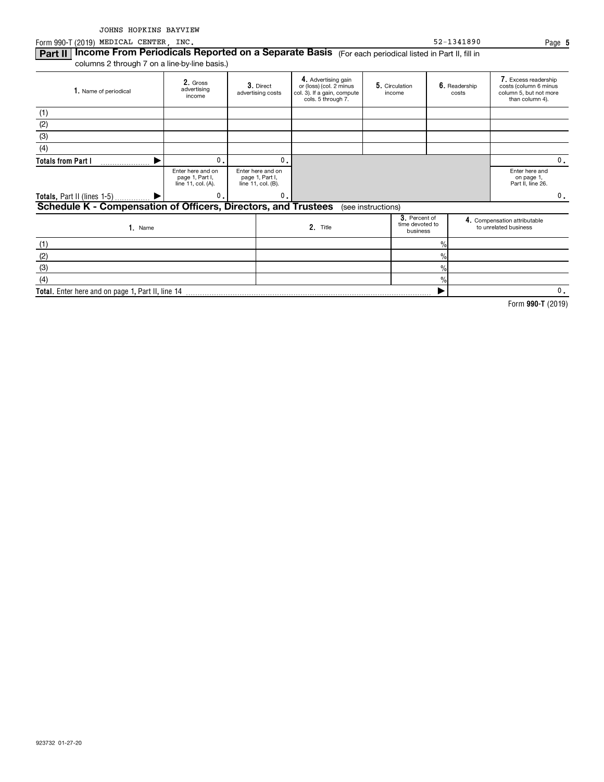Form 990-T (2019) Page MEDICAL CENTER, INC. 52-1341890

 $\frac{9}{6}$ 

 $\blacktriangleright$ 

**Part II | Income From Periodicals Reported on a Separate Basis** (For each periodical listed in Part II, fill in columns 2 through 7 on a line-by-line basis.)

**Total.**  Enter here and on page 1, Part II, line 14

| 1. Name of periodical                                          | 2. Gross<br>advertising<br>income                          | 3. Direct<br>advertising costs                             |                | 4. Advertising gain<br>or (loss) (col. 2 minus<br>col. 3). If a gain, compute<br>cols. 5 through 7. |                    | 5. Circulation<br>income                     |               | 6. Readership<br>costs | 7. Excess readership<br>costs (column 6 minus<br>column 5, but not more<br>than column 4). |    |
|----------------------------------------------------------------|------------------------------------------------------------|------------------------------------------------------------|----------------|-----------------------------------------------------------------------------------------------------|--------------------|----------------------------------------------|---------------|------------------------|--------------------------------------------------------------------------------------------|----|
| (1)                                                            |                                                            |                                                            |                |                                                                                                     |                    |                                              |               |                        |                                                                                            |    |
| (2)                                                            |                                                            |                                                            |                |                                                                                                     |                    |                                              |               |                        |                                                                                            |    |
| (3)                                                            |                                                            |                                                            |                |                                                                                                     |                    |                                              |               |                        |                                                                                            |    |
| (4)                                                            |                                                            |                                                            |                |                                                                                                     |                    |                                              |               |                        |                                                                                            |    |
| <b>Totals from Part I</b>                                      | $\mathbf{0}$ .                                             |                                                            | $\mathbf{0}$ . |                                                                                                     |                    |                                              |               |                        |                                                                                            | 0. |
|                                                                | Enter here and on<br>page 1, Part I,<br>line 11, col. (A). | Enter here and on<br>page 1, Part I,<br>line 11, col. (B). |                |                                                                                                     |                    |                                              |               |                        | Enter here and<br>on page 1,<br>Part II, line 26.                                          |    |
| Totals, Part II (lines 1-5)                                    | $\mathbf{0}$ .                                             |                                                            | $\mathbf{0}$ . |                                                                                                     |                    |                                              |               |                        |                                                                                            | 0. |
| Schedule K - Compensation of Officers, Directors, and Trustees |                                                            |                                                            |                |                                                                                                     | (see instructions) |                                              |               |                        |                                                                                            |    |
| 1. Name                                                        |                                                            |                                                            |                | 2. Title                                                                                            |                    | 3. Percent of<br>time devoted to<br>business |               |                        | 4. Compensation attributable<br>to unrelated business                                      |    |
| (1)                                                            |                                                            |                                                            |                |                                                                                                     |                    |                                              | $\frac{9}{6}$ |                        |                                                                                            |    |
| (2)                                                            |                                                            |                                                            |                |                                                                                                     |                    |                                              | $\frac{9}{0}$ |                        |                                                                                            |    |
| (3)                                                            |                                                            |                                                            |                |                                                                                                     |                    |                                              | $\frac{0}{0}$ |                        |                                                                                            |    |

**990-T**  Form (2019)

 $\overline{\overline{\mathfrak{o}}.}$ 

**5**

(4)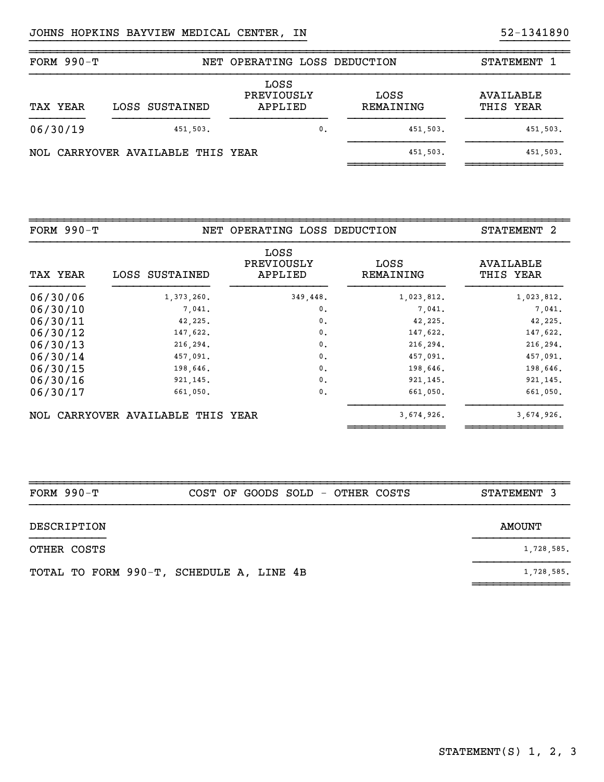| FORM $990-T$ |                                   | NET OPERATING LOSS DEDUCTION  |                   | STATEMENT 1            |
|--------------|-----------------------------------|-------------------------------|-------------------|------------------------|
| TAX YEAR     | LOSS SUSTAINED                    | LOSS<br>PREVIOUSLY<br>APPLIED | LOSS<br>REMAINING | AVAILABLE<br>THIS YEAR |
| 06/30/19     | 451,503.                          | $\mathbf{0}$ .                | 451,503.          | 451,503.               |
|              | NOL CARRYOVER AVAILABLE THIS YEAR |                               | 451,503.          | 451,503.               |

}}}}}}}}}}}}}}}}}}}}}}}}}}}}}}}}}}}}}}}} }}}}}}}}}}

| FORM $990-T$ |                                   | NET OPERATING LOSS DEDUCTION  |                   | STATEMENT 2            |
|--------------|-----------------------------------|-------------------------------|-------------------|------------------------|
| TAX YEAR     | LOSS SUSTAINED                    | LOSS<br>PREVIOUSLY<br>APPLIED | LOSS<br>REMAINING | AVAILABLE<br>THIS YEAR |
| 06/30/06     | 1,373,260.                        | 349,448.                      | 1,023,812.        | 1,023,812.             |
| 06/30/10     | 7,041.                            | $\mathbf{0}$ .                | 7,041.            | 7,041.                 |
| 06/30/11     | 42,225.                           | 0.                            | 42,225.           | 42,225.                |
| 06/30/12     | 147,622.                          | 0.                            | 147,622.          | 147,622.               |
| 06/30/13     | 216, 294.                         | $\mathbf{0}$ .                | 216, 294.         | 216,294.               |
| 06/30/14     | 457,091.                          | 0.                            | 457,091.          | 457,091.               |
| 06/30/15     | 198,646.                          | $\mathbf{0}$ .                | 198,646.          | 198,646.               |
| 06/30/16     | 921, 145.                         | $\mathbf{0}$ .                | 921, 145.         | 921, 145.              |
| 06/30/17     | 661,050.                          | $\mathbf{0}$ .                | 661,050.          | 661,050.               |
|              | NOL CARRYOVER AVAILABLE THIS YEAR |                               | 3,674,926.        | 3,674,926.             |

| FORM $990-T$ |                                          |  |  |  | COST OF GOODS SOLD - OTHER COSTS | STATEMENT 3 |  |
|--------------|------------------------------------------|--|--|--|----------------------------------|-------------|--|
| DESCRIPTION  |                                          |  |  |  |                                  | AMOUNT      |  |
| OTHER COSTS  |                                          |  |  |  |                                  | 1,728,585.  |  |
|              | TOTAL TO FORM 990-T, SCHEDULE A, LINE 4B |  |  |  |                                  | 1,728,585.  |  |

~~~~~~~~~~~~~~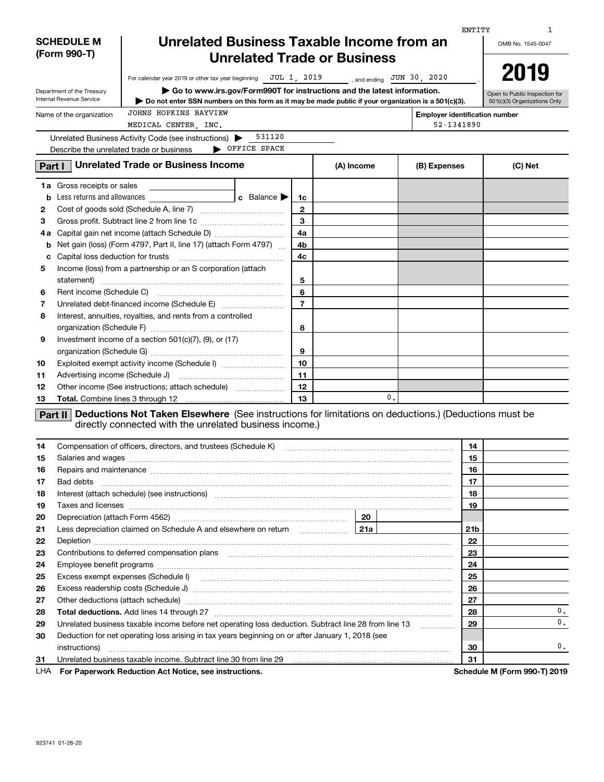|     |                                                        |                                                                                                                                                                                                                                     |                                 |                |            |    |                                       | ENTITY          | 1                                                             |  |  |  |
|-----|--------------------------------------------------------|-------------------------------------------------------------------------------------------------------------------------------------------------------------------------------------------------------------------------------------|---------------------------------|----------------|------------|----|---------------------------------------|-----------------|---------------------------------------------------------------|--|--|--|
|     | <b>SCHEDULE M</b>                                      | Unrelated Business Taxable Income from an                                                                                                                                                                                           |                                 |                |            |    |                                       |                 | OMB No. 1545-0047                                             |  |  |  |
|     | (Form 990-T)                                           | <b>Unrelated Trade or Business</b>                                                                                                                                                                                                  |                                 |                |            |    |                                       |                 |                                                               |  |  |  |
|     |                                                        |                                                                                                                                                                                                                                     |                                 |                |            |    |                                       |                 | 2019                                                          |  |  |  |
|     |                                                        | For calendar year 2019 or other tax year beginning $JUL 1, 2019$                                                                                                                                                                    |                                 |                |            |    | , and ending $JUN$ 30, 2020           |                 |                                                               |  |  |  |
|     | Department of the Treasury<br>Internal Revenue Service | $\blacktriangleright$ Go to www.irs.gov/Form990T for instructions and the latest information.<br>Do not enter SSN numbers on this form as it may be made public if your organization is a 501(c)(3).                                |                                 |                |            |    |                                       |                 | Open to Public Inspection for<br>501(c)(3) Organizations Only |  |  |  |
|     |                                                        | JOHNS HOPKINS BAYVIEW                                                                                                                                                                                                               |                                 |                |            |    |                                       |                 |                                                               |  |  |  |
|     | Name of the organization                               | MEDICAL CENTER, INC.                                                                                                                                                                                                                |                                 |                |            |    | <b>Employer identification number</b> | 52-1341890      |                                                               |  |  |  |
|     |                                                        | Unrelated Business Activity Code (see instructions)                                                                                                                                                                                 | 531120                          |                |            |    |                                       |                 |                                                               |  |  |  |
|     |                                                        | OFFICE SPACE<br>Describe the unrelated trade or business                                                                                                                                                                            |                                 |                |            |    |                                       |                 |                                                               |  |  |  |
|     |                                                        | <b>Unrelated Trade or Business Income</b>                                                                                                                                                                                           |                                 |                |            |    |                                       |                 |                                                               |  |  |  |
|     | Part I                                                 |                                                                                                                                                                                                                                     |                                 |                | (A) Income |    | (B) Expenses                          |                 | (C) Net                                                       |  |  |  |
|     | <b>1a</b> Gross receipts or sales                      |                                                                                                                                                                                                                                     |                                 |                |            |    |                                       |                 |                                                               |  |  |  |
| b   | Less returns and allowances                            |                                                                                                                                                                                                                                     | c Balance $\blacktriangleright$ | 1c             |            |    |                                       |                 |                                                               |  |  |  |
| 2   |                                                        |                                                                                                                                                                                                                                     |                                 | $\mathbf{2}$   |            |    |                                       |                 |                                                               |  |  |  |
| з   |                                                        |                                                                                                                                                                                                                                     |                                 | 3              |            |    |                                       |                 |                                                               |  |  |  |
| 4а  |                                                        |                                                                                                                                                                                                                                     |                                 | 4a             |            |    |                                       |                 |                                                               |  |  |  |
| b   |                                                        | Net gain (loss) (Form 4797, Part II, line 17) (attach Form 4797)                                                                                                                                                                    |                                 | 4b             |            |    |                                       |                 |                                                               |  |  |  |
| c   | Capital loss deduction for trusts                      |                                                                                                                                                                                                                                     |                                 | 4c             |            |    |                                       |                 |                                                               |  |  |  |
| 5   |                                                        | Income (loss) from a partnership or an S corporation (attach                                                                                                                                                                        |                                 |                |            |    |                                       |                 |                                                               |  |  |  |
|     |                                                        |                                                                                                                                                                                                                                     |                                 | 5              |            |    |                                       |                 |                                                               |  |  |  |
| 6   |                                                        |                                                                                                                                                                                                                                     |                                 | 6              |            |    |                                       |                 |                                                               |  |  |  |
| 7   |                                                        |                                                                                                                                                                                                                                     |                                 | $\overline{7}$ |            |    |                                       |                 |                                                               |  |  |  |
| 8   |                                                        | Interest, annuities, royalties, and rents from a controlled                                                                                                                                                                         |                                 |                |            |    |                                       |                 |                                                               |  |  |  |
|     |                                                        |                                                                                                                                                                                                                                     |                                 | 8              |            |    |                                       |                 |                                                               |  |  |  |
| 9   |                                                        | Investment income of a section $501(c)(7)$ , $(9)$ , or $(17)$                                                                                                                                                                      |                                 |                |            |    |                                       |                 |                                                               |  |  |  |
|     |                                                        |                                                                                                                                                                                                                                     |                                 | 9              |            |    |                                       |                 |                                                               |  |  |  |
| 10  |                                                        | Exploited exempt activity income (Schedule I)                                                                                                                                                                                       |                                 | 10             |            |    |                                       |                 |                                                               |  |  |  |
| 11  |                                                        |                                                                                                                                                                                                                                     |                                 | 11             |            |    |                                       |                 |                                                               |  |  |  |
| 12  |                                                        | Other income (See instructions; attach schedule)                                                                                                                                                                                    |                                 | 12             |            |    |                                       |                 |                                                               |  |  |  |
| 13  | Total. Combine lines 3 through 12                      |                                                                                                                                                                                                                                     |                                 | 13             |            | 0. |                                       |                 |                                                               |  |  |  |
|     | Part II                                                | Deductions Not Taken Elsewhere (See instructions for limitations on deductions.) (Deductions must be                                                                                                                                |                                 |                |            |    |                                       |                 |                                                               |  |  |  |
|     |                                                        | directly connected with the unrelated business income.)                                                                                                                                                                             |                                 |                |            |    |                                       |                 |                                                               |  |  |  |
|     |                                                        |                                                                                                                                                                                                                                     |                                 |                |            |    |                                       |                 |                                                               |  |  |  |
| 14  |                                                        | Compensation of officers, directors, and trustees (Schedule K) [11] [2000] [2000] [2000] [2000] [2000] [2000] [                                                                                                                     |                                 |                |            |    |                                       | 14              |                                                               |  |  |  |
| 15  |                                                        |                                                                                                                                                                                                                                     |                                 |                |            |    |                                       | 15              |                                                               |  |  |  |
| 16  |                                                        | Repairs and maintenance measurement contains and material contains and maintenance measurement of the state of                                                                                                                      |                                 |                |            |    |                                       | 16              |                                                               |  |  |  |
| 17  | Bad debts                                              |                                                                                                                                                                                                                                     |                                 |                |            |    |                                       | 17              |                                                               |  |  |  |
| 18  |                                                        | Interest (attach schedule) (see instructions) material content in the content of the content of the content of                                                                                                                      |                                 |                |            |    |                                       | 18              |                                                               |  |  |  |
| 19  |                                                        | Taxes and licenses <b>construction and construction of the construction of the construction</b> of the construction of the construction of the construction of the construction of the construction of the construction of the cons |                                 |                |            |    |                                       | 19              |                                                               |  |  |  |
| 20  |                                                        |                                                                                                                                                                                                                                     |                                 |                |            |    |                                       |                 |                                                               |  |  |  |
| 21  |                                                        |                                                                                                                                                                                                                                     |                                 |                |            |    |                                       | 21 <sub>b</sub> |                                                               |  |  |  |
| 22  |                                                        |                                                                                                                                                                                                                                     |                                 |                |            |    |                                       | 22              |                                                               |  |  |  |
| 23  |                                                        |                                                                                                                                                                                                                                     |                                 |                |            |    |                                       | 23              |                                                               |  |  |  |
| 24  |                                                        |                                                                                                                                                                                                                                     |                                 |                |            |    |                                       | 24              |                                                               |  |  |  |
| 25  |                                                        |                                                                                                                                                                                                                                     |                                 |                |            |    |                                       | 25              |                                                               |  |  |  |
| 26  |                                                        |                                                                                                                                                                                                                                     |                                 |                |            |    |                                       | 26              |                                                               |  |  |  |
| 27  |                                                        | Other deductions (attach schedule) manufactured and according to the deductions (attach schedule) manufactured                                                                                                                      |                                 |                |            |    |                                       | 27              |                                                               |  |  |  |
| 28  |                                                        |                                                                                                                                                                                                                                     |                                 |                |            |    |                                       | 28              | 0.                                                            |  |  |  |
| 29  |                                                        | Unrelated business taxable income before net operating loss deduction. Subtract line 28 from line 13                                                                                                                                |                                 |                |            |    |                                       | 29              | 0.                                                            |  |  |  |
| 30  |                                                        | Deduction for net operating loss arising in tax years beginning on or after January 1, 2018 (see                                                                                                                                    |                                 |                |            |    |                                       |                 |                                                               |  |  |  |
|     |                                                        |                                                                                                                                                                                                                                     |                                 |                |            |    |                                       | 30              | 0.                                                            |  |  |  |
| 31  |                                                        | Unrelated business taxable income. Subtract line 30 from line 29 [11] www.communities.communities taxable income. Subtract line 30 from line 29                                                                                     |                                 |                |            |    |                                       | 31              |                                                               |  |  |  |
| LHA |                                                        | For Paperwork Reduction Act Notice, see instructions.                                                                                                                                                                               |                                 |                |            |    |                                       |                 | Schedule M (Form 990-T) 2019                                  |  |  |  |

923741 01-28-20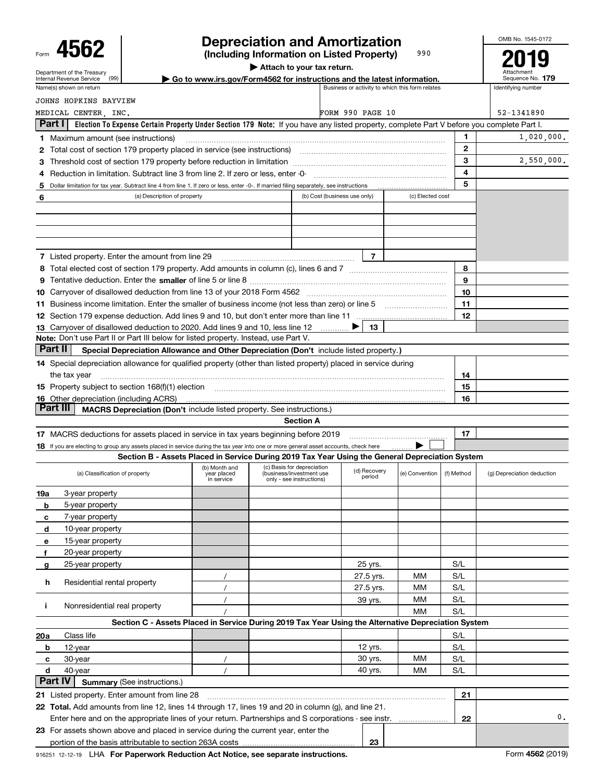# **Depreciation and Amortization**

OMB No. 1545-0172

| Attach to your tax return.<br>Department of the Treasury<br>Go to www.irs.gov/Form4562 for instructions and the latest information.<br>(99)<br>Internal Revenue Service<br>Business or activity to which this form relates<br>Identifying number<br>Name(s) shown on return<br>JOHNS HOPKINS BAYVIEW<br>FORM 990 PAGE 10<br>52-1341890<br>MEDICAL CENTER, INC.<br>Part I<br>Election To Expense Certain Property Under Section 179 Note: If you have any listed property, complete Part V before you complete Part I.<br>1.<br><b>1</b> Maximum amount (see instructions)<br>$\mathbf{2}$<br>2 Total cost of section 179 property placed in service (see instructions) manufactured cost of section 179 property placed in service (see instructions)<br>3<br>4<br>Reduction in limitation. Subtract line 3 from line 2. If zero or less, enter -0-<br>5<br>Dollar limitation for tax year. Subtract line 4 from line 1. If zero or less, enter -0-. If married filing separately, see instructions<br>5<br>(c) Elected cost<br>(a) Description of property<br>(b) Cost (business use only)<br>6<br>$\overline{7}$<br><b>7</b> Listed property. Enter the amount from line 29<br>8<br>9<br>10<br>11<br>12<br>13<br>13 Carryover of disallowed deduction to 2020. Add lines 9 and 10, less line 12<br>Note: Don't use Part II or Part III below for listed property. Instead, use Part V.<br>Part II<br>Special Depreciation Allowance and Other Depreciation (Don't include listed property.)<br>14 Special depreciation allowance for qualified property (other than listed property) placed in service during<br>14<br>the tax year<br>15 Property subject to section 168(f)(1) election manufactured contains and contained a subject to section 168(f)(1) election<br>15<br><b>16</b> Other depreciation (including ACRS)<br>16<br>Part III<br>MACRS Depreciation (Don't include listed property. See instructions.)<br><b>Section A</b><br>17<br>17 MACRS deductions for assets placed in service in tax years beginning before 2019<br>18 If you are electing to group any assets placed in service during the tax year into one or more general asset accounts, check here<br>Section B - Assets Placed in Service During 2019 Tax Year Using the General Depreciation System<br>(c) Basis for depreciation<br>(b) Month and<br>(d) Recovery<br>(business/investment use<br>(f) Method<br>(a) Classification of property<br>year placed<br>(e) Convention<br>period<br>only - see instructions)<br>in service<br>3-year property<br>19a<br>5-year property<br>b<br>7-year property<br>c<br>10-year property<br>d<br>15-year property<br>е<br>20-year property<br>f<br>25-year property<br>S/L<br>25 yrs.<br>g<br>S/L<br>27.5 yrs.<br>MМ<br>Residential rental property<br>h<br>S/L<br>27.5 yrs.<br>MМ<br>S/L<br>MМ<br>39 yrs.<br>Nonresidential real property<br>j.<br>S/L<br>МM<br>Section C - Assets Placed in Service During 2019 Tax Year Using the Alternative Depreciation System<br>S/L<br>Class life<br>20a<br>12 yrs.<br>S/L<br>12-year<br>b<br>30 yrs.<br>S/L<br>30-year<br>MМ<br>с<br>40 yrs.<br>S/L<br>d<br>40-year<br>MМ<br>Part IV<br><b>Summary (See instructions.)</b><br>21<br>21 Listed property. Enter amount from line 28<br>22 Total. Add amounts from line 12, lines 14 through 17, lines 19 and 20 in column (g), and line 21. | 400Z |  |  | (Including Information on Listed Property) | 990 |                            |
|--------------------------------------------------------------------------------------------------------------------------------------------------------------------------------------------------------------------------------------------------------------------------------------------------------------------------------------------------------------------------------------------------------------------------------------------------------------------------------------------------------------------------------------------------------------------------------------------------------------------------------------------------------------------------------------------------------------------------------------------------------------------------------------------------------------------------------------------------------------------------------------------------------------------------------------------------------------------------------------------------------------------------------------------------------------------------------------------------------------------------------------------------------------------------------------------------------------------------------------------------------------------------------------------------------------------------------------------------------------------------------------------------------------------------------------------------------------------------------------------------------------------------------------------------------------------------------------------------------------------------------------------------------------------------------------------------------------------------------------------------------------------------------------------------------------------------------------------------------------------------------------------------------------------------------------------------------------------------------------------------------------------------------------------------------------------------------------------------------------------------------------------------------------------------------------------------------------------------------------------------------------------------------------------------------------------------------------------------------------------------------------------------------------------------------------------------------------------------------------------------------------------------------------------------------------------------------------------------------------------------------------------------------------------------------------------------------------------------------------------------------------------------------------------------------------------------------------------------------------------------------------------------------------------------------------------------------------------------------------------------------------------------------------------------------------------------------------------------------------------------------------------------------------------------------------------------------------------------------------------------------------------------------------------------------------------------------------------------------------|------|--|--|--------------------------------------------|-----|----------------------------|
|                                                                                                                                                                                                                                                                                                                                                                                                                                                                                                                                                                                                                                                                                                                                                                                                                                                                                                                                                                                                                                                                                                                                                                                                                                                                                                                                                                                                                                                                                                                                                                                                                                                                                                                                                                                                                                                                                                                                                                                                                                                                                                                                                                                                                                                                                                                                                                                                                                                                                                                                                                                                                                                                                                                                                                                                                                                                                                                                                                                                                                                                                                                                                                                                                                                                                                                                                              |      |  |  |                                            |     |                            |
|                                                                                                                                                                                                                                                                                                                                                                                                                                                                                                                                                                                                                                                                                                                                                                                                                                                                                                                                                                                                                                                                                                                                                                                                                                                                                                                                                                                                                                                                                                                                                                                                                                                                                                                                                                                                                                                                                                                                                                                                                                                                                                                                                                                                                                                                                                                                                                                                                                                                                                                                                                                                                                                                                                                                                                                                                                                                                                                                                                                                                                                                                                                                                                                                                                                                                                                                                              |      |  |  |                                            |     | Sequence No. 179           |
|                                                                                                                                                                                                                                                                                                                                                                                                                                                                                                                                                                                                                                                                                                                                                                                                                                                                                                                                                                                                                                                                                                                                                                                                                                                                                                                                                                                                                                                                                                                                                                                                                                                                                                                                                                                                                                                                                                                                                                                                                                                                                                                                                                                                                                                                                                                                                                                                                                                                                                                                                                                                                                                                                                                                                                                                                                                                                                                                                                                                                                                                                                                                                                                                                                                                                                                                                              |      |  |  |                                            |     |                            |
|                                                                                                                                                                                                                                                                                                                                                                                                                                                                                                                                                                                                                                                                                                                                                                                                                                                                                                                                                                                                                                                                                                                                                                                                                                                                                                                                                                                                                                                                                                                                                                                                                                                                                                                                                                                                                                                                                                                                                                                                                                                                                                                                                                                                                                                                                                                                                                                                                                                                                                                                                                                                                                                                                                                                                                                                                                                                                                                                                                                                                                                                                                                                                                                                                                                                                                                                                              |      |  |  |                                            |     |                            |
|                                                                                                                                                                                                                                                                                                                                                                                                                                                                                                                                                                                                                                                                                                                                                                                                                                                                                                                                                                                                                                                                                                                                                                                                                                                                                                                                                                                                                                                                                                                                                                                                                                                                                                                                                                                                                                                                                                                                                                                                                                                                                                                                                                                                                                                                                                                                                                                                                                                                                                                                                                                                                                                                                                                                                                                                                                                                                                                                                                                                                                                                                                                                                                                                                                                                                                                                                              |      |  |  |                                            |     |                            |
|                                                                                                                                                                                                                                                                                                                                                                                                                                                                                                                                                                                                                                                                                                                                                                                                                                                                                                                                                                                                                                                                                                                                                                                                                                                                                                                                                                                                                                                                                                                                                                                                                                                                                                                                                                                                                                                                                                                                                                                                                                                                                                                                                                                                                                                                                                                                                                                                                                                                                                                                                                                                                                                                                                                                                                                                                                                                                                                                                                                                                                                                                                                                                                                                                                                                                                                                                              |      |  |  |                                            |     |                            |
|                                                                                                                                                                                                                                                                                                                                                                                                                                                                                                                                                                                                                                                                                                                                                                                                                                                                                                                                                                                                                                                                                                                                                                                                                                                                                                                                                                                                                                                                                                                                                                                                                                                                                                                                                                                                                                                                                                                                                                                                                                                                                                                                                                                                                                                                                                                                                                                                                                                                                                                                                                                                                                                                                                                                                                                                                                                                                                                                                                                                                                                                                                                                                                                                                                                                                                                                                              |      |  |  |                                            |     | 1,020,000.                 |
|                                                                                                                                                                                                                                                                                                                                                                                                                                                                                                                                                                                                                                                                                                                                                                                                                                                                                                                                                                                                                                                                                                                                                                                                                                                                                                                                                                                                                                                                                                                                                                                                                                                                                                                                                                                                                                                                                                                                                                                                                                                                                                                                                                                                                                                                                                                                                                                                                                                                                                                                                                                                                                                                                                                                                                                                                                                                                                                                                                                                                                                                                                                                                                                                                                                                                                                                                              |      |  |  |                                            |     |                            |
|                                                                                                                                                                                                                                                                                                                                                                                                                                                                                                                                                                                                                                                                                                                                                                                                                                                                                                                                                                                                                                                                                                                                                                                                                                                                                                                                                                                                                                                                                                                                                                                                                                                                                                                                                                                                                                                                                                                                                                                                                                                                                                                                                                                                                                                                                                                                                                                                                                                                                                                                                                                                                                                                                                                                                                                                                                                                                                                                                                                                                                                                                                                                                                                                                                                                                                                                                              |      |  |  |                                            |     | 2,550,000.                 |
|                                                                                                                                                                                                                                                                                                                                                                                                                                                                                                                                                                                                                                                                                                                                                                                                                                                                                                                                                                                                                                                                                                                                                                                                                                                                                                                                                                                                                                                                                                                                                                                                                                                                                                                                                                                                                                                                                                                                                                                                                                                                                                                                                                                                                                                                                                                                                                                                                                                                                                                                                                                                                                                                                                                                                                                                                                                                                                                                                                                                                                                                                                                                                                                                                                                                                                                                                              |      |  |  |                                            |     |                            |
|                                                                                                                                                                                                                                                                                                                                                                                                                                                                                                                                                                                                                                                                                                                                                                                                                                                                                                                                                                                                                                                                                                                                                                                                                                                                                                                                                                                                                                                                                                                                                                                                                                                                                                                                                                                                                                                                                                                                                                                                                                                                                                                                                                                                                                                                                                                                                                                                                                                                                                                                                                                                                                                                                                                                                                                                                                                                                                                                                                                                                                                                                                                                                                                                                                                                                                                                                              |      |  |  |                                            |     |                            |
|                                                                                                                                                                                                                                                                                                                                                                                                                                                                                                                                                                                                                                                                                                                                                                                                                                                                                                                                                                                                                                                                                                                                                                                                                                                                                                                                                                                                                                                                                                                                                                                                                                                                                                                                                                                                                                                                                                                                                                                                                                                                                                                                                                                                                                                                                                                                                                                                                                                                                                                                                                                                                                                                                                                                                                                                                                                                                                                                                                                                                                                                                                                                                                                                                                                                                                                                                              |      |  |  |                                            |     |                            |
|                                                                                                                                                                                                                                                                                                                                                                                                                                                                                                                                                                                                                                                                                                                                                                                                                                                                                                                                                                                                                                                                                                                                                                                                                                                                                                                                                                                                                                                                                                                                                                                                                                                                                                                                                                                                                                                                                                                                                                                                                                                                                                                                                                                                                                                                                                                                                                                                                                                                                                                                                                                                                                                                                                                                                                                                                                                                                                                                                                                                                                                                                                                                                                                                                                                                                                                                                              |      |  |  |                                            |     |                            |
|                                                                                                                                                                                                                                                                                                                                                                                                                                                                                                                                                                                                                                                                                                                                                                                                                                                                                                                                                                                                                                                                                                                                                                                                                                                                                                                                                                                                                                                                                                                                                                                                                                                                                                                                                                                                                                                                                                                                                                                                                                                                                                                                                                                                                                                                                                                                                                                                                                                                                                                                                                                                                                                                                                                                                                                                                                                                                                                                                                                                                                                                                                                                                                                                                                                                                                                                                              |      |  |  |                                            |     |                            |
|                                                                                                                                                                                                                                                                                                                                                                                                                                                                                                                                                                                                                                                                                                                                                                                                                                                                                                                                                                                                                                                                                                                                                                                                                                                                                                                                                                                                                                                                                                                                                                                                                                                                                                                                                                                                                                                                                                                                                                                                                                                                                                                                                                                                                                                                                                                                                                                                                                                                                                                                                                                                                                                                                                                                                                                                                                                                                                                                                                                                                                                                                                                                                                                                                                                                                                                                                              |      |  |  |                                            |     |                            |
|                                                                                                                                                                                                                                                                                                                                                                                                                                                                                                                                                                                                                                                                                                                                                                                                                                                                                                                                                                                                                                                                                                                                                                                                                                                                                                                                                                                                                                                                                                                                                                                                                                                                                                                                                                                                                                                                                                                                                                                                                                                                                                                                                                                                                                                                                                                                                                                                                                                                                                                                                                                                                                                                                                                                                                                                                                                                                                                                                                                                                                                                                                                                                                                                                                                                                                                                                              |      |  |  |                                            |     |                            |
|                                                                                                                                                                                                                                                                                                                                                                                                                                                                                                                                                                                                                                                                                                                                                                                                                                                                                                                                                                                                                                                                                                                                                                                                                                                                                                                                                                                                                                                                                                                                                                                                                                                                                                                                                                                                                                                                                                                                                                                                                                                                                                                                                                                                                                                                                                                                                                                                                                                                                                                                                                                                                                                                                                                                                                                                                                                                                                                                                                                                                                                                                                                                                                                                                                                                                                                                                              |      |  |  |                                            |     |                            |
|                                                                                                                                                                                                                                                                                                                                                                                                                                                                                                                                                                                                                                                                                                                                                                                                                                                                                                                                                                                                                                                                                                                                                                                                                                                                                                                                                                                                                                                                                                                                                                                                                                                                                                                                                                                                                                                                                                                                                                                                                                                                                                                                                                                                                                                                                                                                                                                                                                                                                                                                                                                                                                                                                                                                                                                                                                                                                                                                                                                                                                                                                                                                                                                                                                                                                                                                                              |      |  |  |                                            |     |                            |
|                                                                                                                                                                                                                                                                                                                                                                                                                                                                                                                                                                                                                                                                                                                                                                                                                                                                                                                                                                                                                                                                                                                                                                                                                                                                                                                                                                                                                                                                                                                                                                                                                                                                                                                                                                                                                                                                                                                                                                                                                                                                                                                                                                                                                                                                                                                                                                                                                                                                                                                                                                                                                                                                                                                                                                                                                                                                                                                                                                                                                                                                                                                                                                                                                                                                                                                                                              |      |  |  |                                            |     |                            |
|                                                                                                                                                                                                                                                                                                                                                                                                                                                                                                                                                                                                                                                                                                                                                                                                                                                                                                                                                                                                                                                                                                                                                                                                                                                                                                                                                                                                                                                                                                                                                                                                                                                                                                                                                                                                                                                                                                                                                                                                                                                                                                                                                                                                                                                                                                                                                                                                                                                                                                                                                                                                                                                                                                                                                                                                                                                                                                                                                                                                                                                                                                                                                                                                                                                                                                                                                              |      |  |  |                                            |     |                            |
|                                                                                                                                                                                                                                                                                                                                                                                                                                                                                                                                                                                                                                                                                                                                                                                                                                                                                                                                                                                                                                                                                                                                                                                                                                                                                                                                                                                                                                                                                                                                                                                                                                                                                                                                                                                                                                                                                                                                                                                                                                                                                                                                                                                                                                                                                                                                                                                                                                                                                                                                                                                                                                                                                                                                                                                                                                                                                                                                                                                                                                                                                                                                                                                                                                                                                                                                                              |      |  |  |                                            |     |                            |
|                                                                                                                                                                                                                                                                                                                                                                                                                                                                                                                                                                                                                                                                                                                                                                                                                                                                                                                                                                                                                                                                                                                                                                                                                                                                                                                                                                                                                                                                                                                                                                                                                                                                                                                                                                                                                                                                                                                                                                                                                                                                                                                                                                                                                                                                                                                                                                                                                                                                                                                                                                                                                                                                                                                                                                                                                                                                                                                                                                                                                                                                                                                                                                                                                                                                                                                                                              |      |  |  |                                            |     |                            |
|                                                                                                                                                                                                                                                                                                                                                                                                                                                                                                                                                                                                                                                                                                                                                                                                                                                                                                                                                                                                                                                                                                                                                                                                                                                                                                                                                                                                                                                                                                                                                                                                                                                                                                                                                                                                                                                                                                                                                                                                                                                                                                                                                                                                                                                                                                                                                                                                                                                                                                                                                                                                                                                                                                                                                                                                                                                                                                                                                                                                                                                                                                                                                                                                                                                                                                                                                              |      |  |  |                                            |     |                            |
|                                                                                                                                                                                                                                                                                                                                                                                                                                                                                                                                                                                                                                                                                                                                                                                                                                                                                                                                                                                                                                                                                                                                                                                                                                                                                                                                                                                                                                                                                                                                                                                                                                                                                                                                                                                                                                                                                                                                                                                                                                                                                                                                                                                                                                                                                                                                                                                                                                                                                                                                                                                                                                                                                                                                                                                                                                                                                                                                                                                                                                                                                                                                                                                                                                                                                                                                                              |      |  |  |                                            |     |                            |
|                                                                                                                                                                                                                                                                                                                                                                                                                                                                                                                                                                                                                                                                                                                                                                                                                                                                                                                                                                                                                                                                                                                                                                                                                                                                                                                                                                                                                                                                                                                                                                                                                                                                                                                                                                                                                                                                                                                                                                                                                                                                                                                                                                                                                                                                                                                                                                                                                                                                                                                                                                                                                                                                                                                                                                                                                                                                                                                                                                                                                                                                                                                                                                                                                                                                                                                                                              |      |  |  |                                            |     |                            |
|                                                                                                                                                                                                                                                                                                                                                                                                                                                                                                                                                                                                                                                                                                                                                                                                                                                                                                                                                                                                                                                                                                                                                                                                                                                                                                                                                                                                                                                                                                                                                                                                                                                                                                                                                                                                                                                                                                                                                                                                                                                                                                                                                                                                                                                                                                                                                                                                                                                                                                                                                                                                                                                                                                                                                                                                                                                                                                                                                                                                                                                                                                                                                                                                                                                                                                                                                              |      |  |  |                                            |     |                            |
|                                                                                                                                                                                                                                                                                                                                                                                                                                                                                                                                                                                                                                                                                                                                                                                                                                                                                                                                                                                                                                                                                                                                                                                                                                                                                                                                                                                                                                                                                                                                                                                                                                                                                                                                                                                                                                                                                                                                                                                                                                                                                                                                                                                                                                                                                                                                                                                                                                                                                                                                                                                                                                                                                                                                                                                                                                                                                                                                                                                                                                                                                                                                                                                                                                                                                                                                                              |      |  |  |                                            |     |                            |
|                                                                                                                                                                                                                                                                                                                                                                                                                                                                                                                                                                                                                                                                                                                                                                                                                                                                                                                                                                                                                                                                                                                                                                                                                                                                                                                                                                                                                                                                                                                                                                                                                                                                                                                                                                                                                                                                                                                                                                                                                                                                                                                                                                                                                                                                                                                                                                                                                                                                                                                                                                                                                                                                                                                                                                                                                                                                                                                                                                                                                                                                                                                                                                                                                                                                                                                                                              |      |  |  |                                            |     |                            |
|                                                                                                                                                                                                                                                                                                                                                                                                                                                                                                                                                                                                                                                                                                                                                                                                                                                                                                                                                                                                                                                                                                                                                                                                                                                                                                                                                                                                                                                                                                                                                                                                                                                                                                                                                                                                                                                                                                                                                                                                                                                                                                                                                                                                                                                                                                                                                                                                                                                                                                                                                                                                                                                                                                                                                                                                                                                                                                                                                                                                                                                                                                                                                                                                                                                                                                                                                              |      |  |  |                                            |     |                            |
|                                                                                                                                                                                                                                                                                                                                                                                                                                                                                                                                                                                                                                                                                                                                                                                                                                                                                                                                                                                                                                                                                                                                                                                                                                                                                                                                                                                                                                                                                                                                                                                                                                                                                                                                                                                                                                                                                                                                                                                                                                                                                                                                                                                                                                                                                                                                                                                                                                                                                                                                                                                                                                                                                                                                                                                                                                                                                                                                                                                                                                                                                                                                                                                                                                                                                                                                                              |      |  |  |                                            |     |                            |
|                                                                                                                                                                                                                                                                                                                                                                                                                                                                                                                                                                                                                                                                                                                                                                                                                                                                                                                                                                                                                                                                                                                                                                                                                                                                                                                                                                                                                                                                                                                                                                                                                                                                                                                                                                                                                                                                                                                                                                                                                                                                                                                                                                                                                                                                                                                                                                                                                                                                                                                                                                                                                                                                                                                                                                                                                                                                                                                                                                                                                                                                                                                                                                                                                                                                                                                                                              |      |  |  |                                            |     |                            |
|                                                                                                                                                                                                                                                                                                                                                                                                                                                                                                                                                                                                                                                                                                                                                                                                                                                                                                                                                                                                                                                                                                                                                                                                                                                                                                                                                                                                                                                                                                                                                                                                                                                                                                                                                                                                                                                                                                                                                                                                                                                                                                                                                                                                                                                                                                                                                                                                                                                                                                                                                                                                                                                                                                                                                                                                                                                                                                                                                                                                                                                                                                                                                                                                                                                                                                                                                              |      |  |  |                                            |     |                            |
|                                                                                                                                                                                                                                                                                                                                                                                                                                                                                                                                                                                                                                                                                                                                                                                                                                                                                                                                                                                                                                                                                                                                                                                                                                                                                                                                                                                                                                                                                                                                                                                                                                                                                                                                                                                                                                                                                                                                                                                                                                                                                                                                                                                                                                                                                                                                                                                                                                                                                                                                                                                                                                                                                                                                                                                                                                                                                                                                                                                                                                                                                                                                                                                                                                                                                                                                                              |      |  |  |                                            |     |                            |
|                                                                                                                                                                                                                                                                                                                                                                                                                                                                                                                                                                                                                                                                                                                                                                                                                                                                                                                                                                                                                                                                                                                                                                                                                                                                                                                                                                                                                                                                                                                                                                                                                                                                                                                                                                                                                                                                                                                                                                                                                                                                                                                                                                                                                                                                                                                                                                                                                                                                                                                                                                                                                                                                                                                                                                                                                                                                                                                                                                                                                                                                                                                                                                                                                                                                                                                                                              |      |  |  |                                            |     |                            |
|                                                                                                                                                                                                                                                                                                                                                                                                                                                                                                                                                                                                                                                                                                                                                                                                                                                                                                                                                                                                                                                                                                                                                                                                                                                                                                                                                                                                                                                                                                                                                                                                                                                                                                                                                                                                                                                                                                                                                                                                                                                                                                                                                                                                                                                                                                                                                                                                                                                                                                                                                                                                                                                                                                                                                                                                                                                                                                                                                                                                                                                                                                                                                                                                                                                                                                                                                              |      |  |  |                                            |     | (g) Depreciation deduction |
|                                                                                                                                                                                                                                                                                                                                                                                                                                                                                                                                                                                                                                                                                                                                                                                                                                                                                                                                                                                                                                                                                                                                                                                                                                                                                                                                                                                                                                                                                                                                                                                                                                                                                                                                                                                                                                                                                                                                                                                                                                                                                                                                                                                                                                                                                                                                                                                                                                                                                                                                                                                                                                                                                                                                                                                                                                                                                                                                                                                                                                                                                                                                                                                                                                                                                                                                                              |      |  |  |                                            |     |                            |
|                                                                                                                                                                                                                                                                                                                                                                                                                                                                                                                                                                                                                                                                                                                                                                                                                                                                                                                                                                                                                                                                                                                                                                                                                                                                                                                                                                                                                                                                                                                                                                                                                                                                                                                                                                                                                                                                                                                                                                                                                                                                                                                                                                                                                                                                                                                                                                                                                                                                                                                                                                                                                                                                                                                                                                                                                                                                                                                                                                                                                                                                                                                                                                                                                                                                                                                                                              |      |  |  |                                            |     |                            |
|                                                                                                                                                                                                                                                                                                                                                                                                                                                                                                                                                                                                                                                                                                                                                                                                                                                                                                                                                                                                                                                                                                                                                                                                                                                                                                                                                                                                                                                                                                                                                                                                                                                                                                                                                                                                                                                                                                                                                                                                                                                                                                                                                                                                                                                                                                                                                                                                                                                                                                                                                                                                                                                                                                                                                                                                                                                                                                                                                                                                                                                                                                                                                                                                                                                                                                                                                              |      |  |  |                                            |     |                            |
|                                                                                                                                                                                                                                                                                                                                                                                                                                                                                                                                                                                                                                                                                                                                                                                                                                                                                                                                                                                                                                                                                                                                                                                                                                                                                                                                                                                                                                                                                                                                                                                                                                                                                                                                                                                                                                                                                                                                                                                                                                                                                                                                                                                                                                                                                                                                                                                                                                                                                                                                                                                                                                                                                                                                                                                                                                                                                                                                                                                                                                                                                                                                                                                                                                                                                                                                                              |      |  |  |                                            |     |                            |
|                                                                                                                                                                                                                                                                                                                                                                                                                                                                                                                                                                                                                                                                                                                                                                                                                                                                                                                                                                                                                                                                                                                                                                                                                                                                                                                                                                                                                                                                                                                                                                                                                                                                                                                                                                                                                                                                                                                                                                                                                                                                                                                                                                                                                                                                                                                                                                                                                                                                                                                                                                                                                                                                                                                                                                                                                                                                                                                                                                                                                                                                                                                                                                                                                                                                                                                                                              |      |  |  |                                            |     |                            |
|                                                                                                                                                                                                                                                                                                                                                                                                                                                                                                                                                                                                                                                                                                                                                                                                                                                                                                                                                                                                                                                                                                                                                                                                                                                                                                                                                                                                                                                                                                                                                                                                                                                                                                                                                                                                                                                                                                                                                                                                                                                                                                                                                                                                                                                                                                                                                                                                                                                                                                                                                                                                                                                                                                                                                                                                                                                                                                                                                                                                                                                                                                                                                                                                                                                                                                                                                              |      |  |  |                                            |     |                            |
|                                                                                                                                                                                                                                                                                                                                                                                                                                                                                                                                                                                                                                                                                                                                                                                                                                                                                                                                                                                                                                                                                                                                                                                                                                                                                                                                                                                                                                                                                                                                                                                                                                                                                                                                                                                                                                                                                                                                                                                                                                                                                                                                                                                                                                                                                                                                                                                                                                                                                                                                                                                                                                                                                                                                                                                                                                                                                                                                                                                                                                                                                                                                                                                                                                                                                                                                                              |      |  |  |                                            |     |                            |
|                                                                                                                                                                                                                                                                                                                                                                                                                                                                                                                                                                                                                                                                                                                                                                                                                                                                                                                                                                                                                                                                                                                                                                                                                                                                                                                                                                                                                                                                                                                                                                                                                                                                                                                                                                                                                                                                                                                                                                                                                                                                                                                                                                                                                                                                                                                                                                                                                                                                                                                                                                                                                                                                                                                                                                                                                                                                                                                                                                                                                                                                                                                                                                                                                                                                                                                                                              |      |  |  |                                            |     |                            |
|                                                                                                                                                                                                                                                                                                                                                                                                                                                                                                                                                                                                                                                                                                                                                                                                                                                                                                                                                                                                                                                                                                                                                                                                                                                                                                                                                                                                                                                                                                                                                                                                                                                                                                                                                                                                                                                                                                                                                                                                                                                                                                                                                                                                                                                                                                                                                                                                                                                                                                                                                                                                                                                                                                                                                                                                                                                                                                                                                                                                                                                                                                                                                                                                                                                                                                                                                              |      |  |  |                                            |     |                            |
|                                                                                                                                                                                                                                                                                                                                                                                                                                                                                                                                                                                                                                                                                                                                                                                                                                                                                                                                                                                                                                                                                                                                                                                                                                                                                                                                                                                                                                                                                                                                                                                                                                                                                                                                                                                                                                                                                                                                                                                                                                                                                                                                                                                                                                                                                                                                                                                                                                                                                                                                                                                                                                                                                                                                                                                                                                                                                                                                                                                                                                                                                                                                                                                                                                                                                                                                                              |      |  |  |                                            |     |                            |
|                                                                                                                                                                                                                                                                                                                                                                                                                                                                                                                                                                                                                                                                                                                                                                                                                                                                                                                                                                                                                                                                                                                                                                                                                                                                                                                                                                                                                                                                                                                                                                                                                                                                                                                                                                                                                                                                                                                                                                                                                                                                                                                                                                                                                                                                                                                                                                                                                                                                                                                                                                                                                                                                                                                                                                                                                                                                                                                                                                                                                                                                                                                                                                                                                                                                                                                                                              |      |  |  |                                            |     |                            |
|                                                                                                                                                                                                                                                                                                                                                                                                                                                                                                                                                                                                                                                                                                                                                                                                                                                                                                                                                                                                                                                                                                                                                                                                                                                                                                                                                                                                                                                                                                                                                                                                                                                                                                                                                                                                                                                                                                                                                                                                                                                                                                                                                                                                                                                                                                                                                                                                                                                                                                                                                                                                                                                                                                                                                                                                                                                                                                                                                                                                                                                                                                                                                                                                                                                                                                                                                              |      |  |  |                                            |     |                            |
|                                                                                                                                                                                                                                                                                                                                                                                                                                                                                                                                                                                                                                                                                                                                                                                                                                                                                                                                                                                                                                                                                                                                                                                                                                                                                                                                                                                                                                                                                                                                                                                                                                                                                                                                                                                                                                                                                                                                                                                                                                                                                                                                                                                                                                                                                                                                                                                                                                                                                                                                                                                                                                                                                                                                                                                                                                                                                                                                                                                                                                                                                                                                                                                                                                                                                                                                                              |      |  |  |                                            |     |                            |
|                                                                                                                                                                                                                                                                                                                                                                                                                                                                                                                                                                                                                                                                                                                                                                                                                                                                                                                                                                                                                                                                                                                                                                                                                                                                                                                                                                                                                                                                                                                                                                                                                                                                                                                                                                                                                                                                                                                                                                                                                                                                                                                                                                                                                                                                                                                                                                                                                                                                                                                                                                                                                                                                                                                                                                                                                                                                                                                                                                                                                                                                                                                                                                                                                                                                                                                                                              |      |  |  |                                            |     |                            |
|                                                                                                                                                                                                                                                                                                                                                                                                                                                                                                                                                                                                                                                                                                                                                                                                                                                                                                                                                                                                                                                                                                                                                                                                                                                                                                                                                                                                                                                                                                                                                                                                                                                                                                                                                                                                                                                                                                                                                                                                                                                                                                                                                                                                                                                                                                                                                                                                                                                                                                                                                                                                                                                                                                                                                                                                                                                                                                                                                                                                                                                                                                                                                                                                                                                                                                                                                              |      |  |  |                                            |     |                            |
|                                                                                                                                                                                                                                                                                                                                                                                                                                                                                                                                                                                                                                                                                                                                                                                                                                                                                                                                                                                                                                                                                                                                                                                                                                                                                                                                                                                                                                                                                                                                                                                                                                                                                                                                                                                                                                                                                                                                                                                                                                                                                                                                                                                                                                                                                                                                                                                                                                                                                                                                                                                                                                                                                                                                                                                                                                                                                                                                                                                                                                                                                                                                                                                                                                                                                                                                                              |      |  |  |                                            |     |                            |
|                                                                                                                                                                                                                                                                                                                                                                                                                                                                                                                                                                                                                                                                                                                                                                                                                                                                                                                                                                                                                                                                                                                                                                                                                                                                                                                                                                                                                                                                                                                                                                                                                                                                                                                                                                                                                                                                                                                                                                                                                                                                                                                                                                                                                                                                                                                                                                                                                                                                                                                                                                                                                                                                                                                                                                                                                                                                                                                                                                                                                                                                                                                                                                                                                                                                                                                                                              |      |  |  |                                            |     |                            |
|                                                                                                                                                                                                                                                                                                                                                                                                                                                                                                                                                                                                                                                                                                                                                                                                                                                                                                                                                                                                                                                                                                                                                                                                                                                                                                                                                                                                                                                                                                                                                                                                                                                                                                                                                                                                                                                                                                                                                                                                                                                                                                                                                                                                                                                                                                                                                                                                                                                                                                                                                                                                                                                                                                                                                                                                                                                                                                                                                                                                                                                                                                                                                                                                                                                                                                                                                              |      |  |  |                                            |     |                            |
|                                                                                                                                                                                                                                                                                                                                                                                                                                                                                                                                                                                                                                                                                                                                                                                                                                                                                                                                                                                                                                                                                                                                                                                                                                                                                                                                                                                                                                                                                                                                                                                                                                                                                                                                                                                                                                                                                                                                                                                                                                                                                                                                                                                                                                                                                                                                                                                                                                                                                                                                                                                                                                                                                                                                                                                                                                                                                                                                                                                                                                                                                                                                                                                                                                                                                                                                                              |      |  |  |                                            |     |                            |
| 22<br>Enter here and on the appropriate lines of your return. Partnerships and S corporations - see instr.                                                                                                                                                                                                                                                                                                                                                                                                                                                                                                                                                                                                                                                                                                                                                                                                                                                                                                                                                                                                                                                                                                                                                                                                                                                                                                                                                                                                                                                                                                                                                                                                                                                                                                                                                                                                                                                                                                                                                                                                                                                                                                                                                                                                                                                                                                                                                                                                                                                                                                                                                                                                                                                                                                                                                                                                                                                                                                                                                                                                                                                                                                                                                                                                                                                   |      |  |  |                                            |     | 0.                         |

**23**

**23** For assets shown above and placed in service during the current year, enter the

portion of the basis attributable to section 263A costs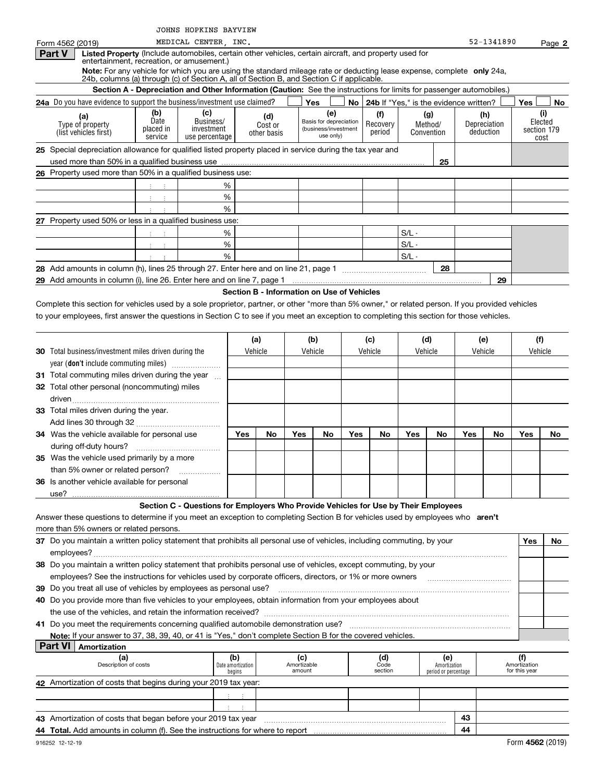|                                                                                                                                                                     |                                | JOHNS HOPKINS BAYVIEW                                                                                                |                                            |                |                       |                                   |     |                                             |         |                                      |     |                     |                               |                     |
|---------------------------------------------------------------------------------------------------------------------------------------------------------------------|--------------------------------|----------------------------------------------------------------------------------------------------------------------|--------------------------------------------|----------------|-----------------------|-----------------------------------|-----|---------------------------------------------|---------|--------------------------------------|-----|---------------------|-------------------------------|---------------------|
| Form 4562 (2019)                                                                                                                                                    |                                | MEDICAL CENTER, INC.                                                                                                 |                                            |                |                       |                                   |     |                                             |         |                                      |     | 52-1341890          |                               | Page 2              |
| <b>Part V</b><br>Listed Property (Include automobiles, certain other vehicles, certain aircraft, and property used for<br>entertainment, recreation, or amusement.) |                                |                                                                                                                      |                                            |                |                       |                                   |     |                                             |         |                                      |     |                     |                               |                     |
| Note: For any vehicle for which you are using the standard mileage rate or deducting lease expense, complete only 24a,                                              |                                |                                                                                                                      |                                            |                |                       |                                   |     |                                             |         |                                      |     |                     |                               |                     |
| 24b, columns (a) through (c) of Section A, all of Section B, and Section C if applicable.                                                                           |                                |                                                                                                                      |                                            |                |                       |                                   |     |                                             |         |                                      |     |                     |                               |                     |
|                                                                                                                                                                     |                                | Section A - Depreciation and Other Information (Caution: See the instructions for limits for passenger automobiles.) |                                            |                |                       |                                   |     |                                             |         |                                      |     |                     |                               |                     |
| 24a Do you have evidence to support the business/investment use claimed?                                                                                            |                                |                                                                                                                      |                                            |                |                       | Yes                               |     | No   24b If "Yes," is the evidence written? |         |                                      |     |                     | Yes                           | No                  |
| (a)<br>Type of property                                                                                                                                             | (b)<br>Date                    | (c)<br>Business/                                                                                                     |                                            | (d)<br>Cost or |                       | (e)<br>Basis for depreciation     |     | (f)<br>Recovery                             |         | (g)<br>Method/                       |     | (h)<br>Depreciation |                               | (i)<br>Elected      |
| (list vehicles first)                                                                                                                                               | placed in<br>service           | investment<br>use percentage                                                                                         |                                            | other basis    |                       | (business/investment<br>use only) |     | period                                      |         | Convention                           |     | deduction           |                               | section 179<br>cost |
| 25 Special depreciation allowance for qualified listed property placed in service during the tax year and                                                           |                                |                                                                                                                      |                                            |                |                       |                                   |     |                                             |         |                                      |     |                     |                               |                     |
|                                                                                                                                                                     |                                |                                                                                                                      |                                            |                |                       |                                   |     |                                             |         | 25                                   |     |                     |                               |                     |
| 26 Property used more than 50% in a qualified business use:                                                                                                         |                                |                                                                                                                      |                                            |                |                       |                                   |     |                                             |         |                                      |     |                     |                               |                     |
|                                                                                                                                                                     |                                |                                                                                                                      | %                                          |                |                       |                                   |     |                                             |         |                                      |     |                     |                               |                     |
|                                                                                                                                                                     | $\mathbb{C}^{\times}$<br>÷     |                                                                                                                      | %                                          |                |                       |                                   |     |                                             |         |                                      |     |                     |                               |                     |
|                                                                                                                                                                     | $\pm$                          |                                                                                                                      | %                                          |                |                       |                                   |     |                                             |         |                                      |     |                     |                               |                     |
| 27 Property used 50% or less in a qualified business use:                                                                                                           |                                |                                                                                                                      |                                            |                |                       |                                   |     |                                             |         |                                      |     |                     |                               |                     |
|                                                                                                                                                                     |                                |                                                                                                                      | %                                          |                |                       |                                   |     |                                             | $S/L -$ |                                      |     |                     |                               |                     |
|                                                                                                                                                                     | $\mathbb{C}^{\times}$<br>$\pm$ |                                                                                                                      | %                                          |                |                       |                                   |     |                                             | $S/L -$ |                                      |     |                     |                               |                     |
|                                                                                                                                                                     |                                |                                                                                                                      | %                                          |                |                       |                                   |     |                                             | $S/L -$ |                                      |     |                     |                               |                     |
|                                                                                                                                                                     |                                |                                                                                                                      |                                            |                |                       |                                   |     |                                             |         | 28                                   |     |                     |                               |                     |
|                                                                                                                                                                     |                                |                                                                                                                      |                                            |                |                       |                                   |     |                                             |         |                                      |     | 29                  |                               |                     |
|                                                                                                                                                                     |                                |                                                                                                                      | Section B - Information on Use of Vehicles |                |                       |                                   |     |                                             |         |                                      |     |                     |                               |                     |
| Complete this section for vehicles used by a sole proprietor, partner, or other "more than 5% owner," or related person. If you provided vehicles                   |                                |                                                                                                                      |                                            |                |                       |                                   |     |                                             |         |                                      |     |                     |                               |                     |
| to your employees, first answer the questions in Section C to see if you meet an exception to completing this section for those vehicles.                           |                                |                                                                                                                      |                                            |                |                       |                                   |     |                                             |         |                                      |     |                     |                               |                     |
|                                                                                                                                                                     |                                |                                                                                                                      |                                            |                |                       |                                   |     |                                             |         |                                      |     |                     |                               |                     |
|                                                                                                                                                                     |                                |                                                                                                                      |                                            | (a)            |                       | (b)                               |     | (c)                                         |         | (d)                                  |     | (e)                 |                               | (f)                 |
| <b>30</b> Total business/investment miles driven during the                                                                                                         |                                |                                                                                                                      |                                            | Vehicle        |                       | Vehicle                           |     | Vehicle                                     |         | Vehicle                              |     | Vehicle             |                               | Vehicle             |
| year (don't include commuting miles)                                                                                                                                |                                |                                                                                                                      |                                            |                |                       |                                   |     |                                             |         |                                      |     |                     |                               |                     |
| 31 Total commuting miles driven during the year                                                                                                                     |                                |                                                                                                                      |                                            |                |                       |                                   |     |                                             |         |                                      |     |                     |                               |                     |
| 32 Total other personal (noncommuting) miles                                                                                                                        |                                |                                                                                                                      |                                            |                |                       |                                   |     |                                             |         |                                      |     |                     |                               |                     |
|                                                                                                                                                                     |                                |                                                                                                                      |                                            |                |                       |                                   |     |                                             |         |                                      |     |                     |                               |                     |
| 33 Total miles driven during the year.                                                                                                                              |                                |                                                                                                                      |                                            |                |                       |                                   |     |                                             |         |                                      |     |                     |                               |                     |
|                                                                                                                                                                     |                                |                                                                                                                      |                                            |                |                       |                                   |     |                                             |         |                                      |     |                     |                               |                     |
| 34 Was the vehicle available for personal use                                                                                                                       |                                |                                                                                                                      | Yes                                        | No             | Yes                   | No                                | Yes | No                                          | Yes     | No.                                  | Yes | No.                 | Yes                           | No.                 |
| during off-duty hours?                                                                                                                                              |                                |                                                                                                                      |                                            |                |                       |                                   |     |                                             |         |                                      |     |                     |                               |                     |
| 35 Was the vehicle used primarily by a more                                                                                                                         |                                |                                                                                                                      |                                            |                |                       |                                   |     |                                             |         |                                      |     |                     |                               |                     |
| than 5% owner or related person?                                                                                                                                    |                                | .                                                                                                                    |                                            |                |                       |                                   |     |                                             |         |                                      |     |                     |                               |                     |
| 36 Is another vehicle available for personal                                                                                                                        |                                |                                                                                                                      |                                            |                |                       |                                   |     |                                             |         |                                      |     |                     |                               |                     |
| use?                                                                                                                                                                |                                | Section C - Questions for Employers Who Provide Vehicles for Use by Their Employees                                  |                                            |                |                       |                                   |     |                                             |         |                                      |     |                     |                               |                     |
| Answer these questions to determine if you meet an exception to completing Section B for vehicles used by employees who aren't                                      |                                |                                                                                                                      |                                            |                |                       |                                   |     |                                             |         |                                      |     |                     |                               |                     |
| more than 5% owners or related persons.                                                                                                                             |                                |                                                                                                                      |                                            |                |                       |                                   |     |                                             |         |                                      |     |                     |                               |                     |
| 37 Do you maintain a written policy statement that prohibits all personal use of vehicles, including commuting, by your                                             |                                |                                                                                                                      |                                            |                |                       |                                   |     |                                             |         |                                      |     |                     | Yes                           | No                  |
|                                                                                                                                                                     |                                |                                                                                                                      |                                            |                |                       |                                   |     |                                             |         |                                      |     |                     |                               |                     |
| 38 Do you maintain a written policy statement that prohibits personal use of vehicles, except commuting, by your                                                    |                                |                                                                                                                      |                                            |                |                       |                                   |     |                                             |         |                                      |     |                     |                               |                     |
| employees? See the instructions for vehicles used by corporate officers, directors, or 1% or more owners                                                            |                                |                                                                                                                      |                                            |                |                       |                                   |     |                                             |         |                                      |     |                     |                               |                     |
| 39 Do you treat all use of vehicles by employees as personal use?                                                                                                   |                                |                                                                                                                      |                                            |                |                       |                                   |     |                                             |         |                                      |     |                     |                               |                     |
| 40 Do you provide more than five vehicles to your employees, obtain information from your employees about                                                           |                                |                                                                                                                      |                                            |                |                       |                                   |     |                                             |         |                                      |     |                     |                               |                     |
| the use of the vehicles, and retain the information received?                                                                                                       |                                |                                                                                                                      |                                            |                |                       |                                   |     |                                             |         |                                      |     |                     |                               |                     |
|                                                                                                                                                                     |                                |                                                                                                                      |                                            |                |                       |                                   |     |                                             |         |                                      |     |                     |                               |                     |
| Note: If your answer to 37, 38, 39, 40, or 41 is "Yes," don't complete Section B for the covered vehicles.                                                          |                                |                                                                                                                      |                                            |                |                       |                                   |     |                                             |         |                                      |     |                     |                               |                     |
| <b>Part VI</b><br>Amortization                                                                                                                                      |                                |                                                                                                                      |                                            |                |                       |                                   |     |                                             |         |                                      |     |                     |                               |                     |
| (a)                                                                                                                                                                 |                                |                                                                                                                      | (b)                                        |                | (c)                   |                                   |     | (d)                                         |         | (e)                                  |     |                     | (f)                           |                     |
| Description of costs                                                                                                                                                |                                |                                                                                                                      | Date amortization<br>begins                |                | Amortizable<br>amount |                                   |     | Code<br>section                             |         | Amortization<br>period or percentage |     |                     | Amortization<br>for this year |                     |
| 42 Amortization of costs that begins during your 2019 tax year:                                                                                                     |                                |                                                                                                                      |                                            |                |                       |                                   |     |                                             |         |                                      |     |                     |                               |                     |
|                                                                                                                                                                     |                                |                                                                                                                      | - 11                                       |                |                       |                                   |     |                                             |         |                                      |     |                     |                               |                     |
|                                                                                                                                                                     |                                |                                                                                                                      | $\mathbb{C}^{\times}$<br>$\mathcal{L}$     |                |                       |                                   |     |                                             |         |                                      |     |                     |                               |                     |
| 43 Amortization of costs that began before your 2019 tax year                                                                                                       |                                |                                                                                                                      |                                            |                |                       |                                   |     |                                             |         |                                      | 43  |                     |                               |                     |
|                                                                                                                                                                     |                                |                                                                                                                      |                                            |                |                       |                                   |     |                                             |         |                                      | 44  |                     |                               |                     |